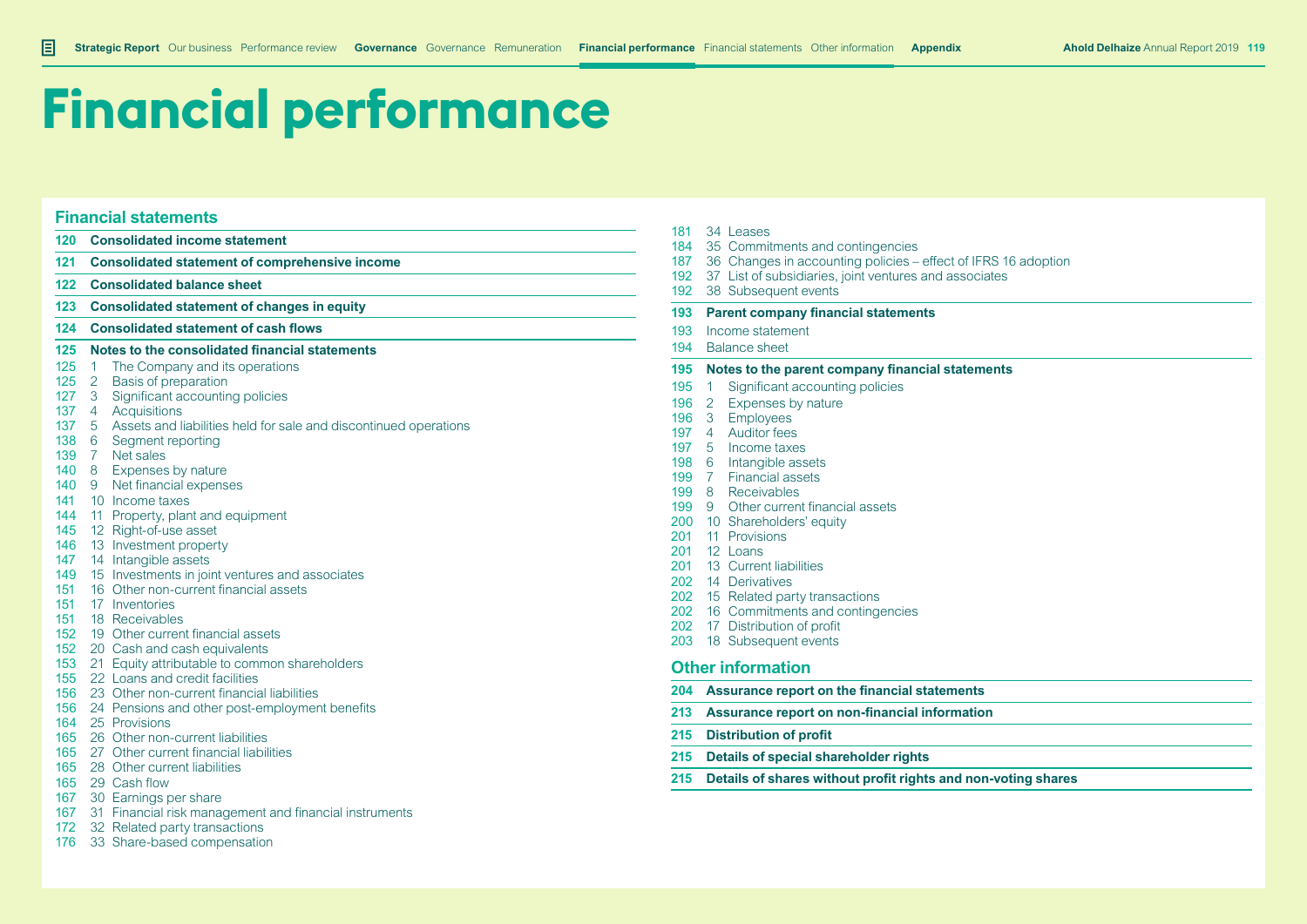# **Financial performance**

#### **Financial statements**

- **Consolidated income statement**
- **Consolidated statement of comprehensive income**
- **Consolidated balance sheet**
- **Consolidated statement of changes in equity**
- **Consolidated statement of cash flows**

#### **Notes to the consolidated financial statements**

- 125 1 The Company and its operations
- 2 Basis of preparation
- 127 3 Significant accounting policies
- 137 4 Acquisitions<br>137 5 Assets and li
- 5 Assets and liabilities held for sale and discontinued operations
- 138 6 Segment reporting<br>139 7 Net sales
- 7 Net sales
- 140 8 Expenses by nature
- 9 Net financial expenses
- 10 Income taxes
- 144 11 Property, plant and equipment
- 12 Right-of-use asset
- 13 Investment property
- 147 14 Intangible assets
- 149 15 Investments in joint ventures and associates
- 16 Other non-current financial assets
- 17 Inventories
- 18 Receivables
- 19 Other current financial assets
- 152 20 Cash and cash equivalents
- 21 Equity attributable to common shareholders
- 22 Loans and credit facilities
- 23 Other non-current financial liabilities
- 24 Pensions and other post-employment benefits
- 25 Provisions
- 26 Other non-current liabilities
- 27 Other current financial liabilities
- 28 Other current liabilities
- 29 Cash flow
- 30 Earnings per share
- 31 Financial risk management and financial instruments
- 172 32 Related party transactions
- 176 33 Share-based compensation
- 34 Leases
- 35 Commitments and contingencies
- 36 Changes in accounting policies effect of IFRS 16 adoption
- 37 List of subsidiaries, joint ventures and associates
- 192 38 Subsequent events
- **Parent company financial statements**
- Income statement
- Balance sheet

#### **Notes to the parent company financial statements**

- 195 1 Significant accounting policies
- 196 2 Expenses by nature
- 3 Employees
- 197 4 Auditor fees
- 5 Income taxes
- 6 Intangible assets
- 7 Financial assets
- 8 Receivables
- 199 9 Other current financial assets
- 200 10 Shareholders' equity
- 11 Provisions
- 201 12 Loans
- 201 13 Current liabilities
- 14 Derivatives
- 15 Related party transactions
- 202 16 Commitments and contingencies
- 17 Distribution of profit
- 203 18 Subsequent events

#### **Other information**

- **Assurance report on the financial statements**
- **Assurance report on non-financial information**
- **Distribution of profit**
- **Details of special shareholder rights**
- **Details of shares without profit rights and non-voting shares**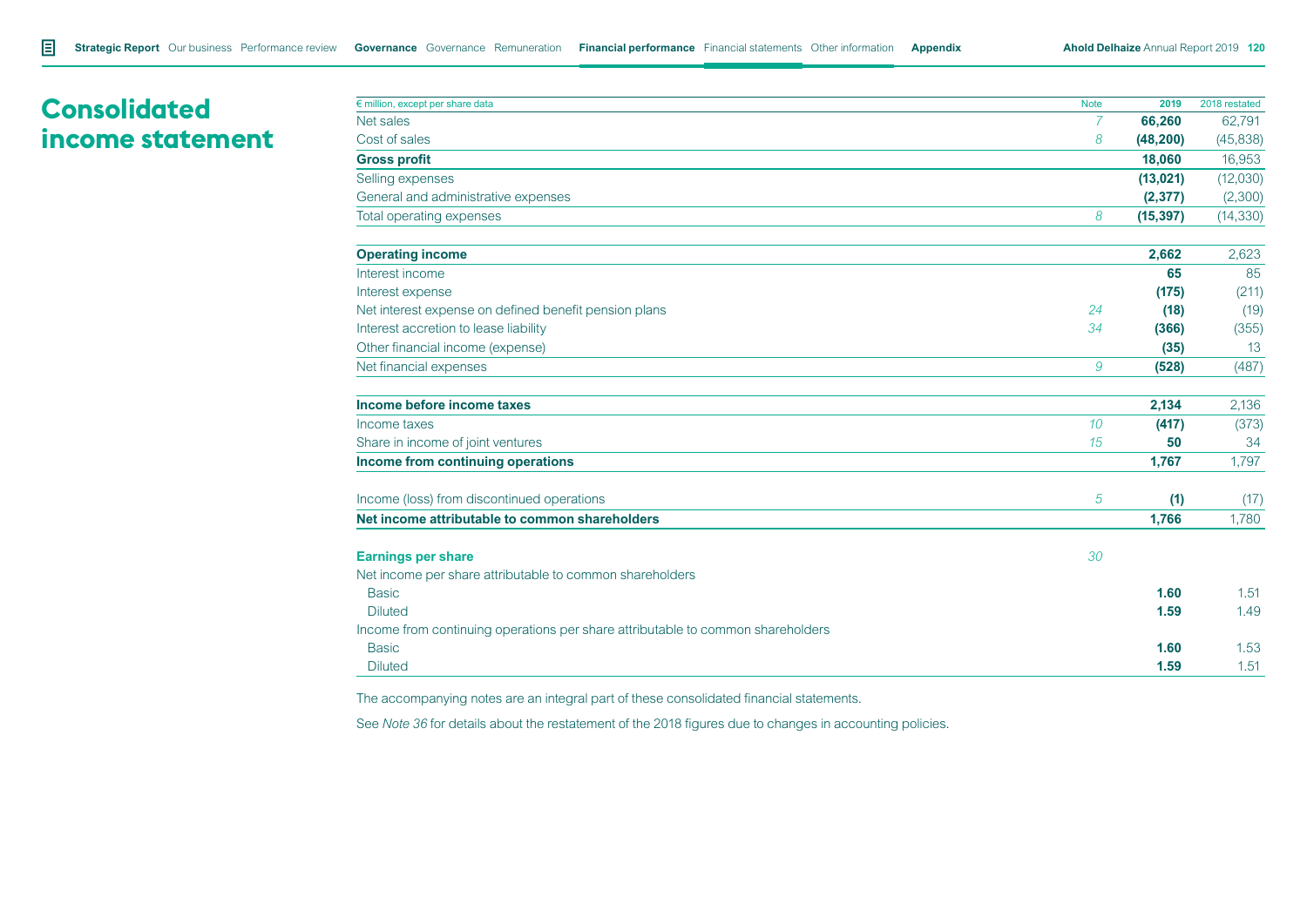# **Consolidated income statement**

| $\epsilon$ million, except per share data                                       | <b>Note</b>      | 2019      | 2018 restated |
|---------------------------------------------------------------------------------|------------------|-----------|---------------|
| Net sales                                                                       | 7                | 66,260    | 62,791        |
| Cost of sales                                                                   | 8                | (48, 200) | (45, 838)     |
| <b>Gross profit</b>                                                             |                  | 18,060    | 16,953        |
| Selling expenses                                                                |                  | (13, 021) | (12,030)      |
| General and administrative expenses                                             |                  | (2, 377)  | (2,300)       |
| Total operating expenses                                                        | 8                | (15, 397) | (14, 330)     |
| <b>Operating income</b>                                                         |                  | 2,662     | 2,623         |
| Interest income                                                                 |                  | 65        | 85            |
| Interest expense                                                                |                  | (175)     | (211)         |
| Net interest expense on defined benefit pension plans                           | 24               | (18)      | (19)          |
| Interest accretion to lease liability                                           | 34               | (366)     | (355)         |
| Other financial income (expense)                                                |                  | (35)      | 13            |
| Net financial expenses                                                          | 9                | (528)     | (487)         |
| Income before income taxes                                                      |                  | 2,134     | 2,136         |
| Income taxes                                                                    | 10 <sup>10</sup> | (417)     | (373)         |
| Share in income of joint ventures                                               | 15               | 50        | 34            |
| Income from continuing operations                                               |                  | 1,767     | 1,797         |
| Income (loss) from discontinued operations                                      | 5                | (1)       | (17)          |
| Net income attributable to common shareholders                                  |                  | 1,766     | 1,780         |
| <b>Earnings per share</b>                                                       | 30               |           |               |
| Net income per share attributable to common shareholders                        |                  |           |               |
| <b>Basic</b>                                                                    |                  | 1.60      | 1.51          |
| <b>Diluted</b>                                                                  |                  | 1.59      | 1.49          |
| Income from continuing operations per share attributable to common shareholders |                  |           |               |
| <b>Basic</b>                                                                    |                  | 1.60      | 1.53          |
| <b>Diluted</b>                                                                  |                  | 1.59      | 1.51          |

The accompanying notes are an integral part of these consolidated financial statements.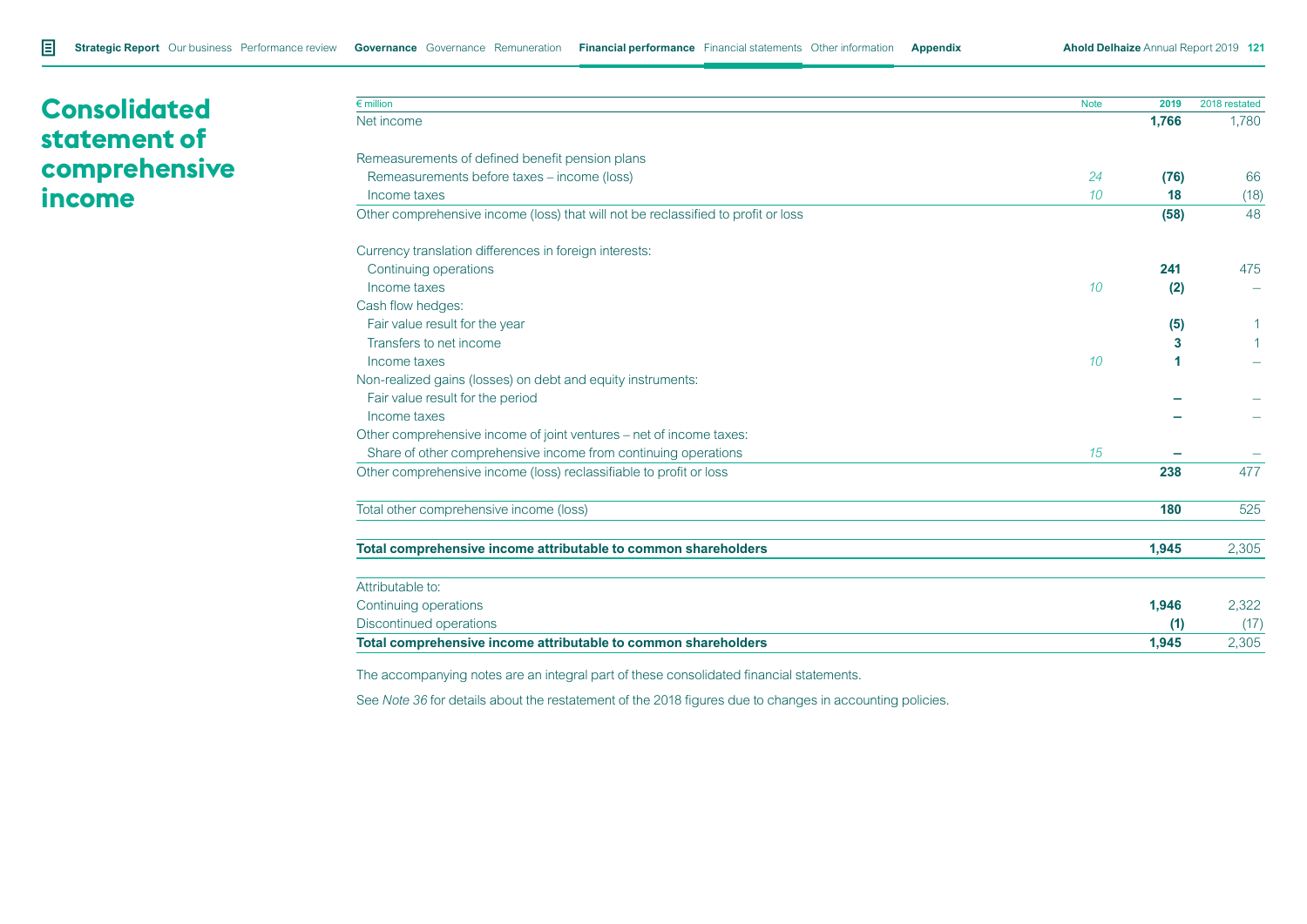# **Consolidated statement of comprehensive income**

| $\epsilon$ million                                                                | <b>Note</b> | 2019  | 2018 restated |
|-----------------------------------------------------------------------------------|-------------|-------|---------------|
| Net income                                                                        |             | 1,766 | 1,780         |
| Remeasurements of defined benefit pension plans                                   |             |       |               |
| Remeasurements before taxes - income (loss)                                       | 24          | (76)  | 66            |
| Income taxes                                                                      | 10          | 18    | (18)          |
| Other comprehensive income (loss) that will not be reclassified to profit or loss |             | (58)  | 48            |
| Currency translation differences in foreign interests:                            |             |       |               |
| Continuing operations                                                             |             | 241   | 475           |
| Income taxes                                                                      | 10          | (2)   |               |
| Cash flow hedges:                                                                 |             |       |               |
| Fair value result for the year                                                    |             | (5)   |               |
| Transfers to net income                                                           |             | 3     |               |
| Income taxes                                                                      | 10          | 1     |               |
| Non-realized gains (losses) on debt and equity instruments:                       |             |       |               |
| Fair value result for the period                                                  |             |       |               |
| Income taxes                                                                      |             |       |               |
| Other comprehensive income of joint ventures – net of income taxes:               |             |       |               |
| Share of other comprehensive income from continuing operations                    | 15          |       |               |
| Other comprehensive income (loss) reclassifiable to profit or loss                |             | 238   | 477           |
| Total other comprehensive income (loss)                                           |             | 180   | 525           |
| Total comprehensive income attributable to common shareholders                    |             | 1,945 | 2,305         |
| Attributable to:                                                                  |             |       |               |
| Continuing operations                                                             |             | 1,946 | 2,322         |
| Discontinued operations                                                           |             | (1)   | (17)          |
| Total comprehensive income attributable to common shareholders                    |             | 1.945 | 2,305         |

The accompanying notes are an integral part of these consolidated financial statements.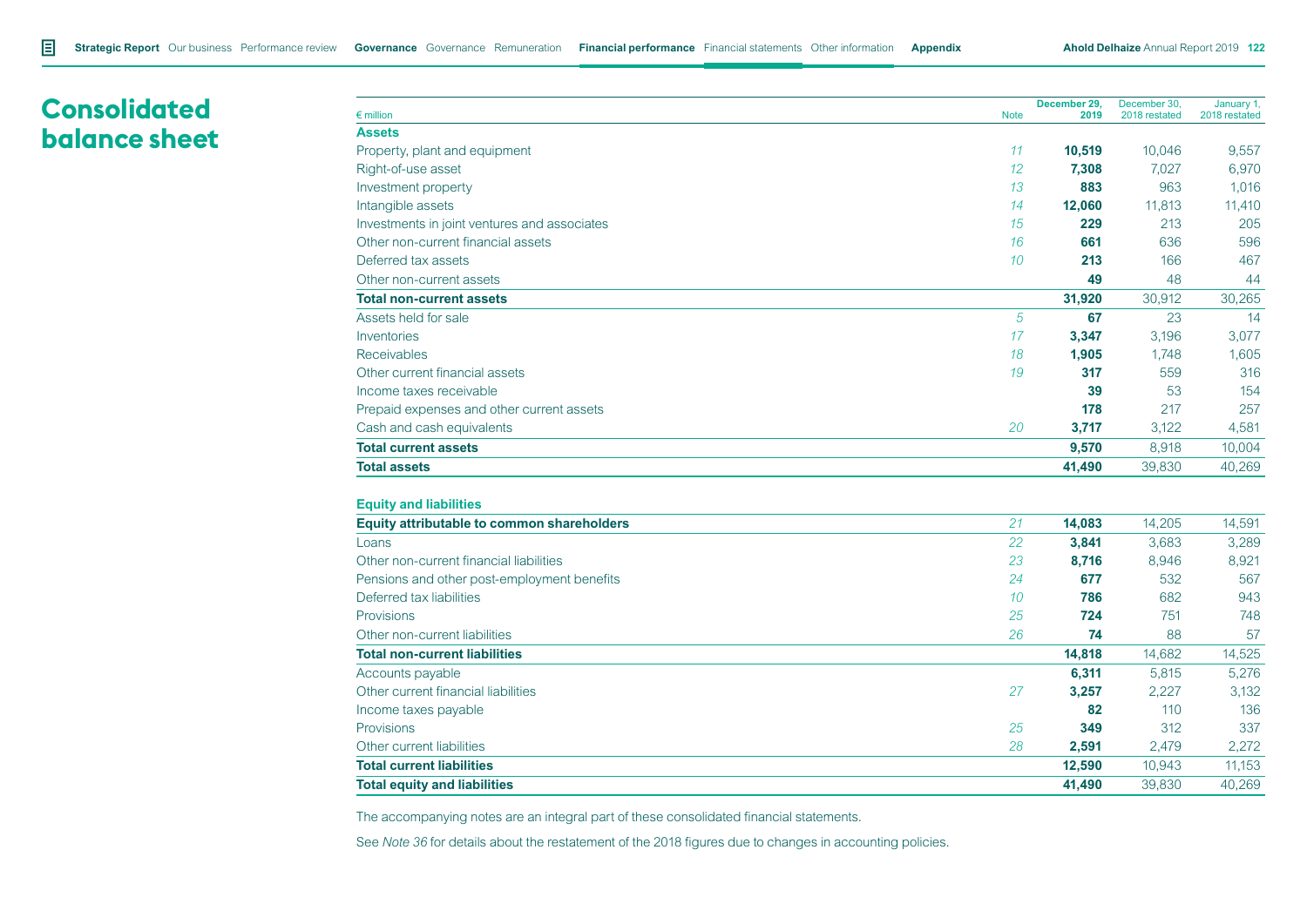# **Consolidated balance sheet**

| $\epsilon$ million                           | <b>Note</b> | December 29,<br>2019 | December 30.<br>2018 restated | January 1<br>2018 restated |
|----------------------------------------------|-------------|----------------------|-------------------------------|----------------------------|
| <b>Assets</b>                                |             |                      |                               |                            |
| Property, plant and equipment                | 11          | 10,519               | 10,046                        | 9,557                      |
| Right-of-use asset                           | 12          | 7,308                | 7,027                         | 6,970                      |
| Investment property                          | 13          | 883                  | 963                           | 1,016                      |
| Intangible assets                            | 14          | 12,060               | 11,813                        | 11,410                     |
| Investments in joint ventures and associates | 15          | 229                  | 213                           | 205                        |
| Other non-current financial assets           | 16          | 661                  | 636                           | 596                        |
| Deferred tax assets                          | 10          | 213                  | 166                           | 467                        |
| Other non-current assets                     |             | 49                   | 48                            | 44                         |
| <b>Total non-current assets</b>              |             | 31,920               | 30,912                        | 30,265                     |
| Assets held for sale                         | 5           | 67                   | 23                            | 14                         |
| Inventories                                  | 17          | 3,347                | 3,196                         | 3,077                      |
| <b>Receivables</b>                           | 18          | 1,905                | 1,748                         | 1,605                      |
| Other current financial assets               | 19          | 317                  | 559                           | 316                        |
| Income taxes receivable                      |             | 39                   | 53                            | 154                        |
| Prepaid expenses and other current assets    |             | 178                  | 217                           | 257                        |
| Cash and cash equivalents                    | 20          | 3,717                | 3,122                         | 4,581                      |
| <b>Total current assets</b>                  |             | 9,570                | 8,918                         | 10,004                     |
| <b>Total assets</b>                          |             | 41,490               | 39,830                        | 40,269                     |
|                                              |             |                      |                               |                            |

#### **Equity and liabilities**

| Equity attributable to common shareholders  | 21 | 14.083 | 14.205 | 14,591 |
|---------------------------------------------|----|--------|--------|--------|
| Loans                                       | 22 | 3,841  | 3,683  | 3,289  |
| Other non-current financial liabilities     | 23 | 8,716  | 8,946  | 8,921  |
| Pensions and other post-employment benefits | 24 | 677    | 532    | 567    |
| Deferred tax liabilities                    | 10 | 786    | 682    | 943    |
| <b>Provisions</b>                           | 25 | 724    | 751    | 748    |
| Other non-current liabilities               | 26 | 74     | 88     | 57     |
| <b>Total non-current liabilities</b>        |    | 14,818 | 14,682 | 14,525 |
| Accounts payable                            |    | 6,311  | 5,815  | 5,276  |
| Other current financial liabilities         | 27 | 3,257  | 2,227  | 3,132  |
| Income taxes payable                        |    | 82     | 110    | 136    |
| <b>Provisions</b>                           | 25 | 349    | 312    | 337    |
| Other current liabilities                   | 28 | 2,591  | 2,479  | 2,272  |
| <b>Total current liabilities</b>            |    | 12,590 | 10,943 | 11,153 |
| <b>Total equity and liabilities</b>         |    | 41,490 | 39,830 | 40.269 |

The accompanying notes are an integral part of these consolidated financial statements.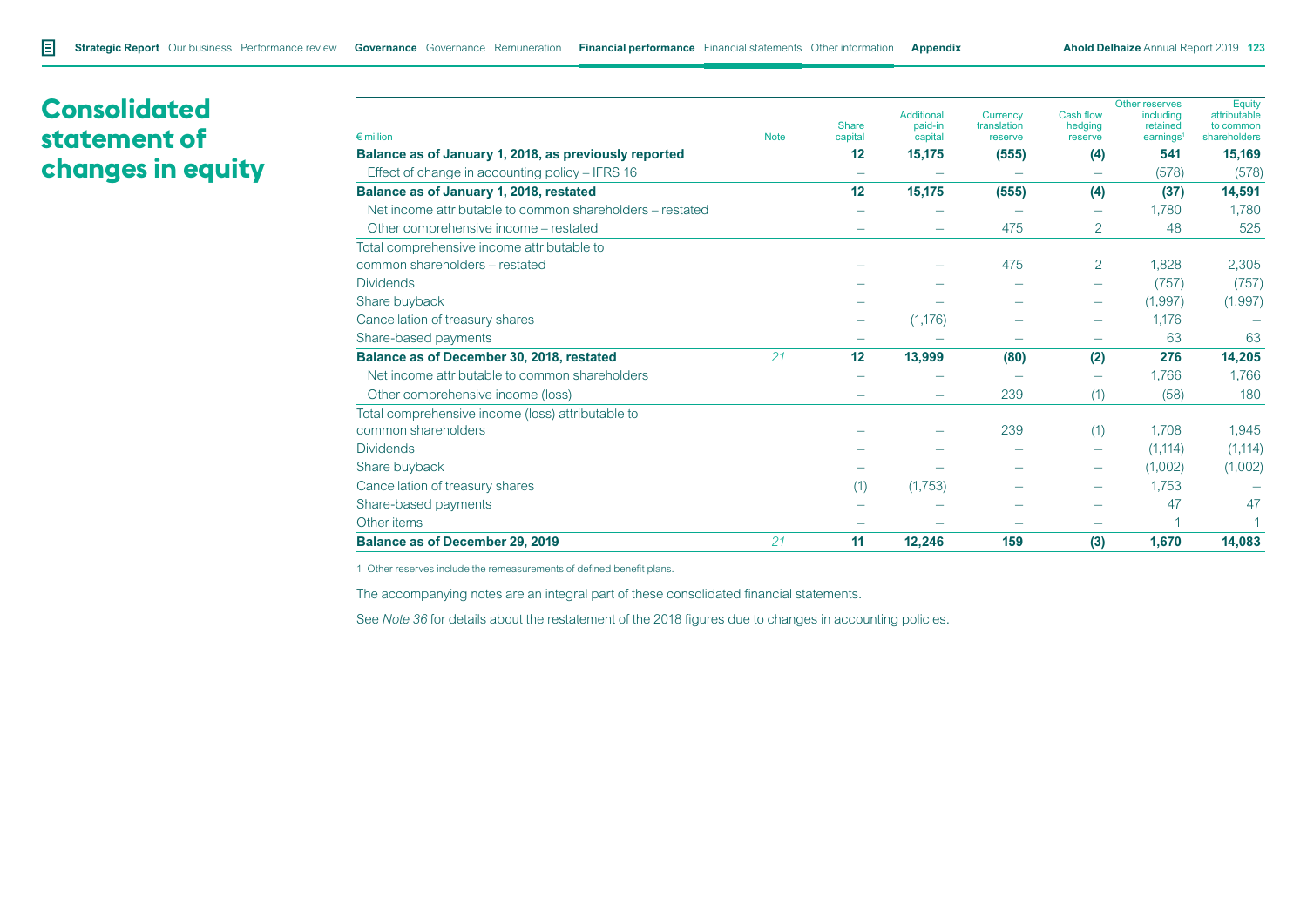# **Consolidated statement of changes in equity**

|                                                           |             |                  | <b>Additional</b>  | <b>Currency</b>        | Cash flow                | Other reserves<br>including       | Equity<br>attributable    |
|-----------------------------------------------------------|-------------|------------------|--------------------|------------------------|--------------------------|-----------------------------------|---------------------------|
| $\epsilon$ million                                        | <b>Note</b> | Share<br>capital | paid-in<br>capital | translation<br>reserve | hedging<br>reserve       | retained<br>earnings <sup>1</sup> | to common<br>shareholders |
| Balance as of January 1, 2018, as previously reported     |             | 12               | 15,175             | (555)                  | (4)                      | 541                               | 15,169                    |
| Effect of change in accounting policy - IFRS 16           |             |                  |                    |                        |                          | (578)                             | (578)                     |
| Balance as of January 1, 2018, restated                   |             | 12               | 15,175             | (555)                  | (4)                      | (37)                              | 14,591                    |
| Net income attributable to common shareholders – restated |             |                  |                    |                        | -                        | 1.780                             | 1,780                     |
| Other comprehensive income – restated                     |             |                  |                    | 475                    | 2                        | 48                                | 525                       |
| Total comprehensive income attributable to                |             |                  |                    |                        |                          |                                   |                           |
| common shareholders - restated                            |             |                  |                    | 475                    | 2                        | 1.828                             | 2,305                     |
| <b>Dividends</b>                                          |             |                  |                    |                        | $\overline{\phantom{0}}$ | (757)                             | (757)                     |
| Share buyback                                             |             |                  |                    |                        | $\overline{\phantom{0}}$ | (1,997)                           | (1,997)                   |
| Cancellation of treasury shares                           |             |                  | (1, 176)           |                        | -                        | 1,176                             |                           |
| Share-based payments                                      |             |                  |                    |                        |                          | 63                                | 63                        |
| Balance as of December 30, 2018, restated                 | 21          | 12               | 13,999             | (80)                   | (2)                      | 276                               | 14,205                    |
| Net income attributable to common shareholders            |             |                  |                    |                        |                          | 1,766                             | 1,766                     |
| Other comprehensive income (loss)                         |             |                  |                    | 239                    | (1)                      | (58)                              | 180                       |
| Total comprehensive income (loss) attributable to         |             |                  |                    |                        |                          |                                   |                           |
| common shareholders                                       |             |                  |                    | 239                    | (1)                      | 1.708                             | 1,945                     |
| <b>Dividends</b>                                          |             |                  |                    |                        | $\overline{\phantom{0}}$ | (1, 114)                          | (1, 114)                  |
| Share buyback                                             |             |                  |                    |                        | -                        | (1,002)                           | (1,002)                   |
| Cancellation of treasury shares                           |             | (1)              | (1,753)            |                        |                          | 1,753                             |                           |
| Share-based payments                                      |             |                  |                    |                        |                          | 47                                | 47                        |
| Other items                                               |             |                  |                    |                        |                          |                                   |                           |
| <b>Balance as of December 29, 2019</b>                    | 21          | 11               | 12,246             | 159                    | (3)                      | 1,670                             | 14,083                    |

1 Other reserves include the remeasurements of defined benefit plans.

The accompanying notes are an integral part of these consolidated financial statements.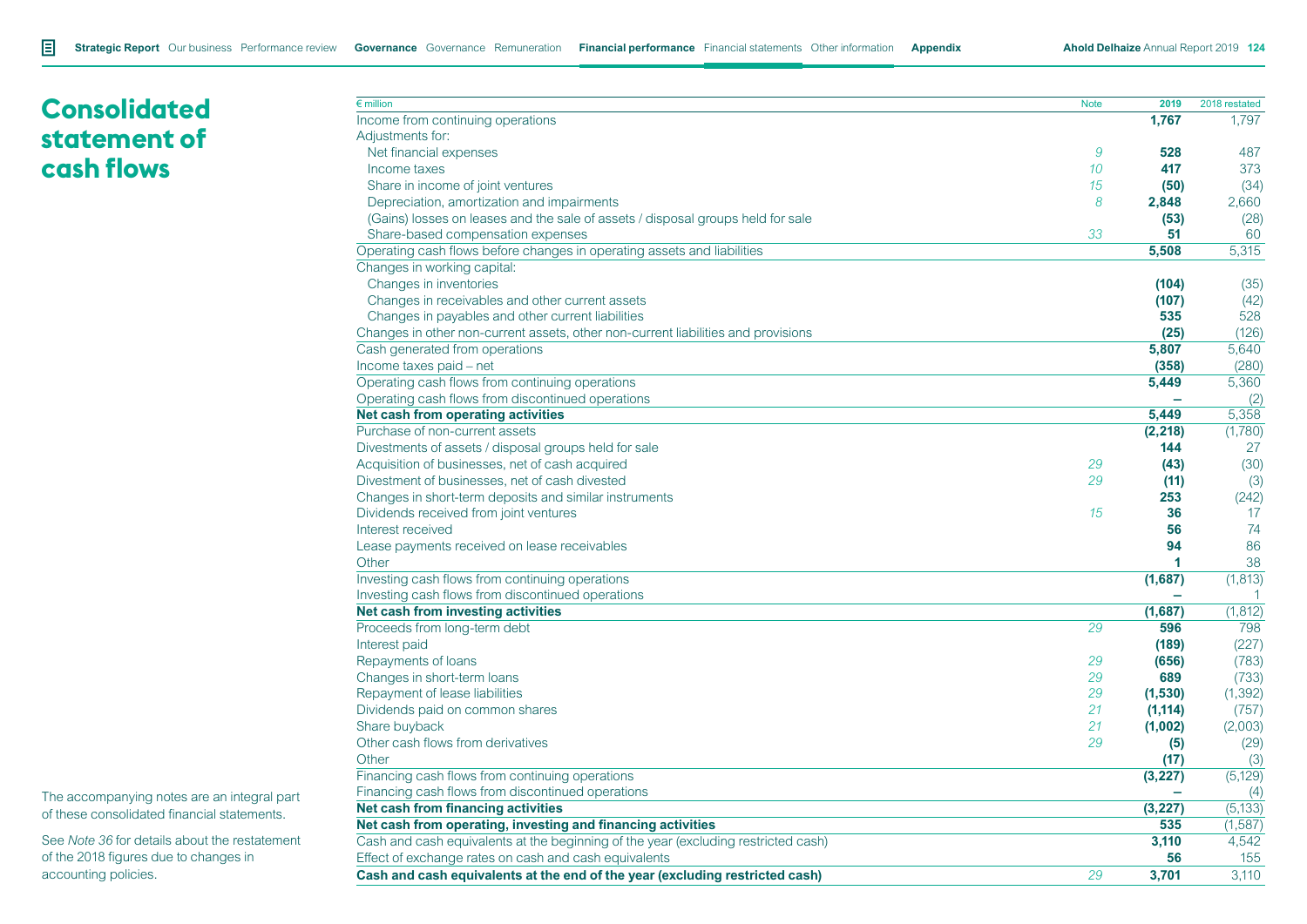# **Consolidated statement of cash flows**

| $\epsilon$ million                                                                 | <b>Note</b> | 2019                 | 2018 restated |
|------------------------------------------------------------------------------------|-------------|----------------------|---------------|
| Income from continuing operations                                                  |             | 1,767                | 1.797         |
| Adjustments for:                                                                   |             |                      |               |
| Net financial expenses                                                             | 9           | 528                  | 487           |
| Income taxes                                                                       | 10          | 417                  | 373           |
| Share in income of joint ventures                                                  | 15          | (50)                 | (34)          |
| Depreciation, amortization and impairments                                         | 8           | 2,848                | 2,660         |
| (Gains) losses on leases and the sale of assets / disposal groups held for sale    |             | (53)                 | (28)          |
| Share-based compensation expenses                                                  | 33          | 51                   | 60            |
| Operating cash flows before changes in operating assets and liabilities            |             | 5,508                | 5,315         |
| Changes in working capital:                                                        |             |                      |               |
| Changes in inventories                                                             |             | (104)                | (35)          |
| Changes in receivables and other current assets                                    |             | (107)                | (42)          |
| Changes in payables and other current liabilities                                  |             | 535                  | 528           |
| Changes in other non-current assets, other non-current liabilities and provisions  |             | (25)                 | (126)         |
| Cash generated from operations                                                     |             | 5,807                | 5,640         |
| Income taxes paid - net                                                            |             | (358)                | (280)         |
| Operating cash flows from continuing operations                                    |             | 5,449                | 5,360         |
| Operating cash flows from discontinued operations                                  |             |                      | (2)           |
| Net cash from operating activities                                                 |             | 5.449                | 5,358         |
| Purchase of non-current assets                                                     |             | (2, 218)             | (1,780)       |
| Divestments of assets / disposal groups held for sale                              |             | 144                  | 27            |
| Acquisition of businesses, net of cash acquired                                    | 29          | (43)                 | (30)          |
| Divestment of businesses, net of cash divested                                     | 29          | (11)                 | (3)           |
| Changes in short-term deposits and similar instruments                             |             | 253                  | (242)         |
| Dividends received from joint ventures                                             | 15          | 36                   | 17            |
| Interest received                                                                  |             | 56                   | 74            |
| Lease payments received on lease receivables                                       |             | 94                   | 86            |
| Other                                                                              |             | $\blacktriangleleft$ | 38            |
| Investing cash flows from continuing operations                                    |             | (1,687)              | (1, 813)      |
| Investing cash flows from discontinued operations                                  |             |                      | 1             |
| Net cash from investing activities                                                 |             | (1,687)              | (1, 812)      |
| Proceeds from long-term debt                                                       | 29          | 596                  | 798           |
| Interest paid                                                                      |             | (189)                | (227)         |
| Repayments of loans                                                                | 29          | (656)                | (783)         |
| Changes in short-term loans                                                        | 29          | 689                  | (733)         |
| Repayment of lease liabilities                                                     | 29          | (1,530)              | (1, 392)      |
| Dividends paid on common shares                                                    | 21          | (1, 114)             | (757)         |
| Share buyback                                                                      | 21          | (1,002)              | (2,003)       |
| Other cash flows from derivatives                                                  | 29          | (5)                  | (29)          |
| Other                                                                              |             | (17)                 | (3)           |
| Financing cash flows from continuing operations                                    |             | (3, 227)             | (5, 129)      |
| Financing cash flows from discontinued operations                                  |             |                      | (4)           |
| Net cash from financing activities                                                 |             | (3, 227)             | (5, 133)      |
| Net cash from operating, investing and financing activities                        |             | 535                  | (1,587)       |
| Cash and cash equivalents at the beginning of the year (excluding restricted cash) |             | 3,110                | 4,542         |
| Effect of exchange rates on cash and cash equivalents                              |             | 56                   | 155           |
| Cash and cash equivalents at the end of the year (excluding restricted cash)       | 29          | 3,701                | 3.110         |

The accompanying notes are an integral part of these consolidated financial statements.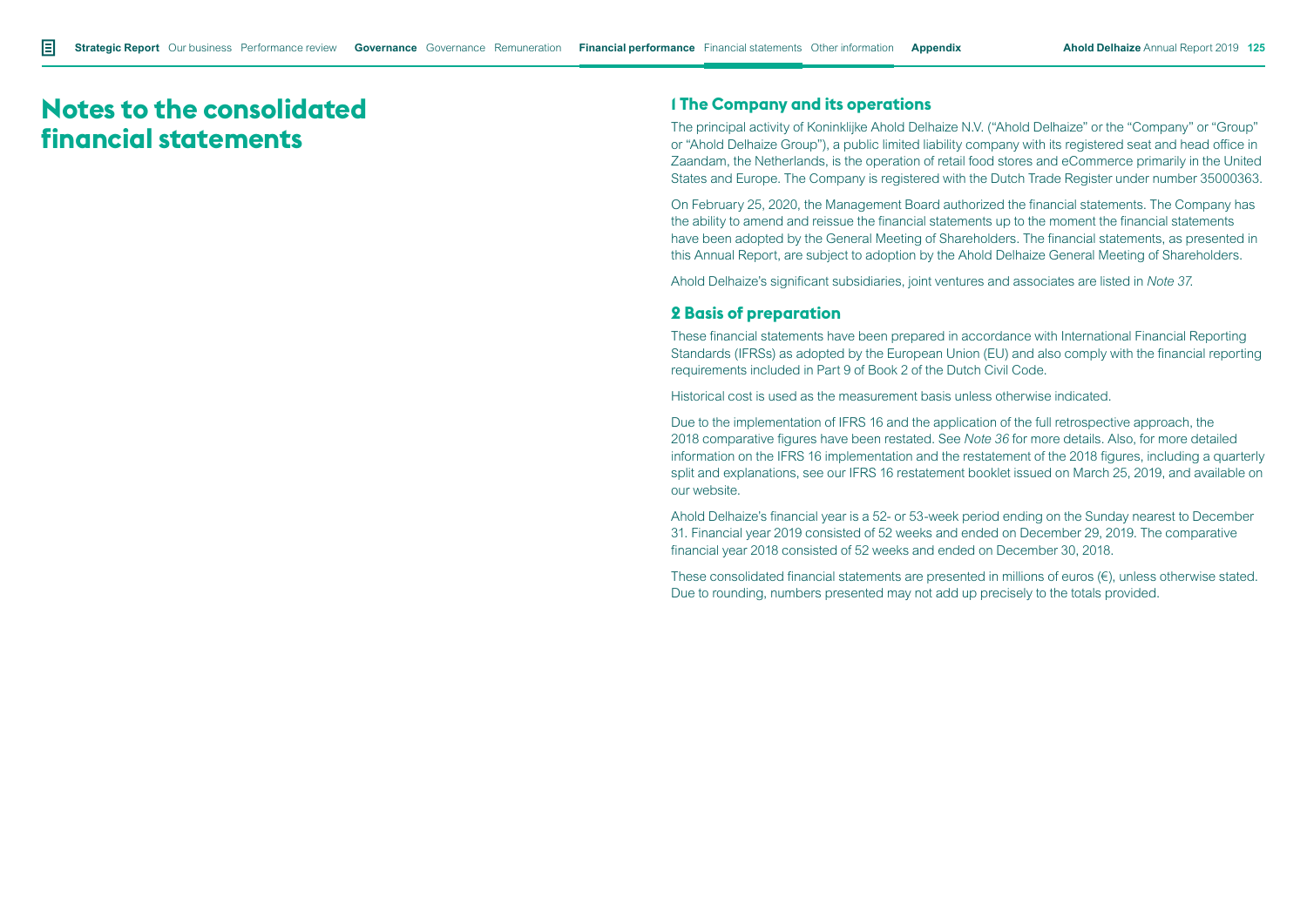# **Notes to the consolidated financial statements**

# **1 The Company and its operations**

The principal activity of Koninklijke Ahold Delhaize N.V. ("Ahold Delhaize" or the "Company" or "Group" or "Ahold Delhaize Group"), a public limited liability company with its registered seat and head office in Zaandam, the Netherlands, is the operation of retail food stores and eCommerce primarily in the United States and Europe. The Company is registered with the Dutch Trade Register under number 35000363.

On February 25, 2020, the Management Board authorized the financial statements. The Company has the ability to amend and reissue the financial statements up to the moment the financial statements have been adopted by the General Meeting of Shareholders. The financial statements, as presented in this Annual Report, are subject to adoption by the Ahold Delhaize General Meeting of Shareholders.

Ahold Delhaize's significant subsidiaries, joint ventures and associates are listed in *Note 37*.

# **2 Basis of preparation**

These financial statements have been prepared in accordance with International Financial Reporting Standards (IFRSs) as adopted by the European Union (EU) and also comply with the financial reporting requirements included in Part 9 of Book 2 of the Dutch Civil Code.

Historical cost is used as the measurement basis unless otherwise indicated.

Due to the implementation of IFRS 16 and the application of the full retrospective approach, the 2018 comparative figures have been restated. See *Note 36* for more details. Also, for more detailed information on the IFRS 16 implementation and the restatement of the 2018 figures, including a quarterly split and explanations, see our IFRS 16 restatement booklet issued on March 25, 2019, and available on our website.

Ahold Delhaize's financial year is a 52- or 53-week period ending on the Sunday nearest to December 31. Financial year 2019 consisted of 52 weeks and ended on December 29, 2019. The comparative financial year 2018 consisted of 52 weeks and ended on December 30, 2018.

These consolidated financial statements are presented in millions of euros  $(E)$ , unless otherwise stated. Due to rounding, numbers presented may not add up precisely to the totals provided.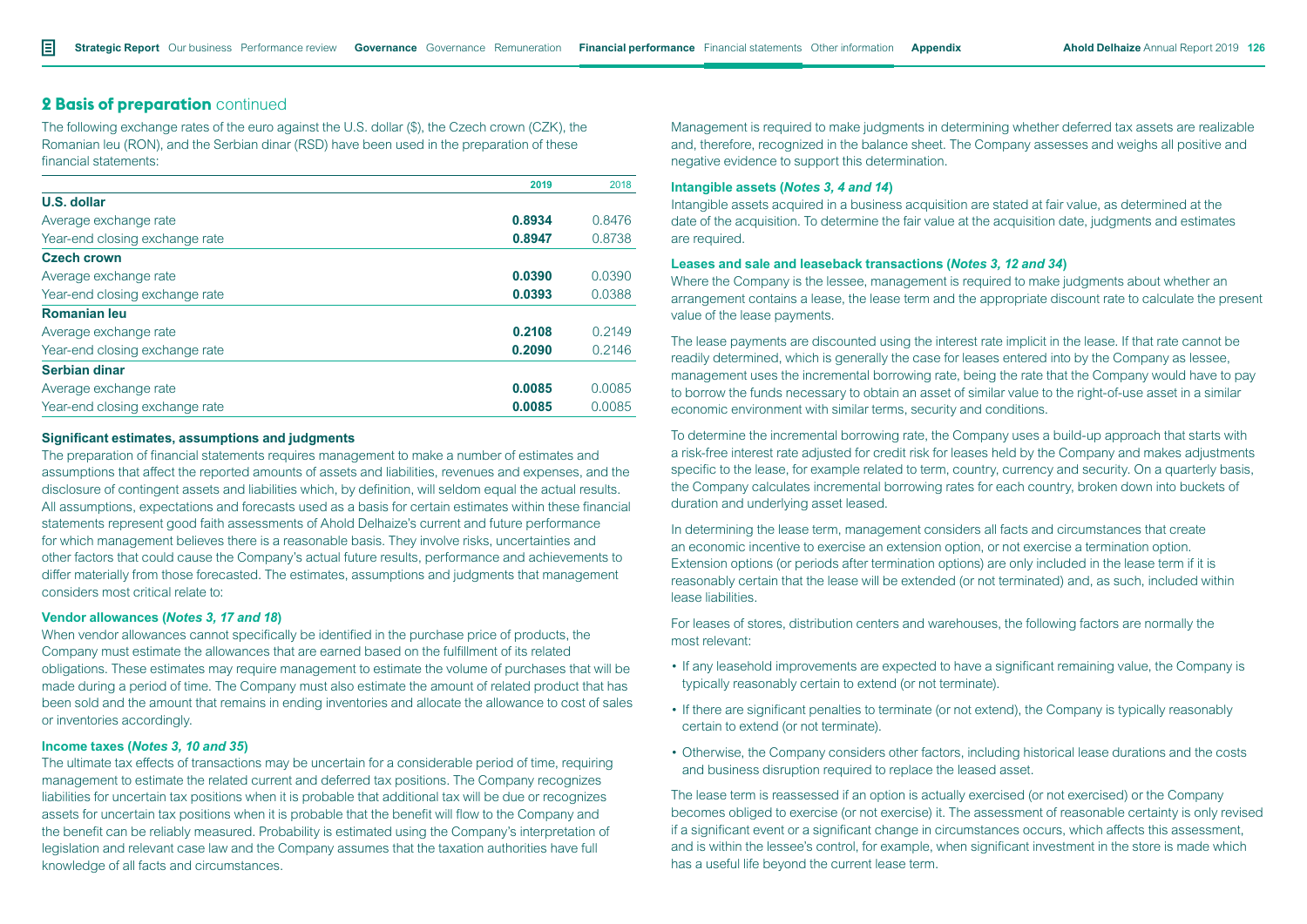# **2 Basis of preparation** continued

The following exchange rates of the euro against the U.S. dollar (\$), the Czech crown (CZK), the Romanian leu (RON), and the Serbian dinar (RSD) have been used in the preparation of these financial statements:

|                                | 2019   | 2018   |
|--------------------------------|--------|--------|
| U.S. dollar                    |        |        |
| Average exchange rate          | 0.8934 | 0.8476 |
| Year-end closing exchange rate | 0.8947 | 0.8738 |
| <b>Czech crown</b>             |        |        |
| Average exchange rate          | 0.0390 | 0.0390 |
| Year-end closing exchange rate | 0.0393 | 0.0388 |
| <b>Romanian leu</b>            |        |        |
| Average exchange rate          | 0.2108 | 0.2149 |
| Year-end closing exchange rate | 0.2090 | 0.2146 |
| Serbian dinar                  |        |        |
| Average exchange rate          | 0.0085 | 0.0085 |
| Year-end closing exchange rate | 0.0085 | 0.0085 |

#### **Significant estimates, assumptions and judgments**

The preparation of financial statements requires management to make a number of estimates and assumptions that affect the reported amounts of assets and liabilities, revenues and expenses, and the disclosure of contingent assets and liabilities which, by definition, will seldom equal the actual results. All assumptions, expectations and forecasts used as a basis for certain estimates within these financial statements represent good faith assessments of Ahold Delhaize's current and future performance for which management believes there is a reasonable basis. They involve risks, uncertainties and other factors that could cause the Company's actual future results, performance and achievements to differ materially from those forecasted. The estimates, assumptions and judgments that management considers most critical relate to:

#### **Vendor allowances (***Notes 3, 17 and 18***)**

When vendor allowances cannot specifically be identified in the purchase price of products, the Company must estimate the allowances that are earned based on the fulfillment of its related obligations. These estimates may require management to estimate the volume of purchases that will be made during a period of time. The Company must also estimate the amount of related product that has been sold and the amount that remains in ending inventories and allocate the allowance to cost of sales or inventories accordingly.

#### **Income taxes (***Notes 3, 10 and 35***)**

The ultimate tax effects of transactions may be uncertain for a considerable period of time, requiring management to estimate the related current and deferred tax positions. The Company recognizes liabilities for uncertain tax positions when it is probable that additional tax will be due or recognizes assets for uncertain tax positions when it is probable that the benefit will flow to the Company and the benefit can be reliably measured. Probability is estimated using the Company's interpretation of legislation and relevant case law and the Company assumes that the taxation authorities have full knowledge of all facts and circumstances.

Management is required to make judgments in determining whether deferred tax assets are realizable and, therefore, recognized in the balance sheet. The Company assesses and weighs all positive and negative evidence to support this determination.

#### **Intangible assets (***Notes 3, 4 and 14***)**

Intangible assets acquired in a business acquisition are stated at fair value, as determined at the date of the acquisition. To determine the fair value at the acquisition date, judgments and estimates are required.

#### **Leases and sale and leaseback transactions (***Notes 3, 12 and 34***)**

Where the Company is the lessee, management is required to make judgments about whether an arrangement contains a lease, the lease term and the appropriate discount rate to calculate the present value of the lease payments.

The lease payments are discounted using the interest rate implicit in the lease. If that rate cannot be readily determined, which is generally the case for leases entered into by the Company as lessee, management uses the incremental borrowing rate, being the rate that the Company would have to pay to borrow the funds necessary to obtain an asset of similar value to the right-of-use asset in a similar economic environment with similar terms, security and conditions.

To determine the incremental borrowing rate, the Company uses a build-up approach that starts with a risk-free interest rate adjusted for credit risk for leases held by the Company and makes adjustments specific to the lease, for example related to term, country, currency and security. On a quarterly basis, the Company calculates incremental borrowing rates for each country, broken down into buckets of duration and underlying asset leased.

In determining the lease term, management considers all facts and circumstances that create an economic incentive to exercise an extension option, or not exercise a termination option. Extension options (or periods after termination options) are only included in the lease term if it is reasonably certain that the lease will be extended (or not terminated) and, as such, included within lease liabilities.

For leases of stores, distribution centers and warehouses, the following factors are normally the most relevant:

- If any leasehold improvements are expected to have a significant remaining value, the Company is typically reasonably certain to extend (or not terminate).
- If there are significant penalties to terminate (or not extend), the Company is typically reasonably certain to extend (or not terminate).
- Otherwise, the Company considers other factors, including historical lease durations and the costs and business disruption required to replace the leased asset.

The lease term is reassessed if an option is actually exercised (or not exercised) or the Company becomes obliged to exercise (or not exercise) it. The assessment of reasonable certainty is only revised if a significant event or a significant change in circumstances occurs, which affects this assessment, and is within the lessee's control, for example, when significant investment in the store is made which has a useful life beyond the current lease term.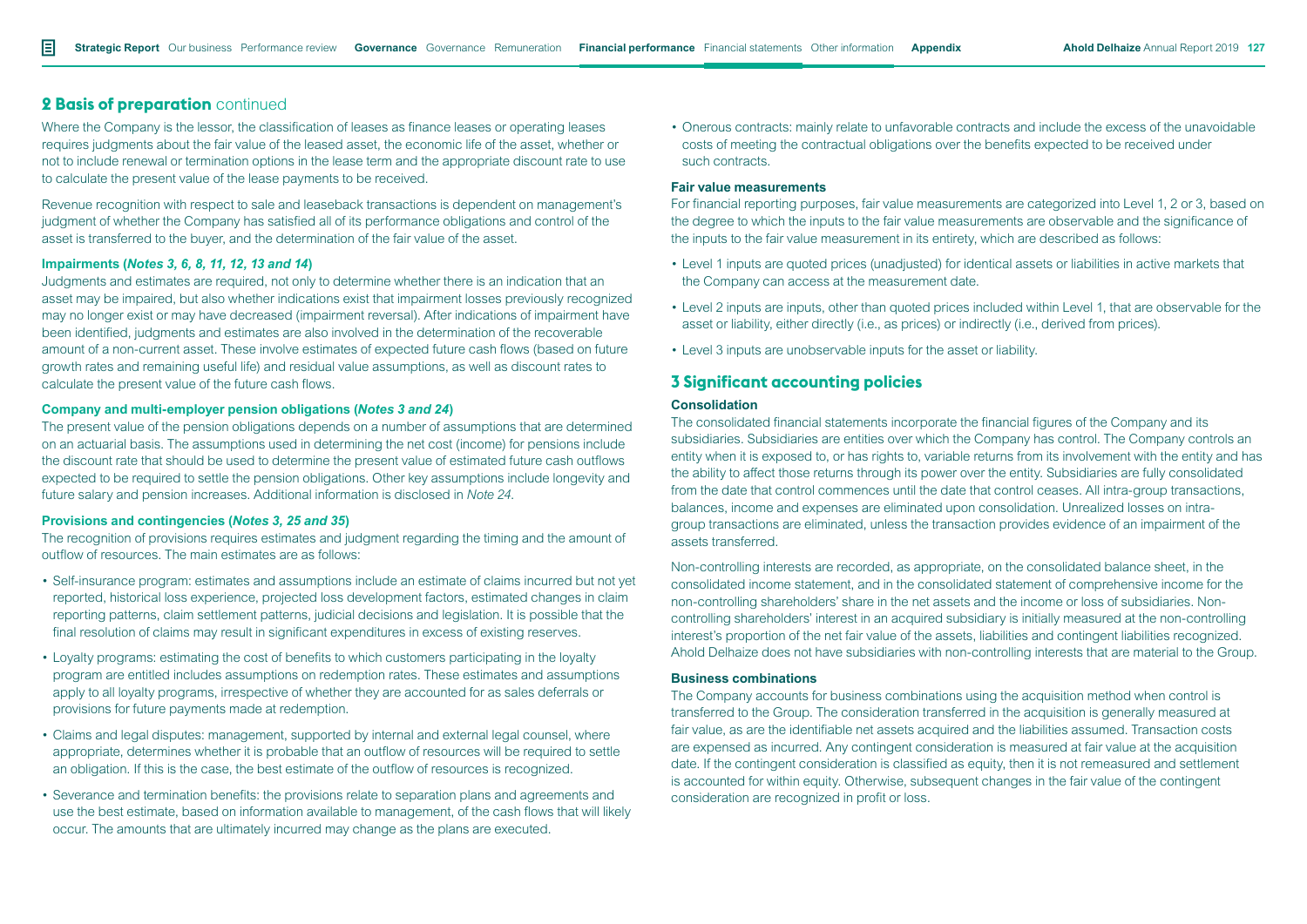# **2 Basis of preparation** continued

Where the Company is the lessor, the classification of leases as finance leases or operating leases requires judgments about the fair value of the leased asset, the economic life of the asset, whether or not to include renewal or termination options in the lease term and the appropriate discount rate to use to calculate the present value of the lease payments to be received.

Revenue recognition with respect to sale and leaseback transactions is dependent on management's judgment of whether the Company has satisfied all of its performance obligations and control of the asset is transferred to the buyer, and the determination of the fair value of the asset.

#### **Impairments (***Notes 3, 6, 8, 11, 12, 13 and 14***)**

Judgments and estimates are required, not only to determine whether there is an indication that an asset may be impaired, but also whether indications exist that impairment losses previously recognized may no longer exist or may have decreased (impairment reversal). After indications of impairment have been identified, judgments and estimates are also involved in the determination of the recoverable amount of a non-current asset. These involve estimates of expected future cash flows (based on future growth rates and remaining useful life) and residual value assumptions, as well as discount rates to calculate the present value of the future cash flows.

#### **Company and multi-employer pension obligations (***Notes 3 and 24***)**

The present value of the pension obligations depends on a number of assumptions that are determined on an actuarial basis. The assumptions used in determining the net cost (income) for pensions include the discount rate that should be used to determine the present value of estimated future cash outflows expected to be required to settle the pension obligations. Other key assumptions include longevity and future salary and pension increases. Additional information is disclosed in *Note 24*.

#### **Provisions and contingencies (***Notes 3, 25 and 35***)**

The recognition of provisions requires estimates and judgment regarding the timing and the amount of outflow of resources. The main estimates are as follows:

- Self-insurance program: estimates and assumptions include an estimate of claims incurred but not yet reported, historical loss experience, projected loss development factors, estimated changes in claim reporting patterns, claim settlement patterns, judicial decisions and legislation. It is possible that the final resolution of claims may result in significant expenditures in excess of existing reserves.
- Loyalty programs: estimating the cost of benefits to which customers participating in the loyalty program are entitled includes assumptions on redemption rates. These estimates and assumptions apply to all loyalty programs, irrespective of whether they are accounted for as sales deferrals or provisions for future payments made at redemption.
- Claims and legal disputes: management, supported by internal and external legal counsel, where appropriate, determines whether it is probable that an outflow of resources will be required to settle an obligation. If this is the case, the best estimate of the outflow of resources is recognized.
- Severance and termination benefits: the provisions relate to separation plans and agreements and use the best estimate, based on information available to management, of the cash flows that will likely occur. The amounts that are ultimately incurred may change as the plans are executed.

• Onerous contracts: mainly relate to unfavorable contracts and include the excess of the unavoidable costs of meeting the contractual obligations over the benefits expected to be received under such contracts.

#### **Fair value measurements**

For financial reporting purposes, fair value measurements are categorized into Level 1, 2 or 3, based on the degree to which the inputs to the fair value measurements are observable and the significance of the inputs to the fair value measurement in its entirety, which are described as follows:

- Level 1 inputs are quoted prices (unadjusted) for identical assets or liabilities in active markets that the Company can access at the measurement date.
- Level 2 inputs are inputs, other than quoted prices included within Level 1, that are observable for the asset or liability, either directly (i.e., as prices) or indirectly (i.e., derived from prices).
- Level 3 inputs are unobservable inputs for the asset or liability.

# **3 Significant accounting policies**

#### **Consolidation**

The consolidated financial statements incorporate the financial figures of the Company and its subsidiaries. Subsidiaries are entities over which the Company has control. The Company controls an entity when it is exposed to, or has rights to, variable returns from its involvement with the entity and has the ability to affect those returns through its power over the entity. Subsidiaries are fully consolidated from the date that control commences until the date that control ceases. All intra-group transactions, balances, income and expenses are eliminated upon consolidation. Unrealized losses on intragroup transactions are eliminated, unless the transaction provides evidence of an impairment of the assets transferred.

Non-controlling interests are recorded, as appropriate, on the consolidated balance sheet, in the consolidated income statement, and in the consolidated statement of comprehensive income for the non-controlling shareholders' share in the net assets and the income or loss of subsidiaries. Noncontrolling shareholders' interest in an acquired subsidiary is initially measured at the non-controlling interest's proportion of the net fair value of the assets, liabilities and contingent liabilities recognized. Ahold Delhaize does not have subsidiaries with non-controlling interests that are material to the Group.

#### **Business combinations**

The Company accounts for business combinations using the acquisition method when control is transferred to the Group. The consideration transferred in the acquisition is generally measured at fair value, as are the identifiable net assets acquired and the liabilities assumed. Transaction costs are expensed as incurred. Any contingent consideration is measured at fair value at the acquisition date. If the contingent consideration is classified as equity, then it is not remeasured and settlement is accounted for within equity. Otherwise, subsequent changes in the fair value of the contingent consideration are recognized in profit or loss.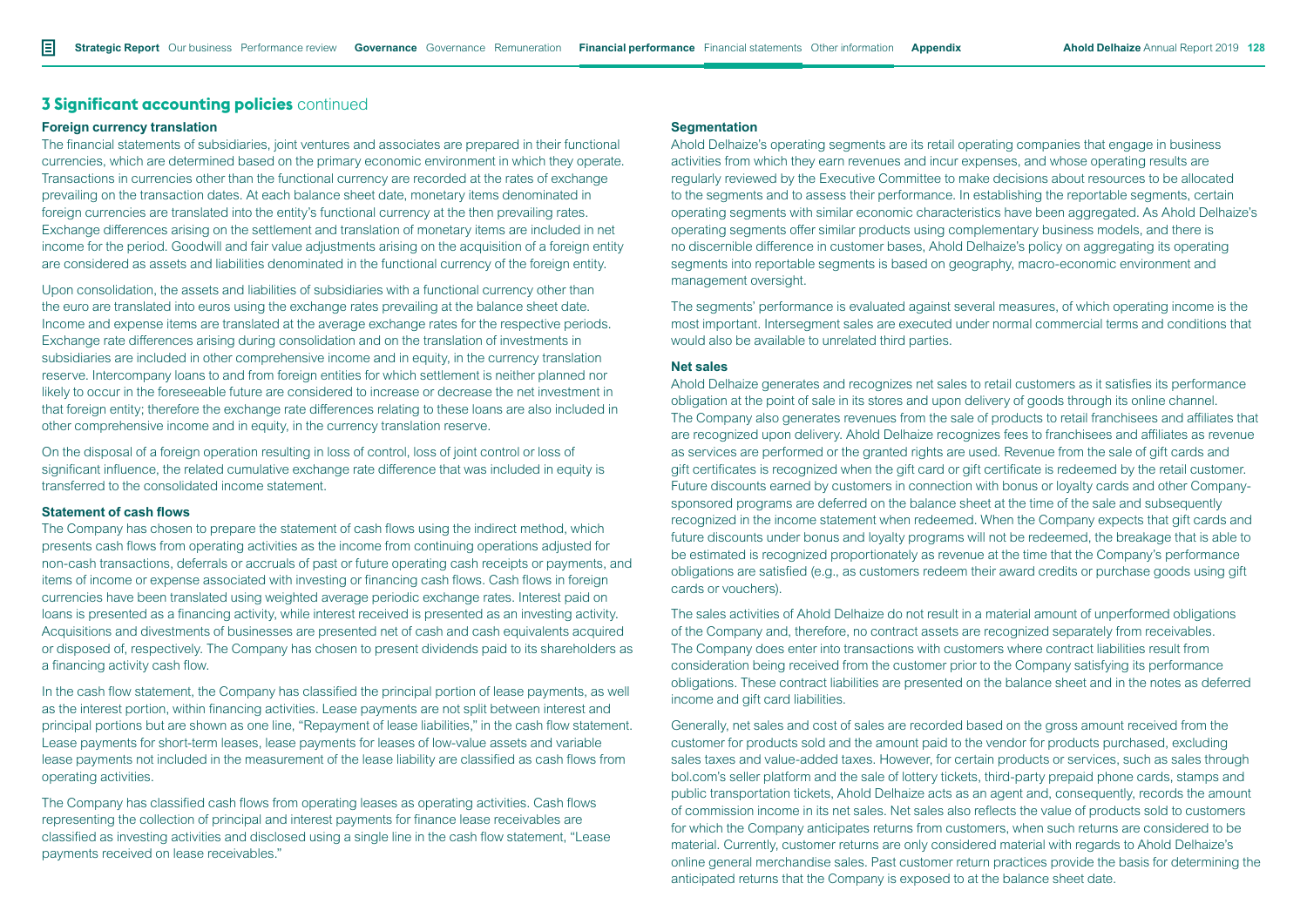#### **Foreign currency translation**

The financial statements of subsidiaries, joint ventures and associates are prepared in their functional currencies, which are determined based on the primary economic environment in which they operate. Transactions in currencies other than the functional currency are recorded at the rates of exchange prevailing on the transaction dates. At each balance sheet date, monetary items denominated in foreign currencies are translated into the entity's functional currency at the then prevailing rates. Exchange differences arising on the settlement and translation of monetary items are included in net income for the period. Goodwill and fair value adjustments arising on the acquisition of a foreign entity are considered as assets and liabilities denominated in the functional currency of the foreign entity.

Upon consolidation, the assets and liabilities of subsidiaries with a functional currency other than the euro are translated into euros using the exchange rates prevailing at the balance sheet date. Income and expense items are translated at the average exchange rates for the respective periods. Exchange rate differences arising during consolidation and on the translation of investments in subsidiaries are included in other comprehensive income and in equity, in the currency translation reserve. Intercompany loans to and from foreign entities for which settlement is neither planned nor likely to occur in the foreseeable future are considered to increase or decrease the net investment in that foreign entity; therefore the exchange rate differences relating to these loans are also included in other comprehensive income and in equity, in the currency translation reserve.

On the disposal of a foreign operation resulting in loss of control, loss of joint control or loss of significant influence, the related cumulative exchange rate difference that was included in equity is transferred to the consolidated income statement.

#### **Statement of cash flows**

The Company has chosen to prepare the statement of cash flows using the indirect method, which presents cash flows from operating activities as the income from continuing operations adjusted for non-cash transactions, deferrals or accruals of past or future operating cash receipts or payments, and items of income or expense associated with investing or financing cash flows. Cash flows in foreign currencies have been translated using weighted average periodic exchange rates. Interest paid on loans is presented as a financing activity, while interest received is presented as an investing activity. Acquisitions and divestments of businesses are presented net of cash and cash equivalents acquired or disposed of, respectively. The Company has chosen to present dividends paid to its shareholders as a financing activity cash flow.

In the cash flow statement, the Company has classified the principal portion of lease payments, as well as the interest portion, within financing activities. Lease payments are not split between interest and principal portions but are shown as one line, "Repayment of lease liabilities," in the cash flow statement. Lease payments for short-term leases, lease payments for leases of low-value assets and variable lease payments not included in the measurement of the lease liability are classified as cash flows from operating activities.

The Company has classified cash flows from operating leases as operating activities. Cash flows representing the collection of principal and interest payments for finance lease receivables are classified as investing activities and disclosed using a single line in the cash flow statement, "Lease payments received on lease receivables."

#### **Segmentation**

Ahold Delhaize's operating segments are its retail operating companies that engage in business activities from which they earn revenues and incur expenses, and whose operating results are regularly reviewed by the Executive Committee to make decisions about resources to be allocated to the segments and to assess their performance. In establishing the reportable segments, certain operating segments with similar economic characteristics have been aggregated. As Ahold Delhaize's operating segments offer similar products using complementary business models, and there is no discernible difference in customer bases, Ahold Delhaize's policy on aggregating its operating segments into reportable segments is based on geography, macro-economic environment and management oversight.

The segments' performance is evaluated against several measures, of which operating income is the most important. Intersegment sales are executed under normal commercial terms and conditions that would also be available to unrelated third parties.

#### **Net sales**

Ahold Delhaize generates and recognizes net sales to retail customers as it satisfies its performance obligation at the point of sale in its stores and upon delivery of goods through its online channel. The Company also generates revenues from the sale of products to retail franchisees and affiliates that are recognized upon delivery. Ahold Delhaize recognizes fees to franchisees and affiliates as revenue as services are performed or the granted rights are used. Revenue from the sale of gift cards and gift certificates is recognized when the gift card or gift certificate is redeemed by the retail customer. Future discounts earned by customers in connection with bonus or loyalty cards and other Companysponsored programs are deferred on the balance sheet at the time of the sale and subsequently recognized in the income statement when redeemed. When the Company expects that gift cards and future discounts under bonus and loyalty programs will not be redeemed, the breakage that is able to be estimated is recognized proportionately as revenue at the time that the Company's performance obligations are satisfied (e.g., as customers redeem their award credits or purchase goods using gift cards or vouchers).

The sales activities of Ahold Delhaize do not result in a material amount of unperformed obligations of the Company and, therefore, no contract assets are recognized separately from receivables. The Company does enter into transactions with customers where contract liabilities result from consideration being received from the customer prior to the Company satisfying its performance obligations. These contract liabilities are presented on the balance sheet and in the notes as deferred income and gift card liabilities.

Generally, net sales and cost of sales are recorded based on the gross amount received from the customer for products sold and the amount paid to the vendor for products purchased, excluding sales taxes and value-added taxes. However, for certain products or services, such as sales through bol.com's seller platform and the sale of lottery tickets, third-party prepaid phone cards, stamps and public transportation tickets, Ahold Delhaize acts as an agent and, consequently, records the amount of commission income in its net sales. Net sales also reflects the value of products sold to customers for which the Company anticipates returns from customers, when such returns are considered to be material. Currently, customer returns are only considered material with regards to Ahold Delhaize's online general merchandise sales. Past customer return practices provide the basis for determining the anticipated returns that the Company is exposed to at the balance sheet date.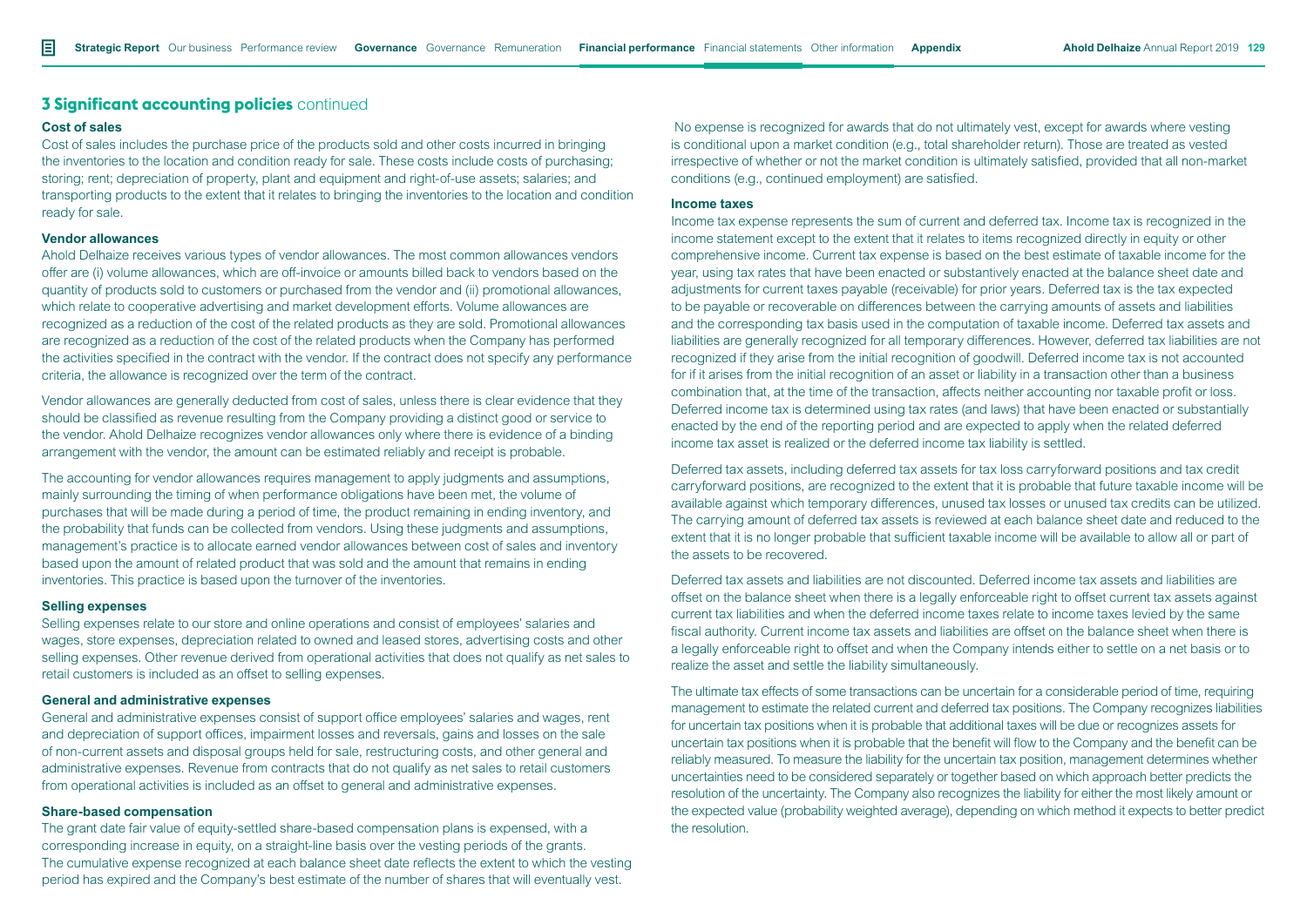#### **Cost of sales**

Cost of sales includes the purchase price of the products sold and other costs incurred in bringing the inventories to the location and condition ready for sale. These costs include costs of purchasing; storing; rent; depreciation of property, plant and equipment and right-of-use assets; salaries; and transporting products to the extent that it relates to bringing the inventories to the location and condition ready for sale.

#### **Vendor allowances**

Ahold Delhaize receives various types of vendor allowances. The most common allowances vendors offer are (i) volume allowances, which are off-invoice or amounts billed back to vendors based on the quantity of products sold to customers or purchased from the vendor and (ii) promotional allowances, which relate to cooperative advertising and market development efforts. Volume allowances are recognized as a reduction of the cost of the related products as they are sold. Promotional allowances are recognized as a reduction of the cost of the related products when the Company has performed the activities specified in the contract with the vendor. If the contract does not specify any performance criteria, the allowance is recognized over the term of the contract.

Vendor allowances are generally deducted from cost of sales, unless there is clear evidence that they should be classified as revenue resulting from the Company providing a distinct good or service to the vendor. Ahold Delhaize recognizes vendor allowances only where there is evidence of a binding arrangement with the vendor, the amount can be estimated reliably and receipt is probable.

The accounting for vendor allowances requires management to apply judgments and assumptions, mainly surrounding the timing of when performance obligations have been met, the volume of purchases that will be made during a period of time, the product remaining in ending inventory, and the probability that funds can be collected from vendors. Using these judgments and assumptions, management's practice is to allocate earned vendor allowances between cost of sales and inventory based upon the amount of related product that was sold and the amount that remains in ending inventories. This practice is based upon the turnover of the inventories.

#### **Selling expenses**

Selling expenses relate to our store and online operations and consist of employees' salaries and wages, store expenses, depreciation related to owned and leased stores, advertising costs and other selling expenses. Other revenue derived from operational activities that does not qualify as net sales to retail customers is included as an offset to selling expenses.

#### **General and administrative expenses**

General and administrative expenses consist of support office employees' salaries and wages, rent and depreciation of support offices, impairment losses and reversals, gains and losses on the sale of non-current assets and disposal groups held for sale, restructuring costs, and other general and administrative expenses. Revenue from contracts that do not qualify as net sales to retail customers from operational activities is included as an offset to general and administrative expenses.

#### **Share-based compensation**

The grant date fair value of equity-settled share-based compensation plans is expensed, with a corresponding increase in equity, on a straight-line basis over the vesting periods of the grants. The cumulative expense recognized at each balance sheet date reflects the extent to which the vesting period has expired and the Company's best estimate of the number of shares that will eventually vest.

 No expense is recognized for awards that do not ultimately vest, except for awards where vesting is conditional upon a market condition (e.g., total shareholder return). Those are treated as vested irrespective of whether or not the market condition is ultimately satisfied, provided that all non-market conditions (e.g., continued employment) are satisfied.

#### **Income taxes**

Income tax expense represents the sum of current and deferred tax. Income tax is recognized in the income statement except to the extent that it relates to items recognized directly in equity or other comprehensive income. Current tax expense is based on the best estimate of taxable income for the year, using tax rates that have been enacted or substantively enacted at the balance sheet date and adjustments for current taxes payable (receivable) for prior years. Deferred tax is the tax expected to be payable or recoverable on differences between the carrying amounts of assets and liabilities and the corresponding tax basis used in the computation of taxable income. Deferred tax assets and liabilities are generally recognized for all temporary differences. However, deferred tax liabilities are not recognized if they arise from the initial recognition of goodwill. Deferred income tax is not accounted for if it arises from the initial recognition of an asset or liability in a transaction other than a business combination that, at the time of the transaction, affects neither accounting nor taxable profit or loss. Deferred income tax is determined using tax rates (and laws) that have been enacted or substantially enacted by the end of the reporting period and are expected to apply when the related deferred income tax asset is realized or the deferred income tax liability is settled.

Deferred tax assets, including deferred tax assets for tax loss carryforward positions and tax credit carryforward positions, are recognized to the extent that it is probable that future taxable income will be available against which temporary differences, unused tax losses or unused tax credits can be utilized. The carrying amount of deferred tax assets is reviewed at each balance sheet date and reduced to the extent that it is no longer probable that sufficient taxable income will be available to allow all or part of the assets to be recovered.

Deferred tax assets and liabilities are not discounted. Deferred income tax assets and liabilities are offset on the balance sheet when there is a legally enforceable right to offset current tax assets against current tax liabilities and when the deferred income taxes relate to income taxes levied by the same fiscal authority. Current income tax assets and liabilities are offset on the balance sheet when there is a legally enforceable right to offset and when the Company intends either to settle on a net basis or to realize the asset and settle the liability simultaneously.

The ultimate tax effects of some transactions can be uncertain for a considerable period of time, requiring management to estimate the related current and deferred tax positions. The Company recognizes liabilities for uncertain tax positions when it is probable that additional taxes will be due or recognizes assets for uncertain tax positions when it is probable that the benefit will flow to the Company and the benefit can be reliably measured. To measure the liability for the uncertain tax position, management determines whether uncertainties need to be considered separately or together based on which approach better predicts the resolution of the uncertainty. The Company also recognizes the liability for either the most likely amount or the expected value (probability weighted average), depending on which method it expects to better predict the resolution.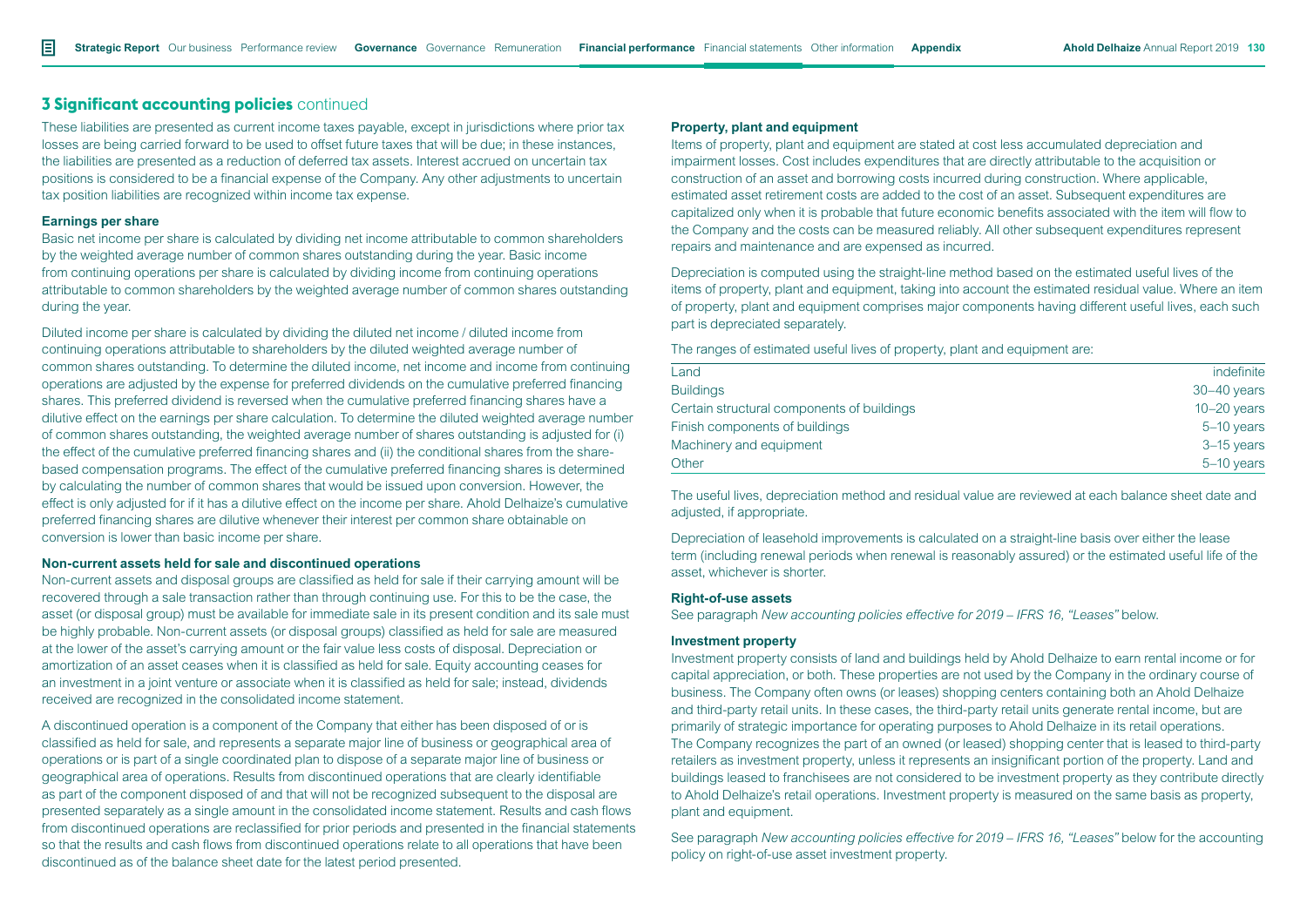These liabilities are presented as current income taxes payable, except in jurisdictions where prior tax losses are being carried forward to be used to offset future taxes that will be due; in these instances, the liabilities are presented as a reduction of deferred tax assets. Interest accrued on uncertain tax positions is considered to be a financial expense of the Company. Any other adjustments to uncertain tax position liabilities are recognized within income tax expense.

#### **Earnings per share**

Basic net income per share is calculated by dividing net income attributable to common shareholders by the weighted average number of common shares outstanding during the year. Basic income from continuing operations per share is calculated by dividing income from continuing operations attributable to common shareholders by the weighted average number of common shares outstanding during the year.

Diluted income per share is calculated by dividing the diluted net income / diluted income from continuing operations attributable to shareholders by the diluted weighted average number of common shares outstanding. To determine the diluted income, net income and income from continuing operations are adjusted by the expense for preferred dividends on the cumulative preferred financing shares. This preferred dividend is reversed when the cumulative preferred financing shares have a dilutive effect on the earnings per share calculation. To determine the diluted weighted average number of common shares outstanding, the weighted average number of shares outstanding is adjusted for (i) the effect of the cumulative preferred financing shares and (ii) the conditional shares from the sharebased compensation programs. The effect of the cumulative preferred financing shares is determined by calculating the number of common shares that would be issued upon conversion. However, the effect is only adjusted for if it has a dilutive effect on the income per share. Ahold Delhaize's cumulative preferred financing shares are dilutive whenever their interest per common share obtainable on conversion is lower than basic income per share.

#### **Non-current assets held for sale and discontinued operations**

Non-current assets and disposal groups are classified as held for sale if their carrying amount will be recovered through a sale transaction rather than through continuing use. For this to be the case, the asset (or disposal group) must be available for immediate sale in its present condition and its sale must be highly probable. Non-current assets (or disposal groups) classified as held for sale are measured at the lower of the asset's carrying amount or the fair value less costs of disposal. Depreciation or amortization of an asset ceases when it is classified as held for sale. Equity accounting ceases for an investment in a joint venture or associate when it is classified as held for sale; instead, dividends received are recognized in the consolidated income statement.

A discontinued operation is a component of the Company that either has been disposed of or is classified as held for sale, and represents a separate major line of business or geographical area of operations or is part of a single coordinated plan to dispose of a separate major line of business or geographical area of operations. Results from discontinued operations that are clearly identifiable as part of the component disposed of and that will not be recognized subsequent to the disposal are presented separately as a single amount in the consolidated income statement. Results and cash flows from discontinued operations are reclassified for prior periods and presented in the financial statements so that the results and cash flows from discontinued operations relate to all operations that have been discontinued as of the balance sheet date for the latest period presented.

#### **Property, plant and equipment**

Items of property, plant and equipment are stated at cost less accumulated depreciation and impairment losses. Cost includes expenditures that are directly attributable to the acquisition or construction of an asset and borrowing costs incurred during construction. Where applicable, estimated asset retirement costs are added to the cost of an asset. Subsequent expenditures are capitalized only when it is probable that future economic benefits associated with the item will flow to the Company and the costs can be measured reliably. All other subsequent expenditures represent repairs and maintenance and are expensed as incurred.

Depreciation is computed using the straight-line method based on the estimated useful lives of the items of property, plant and equipment, taking into account the estimated residual value. Where an item of property, plant and equipment comprises major components having different useful lives, each such part is depreciated separately.

#### The ranges of estimated useful lives of property, plant and equipment are:

| Land                                       | indefinite    |
|--------------------------------------------|---------------|
| <b>Buildings</b>                           | $30-40$ years |
| Certain structural components of buildings | $10-20$ years |
| Finish components of buildings             | $5-10$ years  |
| Machinery and equipment                    | $3-15$ years  |
| Other                                      | $5-10$ years  |
|                                            |               |

The useful lives, depreciation method and residual value are reviewed at each balance sheet date and adjusted, if appropriate.

Depreciation of leasehold improvements is calculated on a straight-line basis over either the lease term (including renewal periods when renewal is reasonably assured) or the estimated useful life of the asset, whichever is shorter.

#### **Right-of-use assets**

See paragraph *New accounting policies effective for 2019 – IFRS 16, "Leases"* below.

#### **Investment property**

Investment property consists of land and buildings held by Ahold Delhaize to earn rental income or for capital appreciation, or both. These properties are not used by the Company in the ordinary course of business. The Company often owns (or leases) shopping centers containing both an Ahold Delhaize and third-party retail units. In these cases, the third-party retail units generate rental income, but are primarily of strategic importance for operating purposes to Ahold Delhaize in its retail operations. The Company recognizes the part of an owned (or leased) shopping center that is leased to third-party retailers as investment property, unless it represents an insignificant portion of the property. Land and buildings leased to franchisees are not considered to be investment property as they contribute directly to Ahold Delhaize's retail operations. Investment property is measured on the same basis as property, plant and equipment.

See paragraph *New accounting policies effective for 2019 – IFRS 16, "Leases"* below for the accounting policy on right-of-use asset investment property.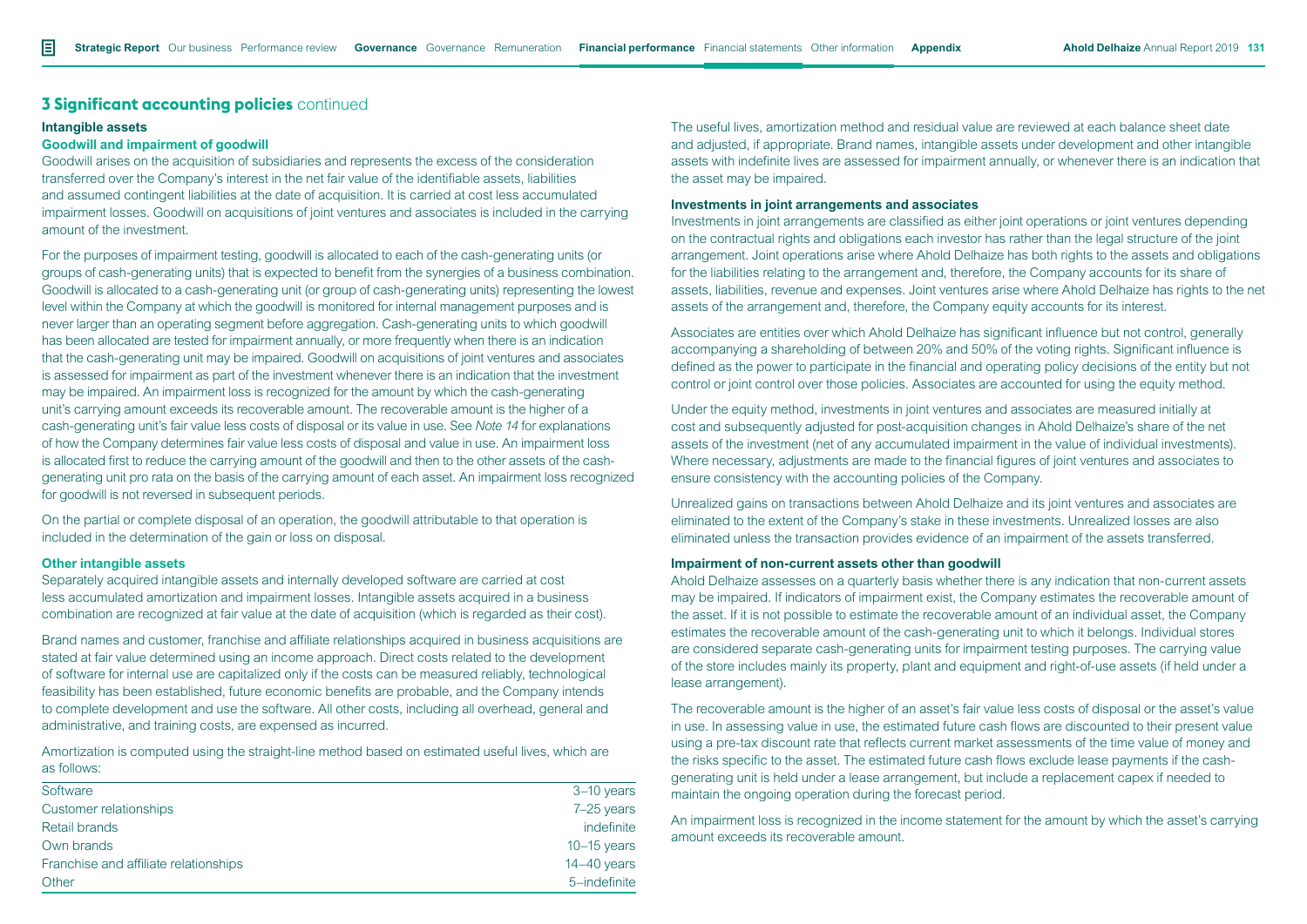#### **Intangible assets**

#### **Goodwill and impairment of goodwill**

Goodwill arises on the acquisition of subsidiaries and represents the excess of the consideration transferred over the Company's interest in the net fair value of the identifiable assets, liabilities and assumed contingent liabilities at the date of acquisition. It is carried at cost less accumulated impairment losses. Goodwill on acquisitions of joint ventures and associates is included in the carrying amount of the investment.

For the purposes of impairment testing, goodwill is allocated to each of the cash-generating units (or groups of cash-generating units) that is expected to benefit from the synergies of a business combination. Goodwill is allocated to a cash-generating unit (or group of cash-generating units) representing the lowest level within the Company at which the goodwill is monitored for internal management purposes and is never larger than an operating segment before aggregation. Cash-generating units to which goodwill has been allocated are tested for impairment annually, or more frequently when there is an indication that the cash-generating unit may be impaired. Goodwill on acquisitions of joint ventures and associates is assessed for impairment as part of the investment whenever there is an indication that the investment may be impaired. An impairment loss is recognized for the amount by which the cash-generating unit's carrying amount exceeds its recoverable amount. The recoverable amount is the higher of a cash-generating unit's fair value less costs of disposal or its value in use. See *Note 14* for explanations of how the Company determines fair value less costs of disposal and value in use. An impairment loss is allocated first to reduce the carrying amount of the goodwill and then to the other assets of the cashgenerating unit pro rata on the basis of the carrying amount of each asset. An impairment loss recognized for goodwill is not reversed in subsequent periods.

On the partial or complete disposal of an operation, the goodwill attributable to that operation is included in the determination of the gain or loss on disposal.

#### **Other intangible assets**

Separately acquired intangible assets and internally developed software are carried at cost less accumulated amortization and impairment losses. Intangible assets acquired in a business combination are recognized at fair value at the date of acquisition (which is regarded as their cost).

Brand names and customer, franchise and affiliate relationships acquired in business acquisitions are stated at fair value determined using an income approach. Direct costs related to the development of software for internal use are capitalized only if the costs can be measured reliably, technological feasibility has been established, future economic benefits are probable, and the Company intends to complete development and use the software. All other costs, including all overhead, general and administrative, and training costs, are expensed as incurred.

Amortization is computed using the straight-line method based on estimated useful lives, which are as follows:

| Software                              | 3-10 years    |
|---------------------------------------|---------------|
| Customer relationships                | 7-25 years    |
| Retail brands                         | indefinite    |
| Own brands                            | $10-15$ years |
| Franchise and affiliate relationships | $14-40$ years |
| Other                                 | 5-indefinite  |

The useful lives, amortization method and residual value are reviewed at each balance sheet date and adjusted, if appropriate. Brand names, intangible assets under development and other intangible assets with indefinite lives are assessed for impairment annually, or whenever there is an indication that the asset may be impaired.

#### **Investments in joint arrangements and associates**

Investments in joint arrangements are classified as either joint operations or joint ventures depending on the contractual rights and obligations each investor has rather than the legal structure of the joint arrangement. Joint operations arise where Ahold Delhaize has both rights to the assets and obligations for the liabilities relating to the arrangement and, therefore, the Company accounts for its share of assets, liabilities, revenue and expenses. Joint ventures arise where Ahold Delhaize has rights to the net assets of the arrangement and, therefore, the Company equity accounts for its interest.

Associates are entities over which Ahold Delhaize has significant influence but not control, generally accompanying a shareholding of between 20% and 50% of the voting rights. Significant influence is defined as the power to participate in the financial and operating policy decisions of the entity but not control or joint control over those policies. Associates are accounted for using the equity method.

Under the equity method, investments in joint ventures and associates are measured initially at cost and subsequently adjusted for post-acquisition changes in Ahold Delhaize's share of the net assets of the investment (net of any accumulated impairment in the value of individual investments). Where necessary, adjustments are made to the financial figures of joint ventures and associates to ensure consistency with the accounting policies of the Company.

Unrealized gains on transactions between Ahold Delhaize and its joint ventures and associates are eliminated to the extent of the Company's stake in these investments. Unrealized losses are also eliminated unless the transaction provides evidence of an impairment of the assets transferred.

#### **Impairment of non-current assets other than goodwill**

Ahold Delhaize assesses on a quarterly basis whether there is any indication that non-current assets may be impaired. If indicators of impairment exist, the Company estimates the recoverable amount of the asset. If it is not possible to estimate the recoverable amount of an individual asset, the Company estimates the recoverable amount of the cash-generating unit to which it belongs. Individual stores are considered separate cash-generating units for impairment testing purposes. The carrying value of the store includes mainly its property, plant and equipment and right-of-use assets (if held under a lease arrangement).

The recoverable amount is the higher of an asset's fair value less costs of disposal or the asset's value in use. In assessing value in use, the estimated future cash flows are discounted to their present value using a pre-tax discount rate that reflects current market assessments of the time value of money and the risks specific to the asset. The estimated future cash flows exclude lease payments if the cashgenerating unit is held under a lease arrangement, but include a replacement capex if needed to maintain the ongoing operation during the forecast period.

An impairment loss is recognized in the income statement for the amount by which the asset's carrying amount exceeds its recoverable amount.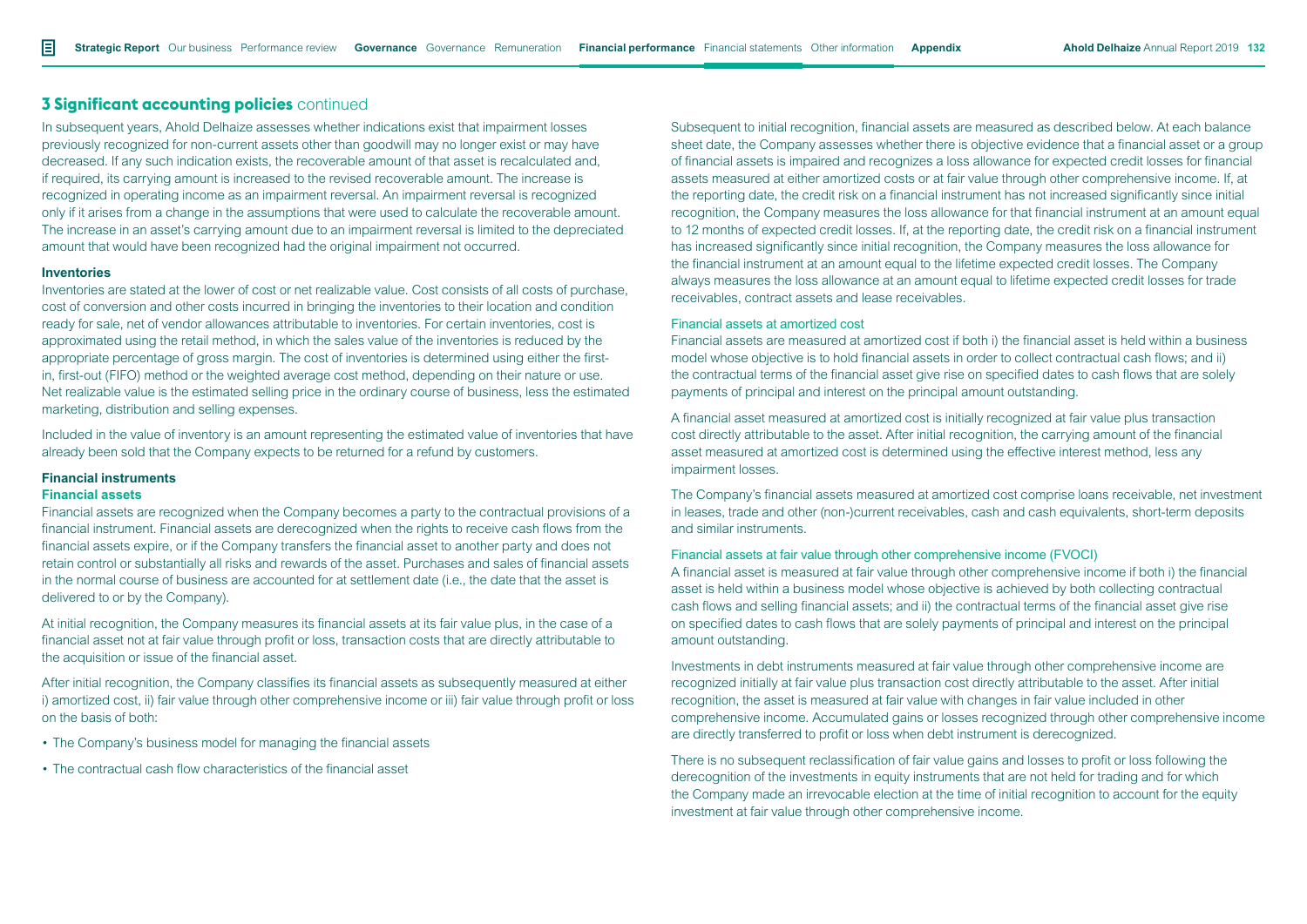In subsequent years, Ahold Delhaize assesses whether indications exist that impairment losses previously recognized for non-current assets other than goodwill may no longer exist or may have decreased. If any such indication exists, the recoverable amount of that asset is recalculated and, if required, its carrying amount is increased to the revised recoverable amount. The increase is recognized in operating income as an impairment reversal. An impairment reversal is recognized only if it arises from a change in the assumptions that were used to calculate the recoverable amount. The increase in an asset's carrying amount due to an impairment reversal is limited to the depreciated amount that would have been recognized had the original impairment not occurred.

#### **Inventories**

Inventories are stated at the lower of cost or net realizable value. Cost consists of all costs of purchase, cost of conversion and other costs incurred in bringing the inventories to their location and condition ready for sale, net of vendor allowances attributable to inventories. For certain inventories, cost is approximated using the retail method, in which the sales value of the inventories is reduced by the appropriate percentage of gross margin. The cost of inventories is determined using either the firstin, first-out (FIFO) method or the weighted average cost method, depending on their nature or use. Net realizable value is the estimated selling price in the ordinary course of business, less the estimated marketing, distribution and selling expenses.

Included in the value of inventory is an amount representing the estimated value of inventories that have already been sold that the Company expects to be returned for a refund by customers.

#### **Financial instruments**

#### **Financial assets**

Financial assets are recognized when the Company becomes a party to the contractual provisions of a financial instrument. Financial assets are derecognized when the rights to receive cash flows from the financial assets expire, or if the Company transfers the financial asset to another party and does not retain control or substantially all risks and rewards of the asset. Purchases and sales of financial assets in the normal course of business are accounted for at settlement date (i.e., the date that the asset is delivered to or by the Company).

At initial recognition, the Company measures its financial assets at its fair value plus, in the case of a financial asset not at fair value through profit or loss, transaction costs that are directly attributable to the acquisition or issue of the financial asset.

After initial recognition, the Company classifies its financial assets as subsequently measured at either i) amortized cost, ii) fair value through other comprehensive income or iii) fair value through profit or loss on the basis of both:

- The Company's business model for managing the financial assets
- The contractual cash flow characteristics of the financial asset

Subsequent to initial recognition, financial assets are measured as described below. At each balance sheet date, the Company assesses whether there is objective evidence that a financial asset or a group of financial assets is impaired and recognizes a loss allowance for expected credit losses for financial assets measured at either amortized costs or at fair value through other comprehensive income. If, at the reporting date, the credit risk on a financial instrument has not increased significantly since initial recognition, the Company measures the loss allowance for that financial instrument at an amount equal to 12 months of expected credit losses. If, at the reporting date, the credit risk on a financial instrument has increased significantly since initial recognition, the Company measures the loss allowance for the financial instrument at an amount equal to the lifetime expected credit losses. The Company always measures the loss allowance at an amount equal to lifetime expected credit losses for trade receivables, contract assets and lease receivables.

#### Financial assets at amortized cost

Financial assets are measured at amortized cost if both i) the financial asset is held within a business model whose objective is to hold financial assets in order to collect contractual cash flows; and ii) the contractual terms of the financial asset give rise on specified dates to cash flows that are solely payments of principal and interest on the principal amount outstanding.

A financial asset measured at amortized cost is initially recognized at fair value plus transaction cost directly attributable to the asset. After initial recognition, the carrying amount of the financial asset measured at amortized cost is determined using the effective interest method, less any impairment losses.

The Company's financial assets measured at amortized cost comprise loans receivable, net investment in leases, trade and other (non-)current receivables, cash and cash equivalents, short-term deposits and similar instruments.

#### Financial assets at fair value through other comprehensive income (FVOCI)

A financial asset is measured at fair value through other comprehensive income if both i) the financial asset is held within a business model whose objective is achieved by both collecting contractual cash flows and selling financial assets; and ii) the contractual terms of the financial asset give rise on specified dates to cash flows that are solely payments of principal and interest on the principal amount outstanding.

Investments in debt instruments measured at fair value through other comprehensive income are recognized initially at fair value plus transaction cost directly attributable to the asset. After initial recognition, the asset is measured at fair value with changes in fair value included in other comprehensive income. Accumulated gains or losses recognized through other comprehensive income are directly transferred to profit or loss when debt instrument is derecognized.

There is no subsequent reclassification of fair value gains and losses to profit or loss following the derecognition of the investments in equity instruments that are not held for trading and for which the Company made an irrevocable election at the time of initial recognition to account for the equity investment at fair value through other comprehensive income.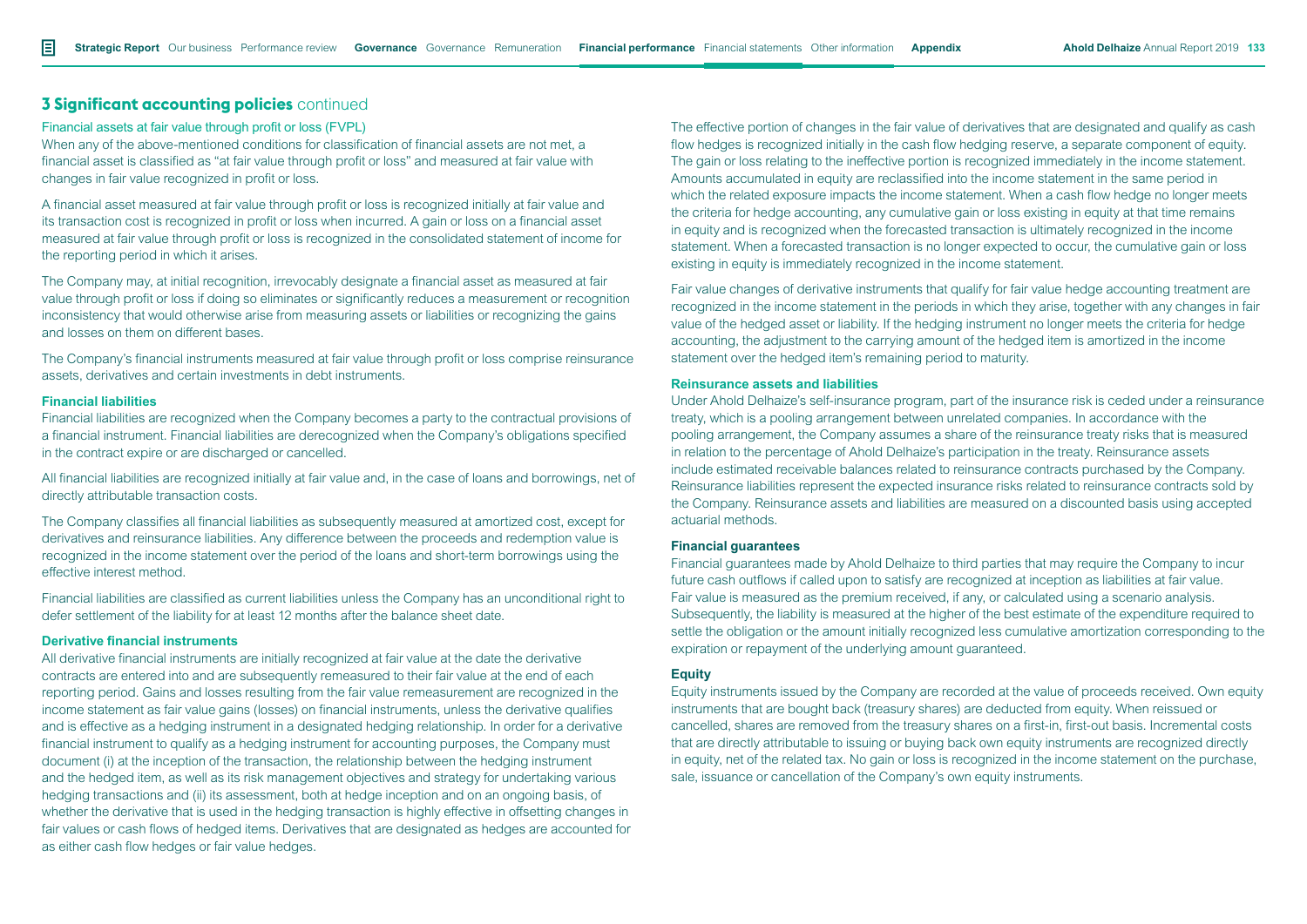#### Financial assets at fair value through profit or loss (FVPL)

When any of the above-mentioned conditions for classification of financial assets are not met, a financial asset is classified as "at fair value through profit or loss" and measured at fair value with changes in fair value recognized in profit or loss.

A financial asset measured at fair value through profit or loss is recognized initially at fair value and its transaction cost is recognized in profit or loss when incurred. A gain or loss on a financial asset measured at fair value through profit or loss is recognized in the consolidated statement of income for the reporting period in which it arises.

The Company may, at initial recognition, irrevocably designate a financial asset as measured at fair value through profit or loss if doing so eliminates or significantly reduces a measurement or recognition inconsistency that would otherwise arise from measuring assets or liabilities or recognizing the gains and losses on them on different bases.

The Company's financial instruments measured at fair value through profit or loss comprise reinsurance assets, derivatives and certain investments in debt instruments.

#### **Financial liabilities**

Financial liabilities are recognized when the Company becomes a party to the contractual provisions of a financial instrument. Financial liabilities are derecognized when the Company's obligations specified in the contract expire or are discharged or cancelled.

All financial liabilities are recognized initially at fair value and, in the case of loans and borrowings, net of directly attributable transaction costs.

The Company classifies all financial liabilities as subsequently measured at amortized cost, except for derivatives and reinsurance liabilities. Any difference between the proceeds and redemption value is recognized in the income statement over the period of the loans and short-term borrowings using the effective interest method.

Financial liabilities are classified as current liabilities unless the Company has an unconditional right to defer settlement of the liability for at least 12 months after the balance sheet date.

### **Derivative financial instruments**

All derivative financial instruments are initially recognized at fair value at the date the derivative contracts are entered into and are subsequently remeasured to their fair value at the end of each reporting period. Gains and losses resulting from the fair value remeasurement are recognized in the income statement as fair value gains (losses) on financial instruments, unless the derivative qualifies and is effective as a hedging instrument in a designated hedging relationship. In order for a derivative financial instrument to qualify as a hedging instrument for accounting purposes, the Company must document (i) at the inception of the transaction, the relationship between the hedging instrument and the hedged item, as well as its risk management objectives and strategy for undertaking various hedging transactions and (ii) its assessment, both at hedge inception and on an ongoing basis, of whether the derivative that is used in the hedging transaction is highly effective in offsetting changes in fair values or cash flows of hedged items. Derivatives that are designated as hedges are accounted for as either cash flow hedges or fair value hedges.

The effective portion of changes in the fair value of derivatives that are designated and qualify as cash flow hedges is recognized initially in the cash flow hedging reserve, a separate component of equity. The gain or loss relating to the ineffective portion is recognized immediately in the income statement. Amounts accumulated in equity are reclassified into the income statement in the same period in which the related exposure impacts the income statement. When a cash flow hedge no longer meets the criteria for hedge accounting, any cumulative gain or loss existing in equity at that time remains in equity and is recognized when the forecasted transaction is ultimately recognized in the income statement. When a forecasted transaction is no longer expected to occur, the cumulative gain or loss existing in equity is immediately recognized in the income statement.

Fair value changes of derivative instruments that qualify for fair value hedge accounting treatment are recognized in the income statement in the periods in which they arise, together with any changes in fair value of the hedged asset or liability. If the hedging instrument no longer meets the criteria for hedge accounting, the adjustment to the carrying amount of the hedged item is amortized in the income statement over the hedged item's remaining period to maturity.

#### **Reinsurance assets and liabilities**

Under Ahold Delhaize's self-insurance program, part of the insurance risk is ceded under a reinsurance treaty, which is a pooling arrangement between unrelated companies. In accordance with the pooling arrangement, the Company assumes a share of the reinsurance treaty risks that is measured in relation to the percentage of Ahold Delhaize's participation in the treaty. Reinsurance assets include estimated receivable balances related to reinsurance contracts purchased by the Company. Reinsurance liabilities represent the expected insurance risks related to reinsurance contracts sold by the Company. Reinsurance assets and liabilities are measured on a discounted basis using accepted actuarial methods.

#### **Financial guarantees**

Financial guarantees made by Ahold Delhaize to third parties that may require the Company to incur future cash outflows if called upon to satisfy are recognized at inception as liabilities at fair value. Fair value is measured as the premium received, if any, or calculated using a scenario analysis. Subsequently, the liability is measured at the higher of the best estimate of the expenditure required to settle the obligation or the amount initially recognized less cumulative amortization corresponding to the expiration or repayment of the underlying amount guaranteed.

#### **Equity**

Equity instruments issued by the Company are recorded at the value of proceeds received. Own equity instruments that are bought back (treasury shares) are deducted from equity. When reissued or cancelled, shares are removed from the treasury shares on a first-in, first-out basis. Incremental costs that are directly attributable to issuing or buying back own equity instruments are recognized directly in equity, net of the related tax. No gain or loss is recognized in the income statement on the purchase, sale, issuance or cancellation of the Company's own equity instruments.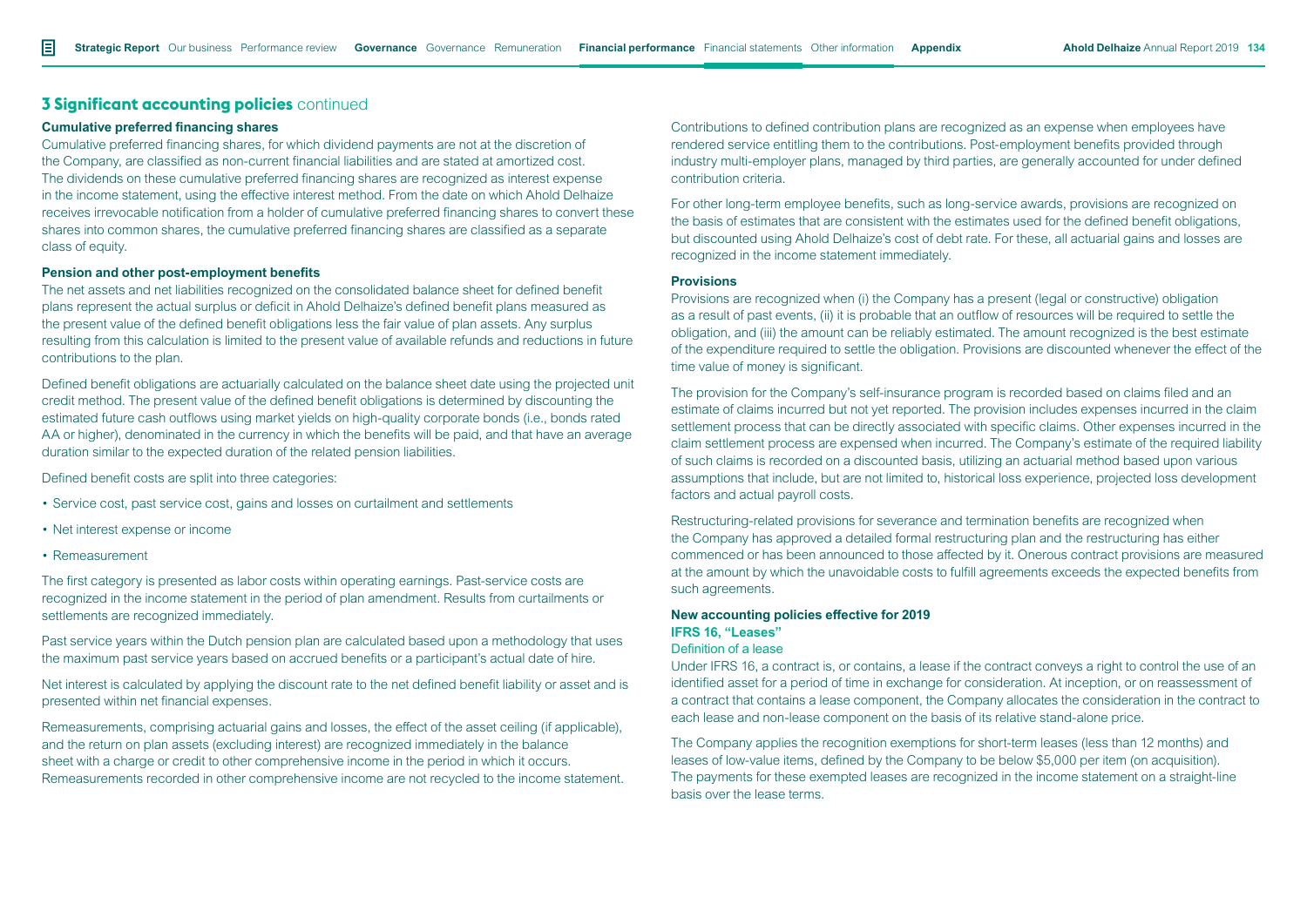#### **Cumulative preferred financing shares**

Cumulative preferred financing shares, for which dividend payments are not at the discretion of the Company, are classified as non-current financial liabilities and are stated at amortized cost. The dividends on these cumulative preferred financing shares are recognized as interest expense in the income statement, using the effective interest method. From the date on which Ahold Delhaize receives irrevocable notification from a holder of cumulative preferred financing shares to convert these shares into common shares, the cumulative preferred financing shares are classified as a separate class of equity.

#### **Pension and other post-employment benefits**

The net assets and net liabilities recognized on the consolidated balance sheet for defined benefit plans represent the actual surplus or deficit in Ahold Delhaize's defined benefit plans measured as the present value of the defined benefit obligations less the fair value of plan assets. Any surplus resulting from this calculation is limited to the present value of available refunds and reductions in future contributions to the plan.

Defined benefit obligations are actuarially calculated on the balance sheet date using the projected unit credit method. The present value of the defined benefit obligations is determined by discounting the estimated future cash outflows using market yields on high-quality corporate bonds (i.e., bonds rated AA or higher), denominated in the currency in which the benefits will be paid, and that have an average duration similar to the expected duration of the related pension liabilities.

Defined benefit costs are split into three categories:

- Service cost, past service cost, gains and losses on curtailment and settlements
- Net interest expense or income
- Remeasurement

The first category is presented as labor costs within operating earnings. Past-service costs are recognized in the income statement in the period of plan amendment. Results from curtailments or settlements are recognized immediately.

Past service years within the Dutch pension plan are calculated based upon a methodology that uses the maximum past service years based on accrued benefits or a participant's actual date of hire.

Net interest is calculated by applying the discount rate to the net defined benefit liability or asset and is presented within net financial expenses.

Remeasurements, comprising actuarial gains and losses, the effect of the asset ceiling (if applicable), and the return on plan assets (excluding interest) are recognized immediately in the balance sheet with a charge or credit to other comprehensive income in the period in which it occurs. Remeasurements recorded in other comprehensive income are not recycled to the income statement.

Contributions to defined contribution plans are recognized as an expense when employees have rendered service entitling them to the contributions. Post-employment benefits provided through industry multi-employer plans, managed by third parties, are generally accounted for under defined contribution criteria.

For other long-term employee benefits, such as long-service awards, provisions are recognized on the basis of estimates that are consistent with the estimates used for the defined benefit obligations, but discounted using Ahold Delhaize's cost of debt rate. For these, all actuarial gains and losses are recognized in the income statement immediately.

#### **Provisions**

Provisions are recognized when (i) the Company has a present (legal or constructive) obligation as a result of past events, (ii) it is probable that an outflow of resources will be required to settle the obligation, and (iii) the amount can be reliably estimated. The amount recognized is the best estimate of the expenditure required to settle the obligation. Provisions are discounted whenever the effect of the time value of money is significant.

The provision for the Company's self-insurance program is recorded based on claims filed and an estimate of claims incurred but not yet reported. The provision includes expenses incurred in the claim settlement process that can be directly associated with specific claims. Other expenses incurred in the claim settlement process are expensed when incurred. The Company's estimate of the required liability of such claims is recorded on a discounted basis, utilizing an actuarial method based upon various assumptions that include, but are not limited to, historical loss experience, projected loss development factors and actual payroll costs.

Restructuring-related provisions for severance and termination benefits are recognized when the Company has approved a detailed formal restructuring plan and the restructuring has either commenced or has been announced to those affected by it. Onerous contract provisions are measured at the amount by which the unavoidable costs to fulfill agreements exceeds the expected benefits from such agreements.

#### **New accounting policies effective for 2019 IFRS 16, "Leases"** Definition of a lease

Under IFRS 16, a contract is, or contains, a lease if the contract conveys a right to control the use of an identified asset for a period of time in exchange for consideration. At inception, or on reassessment of a contract that contains a lease component, the Company allocates the consideration in the contract to each lease and non-lease component on the basis of its relative stand-alone price.

The Company applies the recognition exemptions for short-term leases (less than 12 months) and leases of low-value items, defined by the Company to be below \$5,000 per item (on acquisition). The payments for these exempted leases are recognized in the income statement on a straight-line basis over the lease terms.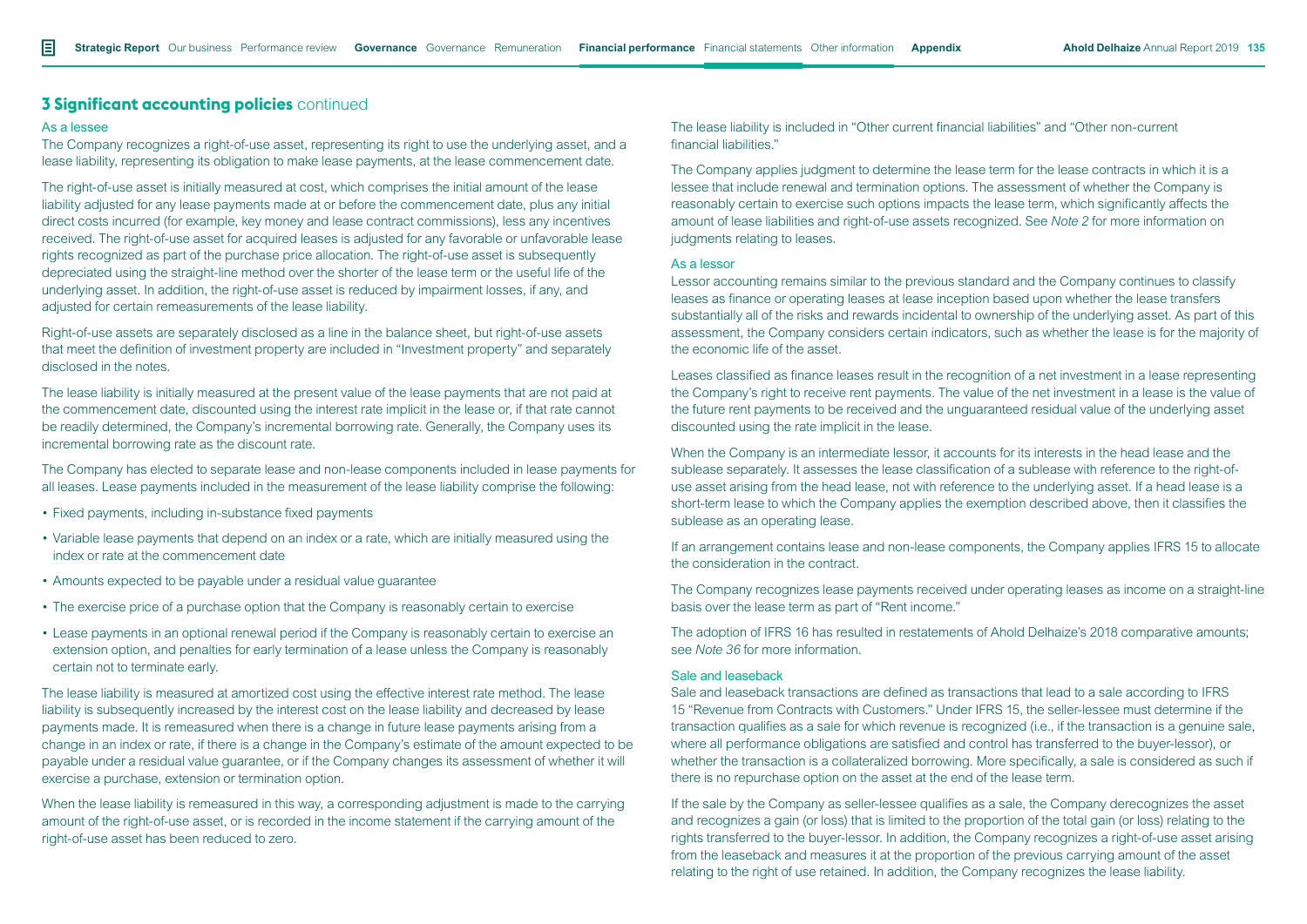#### As a lessee

The Company recognizes a right-of-use asset, representing its right to use the underlying asset, and a lease liability, representing its obligation to make lease payments, at the lease commencement date.

The right-of-use asset is initially measured at cost, which comprises the initial amount of the lease liability adjusted for any lease payments made at or before the commencement date, plus any initial direct costs incurred (for example, key money and lease contract commissions), less any incentives received. The right-of-use asset for acquired leases is adjusted for any favorable or unfavorable lease rights recognized as part of the purchase price allocation. The right-of-use asset is subsequently depreciated using the straight-line method over the shorter of the lease term or the useful life of the underlying asset. In addition, the right-of-use asset is reduced by impairment losses, if any, and adjusted for certain remeasurements of the lease liability.

Right-of-use assets are separately disclosed as a line in the balance sheet, but right-of-use assets that meet the definition of investment property are included in "Investment property" and separately disclosed in the notes.

The lease liability is initially measured at the present value of the lease payments that are not paid at the commencement date, discounted using the interest rate implicit in the lease or, if that rate cannot be readily determined, the Company's incremental borrowing rate. Generally, the Company uses its incremental borrowing rate as the discount rate.

The Company has elected to separate lease and non-lease components included in lease payments for all leases. Lease payments included in the measurement of the lease liability comprise the following:

- Fixed payments, including in-substance fixed payments
- Variable lease payments that depend on an index or a rate, which are initially measured using the index or rate at the commencement date
- Amounts expected to be payable under a residual value guarantee
- The exercise price of a purchase option that the Company is reasonably certain to exercise
- Lease payments in an optional renewal period if the Company is reasonably certain to exercise an extension option, and penalties for early termination of a lease unless the Company is reasonably certain not to terminate early.

The lease liability is measured at amortized cost using the effective interest rate method. The lease liability is subsequently increased by the interest cost on the lease liability and decreased by lease payments made. It is remeasured when there is a change in future lease payments arising from a change in an index or rate, if there is a change in the Company's estimate of the amount expected to be payable under a residual value guarantee, or if the Company changes its assessment of whether it will exercise a purchase, extension or termination option.

When the lease liability is remeasured in this way, a corresponding adjustment is made to the carrying amount of the right-of-use asset, or is recorded in the income statement if the carrying amount of the right-of-use asset has been reduced to zero.

The lease liability is included in "Other current financial liabilities" and "Other non-current financial liabilities."

The Company applies judgment to determine the lease term for the lease contracts in which it is a lessee that include renewal and termination options. The assessment of whether the Company is reasonably certain to exercise such options impacts the lease term, which significantly affects the amount of lease liabilities and right-of-use assets recognized. See *Note 2* for more information on judgments relating to leases.

#### As a lessor

Lessor accounting remains similar to the previous standard and the Company continues to classify leases as finance or operating leases at lease inception based upon whether the lease transfers substantially all of the risks and rewards incidental to ownership of the underlying asset. As part of this assessment, the Company considers certain indicators, such as whether the lease is for the majority of the economic life of the asset.

Leases classified as finance leases result in the recognition of a net investment in a lease representing the Company's right to receive rent payments. The value of the net investment in a lease is the value of the future rent payments to be received and the unguaranteed residual value of the underlying asset discounted using the rate implicit in the lease.

When the Company is an intermediate lessor, it accounts for its interests in the head lease and the sublease separately. It assesses the lease classification of a sublease with reference to the right-ofuse asset arising from the head lease, not with reference to the underlying asset. If a head lease is a short-term lease to which the Company applies the exemption described above, then it classifies the sublease as an operating lease.

If an arrangement contains lease and non-lease components, the Company applies IFRS 15 to allocate the consideration in the contract.

The Company recognizes lease payments received under operating leases as income on a straight-line basis over the lease term as part of "Rent income."

The adoption of IFRS 16 has resulted in restatements of Ahold Delhaize's 2018 comparative amounts; see *Note 36* for more information.

#### Sale and leaseback

Sale and leaseback transactions are defined as transactions that lead to a sale according to IFRS 15 "Revenue from Contracts with Customers." Under IFRS 15, the seller-lessee must determine if the transaction qualifies as a sale for which revenue is recognized (i.e., if the transaction is a genuine sale, where all performance obligations are satisfied and control has transferred to the buyer-lessor), or whether the transaction is a collateralized borrowing. More specifically, a sale is considered as such if there is no repurchase option on the asset at the end of the lease term.

If the sale by the Company as seller-lessee qualifies as a sale, the Company derecognizes the asset and recognizes a gain (or loss) that is limited to the proportion of the total gain (or loss) relating to the rights transferred to the buyer-lessor. In addition, the Company recognizes a right-of-use asset arising from the leaseback and measures it at the proportion of the previous carrying amount of the asset relating to the right of use retained. In addition, the Company recognizes the lease liability.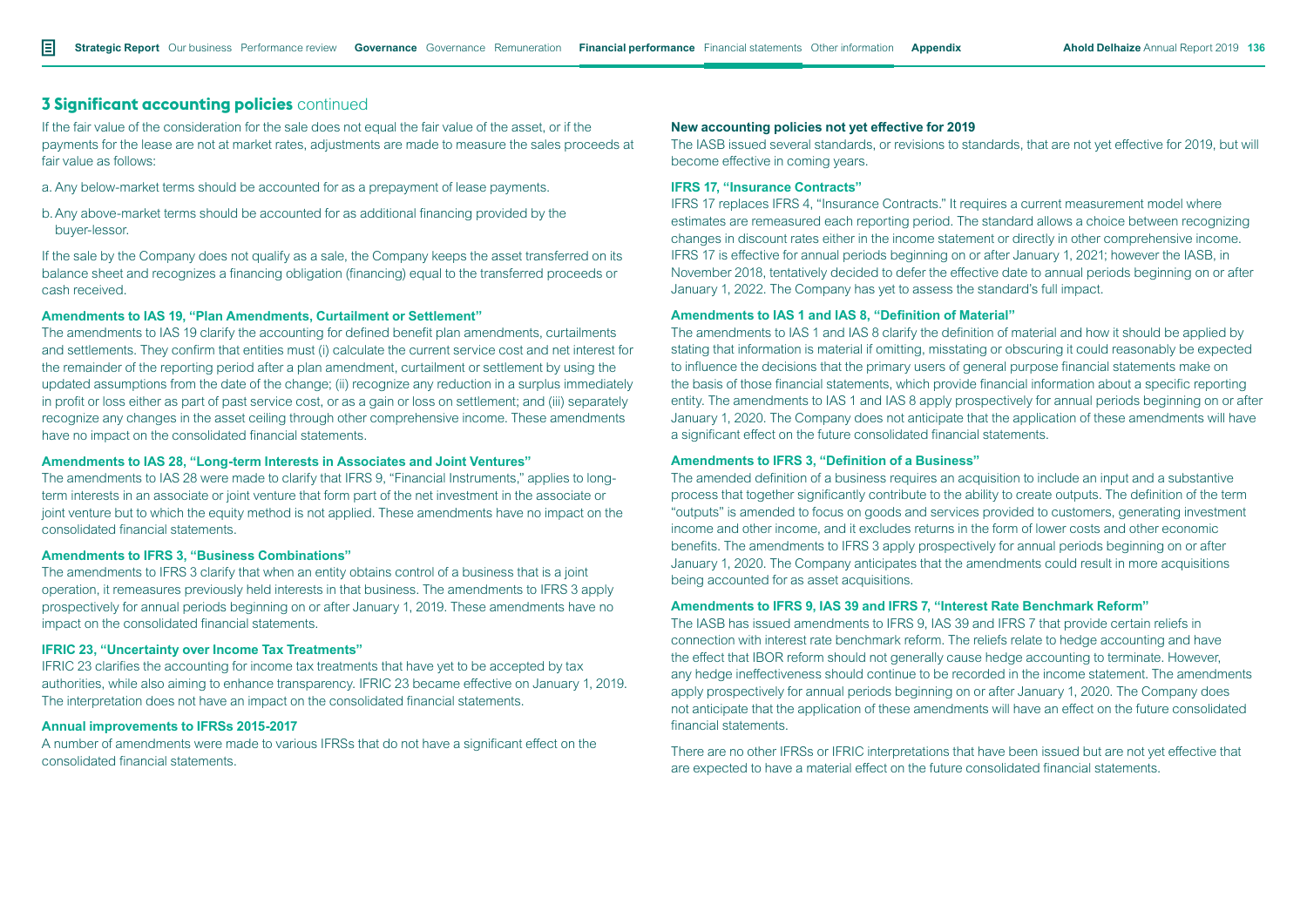If the fair value of the consideration for the sale does not equal the fair value of the asset, or if the payments for the lease are not at market rates, adjustments are made to measure the sales proceeds at fair value as follows:

- a. Any below-market terms should be accounted for as a prepayment of lease payments.
- b.Any above-market terms should be accounted for as additional financing provided by the buyer-lessor.

If the sale by the Company does not qualify as a sale, the Company keeps the asset transferred on its balance sheet and recognizes a financing obligation (financing) equal to the transferred proceeds or cash received.

#### **Amendments to IAS 19, "Plan Amendments, Curtailment or Settlement"**

The amendments to IAS 19 clarify the accounting for defined benefit plan amendments, curtailments and settlements. They confirm that entities must (i) calculate the current service cost and net interest for the remainder of the reporting period after a plan amendment, curtailment or settlement by using the updated assumptions from the date of the change; (ii) recognize any reduction in a surplus immediately in profit or loss either as part of past service cost, or as a gain or loss on settlement; and (iii) separately recognize any changes in the asset ceiling through other comprehensive income. These amendments have no impact on the consolidated financial statements.

#### **Amendments to IAS 28, "Long-term Interests in Associates and Joint Ventures"**

The amendments to IAS 28 were made to clarify that IFRS 9, "Financial Instruments," applies to longterm interests in an associate or joint venture that form part of the net investment in the associate or joint venture but to which the equity method is not applied. These amendments have no impact on the consolidated financial statements.

#### **Amendments to IFRS 3, "Business Combinations"**

The amendments to IFRS 3 clarify that when an entity obtains control of a business that is a joint operation, it remeasures previously held interests in that business. The amendments to IFRS 3 apply prospectively for annual periods beginning on or after January 1, 2019. These amendments have no impact on the consolidated financial statements.

#### **IFRIC 23, "Uncertainty over Income Tax Treatments"**

IFRIC 23 clarifies the accounting for income tax treatments that have yet to be accepted by tax authorities, while also aiming to enhance transparency. IFRIC 23 became effective on January 1, 2019. The interpretation does not have an impact on the consolidated financial statements.

#### **Annual improvements to IFRSs 2015-2017**

A number of amendments were made to various IFRSs that do not have a significant effect on the consolidated financial statements.

#### **New accounting policies not yet effective for 2019**

The IASB issued several standards, or revisions to standards, that are not yet effective for 2019, but will become effective in coming years.

#### **IFRS 17, "Insurance Contracts"**

IFRS 17 replaces IFRS 4, "Insurance Contracts." It requires a current measurement model where estimates are remeasured each reporting period. The standard allows a choice between recognizing changes in discount rates either in the income statement or directly in other comprehensive income. IFRS 17 is effective for annual periods beginning on or after January 1, 2021; however the IASB, in November 2018, tentatively decided to defer the effective date to annual periods beginning on or after January 1, 2022. The Company has yet to assess the standard's full impact.

### **Amendments to IAS 1 and IAS 8, "Definition of Material"**

The amendments to IAS 1 and IAS 8 clarify the definition of material and how it should be applied by stating that information is material if omitting, misstating or obscuring it could reasonably be expected to influence the decisions that the primary users of general purpose financial statements make on the basis of those financial statements, which provide financial information about a specific reporting entity. The amendments to IAS 1 and IAS 8 apply prospectively for annual periods beginning on or after January 1, 2020. The Company does not anticipate that the application of these amendments will have a significant effect on the future consolidated financial statements.

#### **Amendments to IFRS 3, "Definition of a Business"**

The amended definition of a business requires an acquisition to include an input and a substantive process that together significantly contribute to the ability to create outputs. The definition of the term "outputs" is amended to focus on goods and services provided to customers, generating investment income and other income, and it excludes returns in the form of lower costs and other economic benefits. The amendments to IFRS 3 apply prospectively for annual periods beginning on or after January 1, 2020. The Company anticipates that the amendments could result in more acquisitions being accounted for as asset acquisitions.

#### **Amendments to IFRS 9, IAS 39 and IFRS 7, "Interest Rate Benchmark Reform"**

The IASB has issued amendments to IFRS 9, IAS 39 and IFRS 7 that provide certain reliefs in connection with interest rate benchmark reform. The reliefs relate to hedge accounting and have the effect that IBOR reform should not generally cause hedge accounting to terminate. However, any hedge ineffectiveness should continue to be recorded in the income statement. The amendments apply prospectively for annual periods beginning on or after January 1, 2020. The Company does not anticipate that the application of these amendments will have an effect on the future consolidated financial statements.

There are no other IFRSs or IFRIC interpretations that have been issued but are not yet effective that are expected to have a material effect on the future consolidated financial statements.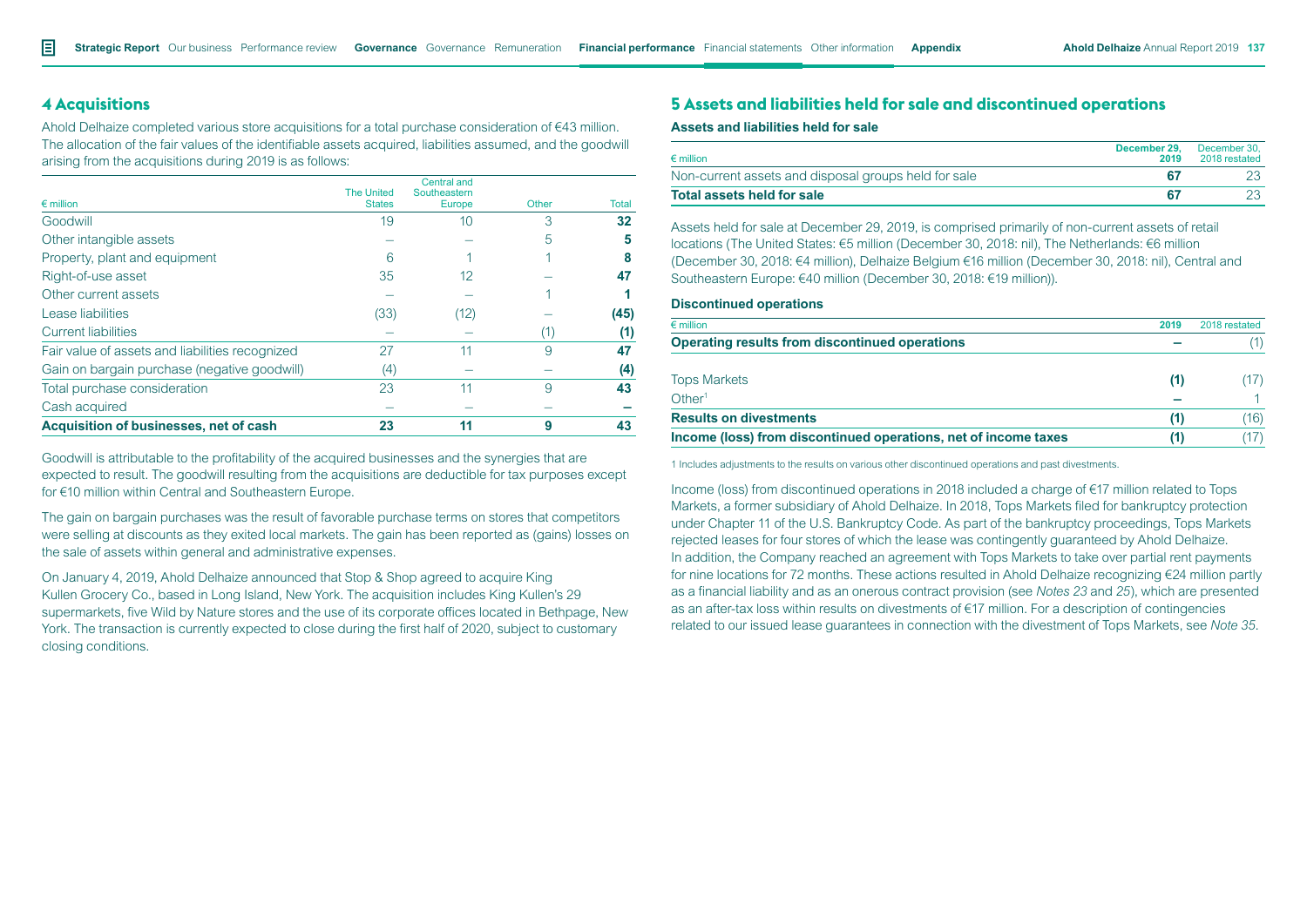# **4 Acquisitions**

Ahold Delhaize completed various store acquisitions for a total purchase consideration of €43 million. The allocation of the fair values of the identifiable assets acquired, liabilities assumed, and the goodwill arising from the acquisitions during 2019 is as follows:

| $\epsilon$ million                              | <b>The United</b><br><b>States</b> | <b>Central and</b><br>Southeastern<br>Europe | Other | Total     |
|-------------------------------------------------|------------------------------------|----------------------------------------------|-------|-----------|
| Goodwill                                        | 19                                 | 10                                           | З     | 32        |
| Other intangible assets                         |                                    |                                              | 5     | 5         |
| Property, plant and equipment                   | 6                                  |                                              |       |           |
| Right-of-use asset                              | 35                                 | 12                                           |       | 47        |
| Other current assets                            |                                    |                                              |       |           |
| Lease liabilities                               | (33)                               | (12)                                         |       | (45)      |
| <b>Current liabilities</b>                      |                                    |                                              |       | $\bf (1)$ |
| Fair value of assets and liabilities recognized | 27                                 | 11                                           | 9     | 47        |
| Gain on bargain purchase (negative goodwill)    | (4)                                |                                              |       | (4)       |
| Total purchase consideration                    | 23                                 | 11                                           | 9     | 43        |
| Cash acquired                                   |                                    |                                              |       |           |
| Acquisition of businesses, net of cash          | 23                                 |                                              | 9     | 43        |

Goodwill is attributable to the profitability of the acquired businesses and the synergies that are expected to result. The goodwill resulting from the acquisitions are deductible for tax purposes except for €10 million within Central and Southeastern Europe.

The gain on bargain purchases was the result of favorable purchase terms on stores that competitors were selling at discounts as they exited local markets. The gain has been reported as (gains) losses on the sale of assets within general and administrative expenses.

On January 4, 2019, Ahold Delhaize announced that Stop & Shop agreed to acquire King Kullen Grocery Co., based in Long Island, New York. The acquisition includes King Kullen's 29 supermarkets, five Wild by Nature stores and the use of its corporate offices located in Bethpage, New York. The transaction is currently expected to close during the first half of 2020, subject to customary closing conditions.

# **5 Assets and liabilities held for sale and discontinued operations**

#### **Assets and liabilities held for sale**

| $\epsilon$ million                                   | December 29.<br>2019 | December 30.<br>2018 restated |
|------------------------------------------------------|----------------------|-------------------------------|
| Non-current assets and disposal groups held for sale |                      |                               |
| Total assets held for sale                           |                      |                               |

Assets held for sale at December 29, 2019, is comprised primarily of non-current assets of retail locations (The United States: €5 million (December 30, 2018: nil), The Netherlands: €6 million (December 30, 2018: €4 million), Delhaize Belgium €16 million (December 30, 2018: nil), Central and Southeastern Europe: €40 million (December 30, 2018: €19 million)).

#### **Discontinued operations**

| 2019 | 2018 restated |
|------|---------------|
|      |               |
| (1)  |               |
|      |               |
| (1)  | (16)          |
|      |               |
|      |               |

1 Includes adjustments to the results on various other discontinued operations and past divestments.

Income (loss) from discontinued operations in 2018 included a charge of €17 million related to Tops Markets, a former subsidiary of Ahold Delhaize. In 2018, Tops Markets filed for bankruptcy protection under Chapter 11 of the U.S. Bankruptcy Code. As part of the bankruptcy proceedings, Tops Markets rejected leases for four stores of which the lease was contingently guaranteed by Ahold Delhaize. In addition, the Company reached an agreement with Tops Markets to take over partial rent payments for nine locations for 72 months. These actions resulted in Ahold Delhaize recognizing €24 million partly as a financial liability and as an onerous contract provision (see *Notes 23* and *25*), which are presented as an after-tax loss within results on divestments of €17 million. For a description of contingencies related to our issued lease guarantees in connection with the divestment of Tops Markets, see *Note 35*.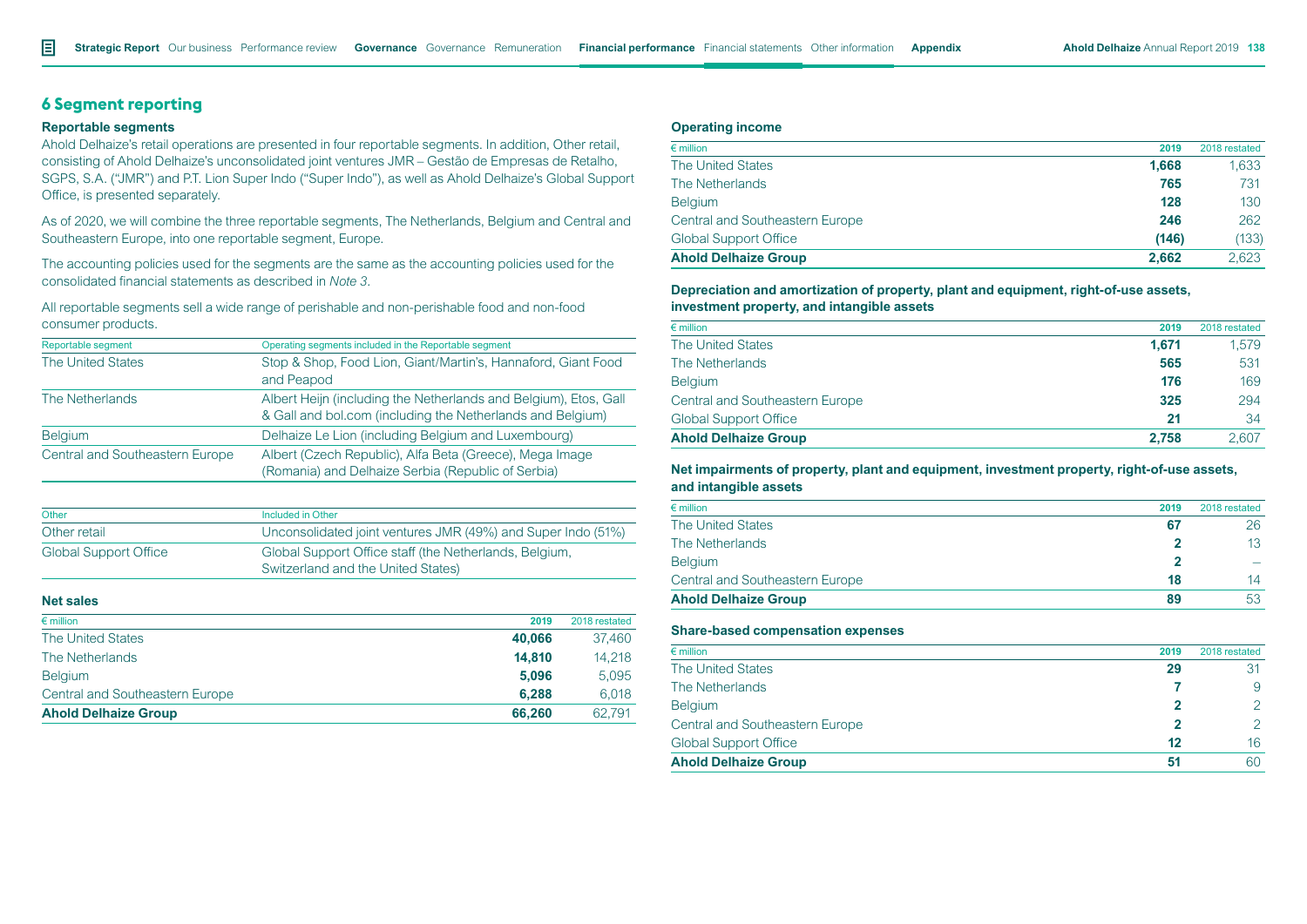# **6 Segment reporting**

#### **Reportable segments**

Ahold Delhaize's retail operations are presented in four reportable segments. In addition, Other retail, consisting of Ahold Delhaize's unconsolidated joint ventures JMR – Gestão de Empresas de Retalho, SGPS, S.A. ("JMR") and P.T. Lion Super Indo ("Super Indo"), as well as Ahold Delhaize's Global Support Office, is presented separately.

As of 2020, we will combine the three reportable segments, The Netherlands, Belgium and Central and Southeastern Europe, into one reportable segment, Europe.

The accounting policies used for the segments are the same as the accounting policies used for the consolidated financial statements as described in *Note 3.*

All reportable segments sell a wide range of perishable and non-perishable food and non-food consumer products.

| Reportable segment              | Operating segments included in the Reportable segment            |
|---------------------------------|------------------------------------------------------------------|
| The United States               | Stop & Shop, Food Lion, Giant/Martin's, Hannaford, Giant Food    |
|                                 | and Peapod                                                       |
| The Netherlands                 | Albert Heijn (including the Netherlands and Belgium), Etos, Gall |
|                                 | & Gall and bol.com (including the Netherlands and Belgium)       |
| <b>Belgium</b>                  | Delhaize Le Lion (including Belgium and Luxembourg)              |
| Central and Southeastern Europe | Albert (Czech Republic), Alfa Beta (Greece), Mega Image          |
|                                 | (Romania) and Delhaize Serbia (Republic of Serbia)               |

| Other                        | Included in Other                                            |
|------------------------------|--------------------------------------------------------------|
| Other retail                 | Unconsolidated joint ventures JMR (49%) and Super Indo (51%) |
| <b>Global Support Office</b> | Global Support Office staff (the Netherlands, Belgium,       |
|                              | Switzerland and the United States)                           |

#### **Net sales**

| $\epsilon$ million<br>2019               | 2018 restated |
|------------------------------------------|---------------|
| <b>The United States</b><br>40,066       | 37.460        |
| 14.810<br>The Netherlands                | 14.218        |
| 5.096<br><b>Belgium</b>                  | 5.095         |
| 6.288<br>Central and Southeastern Europe | 6.018         |
| <b>Ahold Delhaize Group</b><br>66.260    | 62.791        |

#### **Operating income**

| $\epsilon$ million              | 2019  | 2018 restated |
|---------------------------------|-------|---------------|
| <b>The United States</b>        | 1.668 | 1,633         |
| The Netherlands                 | 765   | 731           |
| <b>Belgium</b>                  | 128   | 130           |
| Central and Southeastern Europe | 246   | 262           |
| <b>Global Support Office</b>    | (146) | (133)         |
| <b>Ahold Delhaize Group</b>     | 2.662 | 2.623         |

**Depreciation and amortization of property, plant and equipment, right-of-use assets, investment property, and intangible assets**

| $\epsilon$ million              | 2019  | 2018 restated |
|---------------------------------|-------|---------------|
| <b>The United States</b>        | 1.671 | 1.579         |
| The Netherlands                 | 565   | 531           |
| <b>Belgium</b>                  | 176   | 169           |
| Central and Southeastern Europe | 325   | 294           |
| <b>Global Support Office</b>    | 21    | 34            |
| <b>Ahold Delhaize Group</b>     | 2.758 | 2.607         |

#### **Net impairments of property, plant and equipment, investment property, right-of-use assets, and intangible assets**

| <b>Ahold Delhaize Group</b>            | 89   | 53            |
|----------------------------------------|------|---------------|
| <b>Central and Southeastern Europe</b> | 18   | 14            |
| <b>Belgium</b>                         |      |               |
| The Netherlands                        |      | 13            |
| <b>The United States</b>               | 67   | 26            |
| $\epsilon$ million                     | 2019 | 2018 restated |
|                                        |      |               |

#### **Share-based compensation expenses**

| $\epsilon$ million                     | 2019 | 2018 restated |
|----------------------------------------|------|---------------|
| <b>The United States</b>               | 29   |               |
| The Netherlands                        |      | 9             |
| <b>Belgium</b>                         |      | $\mathcal{P}$ |
| <b>Central and Southeastern Europe</b> |      | $\mathcal{P}$ |
| <b>Global Support Office</b>           | 12   | 16            |
| <b>Ahold Delhaize Group</b>            | 51   | 60            |
|                                        |      |               |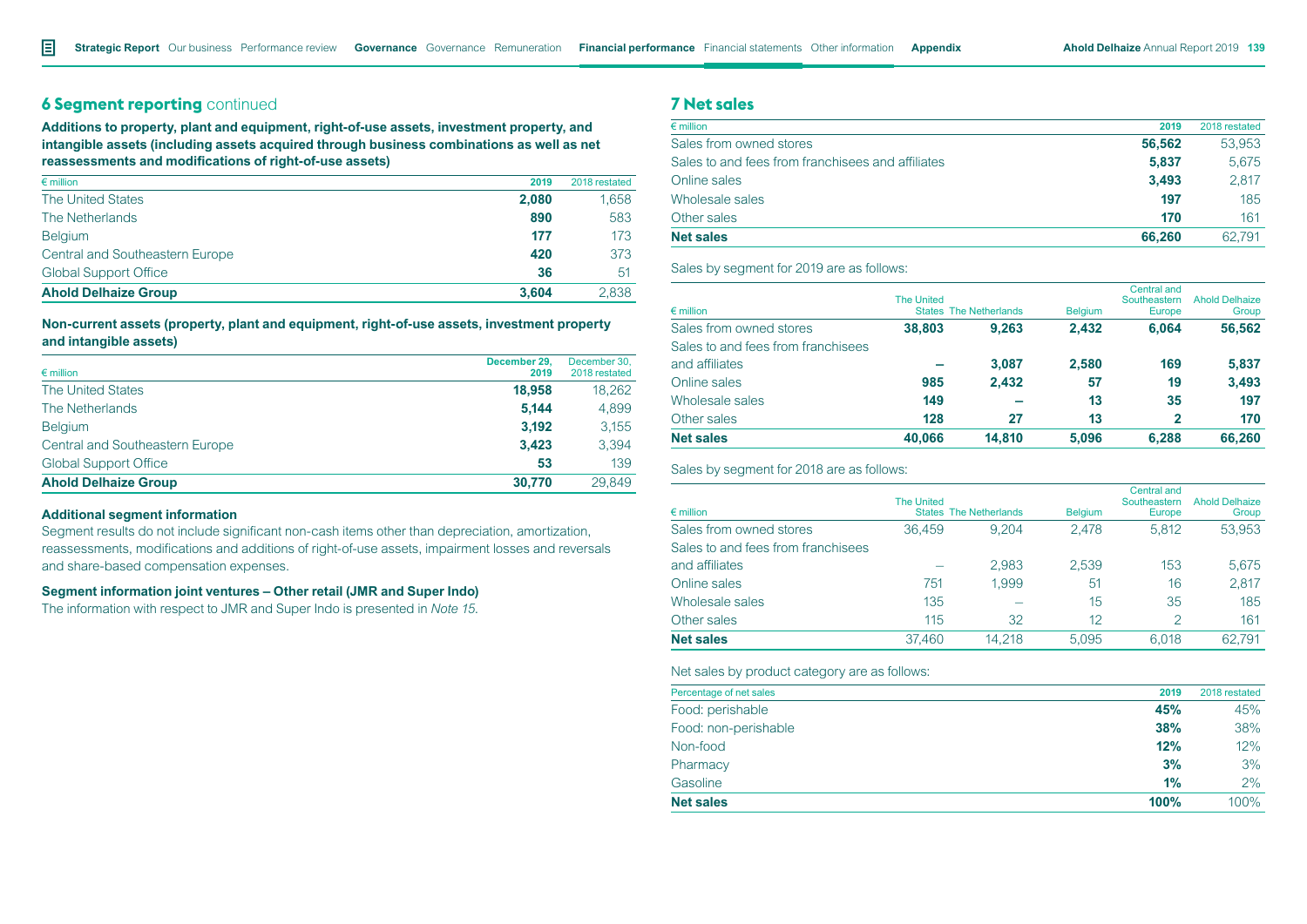# **6 Segment reporting** continued

**Additions to property, plant and equipment, right-of-use assets, investment property, and intangible assets (including assets acquired through business combinations as well as net reassessments and modifications of right-of-use assets)**

| $\epsilon$ million                     | 2019  | 2018 restated |
|----------------------------------------|-------|---------------|
| <b>The United States</b>               | 2.080 | 1.658         |
| The Netherlands                        | 890   | 583           |
| <b>Belgium</b>                         | 177   | 173           |
| <b>Central and Southeastern Europe</b> | 420   | 373           |
| <b>Global Support Office</b>           | 36    | -51           |
| <b>Ahold Delhaize Group</b>            | 3.604 | 2.838         |

### **Non-current assets (property, plant and equipment, right-of-use assets, investment property and intangible assets)**

| $\epsilon$ million              | December 29.<br>2019 | December 30,<br>2018 restated |
|---------------------------------|----------------------|-------------------------------|
| <b>The United States</b>        | 18,958               | 18.262                        |
| The Netherlands                 | 5.144                | 4.899                         |
| <b>Belgium</b>                  | 3.192                | 3.155                         |
| Central and Southeastern Europe | 3.423                | 3,394                         |
| <b>Global Support Office</b>    | 53                   | 139                           |
| <b>Ahold Delhaize Group</b>     | 30.770               | 29.849                        |

#### **Additional segment information**

Segment results do not include significant non-cash items other than depreciation, amortization, reassessments, modifications and additions of right-of-use assets, impairment losses and reversals and share-based compensation expenses.

# **Segment information joint ventures – Other retail (JMR and Super Indo)**

The information with respect to JMR and Super Indo is presented in *Note 15*.

# **7 Net sales**

| $\epsilon$ million                                | 2019   | 2018 restated |
|---------------------------------------------------|--------|---------------|
| Sales from owned stores                           | 56,562 | 53,953        |
| Sales to and fees from franchisees and affiliates | 5.837  | 5.675         |
| Online sales                                      | 3.493  | 2.817         |
| Wholesale sales                                   | 197    | 185           |
| Other sales                                       | 170    | 161           |
| <b>Net sales</b>                                  | 66.260 | 62.791        |

#### Sales by segment for 2019 are as follows:

| $\epsilon$ million                 | <b>The United</b> | <b>States The Netherlands</b> | <b>Belgium</b> | Central and<br>Southeastern<br><b>Europe</b> | <b>Ahold Delhaize</b><br>Group |
|------------------------------------|-------------------|-------------------------------|----------------|----------------------------------------------|--------------------------------|
| Sales from owned stores            | 38,803            | 9.263                         | 2.432          | 6.064                                        | 56,562                         |
| Sales to and fees from franchisees |                   |                               |                |                                              |                                |
| and affiliates                     |                   | 3.087                         | 2.580          | 169                                          | 5,837                          |
| Online sales                       | 985               | 2,432                         | 57             | 19                                           | 3,493                          |
| Wholesale sales                    | 149               |                               | 13             | 35                                           | 197                            |
| Other sales                        | 128               | 27                            | 13             | $\mathbf{2}$                                 | 170                            |
| <b>Net sales</b>                   | 40.066            | 14.810                        | 5.096          | 6.288                                        | 66,260                         |

Sales by segment for 2018 are as follows:

|                                    | <b>The United</b> |                               |                | Central and<br>Southeastern | <b>Ahold Delhaize</b> |
|------------------------------------|-------------------|-------------------------------|----------------|-----------------------------|-----------------------|
| $\epsilon$ million                 |                   | <b>States The Netherlands</b> | <b>Belgium</b> | Europe                      | Group                 |
| Sales from owned stores            | 36.459            | 9.204                         | 2.478          | 5.812                       | 53,953                |
| Sales to and fees from franchisees |                   |                               |                |                             |                       |
| and affiliates                     |                   | 2,983                         | 2,539          | 153                         | 5.675                 |
| Online sales                       | 751               | 1.999                         | 51             | 16                          | 2,817                 |
| Wholesale sales                    | 135               |                               | 15             | 35                          | 185                   |
| Other sales                        | 115               | 32                            | 12             | 2                           | 161                   |
| <b>Net sales</b>                   | 37.460            | 14.218                        | 5.095          | 6.018                       | 62.791                |

Net sales by product category are as follows:

| Percentage of net sales | 2019 | 2018 restated |
|-------------------------|------|---------------|
| Food: perishable        | 45%  | 45%           |
| Food: non-perishable    | 38%  | 38%           |
| Non-food                | 12%  | 12%           |
| Pharmacy                | 3%   | 3%            |
| Gasoline                | 1%   | 2%            |
| <b>Net sales</b>        | 100% | 100%          |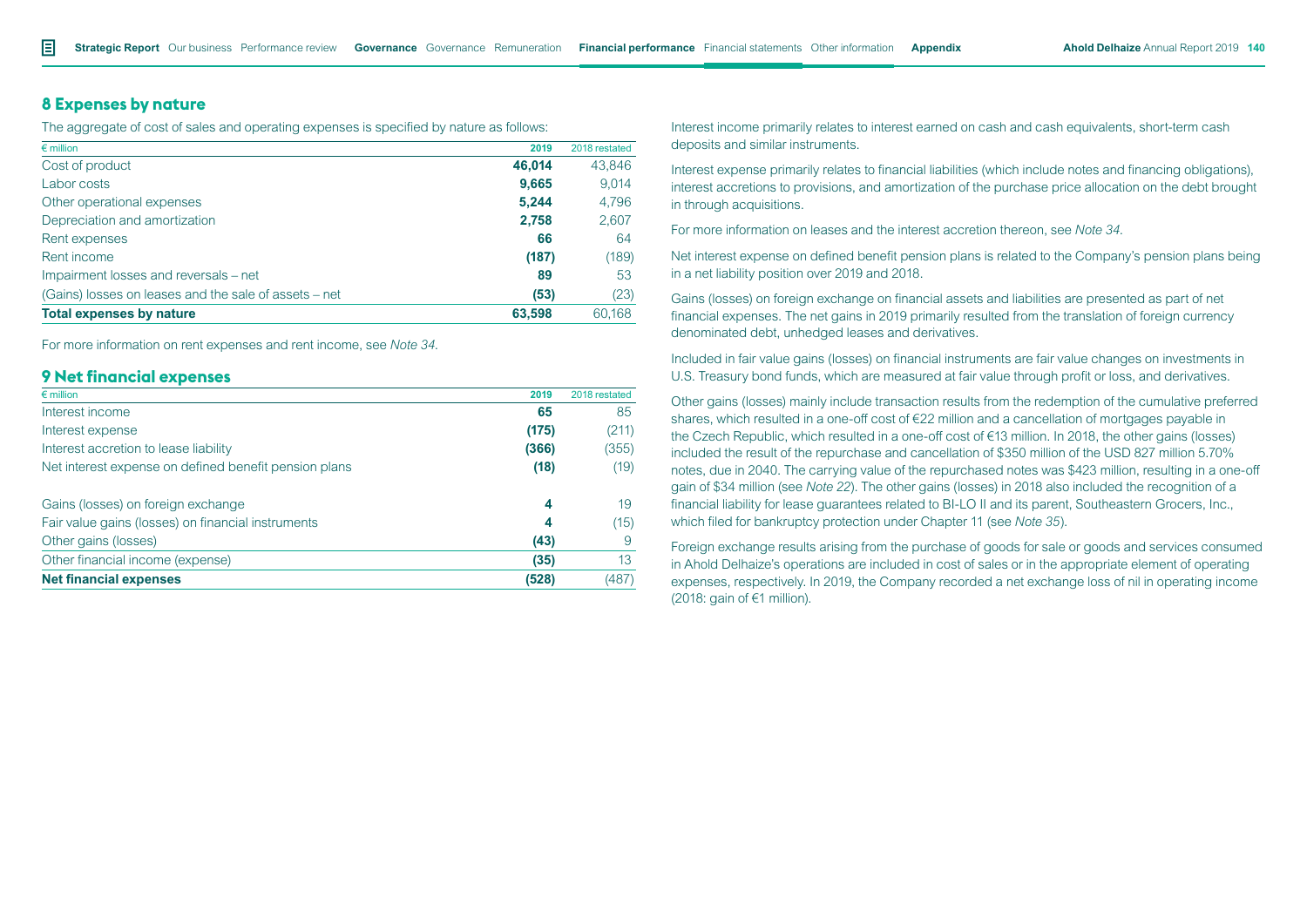### **8 Expenses by nature**

The aggregate of cost of sales and operating expenses is specified by nature as follows:

| $\epsilon$ million                                    | 2019   | 2018 restated |
|-------------------------------------------------------|--------|---------------|
| Cost of product                                       | 46.014 | 43,846        |
| Labor costs                                           | 9,665  | 9,014         |
| Other operational expenses                            | 5,244  | 4,796         |
| Depreciation and amortization                         | 2.758  | 2,607         |
| Rent expenses                                         | 66     | 64            |
| Rent income                                           | (187)  | (189)         |
| Impairment losses and reversals – net                 | 89     | 53            |
| (Gains) losses on leases and the sale of assets – net | (53)   | (23)          |
| <b>Total expenses by nature</b>                       | 63.598 | 60,168        |

For more information on rent expenses and rent income, see *Note 34*.

# **9 Net financial expenses**

| $\epsilon$ million                                    | 2019  | 2018 restated |
|-------------------------------------------------------|-------|---------------|
| Interest income                                       | 65    | 85            |
| Interest expense                                      | (175) | (211)         |
| Interest accretion to lease liability                 | (366) | (355)         |
| Net interest expense on defined benefit pension plans | (18)  | (19)          |
| Gains (losses) on foreign exchange                    | 4     | 19            |
| Fair value gains (losses) on financial instruments    | 4     | (15)          |
| Other gains (losses)                                  | (43)  | 9             |
| Other financial income (expense)                      | (35)  | 13            |
| <b>Net financial expenses</b>                         | (528) | (487)         |

Interest income primarily relates to interest earned on cash and cash equivalents, short-term cash deposits and similar instruments.

Interest expense primarily relates to financial liabilities (which include notes and financing obligations), interest accretions to provisions, and amortization of the purchase price allocation on the debt brought in through acquisitions.

For more information on leases and the interest accretion thereon, see *Note 34*.

Net interest expense on defined benefit pension plans is related to the Company's pension plans being in a net liability position over 2019 and 2018.

Gains (losses) on foreign exchange on financial assets and liabilities are presented as part of net financial expenses. The net gains in 2019 primarily resulted from the translation of foreign currency denominated debt, unhedged leases and derivatives.

Included in fair value gains (losses) on financial instruments are fair value changes on investments in U.S. Treasury bond funds, which are measured at fair value through profit or loss, and derivatives.

Other gains (losses) mainly include transaction results from the redemption of the cumulative preferred shares, which resulted in a one-off cost of €22 million and a cancellation of mortgages payable in the Czech Republic, which resulted in a one-off cost of €13 million. In 2018, the other gains (losses) included the result of the repurchase and cancellation of \$350 million of the USD 827 million 5.70% notes, due in 2040. The carrying value of the repurchased notes was \$423 million, resulting in a one-off gain of \$34 million (see *Note 22*). The other gains (losses) in 2018 also included the recognition of a financial liability for lease guarantees related to BI-LO II and its parent, Southeastern Grocers, Inc., which filed for bankruptcy protection under Chapter 11 (see *Note 35*).

Foreign exchange results arising from the purchase of goods for sale or goods and services consumed in Ahold Delhaize's operations are included in cost of sales or in the appropriate element of operating expenses, respectively. In 2019, the Company recorded a net exchange loss of nil in operating income (2018: gain of €1 million).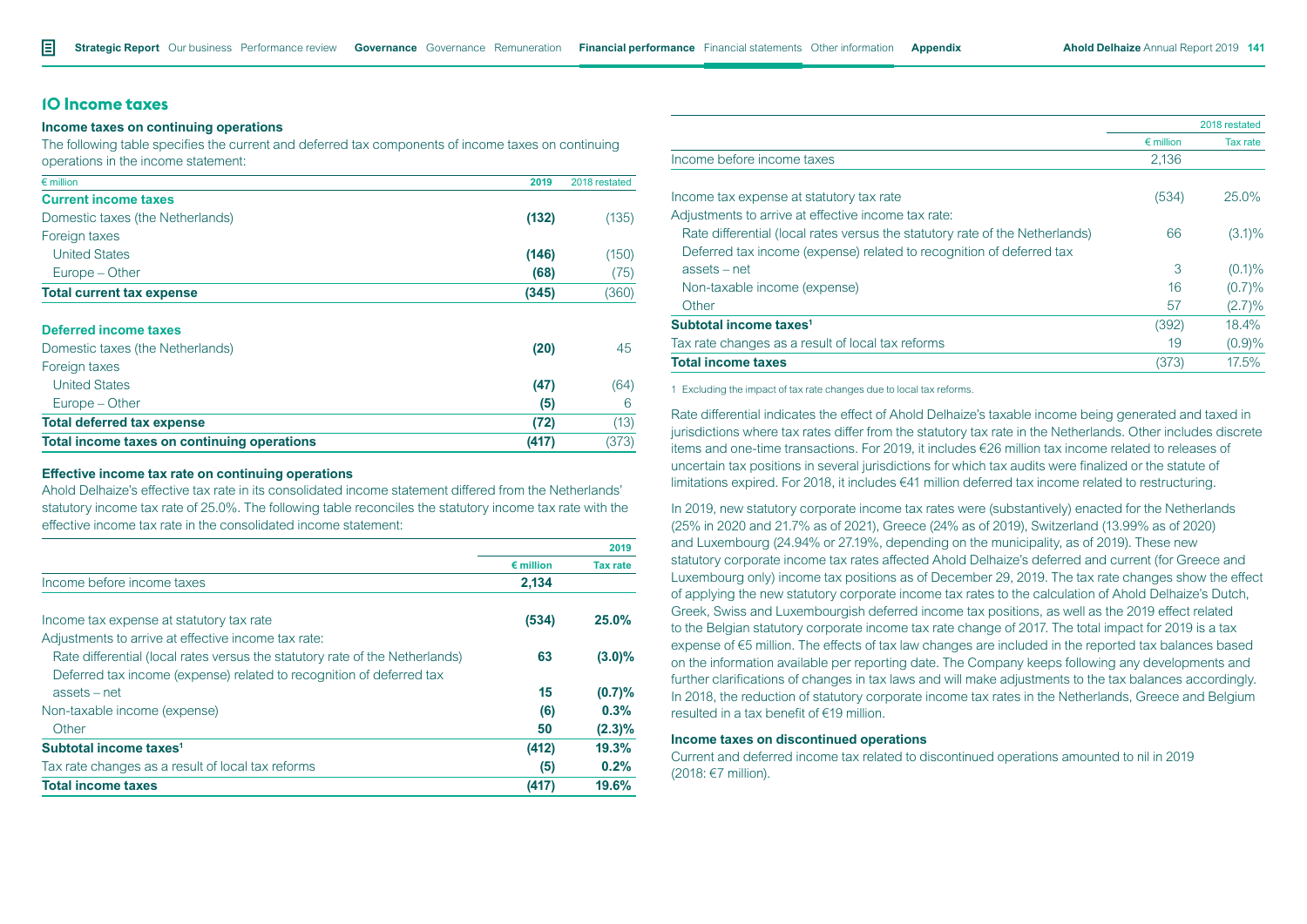# **10 Income taxes**

#### **Income taxes on continuing operations**

The following table specifies the current and deferred tax components of income taxes on continuing operations in the income statement:

| $\epsilon$ million               | 2019  | 2018 restated |
|----------------------------------|-------|---------------|
| <b>Current income taxes</b>      |       |               |
| Domestic taxes (the Netherlands) | (132) | (135)         |
| Foreign taxes                    |       |               |
| <b>United States</b>             | (146) | (150)         |
| Europe – Other                   | (68)  | (75)          |
| <b>Total current tax expense</b> | (345) | (360)         |
|                                  |       |               |

#### **Deferred income taxes**

| Total income taxes on continuing operations | (417) | (373) |
|---------------------------------------------|-------|-------|
| <b>Total deferred tax expense</b>           | (72)  | (13)  |
| Europe – Other                              | (5)   | 6     |
| <b>United States</b>                        | (47)  | (64)  |
| Foreign taxes                               |       |       |
| Domestic taxes (the Netherlands)            | (20)  | 45.   |

#### **Effective income tax rate on continuing operations**

Ahold Delhaize's effective tax rate in its consolidated income statement differed from the Netherlands' statutory income tax rate of 25.0%. The following table reconciles the statutory income tax rate with the effective income tax rate in the consolidated income statement:

|                                                                              |                    | 2019            |
|------------------------------------------------------------------------------|--------------------|-----------------|
|                                                                              | $\epsilon$ million | <b>Tax rate</b> |
| Income before income taxes                                                   | 2,134              |                 |
| Income tax expense at statutory tax rate                                     | (534)              | 25.0%           |
| Adjustments to arrive at effective income tax rate:                          |                    |                 |
| Rate differential (local rates versus the statutory rate of the Netherlands) | 63                 | $(3.0)\%$       |
| Deferred tax income (expense) related to recognition of deferred tax         |                    |                 |
| assets – net                                                                 | 15                 | (0.7)%          |
| Non-taxable income (expense)                                                 | (6)                | 0.3%            |
| Other                                                                        | 50                 | $(2.3)\%$       |
| Subtotal income taxes <sup>1</sup>                                           | (412)              | 19.3%           |
| Tax rate changes as a result of local tax reforms                            | (5)                | 0.2%            |
| <b>Total income taxes</b>                                                    | (417)              | 19.6%           |
|                                                                              |                    |                 |

|                                                                              |                    | 2018 restated |
|------------------------------------------------------------------------------|--------------------|---------------|
|                                                                              | $\epsilon$ million | Tax rate      |
| Income before income taxes                                                   | 2,136              |               |
| Income tax expense at statutory tax rate                                     | (534)              | $25.0\%$      |
| Adjustments to arrive at effective income tax rate:                          |                    |               |
| Rate differential (local rates versus the statutory rate of the Netherlands) | 66                 | $(3.1)\%$     |
| Deferred tax income (expense) related to recognition of deferred tax         |                    |               |
| $assets - net$                                                               | 3                  | $(0.1)\%$     |
| Non-taxable income (expense)                                                 | 16                 | (0.7)%        |
| Other                                                                        | 57                 | $(2.7)\%$     |
| Subtotal income taxes <sup>1</sup>                                           | (392)              | 18.4%         |
| Tax rate changes as a result of local tax reforms                            | 19                 | (0.9)%        |
| <b>Total income taxes</b>                                                    | (373)              | 17.5%         |

1 Excluding the impact of tax rate changes due to local tax reforms.

Rate differential indicates the effect of Ahold Delhaize's taxable income being generated and taxed in jurisdictions where tax rates differ from the statutory tax rate in the Netherlands. Other includes discrete items and one-time transactions. For 2019, it includes €26 million tax income related to releases of uncertain tax positions in several jurisdictions for which tax audits were finalized or the statute of limitations expired. For 2018, it includes €41 million deferred tax income related to restructuring.

In 2019, new statutory corporate income tax rates were (substantively) enacted for the Netherlands (25% in 2020 and 21.7% as of 2021), Greece (24% as of 2019), Switzerland (13.99% as of 2020) and Luxembourg (24.94% or 27.19%, depending on the municipality, as of 2019). These new statutory corporate income tax rates affected Ahold Delhaize's deferred and current (for Greece and Luxembourg only) income tax positions as of December 29, 2019. The tax rate changes show the effect of applying the new statutory corporate income tax rates to the calculation of Ahold Delhaize's Dutch, Greek, Swiss and Luxembourgish deferred income tax positions, as well as the 2019 effect related to the Belgian statutory corporate income tax rate change of 2017. The total impact for 2019 is a tax expense of €5 million. The effects of tax law changes are included in the reported tax balances based on the information available per reporting date. The Company keeps following any developments and further clarifications of changes in tax laws and will make adjustments to the tax balances accordingly. In 2018, the reduction of statutory corporate income tax rates in the Netherlands, Greece and Belgium resulted in a tax benefit of €19 million.

# **Income taxes on discontinued operations**

Current and deferred income tax related to discontinued operations amounted to nil in 2019 (2018: €7 million).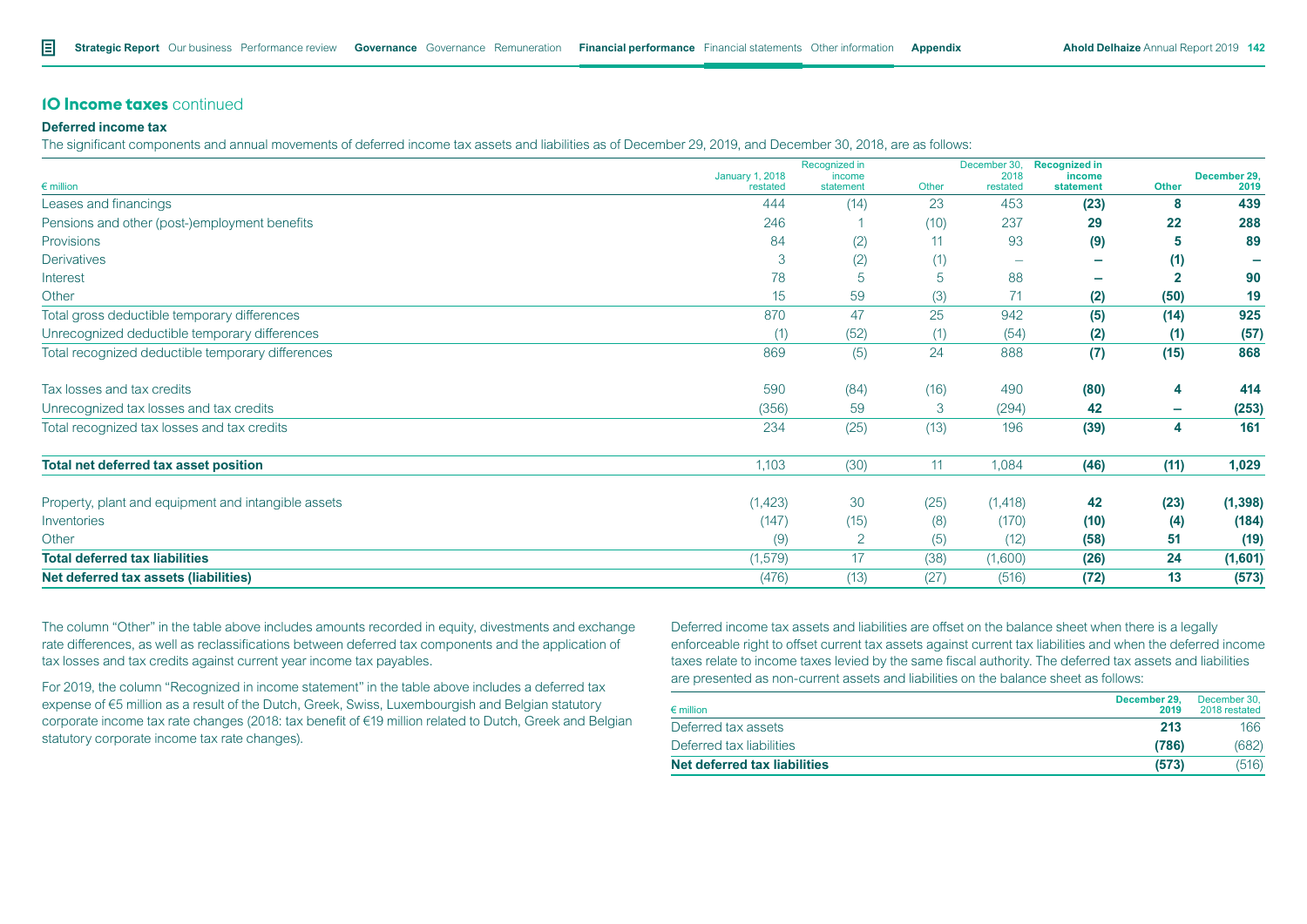### **10 Income taxes** continued

### **Deferred income tax**

The significant components and annual movements of deferred income tax assets and liabilities as of December 29, 2019, and December 30, 2018, are as follows:

|                                                     | <b>January 1, 2018</b> | Recognized in<br>income |       | December 30,<br>2018 | <b>Recognized in</b><br>income |              | December 29, |
|-----------------------------------------------------|------------------------|-------------------------|-------|----------------------|--------------------------------|--------------|--------------|
| $\epsilon$ million                                  | restated               | statement               | Other | restated             | statement                      | Other        | 2019         |
| Leases and financings                               | 444                    | (14)                    | 23    | 453                  | (23)                           | 8            | 439          |
| Pensions and other (post-)employment benefits       | 246                    |                         | (10)  | 237                  | 29                             | 22           | 288          |
| Provisions                                          | 84                     | (2)                     | 11    | 93                   | (9)                            | 5            | 89           |
| <b>Derivatives</b>                                  | 3                      | (2)                     | (1)   |                      |                                | (1)          |              |
| Interest                                            | 78                     | 5                       | 5     | 88                   | $\overline{\phantom{a}}$       | $\mathbf{2}$ | 90           |
| Other                                               | 15                     | 59                      | (3)   | 71                   | (2)                            | (50)         | 19           |
| Total gross deductible temporary differences        | 870                    | 47                      | 25    | 942                  | (5)                            | (14)         | 925          |
| Unrecognized deductible temporary differences       | (1)                    | (52)                    | (1)   | (54)                 | (2)                            | (1)          | (57)         |
| Total recognized deductible temporary differences   | 869                    | (5)                     | 24    | 888                  | (7)                            | (15)         | 868          |
| Tax losses and tax credits                          | 590                    | (84)                    | (16)  | 490                  | (80)                           | 4            | 414          |
| Unrecognized tax losses and tax credits             | (356)                  | 59                      | 3     | (294)                | 42                             | -            | (253)        |
| Total recognized tax losses and tax credits         | 234                    | (25)                    | (13)  | 196                  | (39)                           | 4            | 161          |
| <b>Total net deferred tax asset position</b>        | 1,103                  | (30)                    | 11    | 1,084                | (46)                           | (11)         | 1,029        |
| Property, plant and equipment and intangible assets | (1,423)                | 30                      | (25)  | (1, 418)             | 42                             | (23)         | (1, 398)     |
| Inventories                                         | (147)                  | (15)                    | (8)   | (170)                | (10)                           | (4)          | (184)        |
| Other                                               | (9)                    | 2                       | (5)   | (12)                 | (58)                           | 51           | (19)         |
| <b>Total deferred tax liabilities</b>               | (1, 579)               | 17                      | (38)  | (1,600)              | (26)                           | 24           | (1,601)      |
| Net deferred tax assets (liabilities)               | (476)                  | (13)                    | (27)  | (516)                | (72)                           | 13           | (573)        |

The column "Other" in the table above includes amounts recorded in equity, divestments and exchange rate differences, as well as reclassifications between deferred tax components and the application of tax losses and tax credits against current year income tax payables.

For 2019, the column "Recognized in income statement" in the table above includes a deferred tax expense of €5 million as a result of the Dutch, Greek, Swiss, Luxembourgish and Belgian statutory corporate income tax rate changes (2018: tax benefit of €19 million related to Dutch, Greek and Belgian statutory corporate income tax rate changes).

Deferred income tax assets and liabilities are offset on the balance sheet when there is a legally enforceable right to offset current tax assets against current tax liabilities and when the deferred income taxes relate to income taxes levied by the same fiscal authority. The deferred tax assets and liabilities are presented as non-current assets and liabilities on the balance sheet as follows:

| $\epsilon$ million                  | December 29.<br>2019 | December 30.<br>2018 restated |
|-------------------------------------|----------------------|-------------------------------|
| Deferred tax assets                 | 213                  | 166                           |
| Deferred tax liabilities            | (786)                | (682)                         |
| <b>Net deferred tax liabilities</b> | (573)                | (516)                         |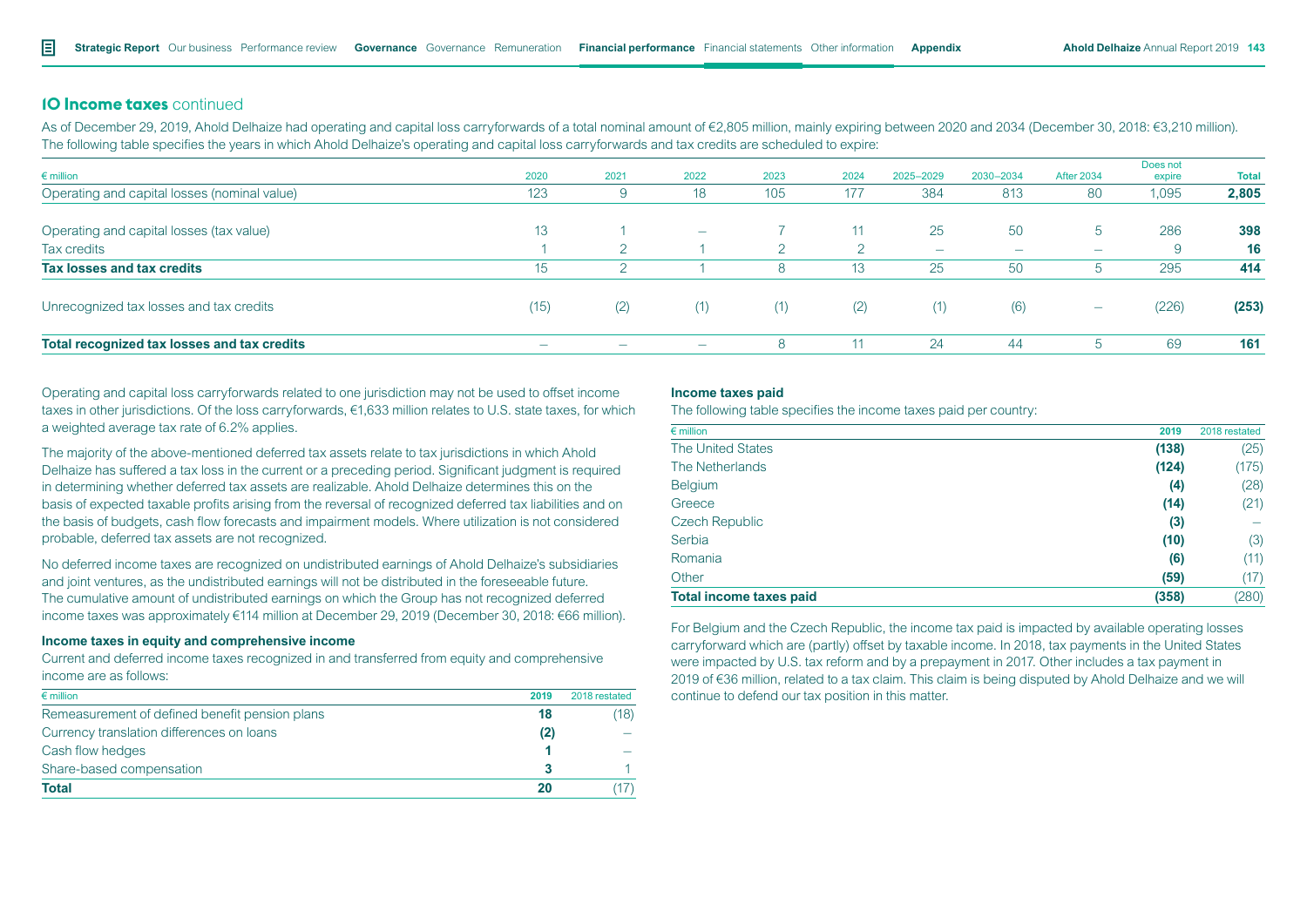# **10 Income taxes** continued

As of December 29, 2019, Ahold Delhaize had operating and capital loss carryforwards of a total nominal amount of €2,805 million, mainly expiring between 2020 and 2034 (December 30, 2018: €3,210 million). The following table specifies the years in which Ahold Delhaize's operating and capital loss carryforwards and tax credits are scheduled to expire:

| $\epsilon$ million                           | 2020                     | 2021                     | 2022                     | 2023 | 2024            | 2025-2029                | 2030-2034                | <b>After 2034</b>        | Does not<br>expire | <b>Total</b> |
|----------------------------------------------|--------------------------|--------------------------|--------------------------|------|-----------------|--------------------------|--------------------------|--------------------------|--------------------|--------------|
| Operating and capital losses (nominal value) | 123                      |                          | 18                       | 105  | 177             | 384                      | 813                      | -80                      | 1,095              | 2,805        |
| Operating and capital losses (tax value)     | 13                       |                          | $\overline{\phantom{a}}$ |      | 11              | 25                       | 50                       | $5^{\circ}$              | 286                | 398          |
| Tax credits                                  |                          |                          |                          |      |                 | $\overline{\phantom{a}}$ | $\overline{\phantom{a}}$ | $\overline{\phantom{a}}$ |                    | 16           |
| Tax losses and tax credits                   | 15                       | $\Omega$                 |                          | 8    | 13 <sup>°</sup> | 25                       | 50                       | ್ರ                       | 295                | 414          |
| Unrecognized tax losses and tax credits      | (15)                     | (2)                      | (1)                      | (1)  | (2)             | (1)                      | (6)                      | $\overline{\phantom{a}}$ | (226)              | (253)        |
| Total recognized tax losses and tax credits  | $\overline{\phantom{a}}$ | $\overline{\phantom{m}}$ | $\sim$                   | 8    | 11              | 24                       | 44                       | $5^{\circ}$              | 69                 | 161          |

Operating and capital loss carryforwards related to one jurisdiction may not be used to offset income taxes in other jurisdictions. Of the loss carryforwards, €1,633 million relates to U.S. state taxes, for which a weighted average tax rate of 6.2% applies.

The majority of the above-mentioned deferred tax assets relate to tax jurisdictions in which Ahold Delhaize has suffered a tax loss in the current or a preceding period. Significant judgment is required in determining whether deferred tax assets are realizable. Ahold Delhaize determines this on the basis of expected taxable profits arising from the reversal of recognized deferred tax liabilities and on the basis of budgets, cash flow forecasts and impairment models. Where utilization is not considered probable, deferred tax assets are not recognized.

No deferred income taxes are recognized on undistributed earnings of Ahold Delhaize's subsidiaries and joint ventures, as the undistributed earnings will not be distributed in the foreseeable future. The cumulative amount of undistributed earnings on which the Group has not recognized deferred income taxes was approximately €114 million at December 29, 2019 (December 30, 2018: €66 million).

#### **Income taxes in equity and comprehensive income**

Current and deferred income taxes recognized in and transferred from equity and comprehensive income are as follows:

| $\epsilon$ million                             | 2019 | 2018 restated |
|------------------------------------------------|------|---------------|
| Remeasurement of defined benefit pension plans | 18   | (18)          |
| Currency translation differences on loans      | (2)  |               |
| Cash flow hedges                               |      |               |
| Share-based compensation                       |      |               |
| <b>Total</b>                                   | 20   | 17)           |

#### **Income taxes paid**

The following table specifies the income taxes paid per country:

| $\epsilon$ million             | 2019  | 2018 restated |
|--------------------------------|-------|---------------|
| <b>The United States</b>       | (138) | (25)          |
| The Netherlands                | (124) | (175)         |
| <b>Belgium</b>                 | (4)   | (28)          |
| Greece                         | (14)  | (21)          |
| <b>Czech Republic</b>          | (3)   |               |
| Serbia                         | (10)  | (3)           |
| Romania                        | (6)   | (11)          |
| Other                          | (59)  | (17)          |
| <b>Total income taxes paid</b> | (358) | (280)         |

For Belgium and the Czech Republic, the income tax paid is impacted by available operating losses carryforward which are (partly) offset by taxable income. In 2018, tax payments in the United States were impacted by U.S. tax reform and by a prepayment in 2017. Other includes a tax payment in 2019 of €36 million, related to a tax claim. This claim is being disputed by Ahold Delhaize and we will continue to defend our tax position in this matter.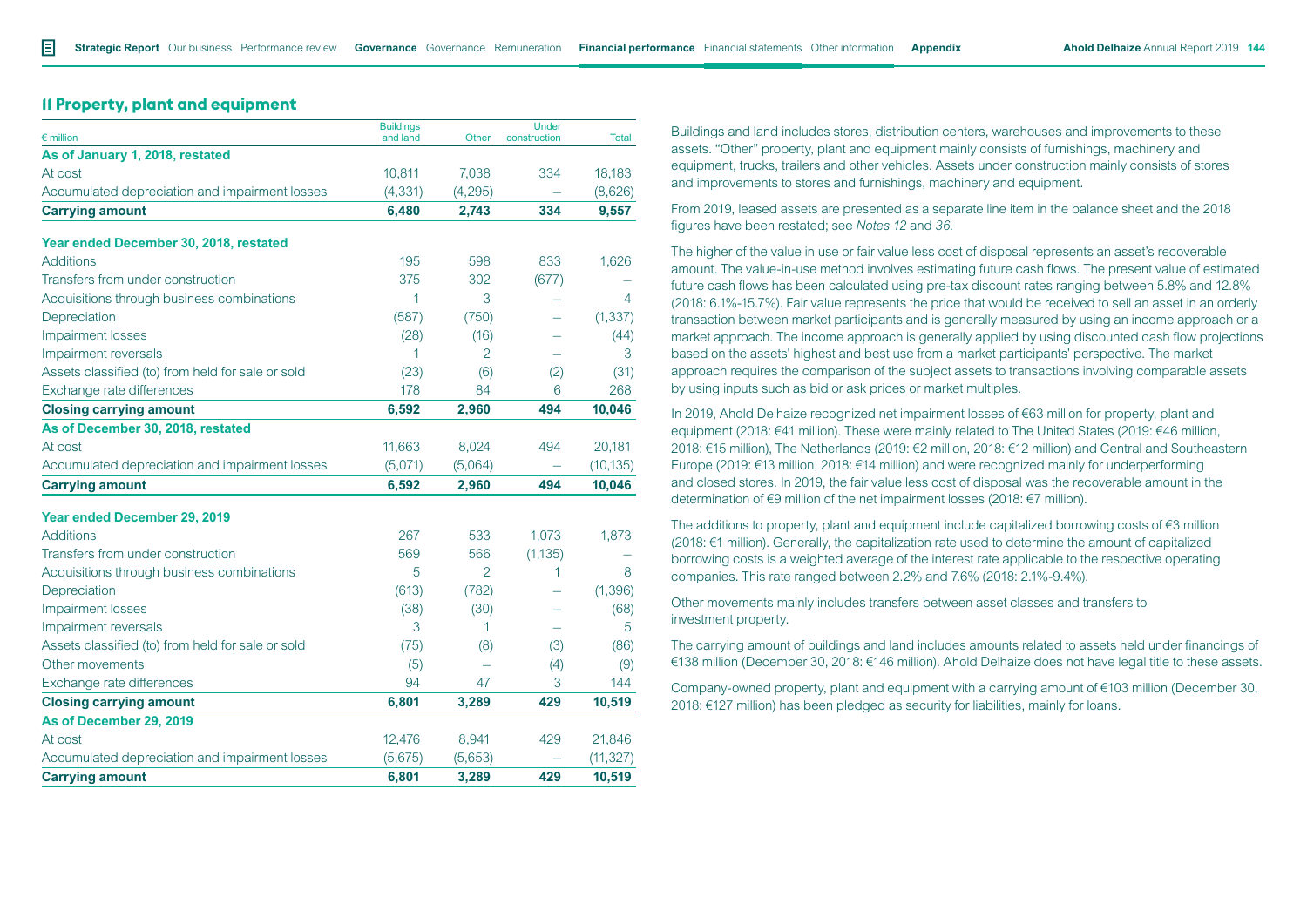# **11 Property, plant and equipment**

| $\epsilon$ million                                | <b>Buildings</b><br>and land | Other          | <b>Under</b><br>construction | <b>Total</b> |
|---------------------------------------------------|------------------------------|----------------|------------------------------|--------------|
| As of January 1, 2018, restated                   |                              |                |                              |              |
| At cost                                           | 10,811                       | 7,038          | 334                          | 18,183       |
| Accumulated depreciation and impairment losses    | (4, 331)                     | (4, 295)       |                              | (8,626)      |
| <b>Carrying amount</b>                            | 6,480                        | 2,743          | 334                          | 9,557        |
| Year ended December 30, 2018, restated            |                              |                |                              |              |
| <b>Additions</b>                                  | 195                          | 598            | 833                          | 1,626        |
| Transfers from under construction                 | 375                          | 302            | (677)                        |              |
| Acquisitions through business combinations        | 1                            | 3              |                              | 4            |
| Depreciation                                      | (587)                        | (750)          |                              | (1, 337)     |
| Impairment losses                                 | (28)                         | (16)           |                              | (44)         |
| Impairment reversals                              | 1                            | $\overline{2}$ |                              | 3            |
| Assets classified (to) from held for sale or sold | (23)                         | (6)            | (2)                          | (31)         |
| Exchange rate differences                         | 178                          | 84             | 6                            | 268          |
| <b>Closing carrying amount</b>                    | 6,592                        | 2,960          | 494                          | 10,046       |
| As of December 30, 2018, restated                 |                              |                |                              |              |
| At cost                                           | 11,663                       | 8,024          | 494                          | 20,181       |
| Accumulated depreciation and impairment losses    | (5,071)                      | (5,064)        |                              | (10, 135)    |
| <b>Carrying amount</b>                            | 6,592                        | 2,960          | 494                          | 10,046       |
| Year ended December 29, 2019                      |                              |                |                              |              |
| <b>Additions</b>                                  | 267                          | 533            | 1,073                        | 1,873        |
| Transfers from under construction                 | 569                          | 566            | (1, 135)                     |              |
| Acquisitions through business combinations        | 5                            | $\mathfrak{D}$ | 1                            | 8            |
| Depreciation                                      | (613)                        | (782)          |                              | (1, 396)     |
| Impairment losses                                 | (38)                         | (30)           |                              | (68)         |
| Impairment reversals                              | 3                            | 1              |                              | 5            |
| Assets classified (to) from held for sale or sold | (75)                         | (8)            | (3)                          | (86)         |
| Other movements                                   | (5)                          |                | (4)                          | (9)          |
| Exchange rate differences                         | 94                           | 47             | 3                            | 144          |
| <b>Closing carrying amount</b>                    | 6,801                        | 3,289          | 429                          | 10,519       |
| As of December 29, 2019                           |                              |                |                              |              |
| At cost                                           | 12,476                       | 8,941          | 429                          | 21,846       |
| Accumulated depreciation and impairment losses    | (5,675)                      | (5,653)        |                              | (11, 327)    |
| <b>Carrying amount</b>                            | 6,801                        | 3,289          | 429                          | 10,519       |

Buildings and land includes stores, distribution centers, warehouses and improvements to these assets. "Other" property, plant and equipment mainly consists of furnishings, machinery and equipment, trucks, trailers and other vehicles. Assets under construction mainly consists of stores and improvements to stores and furnishings, machinery and equipment.

From 2019, leased assets are presented as a separate line item in the balance sheet and the 2018 figures have been restated; see *Notes 12* and *36*.

The higher of the value in use or fair value less cost of disposal represents an asset's recoverable amount. The value-in-use method involves estimating future cash flows. The present value of estimated future cash flows has been calculated using pre-tax discount rates ranging between 5.8% and 12.8% (2018: 6.1%-15.7%). Fair value represents the price that would be received to sell an asset in an orderly transaction between market participants and is generally measured by using an income approach or a market approach. The income approach is generally applied by using discounted cash flow projections based on the assets' highest and best use from a market participants' perspective. The market approach requires the comparison of the subject assets to transactions involving comparable assets by using inputs such as bid or ask prices or market multiples.

In 2019, Ahold Delhaize recognized net impairment losses of €63 million for property, plant and equipment (2018: €41 million). These were mainly related to The United States (2019: €46 million, 2018: €15 million), The Netherlands (2019: €2 million, 2018: €12 million) and Central and Southeastern Europe (2019: €13 million, 2018: €14 million) and were recognized mainly for underperforming and closed stores. In 2019, the fair value less cost of disposal was the recoverable amount in the determination of €9 million of the net impairment losses (2018: €7 million).

The additions to property, plant and equipment include capitalized borrowing costs of €3 million (2018: €1 million). Generally, the capitalization rate used to determine the amount of capitalized borrowing costs is a weighted average of the interest rate applicable to the respective operating companies. This rate ranged between 2.2% and 7.6% (2018: 2.1%-9.4%).

Other movements mainly includes transfers between asset classes and transfers to investment property.

The carrying amount of buildings and land includes amounts related to assets held under financings of €138 million (December 30, 2018: €146 million). Ahold Delhaize does not have legal title to these assets.

Company-owned property, plant and equipment with a carrying amount of €103 million (December 30, 2018: €127 million) has been pledged as security for liabilities, mainly for loans.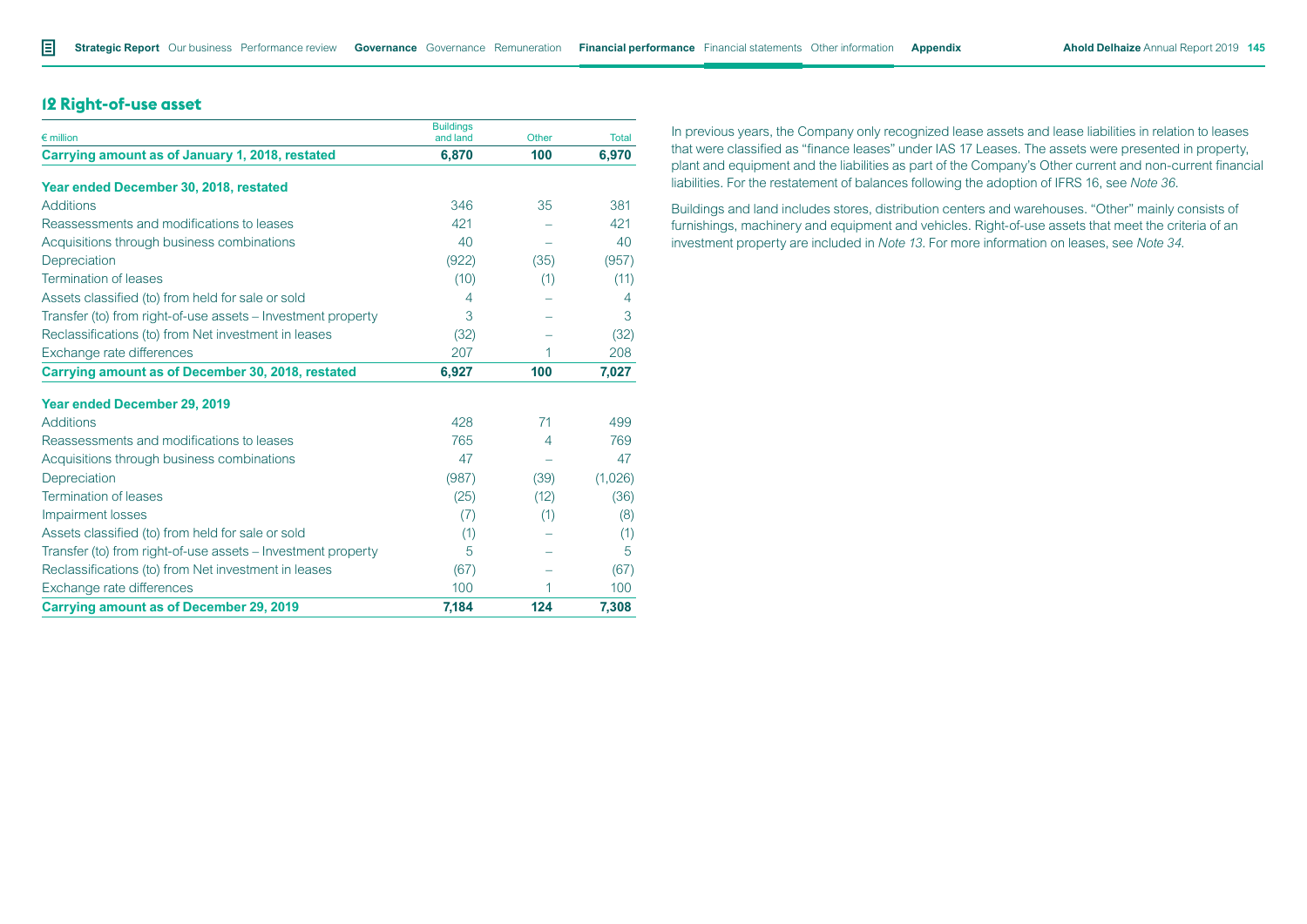# **12 Right-of-use asset**

| $\epsilon$ million                                           | <b>Buildings</b><br>and land | Other | <b>Total</b> |
|--------------------------------------------------------------|------------------------------|-------|--------------|
| Carrying amount as of January 1, 2018, restated              | 6,870                        | 100   | 6,970        |
| Year ended December 30, 2018, restated                       |                              |       |              |
| <b>Additions</b>                                             | 346                          | 35    | 381          |
| Reassessments and modifications to leases                    | 421                          |       | 421          |
| Acquisitions through business combinations                   | 40                           |       | 40           |
| Depreciation                                                 | (922)                        | (35)  | (957)        |
| Termination of leases                                        | (10)                         | (1)   | (11)         |
| Assets classified (to) from held for sale or sold            | 4                            |       | 4            |
| Transfer (to) from right-of-use assets – Investment property | 3                            |       | 3            |
| Reclassifications (to) from Net investment in leases         | (32)                         |       | (32)         |
| Exchange rate differences                                    | 207                          | 1     | 208          |
| Carrying amount as of December 30, 2018, restated            | 6,927                        | 100   | 7,027        |
| <b>Year ended December 29, 2019</b>                          |                              |       |              |
| <b>Additions</b>                                             | 428                          | 71    | 499          |
| Reassessments and modifications to leases                    | 765                          | 4     | 769          |
| Acquisitions through business combinations                   | 47                           |       | 47           |
| Depreciation                                                 | (987)                        | (39)  | (1,026)      |
| Termination of leases                                        | (25)                         | (12)  | (36)         |
| <b>Impairment losses</b>                                     | (7)                          | (1)   | (8)          |
| Assets classified (to) from held for sale or sold            | (1)                          |       | (1)          |
| Transfer (to) from right-of-use assets - Investment property | 5                            |       | 5            |
| Reclassifications (to) from Net investment in leases         | (67)                         |       | (67)         |
| Exchange rate differences                                    | 100                          | 1     | 100          |
| <b>Carrying amount as of December 29, 2019</b>               | 7,184                        | 124   | 7,308        |

In previous years, the Company only recognized lease assets and lease liabilities in relation to leases that were classified as "finance leases" under IAS 17 Leases. The assets were presented in property, plant and equipment and the liabilities as part of the Company's Other current and non-current financial liabilities. For the restatement of balances following the adoption of IFRS 16, see *Note 36*.

Buildings and land includes stores, distribution centers and warehouses. "Other" mainly consists of furnishings, machinery and equipment and vehicles. Right-of-use assets that meet the criteria of an investment property are included in *Note 13.* For more information on leases, see *Note 34*.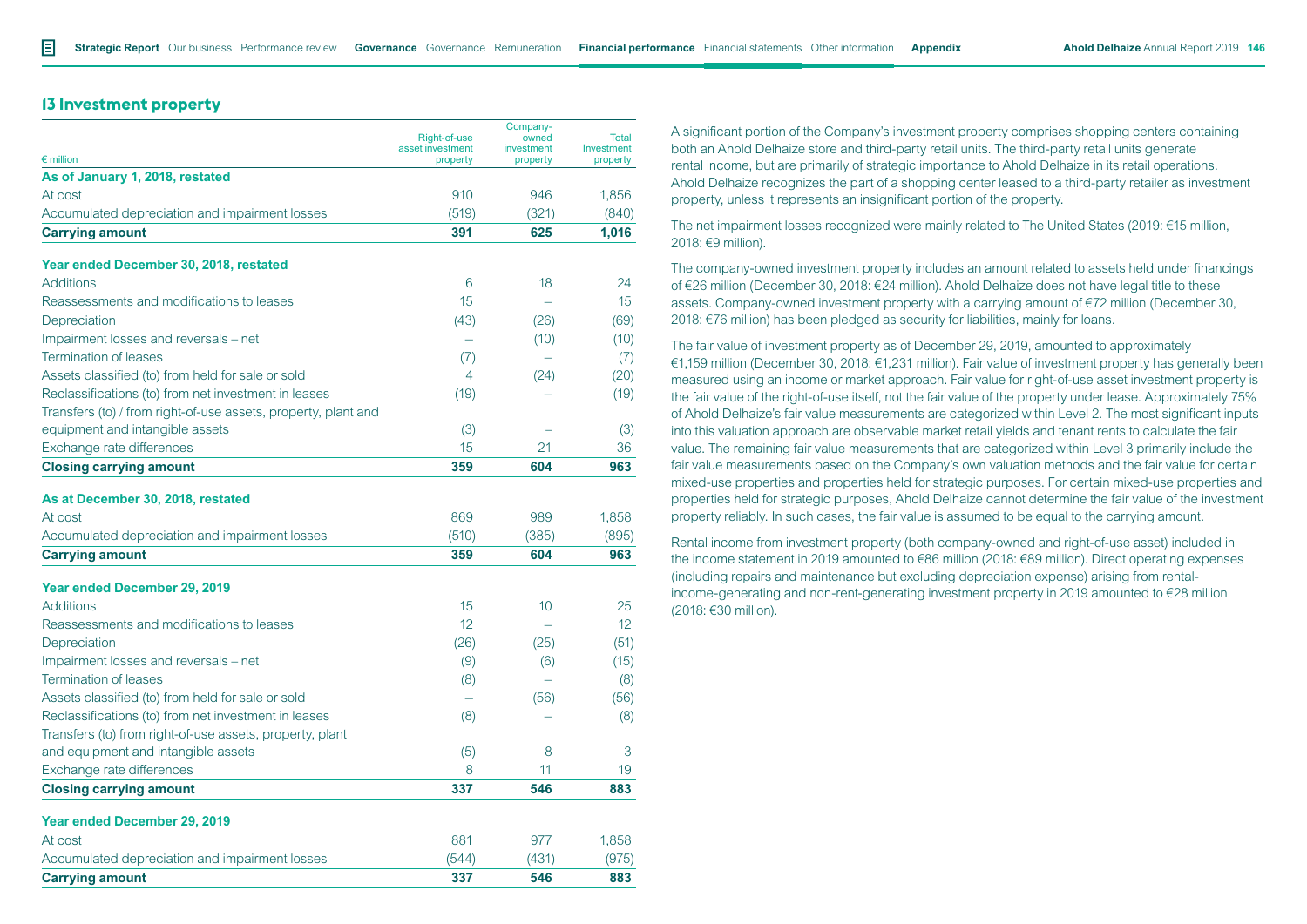# **13 Investment property**

|                                                                |                                  | Company-            |                     |
|----------------------------------------------------------------|----------------------------------|---------------------|---------------------|
|                                                                | Right-of-use<br>asset investment | owned<br>investment | Total<br>Investment |
| $\epsilon$ million                                             | property                         | property            | property            |
| As of January 1, 2018, restated                                |                                  |                     |                     |
| At cost                                                        | 910                              | 946                 | 1.856               |
| Accumulated depreciation and impairment losses                 | (519)                            | (321)               | (840)               |
| <b>Carrying amount</b>                                         | 391                              | 625                 | 1,016               |
| Year ended December 30, 2018, restated                         |                                  |                     |                     |
| <b>Additions</b>                                               | 6                                | 18                  | 24                  |
| Reassessments and modifications to leases                      | 15                               |                     | 15 <sup>2</sup>     |
| Depreciation                                                   | (43)                             | (26)                | (69)                |
| Impairment losses and reversals – net                          |                                  | (10)                | (10)                |
| <b>Termination of leases</b>                                   | (7)                              |                     | (7)                 |
| Assets classified (to) from held for sale or sold              | 4                                | (24)                | (20)                |
| Reclassifications (to) from net investment in leases           | (19)                             |                     | (19)                |
| Transfers (to) / from right-of-use assets, property, plant and |                                  |                     |                     |
| equipment and intangible assets                                | (3)                              |                     | (3)                 |
| Exchange rate differences                                      | 15                               | 21                  | 36                  |
| <b>Closing carrying amount</b>                                 | 359                              | 604                 | 963                 |
|                                                                |                                  |                     |                     |
| As at December 30, 2018, restated                              |                                  |                     |                     |
| At cost                                                        | 869                              | 989                 | 1.858               |
| Accumulated depreciation and impairment losses                 | (510)                            | (385)               | (895)               |
| <b>Carrying amount</b>                                         | 359                              | 604                 | 963                 |
| Year ended December 29, 2019                                   |                                  |                     |                     |
| <b>Additions</b>                                               | 15                               | 10                  | 25                  |
| Reassessments and modifications to leases                      | 12                               |                     | 12 <sup>°</sup>     |
| Depreciation                                                   | (26)                             | (25)                | (51)                |
| Impairment losses and reversals – net                          | (9)                              | (6)                 | (15)                |
| <b>Termination of leases</b>                                   | (8)                              |                     | (8)                 |
| Assets classified (to) from held for sale or sold              |                                  | (56)                | (56)                |
| Reclassifications (to) from net investment in leases           | (8)                              |                     | (8)                 |
| Transfers (to) from right-of-use assets, property, plant       |                                  |                     |                     |
| and equipment and intangible assets                            | (5)                              | 8                   | 3                   |
| Exchange rate differences                                      | 8                                | 11                  | 19                  |
| <b>Closing carrying amount</b>                                 | 337                              | 546                 | 883                 |
|                                                                |                                  |                     |                     |
| <b>Year ended December 29, 2019</b>                            |                                  |                     |                     |
| At cost                                                        | 881                              | 977                 | 1,858               |
| Accumulated depreciation and impairment losses                 | (544)                            | (431)               | (975)               |
| <b>Carrying amount</b>                                         | 337                              | 546                 | 883                 |

A significant portion of the Company's investment property comprises shopping centers containing both an Ahold Delhaize store and third-party retail units. The third-party retail units generate rental income, but are primarily of strategic importance to Ahold Delhaize in its retail operations. Ahold Delhaize recognizes the part of a shopping center leased to a third-party retailer as investment property, unless it represents an insignificant portion of the property.

The net impairment losses recognized were mainly related to The United States (2019: €15 million, 2018: €9 million).

The company-owned investment property includes an amount related to assets held under financings of €26 million (December 30, 2018: €24 million). Ahold Delhaize does not have legal title to these assets. Company-owned investment property with a carrying amount of €72 million (December 30, 2018: €76 million) has been pledged as security for liabilities, mainly for loans.

The fair value of investment property as of December 29, 2019, amounted to approximately €1,159 million (December 30, 2018: €1,231 million). Fair value of investment property has generally been measured using an income or market approach. Fair value for right-of-use asset investment property is the fair value of the right-of-use itself, not the fair value of the property under lease. Approximately 75% of Ahold Delhaize's fair value measurements are categorized within Level 2. The most significant inputs into this valuation approach are observable market retail yields and tenant rents to calculate the fair value. The remaining fair value measurements that are categorized within Level 3 primarily include the fair value measurements based on the Company's own valuation methods and the fair value for certain mixed-use properties and properties held for strategic purposes. For certain mixed-use properties and properties held for strategic purposes, Ahold Delhaize cannot determine the fair value of the investment property reliably. In such cases, the fair value is assumed to be equal to the carrying amount.

Rental income from investment property (both company-owned and right-of-use asset) included in the income statement in 2019 amounted to €86 million (2018: €89 million). Direct operating expenses (including repairs and maintenance but excluding depreciation expense) arising from rentalincome-generating and non-rent-generating investment property in 2019 amounted to €28 million (2018: €30 million).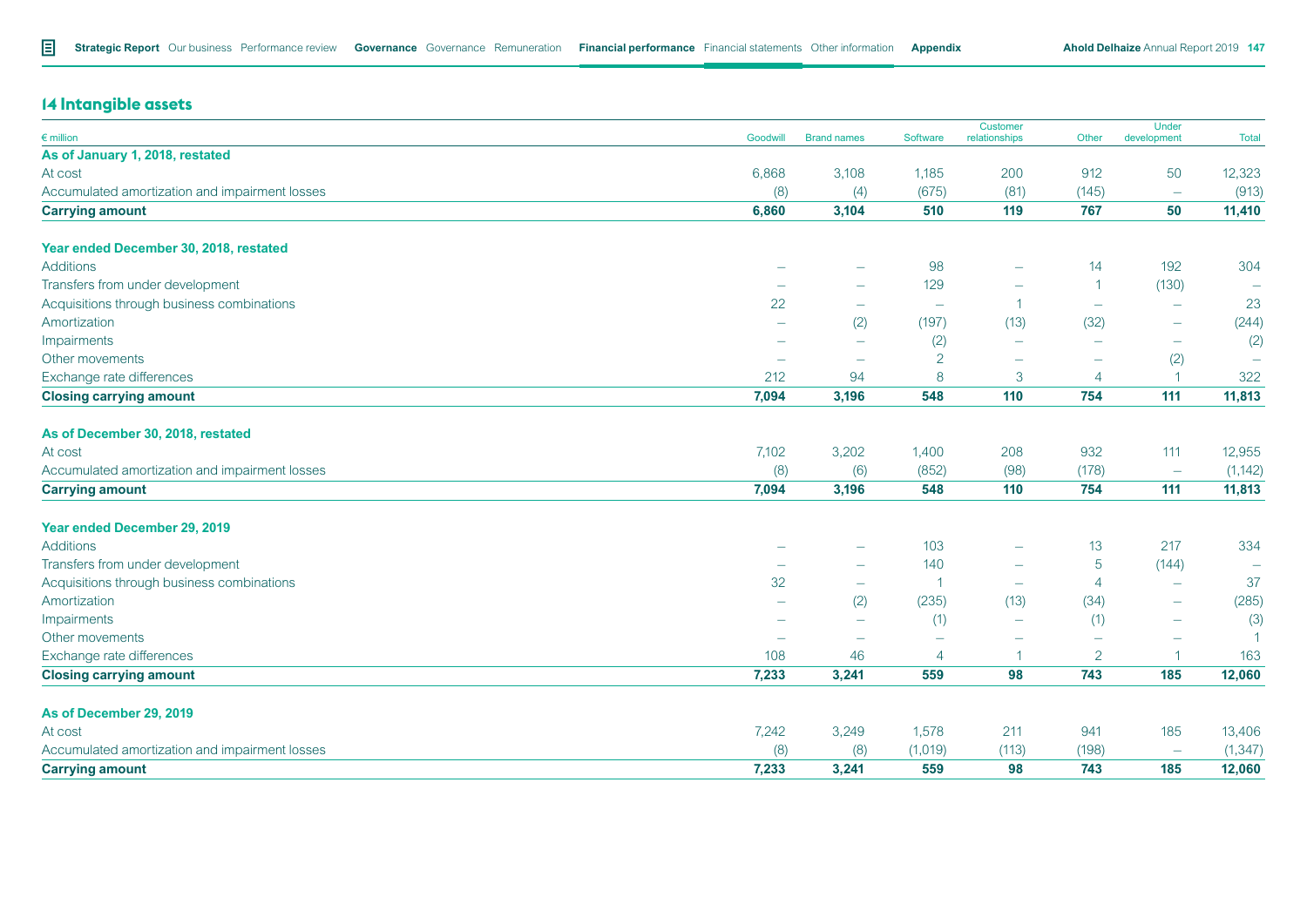# **14 Intangible assets**

| $\epsilon$ million                             | Goodwill                 | <b>Brand names</b>       | Software                 | Customer<br>relationships | Other                    | Under<br>development     | <b>Total</b>             |
|------------------------------------------------|--------------------------|--------------------------|--------------------------|---------------------------|--------------------------|--------------------------|--------------------------|
| As of January 1, 2018, restated                |                          |                          |                          |                           |                          |                          |                          |
| At cost                                        | 6,868                    | 3,108                    | 1,185                    | 200                       | 912                      | 50                       | 12,323                   |
| Accumulated amortization and impairment losses | (8)                      | (4)                      | (675)                    | (81)                      | (145)                    | $\overline{\phantom{a}}$ | (913)                    |
| <b>Carrying amount</b>                         | 6,860                    | 3,104                    | 510                      | 119                       | 767                      | 50                       | 11,410                   |
| Year ended December 30, 2018, restated         |                          |                          |                          |                           |                          |                          |                          |
| <b>Additions</b>                               |                          |                          | 98                       | -                         | 14                       | 192                      | 304                      |
| Transfers from under development               | -                        |                          | 129                      | -                         | $\overline{1}$           | (130)                    | $\overline{\phantom{m}}$ |
| Acquisitions through business combinations     | 22                       | $\overline{\phantom{0}}$ | $\overline{\phantom{m}}$ | -1                        | $\overline{\phantom{m}}$ | $\overline{\phantom{m}}$ | 23                       |
| Amortization                                   | $\overline{\phantom{m}}$ | (2)                      | (197)                    | (13)                      | (32)                     | $\overline{\phantom{m}}$ | (244)                    |
| Impairments                                    | $\overline{\phantom{0}}$ | $\overline{\phantom{0}}$ | (2)                      | $\overline{\phantom{0}}$  |                          | $\overline{\phantom{m}}$ | (2)                      |
| Other movements                                |                          | $\overline{\phantom{0}}$ | $\overline{2}$           |                           |                          | (2)                      | $\overline{\phantom{a}}$ |
| Exchange rate differences                      | 212                      | 94                       | 8                        | 3                         | $\overline{4}$           | -1                       | 322                      |
| <b>Closing carrying amount</b>                 | 7,094                    | 3,196                    | 548                      | 110                       | 754                      | 111                      | 11,813                   |
| As of December 30, 2018, restated              |                          |                          |                          |                           |                          |                          |                          |
| At cost                                        | 7,102                    | 3,202                    | 1,400                    | 208                       | 932                      | 111                      | 12,955                   |
| Accumulated amortization and impairment losses | (8)                      | (6)                      | (852)                    | (98)                      | (178)                    | $\overline{\phantom{m}}$ | (1, 142)                 |
| <b>Carrying amount</b>                         | 7,094                    | 3,196                    | 548                      | 110                       | 754                      | 111                      | 11,813                   |
| Year ended December 29, 2019                   |                          |                          |                          |                           |                          |                          |                          |
| <b>Additions</b>                               |                          |                          | 103                      |                           | 13                       | 217                      | 334                      |
| Transfers from under development               | $\overline{\phantom{0}}$ | $\overline{\phantom{a}}$ | 140                      | -                         | $\overline{5}$           | (144)                    | $\overline{\phantom{m}}$ |
| Acquisitions through business combinations     | 32                       | $\overline{\phantom{m}}$ |                          | $\overline{\phantom{0}}$  | $\overline{4}$           | $\overline{\phantom{0}}$ | 37                       |
| Amortization                                   | -                        | (2)                      | (235)                    | (13)                      | (34)                     |                          | (285)                    |
| Impairments                                    | $\overline{\phantom{0}}$ | $\overline{\phantom{0}}$ | (1)                      | $\overline{\phantom{0}}$  | (1)                      | $\overline{\phantom{0}}$ | (3)                      |
| Other movements                                | $\overline{\phantom{0}}$ | $\overline{\phantom{a}}$ |                          |                           |                          |                          | $\blacktriangleleft$     |
| Exchange rate differences                      | 108                      | 46                       | $\overline{4}$           | -1                        | $\overline{2}$           | $\overline{1}$           | 163                      |
| <b>Closing carrying amount</b>                 | 7,233                    | 3,241                    | 559                      | 98                        | 743                      | 185                      | 12,060                   |
| As of December 29, 2019                        |                          |                          |                          |                           |                          |                          |                          |
| At cost                                        | 7,242                    | 3,249                    | 1,578                    | 211                       | 941                      | 185                      | 13,406                   |
| Accumulated amortization and impairment losses | (8)                      | (8)                      | (1,019)                  | (113)                     | (198)                    | $\overline{\phantom{m}}$ | (1, 347)                 |
| <b>Carrying amount</b>                         | 7,233                    | 3,241                    | 559                      | 98                        | 743                      | 185                      | 12,060                   |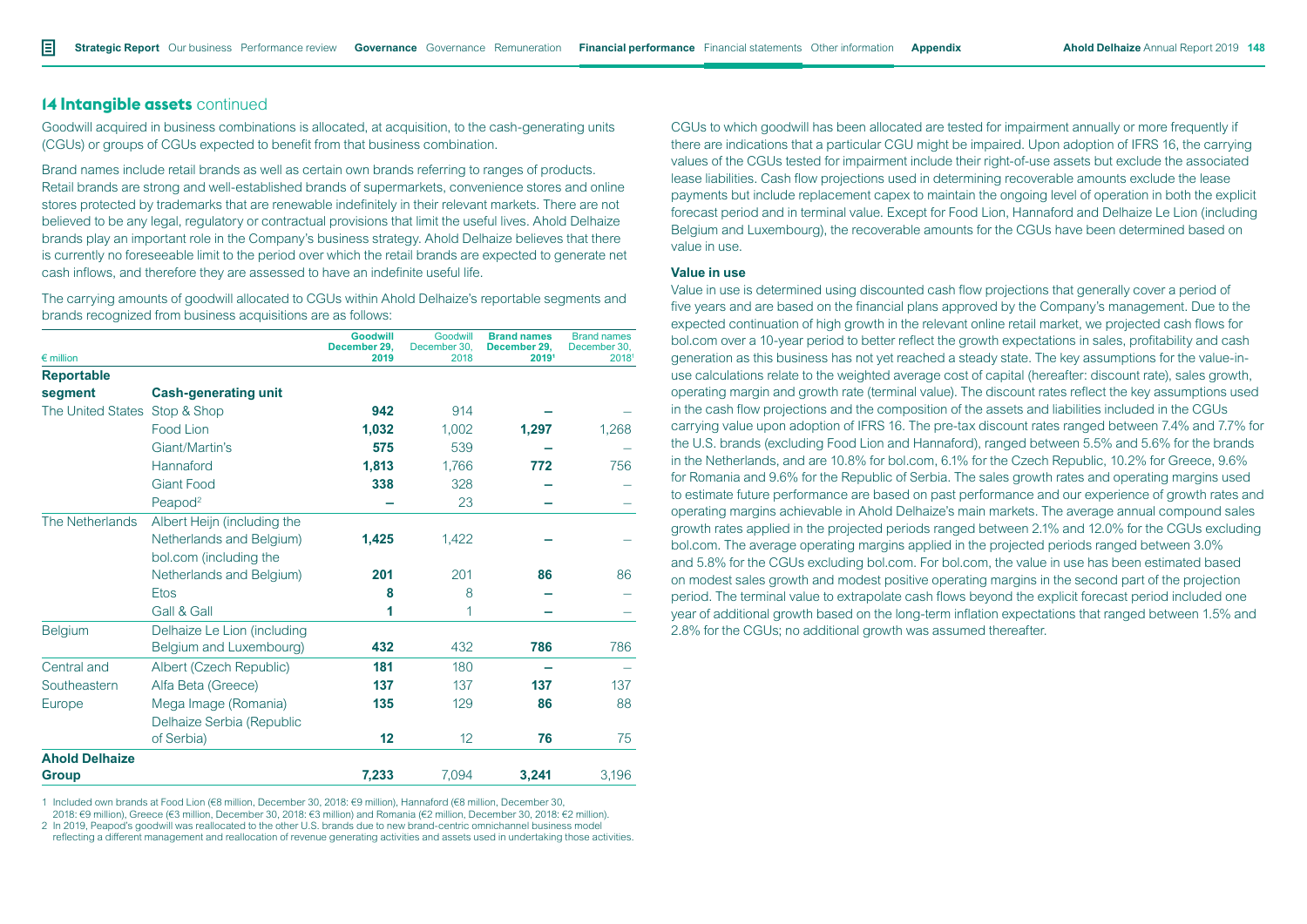# **14 Intangible assets** continued

Goodwill acquired in business combinations is allocated, at acquisition, to the cash-generating units (CGUs) or groups of CGUs expected to benefit from that business combination.

Brand names include retail brands as well as certain own brands referring to ranges of products. Retail brands are strong and well-established brands of supermarkets, convenience stores and online stores protected by trademarks that are renewable indefinitely in their relevant markets. There are not believed to be any legal, regulatory or contractual provisions that limit the useful lives. Ahold Delhaize brands play an important role in the Company's business strategy. Ahold Delhaize believes that there is currently no foreseeable limit to the period over which the retail brands are expected to generate net cash inflows, and therefore they are assessed to have an indefinite useful life.

The carrying amounts of goodwill allocated to CGUs within Ahold Delhaize's reportable segments and brands recognized from business acquisitions are as follows:

| $\epsilon$ million    |                             | <b>Goodwill</b><br>December 29,<br>2019 | Goodwill<br>December 30,<br>2018 | <b>Brand names</b><br>December 29,<br>20191 | <b>Brand names</b><br>December 30.<br>20181 |
|-----------------------|-----------------------------|-----------------------------------------|----------------------------------|---------------------------------------------|---------------------------------------------|
| <b>Reportable</b>     |                             |                                         |                                  |                                             |                                             |
| segment               | <b>Cash-generating unit</b> |                                         |                                  |                                             |                                             |
| The United States     | Stop & Shop                 | 942                                     | 914                              |                                             |                                             |
|                       | Food Lion                   | 1,032                                   | 1,002                            | 1,297                                       | 1,268                                       |
|                       | Giant/Martin's              | 575                                     | 539                              |                                             |                                             |
|                       | Hannaford                   | 1,813                                   | 1,766                            | 772                                         | 756                                         |
|                       | <b>Giant Food</b>           | 338                                     | 328                              |                                             |                                             |
|                       | Peapod <sup>2</sup>         |                                         | 23                               |                                             |                                             |
| The Netherlands       | Albert Heijn (including the |                                         |                                  |                                             |                                             |
|                       | Netherlands and Belgium)    | 1,425                                   | 1,422                            |                                             |                                             |
|                       | bol.com (including the      |                                         |                                  |                                             |                                             |
|                       | Netherlands and Belgium)    | 201                                     | 201                              | 86                                          | 86                                          |
|                       | <b>Etos</b>                 | 8                                       | 8                                |                                             |                                             |
|                       | Gall & Gall                 | 1                                       | 1                                |                                             |                                             |
| <b>Belgium</b>        | Delhaize Le Lion (including |                                         |                                  |                                             |                                             |
|                       | Belgium and Luxembourg)     | 432                                     | 432                              | 786                                         | 786                                         |
| Central and           | Albert (Czech Republic)     | 181                                     | 180                              |                                             |                                             |
| Southeastern          | Alfa Beta (Greece)          | 137                                     | 137                              | 137                                         | 137                                         |
| Europe                | Mega Image (Romania)        | 135                                     | 129                              | 86                                          | 88                                          |
|                       | Delhaize Serbia (Republic   |                                         |                                  |                                             |                                             |
|                       | of Serbia)                  | 12                                      | 12                               | 76                                          | 75                                          |
| <b>Ahold Delhaize</b> |                             |                                         |                                  |                                             |                                             |
| <b>Group</b>          |                             | 7,233                                   | 7,094                            | 3,241                                       | 3,196                                       |

1 Included own brands at Food Lion (€8 million, December 30, 2018: €9 million), Hannaford (€8 million, December 30, 2018: €9 million), Greece (€3 million, December 30, 2018: €3 million) and Romania (€2 million, December 30, 2018: €2 million).

2 In 2019, Peapod's goodwill was reallocated to the other U.S. brands due to new brand-centric omnichannel business model

reflecting a different management and reallocation of revenue generating activities and assets used in undertaking those activities.

CGUs to which goodwill has been allocated are tested for impairment annually or more frequently if there are indications that a particular CGU might be impaired. Upon adoption of IFRS 16, the carrying values of the CGUs tested for impairment include their right-of-use assets but exclude the associated lease liabilities. Cash flow projections used in determining recoverable amounts exclude the lease payments but include replacement capex to maintain the ongoing level of operation in both the explicit forecast period and in terminal value. Except for Food Lion, Hannaford and Delhaize Le Lion (including Belgium and Luxembourg), the recoverable amounts for the CGUs have been determined based on value in use.

#### **Value in use**

Value in use is determined using discounted cash flow projections that generally cover a period of five years and are based on the financial plans approved by the Company's management. Due to the expected continuation of high growth in the relevant online retail market, we projected cash flows for bol.com over a 10-year period to better reflect the growth expectations in sales, profitability and cash generation as this business has not yet reached a steady state. The key assumptions for the value-inuse calculations relate to the weighted average cost of capital (hereafter: discount rate), sales growth, operating margin and growth rate (terminal value). The discount rates reflect the key assumptions used in the cash flow projections and the composition of the assets and liabilities included in the CGUs carrying value upon adoption of IFRS 16. The pre-tax discount rates ranged between 7.4% and 7.7% for the U.S. brands (excluding Food Lion and Hannaford), ranged between 5.5% and 5.6% for the brands in the Netherlands, and are 10.8% for bol.com, 6.1% for the Czech Republic, 10.2% for Greece, 9.6% for Romania and 9.6% for the Republic of Serbia. The sales growth rates and operating margins used to estimate future performance are based on past performance and our experience of growth rates and operating margins achievable in Ahold Delhaize's main markets. The average annual compound sales growth rates applied in the projected periods ranged between 2.1% and 12.0% for the CGUs excluding bol.com. The average operating margins applied in the projected periods ranged between 3.0% and 5.8% for the CGUs excluding bol.com. For bol.com, the value in use has been estimated based on modest sales growth and modest positive operating margins in the second part of the projection period. The terminal value to extrapolate cash flows beyond the explicit forecast period included one year of additional growth based on the long-term inflation expectations that ranged between 1.5% and 2.8% for the CGUs; no additional growth was assumed thereafter.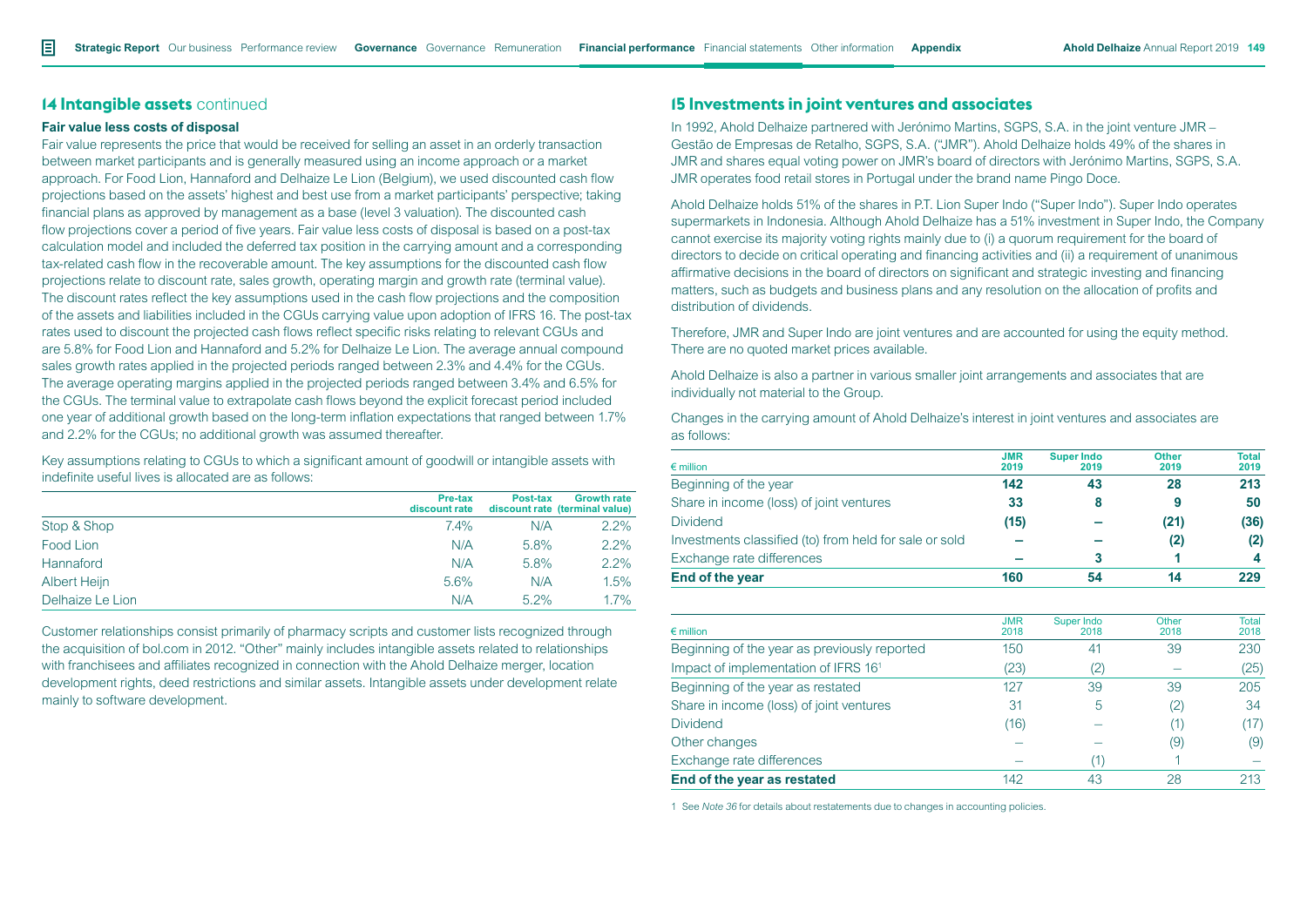# **14 Intangible assets** continued

#### **Fair value less costs of disposal**

Fair value represents the price that would be received for selling an asset in an orderly transaction between market participants and is generally measured using an income approach or a market approach. For Food Lion, Hannaford and Delhaize Le Lion (Belgium), we used discounted cash flow projections based on the assets' highest and best use from a market participants' perspective; taking financial plans as approved by management as a base (level 3 valuation). The discounted cash flow projections cover a period of five years. Fair value less costs of disposal is based on a post-tax calculation model and included the deferred tax position in the carrying amount and a corresponding tax-related cash flow in the recoverable amount. The key assumptions for the discounted cash flow projections relate to discount rate, sales growth, operating margin and growth rate (terminal value). The discount rates reflect the key assumptions used in the cash flow projections and the composition of the assets and liabilities included in the CGUs carrying value upon adoption of IFRS 16. The post-tax rates used to discount the projected cash flows reflect specific risks relating to relevant CGUs and are 5.8% for Food Lion and Hannaford and 5.2% for Delhaize Le Lion. The average annual compound sales growth rates applied in the projected periods ranged between 2.3% and 4.4% for the CGUs. The average operating margins applied in the projected periods ranged between 3.4% and 6.5% for the CGUs. The terminal value to extrapolate cash flows beyond the explicit forecast period included one year of additional growth based on the long-term inflation expectations that ranged between 1.7% and 2.2% for the CGUs; no additional growth was assumed thereafter.

Key assumptions relating to CGUs to which a significant amount of goodwill or intangible assets with indefinite useful lives is allocated are as follows:

|                  | Pre-tax<br>discount rate | Post-tax | <b>Growth rate</b><br>discount rate (terminal value) |
|------------------|--------------------------|----------|------------------------------------------------------|
| Stop & Shop      | $7.4\%$                  | N/A      | 2.2%                                                 |
| Food Lion        | N/A                      | 5.8%     | 2.2%                                                 |
| Hannaford        | N/A                      | 5.8%     | 2.2%                                                 |
| Albert Heijn     | 5.6%                     | N/A      | 1.5%                                                 |
| Delhaize Le Lion | N/A                      | $5.2\%$  | 1.7%                                                 |

Customer relationships consist primarily of pharmacy scripts and customer lists recognized through the acquisition of bol.com in 2012. "Other" mainly includes intangible assets related to relationships with franchisees and affiliates recognized in connection with the Ahold Delhaize merger, location development rights, deed restrictions and similar assets. Intangible assets under development relate mainly to software development.

# **15 Investments in joint ventures and associates**

In 1992, Ahold Delhaize partnered with Jerónimo Martins, SGPS, S.A. in the joint venture JMR – Gestão de Empresas de Retalho, SGPS, S.A. ("JMR"). Ahold Delhaize holds 49% of the shares in JMR and shares equal voting power on JMR's board of directors with Jerónimo Martins, SGPS, S.A. JMR operates food retail stores in Portugal under the brand name Pingo Doce.

Ahold Delhaize holds 51% of the shares in P.T. Lion Super Indo ("Super Indo"). Super Indo operates supermarkets in Indonesia. Although Ahold Delhaize has a 51% investment in Super Indo, the Company cannot exercise its majority voting rights mainly due to (i) a quorum requirement for the board of directors to decide on critical operating and financing activities and (ii) a requirement of unanimous affirmative decisions in the board of directors on significant and strategic investing and financing matters, such as budgets and business plans and any resolution on the allocation of profits and distribution of dividends.

Therefore, JMR and Super Indo are joint ventures and are accounted for using the equity method. There are no quoted market prices available.

Ahold Delhaize is also a partner in various smaller joint arrangements and associates that are individually not material to the Group.

Changes in the carrying amount of Ahold Delhaize's interest in joint ventures and associates are as follows:

|    | 2019 | <b>Total</b><br>2019 |
|----|------|----------------------|
| 43 | 28   | 213                  |
| 8  | 9    | 50                   |
|    | (21) | (36)                 |
|    | (2)  | (2)                  |
| 3  |      | 4                    |
| 54 | 14   | 229                  |
|    | 2019 | <b>Super Indo</b>    |

| $\epsilon$ million                               | <b>JMR</b><br>2018 | Super Indo<br>2018 | Other<br>2018 | Total<br>2018 |
|--------------------------------------------------|--------------------|--------------------|---------------|---------------|
|                                                  |                    |                    |               |               |
| Beginning of the year as previously reported     | 150                | 41                 | 39            | 230           |
| Impact of implementation of IFRS 16 <sup>1</sup> | (23)               | 2                  |               | (25)          |
| Beginning of the year as restated                | 127                | 39                 | 39            | 205           |
| Share in income (loss) of joint ventures         | 31                 | 5                  | 2)            | 34            |
| <b>Dividend</b>                                  | (16)               |                    |               | (17)          |
| Other changes                                    |                    |                    | (9)           | (9)           |
| Exchange rate differences                        |                    |                    |               |               |
| End of the year as restated                      | 142                | 43                 | 28            | 213           |

1 See *Note 36* for details about restatements due to changes in accounting policies.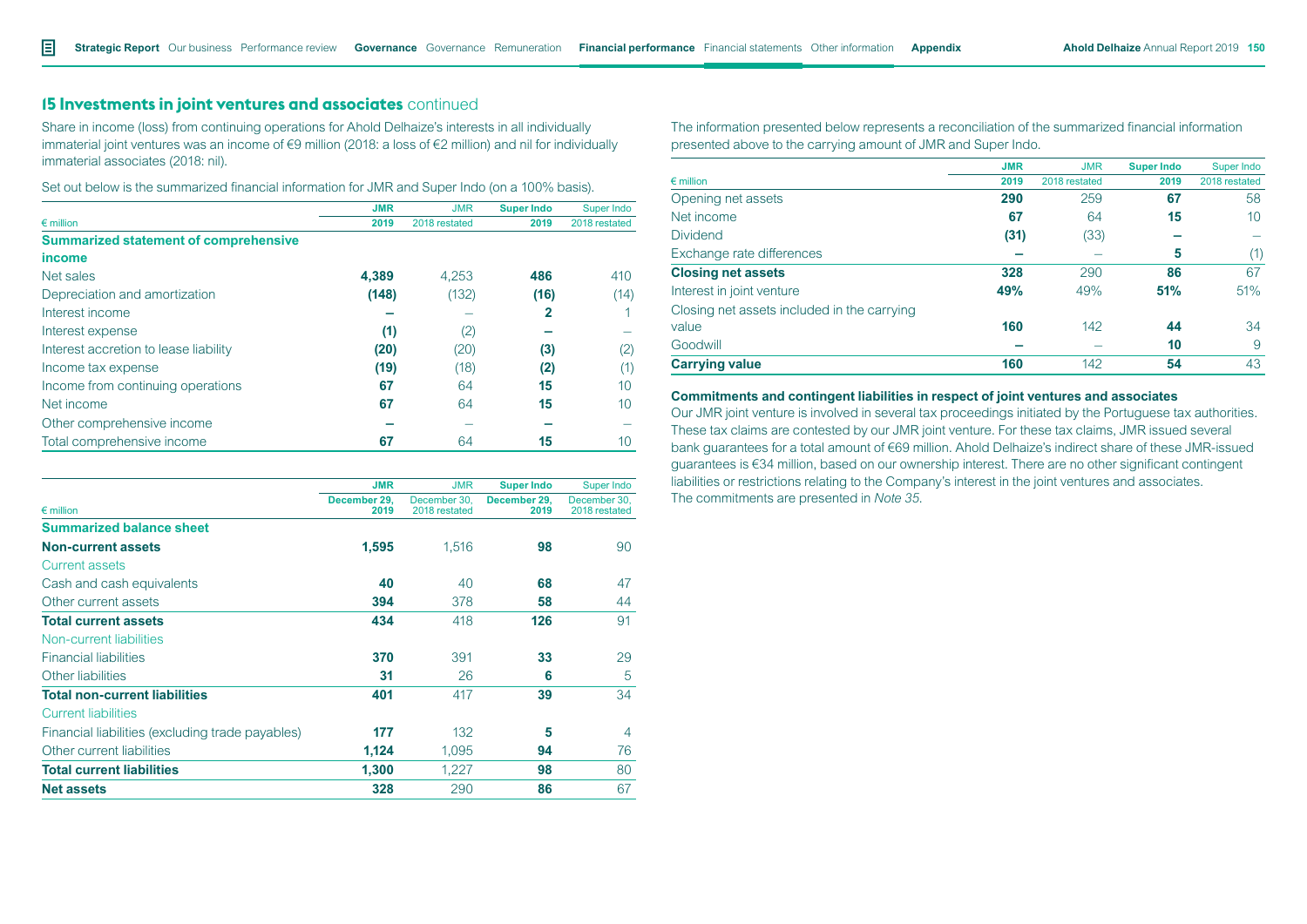# **15 Investments in joint ventures and associates** continued

Share in income (loss) from continuing operations for Ahold Delhaize's interests in all individually immaterial joint ventures was an income of €9 million (2018: a loss of €2 million) and nil for individually immaterial associates (2018: nil).

| Set out below is the summarized financial information for JMR and Super Indo (on a 100% basis). |  |  |  |
|-------------------------------------------------------------------------------------------------|--|--|--|
|-------------------------------------------------------------------------------------------------|--|--|--|

|                                              | <b>JMR</b> | <b>JMR</b>    | <b>Super Indo</b> | Super Indo    |
|----------------------------------------------|------------|---------------|-------------------|---------------|
| $\epsilon$ million                           | 2019       | 2018 restated | 2019              | 2018 restated |
| <b>Summarized statement of comprehensive</b> |            |               |                   |               |
| income                                       |            |               |                   |               |
| Net sales                                    | 4.389      | 4.253         | 486               | 410           |
| Depreciation and amortization                | (148)      | (132)         | (16)              | (14)          |
| Interest income                              |            |               | 2                 |               |
| Interest expense                             | (1)        | (2)           |                   |               |
| Interest accretion to lease liability        | (20)       | (20)          | (3)               | (2)           |
| Income tax expense                           | (19)       | (18)          | (2)               |               |
| Income from continuing operations            | 67         | 64            | 15                | 10            |
| Net income                                   | 67         | 64            | 15                | 10            |
| Other comprehensive income                   |            |               |                   |               |
| Total comprehensive income                   | 67         | 64            | 15                | 10            |

| The information presented below represents a reconciliation of the summarized financial information |
|-----------------------------------------------------------------------------------------------------|
| presented above to the carrying amount of JMR and Super Indo.                                       |

|                                             | <b>JMR</b> | <b>JMR</b>    | <b>Super Indo</b> | Super Indo    |
|---------------------------------------------|------------|---------------|-------------------|---------------|
| $\epsilon$ million                          | 2019       | 2018 restated | 2019              | 2018 restated |
| Opening net assets                          | 290        | 259           | 67                | 58            |
| Net income                                  | 67         | 64            | 15                | 10            |
| <b>Dividend</b>                             | (31)       | (33)          |                   |               |
| Exchange rate differences                   |            |               | 5                 | (1)           |
| <b>Closing net assets</b>                   | 328        | 290           | 86                | 67            |
| Interest in joint venture                   | 49%        | 49%           | 51%               | 51%           |
| Closing net assets included in the carrying |            |               |                   |               |
| value                                       | 160        | 142           | 44                | 34            |
| Goodwill                                    |            |               | 10                | 9             |
| <b>Carrying value</b>                       | 160        | 142           | 54                | 43            |

#### **Commitments and contingent liabilities in respect of joint ventures and associates**

Our JMR joint venture is involved in several tax proceedings initiated by the Portuguese tax authorities. These tax claims are contested by our JMR joint venture. For these tax claims, JMR issued several bank guarantees for a total amount of €69 million. Ahold Delhaize's indirect share of these JMR-issued guarantees is €34 million, based on our ownership interest. There are no other significant contingent liabilities or restrictions relating to the Company's interest in the joint ventures and associates. The commitments are presented in *Note 35*.

|                                                  | <b>JMR</b>           | <b>JMR</b>                    | <b>Super Indo</b>    | Super Indo                    |
|--------------------------------------------------|----------------------|-------------------------------|----------------------|-------------------------------|
| $\epsilon$ million                               | December 29,<br>2019 | December 30,<br>2018 restated | December 29,<br>2019 | December 30,<br>2018 restated |
| <b>Summarized balance sheet</b>                  |                      |                               |                      |                               |
| <b>Non-current assets</b>                        | 1,595                | 1,516                         | 98                   | 90                            |
| <b>Current assets</b>                            |                      |                               |                      |                               |
| Cash and cash equivalents                        | 40                   | 40                            | 68                   | 47                            |
| Other current assets                             | 394                  | 378                           | 58                   | 44                            |
| <b>Total current assets</b>                      | 434                  | 418                           | 126                  | 91                            |
| Non-current liabilities                          |                      |                               |                      |                               |
| <b>Financial liabilities</b>                     | 370                  | 391                           | 33                   | 29                            |
| Other liabilities                                | 31                   | 26                            | 6                    | 5                             |
| <b>Total non-current liabilities</b>             | 401                  | 417                           | 39                   | 34                            |
| <b>Current liabilities</b>                       |                      |                               |                      |                               |
| Financial liabilities (excluding trade payables) | 177                  | 132                           | 5                    | $\overline{4}$                |
| Other current liabilities                        | 1,124                | 1,095                         | 94                   | 76                            |
| <b>Total current liabilities</b>                 | 1,300                | 1,227                         | 98                   | 80                            |
| <b>Net assets</b>                                | 328                  | 290                           | 86                   | 67                            |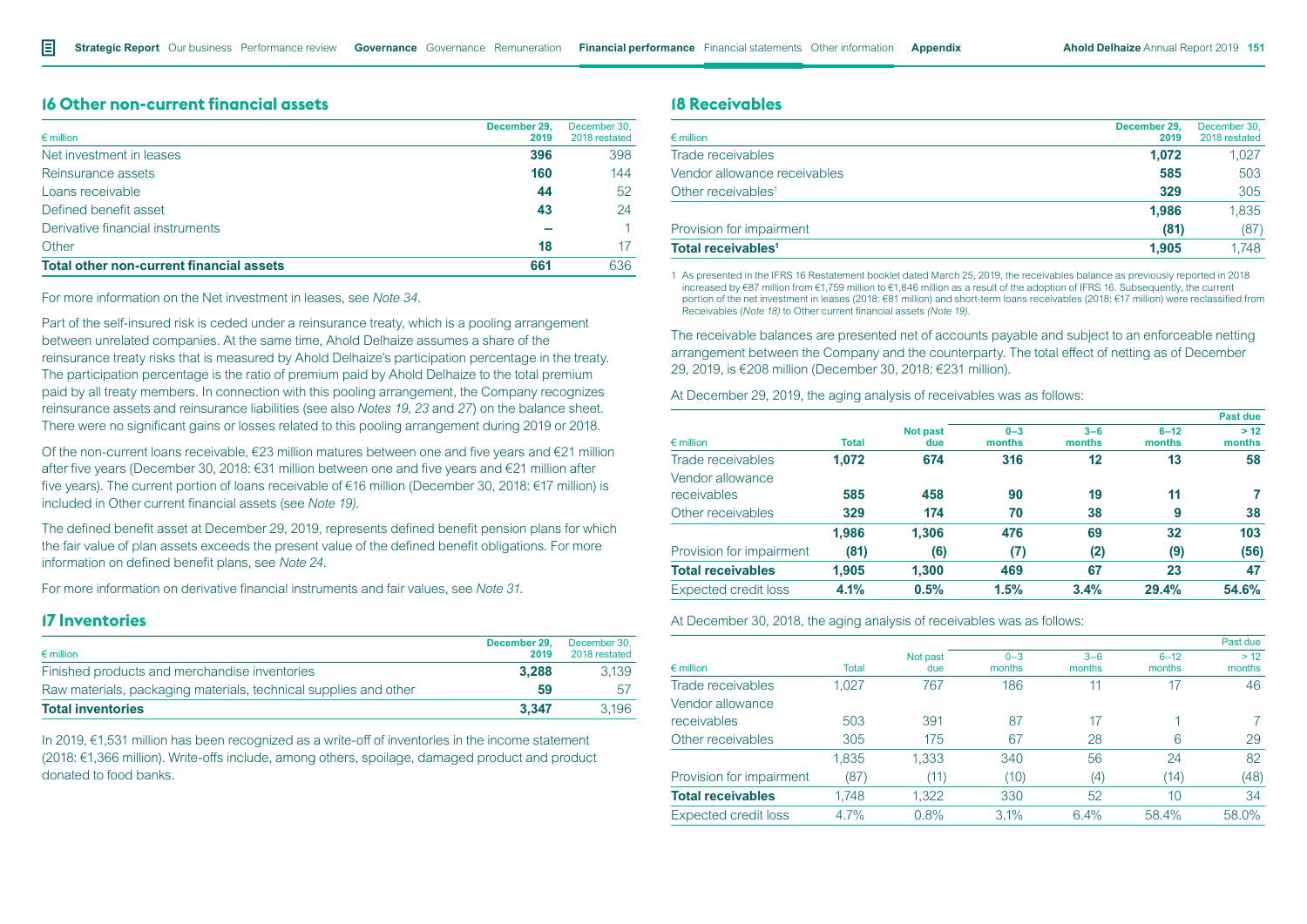# **16 Other non-current financial assets**

| $\epsilon$ million                              | December 29.<br>2019 | December 30.<br>2018 restated |
|-------------------------------------------------|----------------------|-------------------------------|
| Net investment in leases                        | 396                  | 398                           |
| Reinsurance assets                              | 160                  | 144                           |
| Loans receivable                                | 44                   | 52                            |
| Defined benefit asset                           | 43                   | 24                            |
| Derivative financial instruments                |                      |                               |
| Other                                           | 18                   | 17                            |
| <b>Total other non-current financial assets</b> | 661                  | 636                           |

For more information on the Net investment in leases, see *Note 34*.

Part of the self-insured risk is ceded under a reinsurance treaty, which is a pooling arrangement between unrelated companies. At the same time, Ahold Delhaize assumes a share of the reinsurance treaty risks that is measured by Ahold Delhaize's participation percentage in the treaty. The participation percentage is the ratio of premium paid by Ahold Delhaize to the total premium paid by all treaty members. In connection with this pooling arrangement, the Company recognizes reinsurance assets and reinsurance liabilities (see also *Notes 19, 23* and *27*) on the balance sheet. There were no significant gains or losses related to this pooling arrangement during 2019 or 2018.

Of the non-current loans receivable, €23 million matures between one and five years and €21 million after five years (December 30, 2018: €31 million between one and five years and €21 million after five years). The current portion of loans receivable of €16 million (December 30, 2018: €17 million) is included in Other current financial assets (see *Note 19)*.

The defined benefit asset at December 29, 2019, represents defined benefit pension plans for which the fair value of plan assets exceeds the present value of the defined benefit obligations. For more information on defined benefit plans, see *Note 24*.

For more information on derivative financial instruments and fair values, see *Note 31*.

# **17 Inventories**

| $\epsilon$ million                                               | December 29.<br>2019 | December 30.<br>2018 restated |
|------------------------------------------------------------------|----------------------|-------------------------------|
| Finished products and merchandise inventories                    | 3.288                | 3.139                         |
| Raw materials, packaging materials, technical supplies and other | 59                   | 57                            |
| <b>Total inventories</b>                                         | 3.347                | 3.196                         |

In 2019, €1,531 million has been recognized as a write-off of inventories in the income statement (2018: €1,366 million). Write-offs include, among others, spoilage, damaged product and product donated to food banks.

# **18 Receivables**

| $\epsilon$ million             | December 29.<br>2019 | December 30,<br>2018 restated |
|--------------------------------|----------------------|-------------------------------|
| Trade receivables              | 1.072                | 1.027                         |
| Vendor allowance receivables   | 585                  | 503                           |
| Other receivables <sup>1</sup> | 329                  | 305                           |
|                                | 1.986                | 1,835                         |
| Provision for impairment       | (81)                 | (87)                          |
| Total receivables <sup>1</sup> | 1.905                | 1.748                         |
|                                |                      |                               |

1 As presented in the IFRS 16 Restatement booklet dated March 25, 2019, the receivables balance as previously reported in 2018 increased by €87 million from €1,759 million to €1,846 million as a result of the adoption of IFRS 16. Subsequently, the current portion of the net investment in leases (2018: €81 million) and short-term loans receivables (2018: €17 million) were reclassified from Receivables (*Note 18)* to Other current financial assets *(Note 19)*.

The receivable balances are presented net of accounts payable and subject to an enforceable netting arrangement between the Company and the counterparty. The total effect of netting as of December 29, 2019, is €208 million (December 30, 2018: €231 million).

At December 29, 2019, the aging analysis of receivables was as follows:

|                             |              |                        |                   |                   |                    | Past due       |
|-----------------------------|--------------|------------------------|-------------------|-------------------|--------------------|----------------|
| $\epsilon$ million          | <b>Total</b> | <b>Not past</b><br>due | $0 - 3$<br>months | $3 - 6$<br>months | $6 - 12$<br>months | > 12<br>months |
| Trade receivables           | 1.072        | 674                    | 316               | 12                | 13                 | 58             |
| Vendor allowance            |              |                        |                   |                   |                    |                |
| receivables                 | 585          | 458                    | 90                | 19                | 11                 |                |
| Other receivables           | 329          | 174                    | 70                | 38                | 9                  | 38             |
|                             | 1.986        | 1.306                  | 476               | 69                | 32                 | 103            |
| Provision for impairment    | (81)         | (6)                    | (7)               | (2)               | (9)                | (56)           |
| <b>Total receivables</b>    | 1.905        | 1.300                  | 469               | 67                | 23                 | 47             |
| <b>Expected credit loss</b> | 4.1%         | 0.5%                   | 1.5%              | 3.4%              | 29.4%              | 54.6%          |
|                             |              |                        |                   |                   |                    |                |

At December 30, 2018, the aging analysis of receivables was as follows:

|                             |              |                 |                   |                   |                    | Past due       |
|-----------------------------|--------------|-----------------|-------------------|-------------------|--------------------|----------------|
| $\epsilon$ million          | <b>Total</b> | Not past<br>due | $0 - 3$<br>months | $3 - 6$<br>months | $6 - 12$<br>months | > 12<br>months |
| Trade receivables           | 1,027        | 767             | 186               | 11                | 17                 | 46             |
| Vendor allowance            |              |                 |                   |                   |                    |                |
| receivables                 | 503          | 391             | 87                | 17                | 4                  |                |
| Other receivables           | 305          | 175             | 67                | 28                | 6                  | 29             |
|                             | 1,835        | 1,333           | 340               | 56                | 24                 | 82             |
| Provision for impairment    | (87)         | (11)            | (10)              | (4)               | (14)               | (48)           |
| <b>Total receivables</b>    | 1,748        | 1,322           | 330               | 52                | 10                 | 34             |
| <b>Expected credit loss</b> | 4.7%         | 0.8%            | 3.1%              | 6.4%              | 58.4%              | 58.0%          |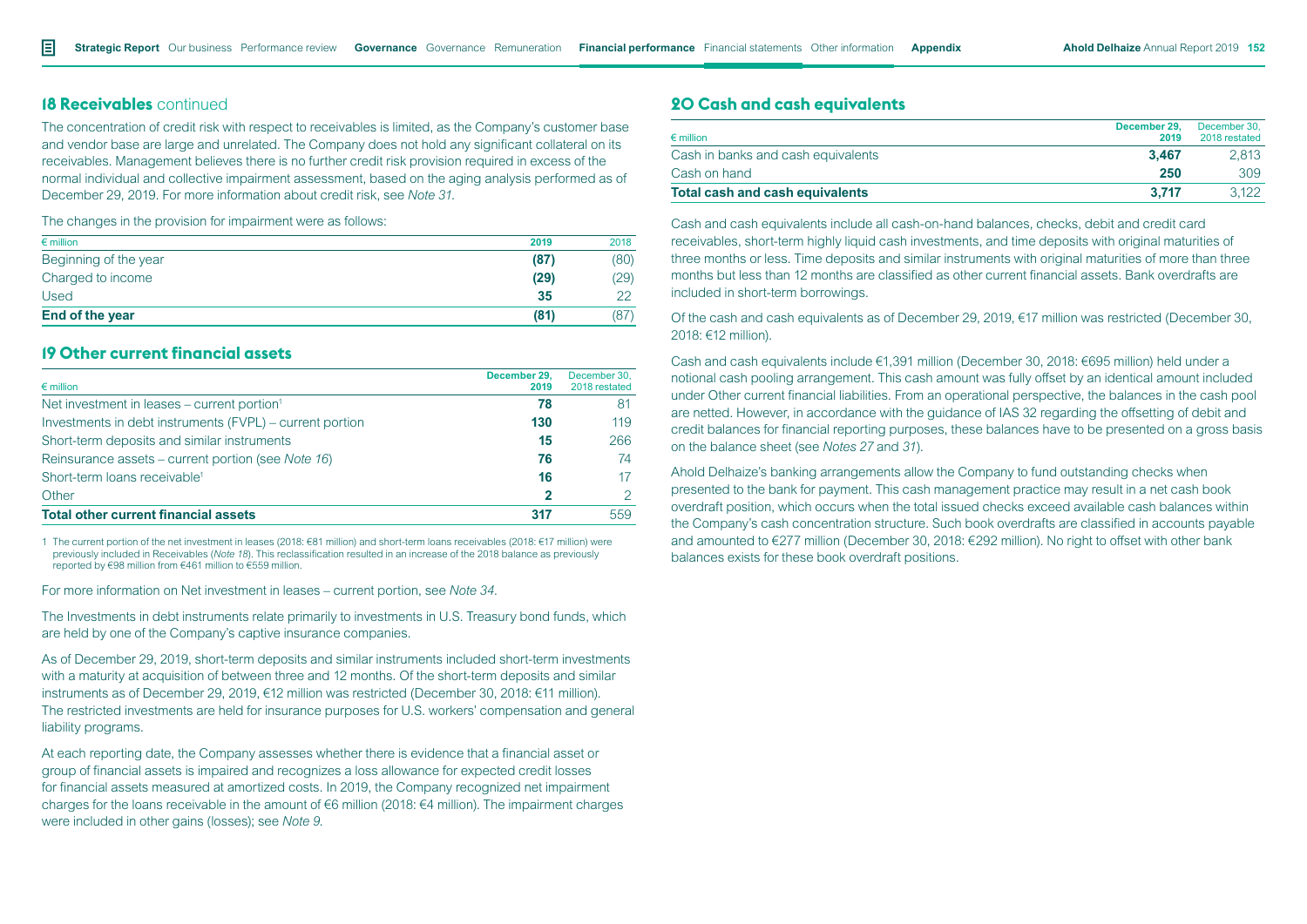# **18 Receivables** continued

The concentration of credit risk with respect to receivables is limited, as the Company's customer base and vendor base are large and unrelated. The Company does not hold any significant collateral on its receivables. Management believes there is no further credit risk provision required in excess of the normal individual and collective impairment assessment, based on the aging analysis performed as of December 29, 2019. For more information about credit risk, see *Note 31.*

The changes in the provision for impairment were as follows:

| $\epsilon$ million     | 2019 | 2018 |
|------------------------|------|------|
| Beginning of the year  | (87) | (80) |
| Charged to income      | (29) | (29) |
| Used                   | 35   | ററ   |
| <b>End of the year</b> | (81) | (87) |

# **19 Other current financial assets**

| $\epsilon$ million                                       | December 29.<br>2019 | December 30.<br>2018 restated |
|----------------------------------------------------------|----------------------|-------------------------------|
| Net investment in leases – current portion <sup>1</sup>  | 78                   | 81                            |
| Investments in debt instruments (FVPL) – current portion | 130                  | 119                           |
| Short-term deposits and similar instruments              | 15                   | 266                           |
| Reinsurance assets – current portion (see Note 16)       | 76                   | 74                            |
| Short-term loans receivable <sup>1</sup>                 | 16                   |                               |
| Other                                                    |                      |                               |
| <b>Total other current financial assets</b>              | 317                  | 559                           |

1 The current portion of the net investment in leases (2018: €81 million) and short-term loans receivables (2018: €17 million) were previously included in Receivables (*Note 18*). This reclassification resulted in an increase of the 2018 balance as previously reported by €98 million from €461 million to €559 million.

For more information on Net investment in leases – current portion, see *Note 34*.

The Investments in debt instruments relate primarily to investments in U.S. Treasury bond funds, which are held by one of the Company's captive insurance companies.

As of December 29, 2019, short-term deposits and similar instruments included short-term investments with a maturity at acquisition of between three and 12 months. Of the short-term deposits and similar instruments as of December 29, 2019, €12 million was restricted (December 30, 2018: €11 million). The restricted investments are held for insurance purposes for U.S. workers' compensation and general liability programs.

At each reporting date, the Company assesses whether there is evidence that a financial asset or group of financial assets is impaired and recognizes a loss allowance for expected credit losses for financial assets measured at amortized costs. In 2019, the Company recognized net impairment charges for the loans receivable in the amount of €6 million (2018: €4 million). The impairment charges were included in other gains (losses); see *Note 9*.

# **20 Cash and cash equivalents**

| $\epsilon$ million                 | December 29.<br>2019 | December 30.<br>2018 restated |
|------------------------------------|----------------------|-------------------------------|
| Cash in banks and cash equivalents | 3.467                | 2.813                         |
| Cash on hand                       | 250                  | 309                           |
| Total cash and cash equivalents    | 3.717                | 3.122                         |

Cash and cash equivalents include all cash-on-hand balances, checks, debit and credit card receivables, short-term highly liquid cash investments, and time deposits with original maturities of three months or less. Time deposits and similar instruments with original maturities of more than three months but less than 12 months are classified as other current financial assets. Bank overdrafts are included in short-term borrowings.

Of the cash and cash equivalents as of December 29, 2019, €17 million was restricted (December 30, 2018: €12 million).

Cash and cash equivalents include €1,391 million (December 30, 2018: €695 million) held under a notional cash pooling arrangement. This cash amount was fully offset by an identical amount included under Other current financial liabilities. From an operational perspective, the balances in the cash pool are netted. However, in accordance with the guidance of IAS 32 regarding the offsetting of debit and credit balances for financial reporting purposes, these balances have to be presented on a gross basis on the balance sheet (see *Notes 27* and *31*).

Ahold Delhaize's banking arrangements allow the Company to fund outstanding checks when presented to the bank for payment. This cash management practice may result in a net cash book overdraft position, which occurs when the total issued checks exceed available cash balances within the Company's cash concentration structure. Such book overdrafts are classified in accounts payable and amounted to €277 million (December 30, 2018: €292 million). No right to offset with other bank balances exists for these book overdraft positions.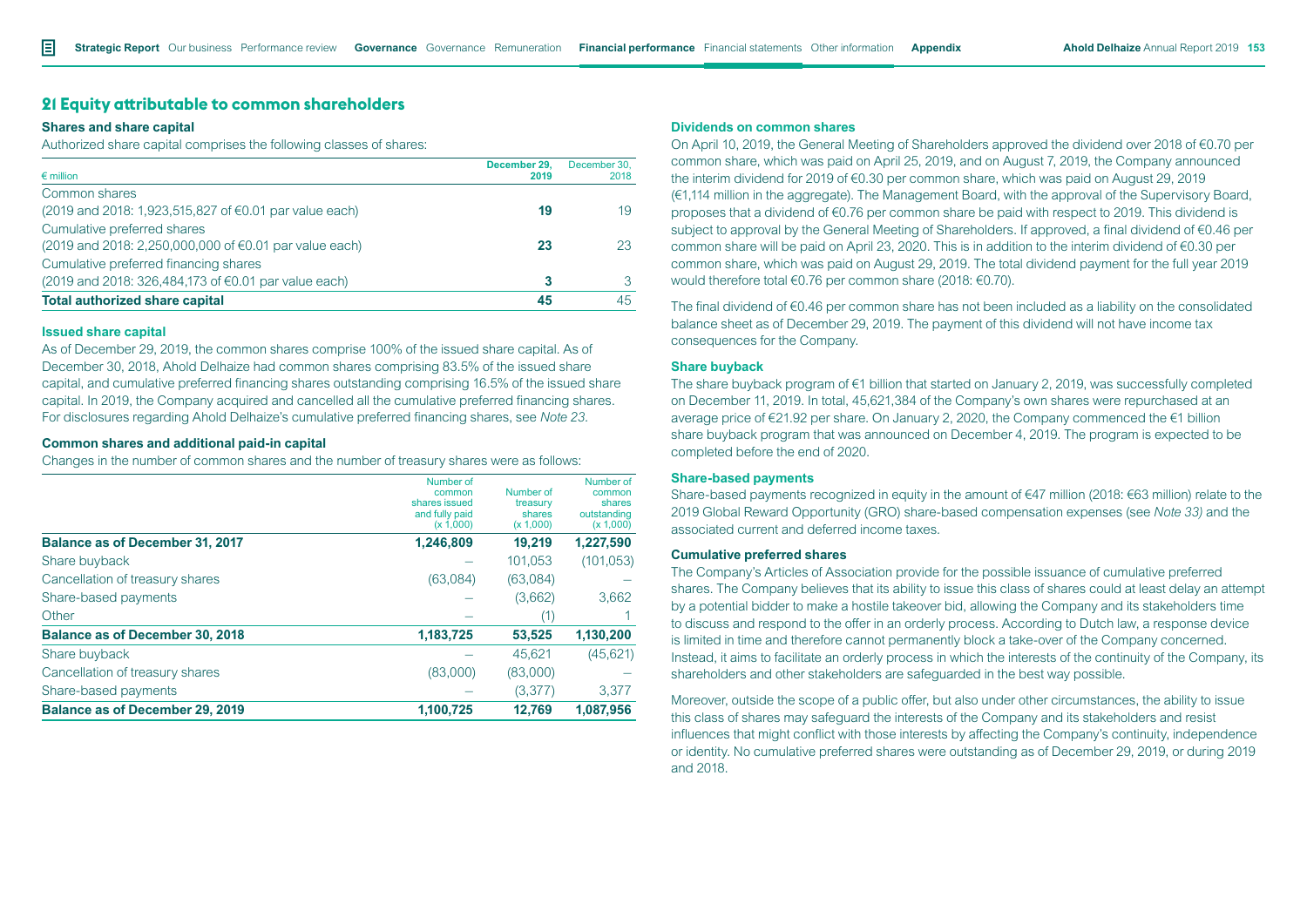# **21 Equity attributable to common shareholders**

#### **Shares and share capital**

Authorized share capital comprises the following classes of shares:

| $\epsilon$ million                                     | December 29.<br>2019 | December 30.<br>2018 |
|--------------------------------------------------------|----------------------|----------------------|
| Common shares                                          |                      |                      |
| (2019 and 2018: 1,923,515,827 of €0.01 par value each) | 19                   | 19                   |
| Cumulative preferred shares                            |                      |                      |
| (2019 and 2018: 2,250,000,000 of €0.01 par value each) | 23                   | 23                   |
| Cumulative preferred financing shares                  |                      |                      |
| (2019 and 2018: 326,484,173 of €0.01 par value each)   |                      |                      |
| <b>Total authorized share capital</b>                  | 45                   | 45                   |

#### **Issued share capital**

As of December 29, 2019, the common shares comprise 100% of the issued share capital. As of December 30, 2018, Ahold Delhaize had common shares comprising 83.5% of the issued share capital, and cumulative preferred financing shares outstanding comprising 16.5% of the issued share capital. In 2019, the Company acquired and cancelled all the cumulative preferred financing shares. For disclosures regarding Ahold Delhaize's cumulative preferred financing shares, see *Note 23.* 

#### **Common shares and additional paid-in capital**

Changes in the number of common shares and the number of treasury shares were as follows:

|                                        | Number of      |           | Number of   |
|----------------------------------------|----------------|-----------|-------------|
|                                        | common         | Number of | common      |
|                                        | shares issued  | treasury  | shares      |
|                                        | and fully paid | shares    | outstanding |
|                                        | (x 1,000)      | (x 1,000) | (x 1,000)   |
| <b>Balance as of December 31, 2017</b> | 1,246,809      | 19.219    | 1,227,590   |
| Share buyback                          |                | 101,053   | (101, 053)  |
| Cancellation of treasury shares        | (63,084)       | (63,084)  |             |
| Share-based payments                   |                | (3,662)   | 3.662       |
| Other                                  |                | (1)       |             |
| <b>Balance as of December 30, 2018</b> | 1,183,725      | 53,525    | 1,130,200   |
| Share buyback                          |                | 45.621    | (45, 621)   |
| Cancellation of treasury shares        | (83,000)       | (83,000)  |             |
| Share-based payments                   |                | (3,377)   | 3.377       |
| <b>Balance as of December 29, 2019</b> | 1,100,725      | 12.769    | 1,087,956   |

#### **Dividends on common shares**

On April 10, 2019, the General Meeting of Shareholders approved the dividend over 2018 of €0.70 per common share, which was paid on April 25, 2019, and on August 7, 2019, the Company announced the interim dividend for 2019 of €0.30 per common share, which was paid on August 29, 2019 (€1,114 million in the aggregate). The Management Board, with the approval of the Supervisory Board, proposes that a dividend of €0.76 per common share be paid with respect to 2019. This dividend is subject to approval by the General Meeting of Shareholders. If approved, a final dividend of €0.46 per common share will be paid on April 23, 2020. This is in addition to the interim dividend of €0.30 per common share, which was paid on August 29, 2019. The total dividend payment for the full year 2019 would therefore total €0.76 per common share (2018: €0.70).

The final dividend of €0.46 per common share has not been included as a liability on the consolidated balance sheet as of December 29, 2019. The payment of this dividend will not have income tax consequences for the Company.

#### **Share buyback**

The share buyback program of €1 billion that started on January 2, 2019, was successfully completed on December 11, 2019. In total, 45,621,384 of the Company's own shares were repurchased at an average price of €21.92 per share. On January 2, 2020, the Company commenced the €1 billion share buyback program that was announced on December 4, 2019. The program is expected to be completed before the end of 2020.

#### **Share-based payments**

Share-based payments recognized in equity in the amount of €47 million (2018: €63 million) relate to the 2019 Global Reward Opportunity (GRO) share-based compensation expenses (see *Note 33)* and the associated current and deferred income taxes*.*

#### **Cumulative preferred shares**

The Company's Articles of Association provide for the possible issuance of cumulative preferred shares. The Company believes that its ability to issue this class of shares could at least delay an attempt by a potential bidder to make a hostile takeover bid, allowing the Company and its stakeholders time to discuss and respond to the offer in an orderly process. According to Dutch law, a response device is limited in time and therefore cannot permanently block a take-over of the Company concerned. Instead, it aims to facilitate an orderly process in which the interests of the continuity of the Company, its shareholders and other stakeholders are safeguarded in the best way possible.

Moreover, outside the scope of a public offer, but also under other circumstances, the ability to issue this class of shares may safeguard the interests of the Company and its stakeholders and resist influences that might conflict with those interests by affecting the Company's continuity, independence or identity. No cumulative preferred shares were outstanding as of December 29, 2019, or during 2019 and 2018.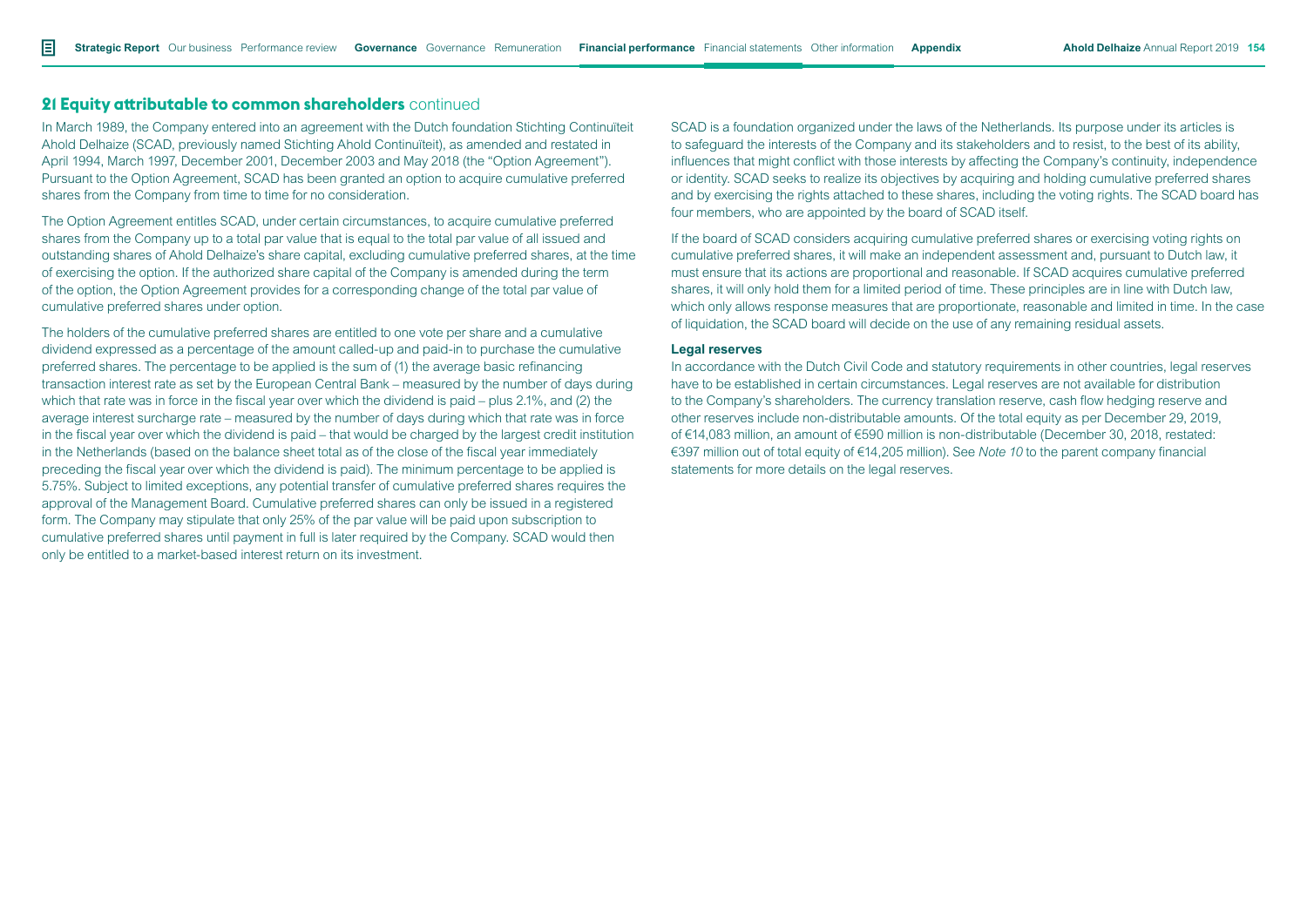# **21 Equity attributable to common shareholders** continued

In March 1989, the Company entered into an agreement with the Dutch foundation Stichting Continuïteit Ahold Delhaize (SCAD, previously named Stichting Ahold Continuïteit), as amended and restated in April 1994, March 1997, December 2001, December 2003 and May 2018 (the "Option Agreement"). Pursuant to the Option Agreement, SCAD has been granted an option to acquire cumulative preferred shares from the Company from time to time for no consideration.

The Option Agreement entitles SCAD, under certain circumstances, to acquire cumulative preferred shares from the Company up to a total par value that is equal to the total par value of all issued and outstanding shares of Ahold Delhaize's share capital, excluding cumulative preferred shares, at the time of exercising the option. If the authorized share capital of the Company is amended during the term of the option, the Option Agreement provides for a corresponding change of the total par value of cumulative preferred shares under option.

The holders of the cumulative preferred shares are entitled to one vote per share and a cumulative dividend expressed as a percentage of the amount called-up and paid-in to purchase the cumulative preferred shares. The percentage to be applied is the sum of (1) the average basic refinancing transaction interest rate as set by the European Central Bank – measured by the number of days during which that rate was in force in the fiscal year over which the dividend is paid – plus 2.1%, and (2) the average interest surcharge rate – measured by the number of days during which that rate was in force in the fiscal year over which the dividend is paid – that would be charged by the largest credit institution in the Netherlands (based on the balance sheet total as of the close of the fiscal year immediately preceding the fiscal year over which the dividend is paid). The minimum percentage to be applied is 5.75%. Subject to limited exceptions, any potential transfer of cumulative preferred shares requires the approval of the Management Board. Cumulative preferred shares can only be issued in a registered form. The Company may stipulate that only 25% of the par value will be paid upon subscription to cumulative preferred shares until payment in full is later required by the Company. SCAD would then only be entitled to a market-based interest return on its investment.

SCAD is a foundation organized under the laws of the Netherlands. Its purpose under its articles is to safeguard the interests of the Company and its stakeholders and to resist, to the best of its ability, influences that might conflict with those interests by affecting the Company's continuity, independence or identity. SCAD seeks to realize its objectives by acquiring and holding cumulative preferred shares and by exercising the rights attached to these shares, including the voting rights. The SCAD board has four members, who are appointed by the board of SCAD itself.

If the board of SCAD considers acquiring cumulative preferred shares or exercising voting rights on cumulative preferred shares, it will make an independent assessment and, pursuant to Dutch law, it must ensure that its actions are proportional and reasonable. If SCAD acquires cumulative preferred shares, it will only hold them for a limited period of time. These principles are in line with Dutch law, which only allows response measures that are proportionate, reasonable and limited in time. In the case of liquidation, the SCAD board will decide on the use of any remaining residual assets.

#### **Legal reserves**

In accordance with the Dutch Civil Code and statutory requirements in other countries, legal reserves have to be established in certain circumstances. Legal reserves are not available for distribution to the Company's shareholders. The currency translation reserve, cash flow hedging reserve and other reserves include non-distributable amounts. Of the total equity as per December 29, 2019, of €14,083 million, an amount of €590 million is non-distributable (December 30, 2018, restated: €397 million out of total equity of €14,205 million). See *Note 10* to the parent company financial statements for more details on the legal reserves.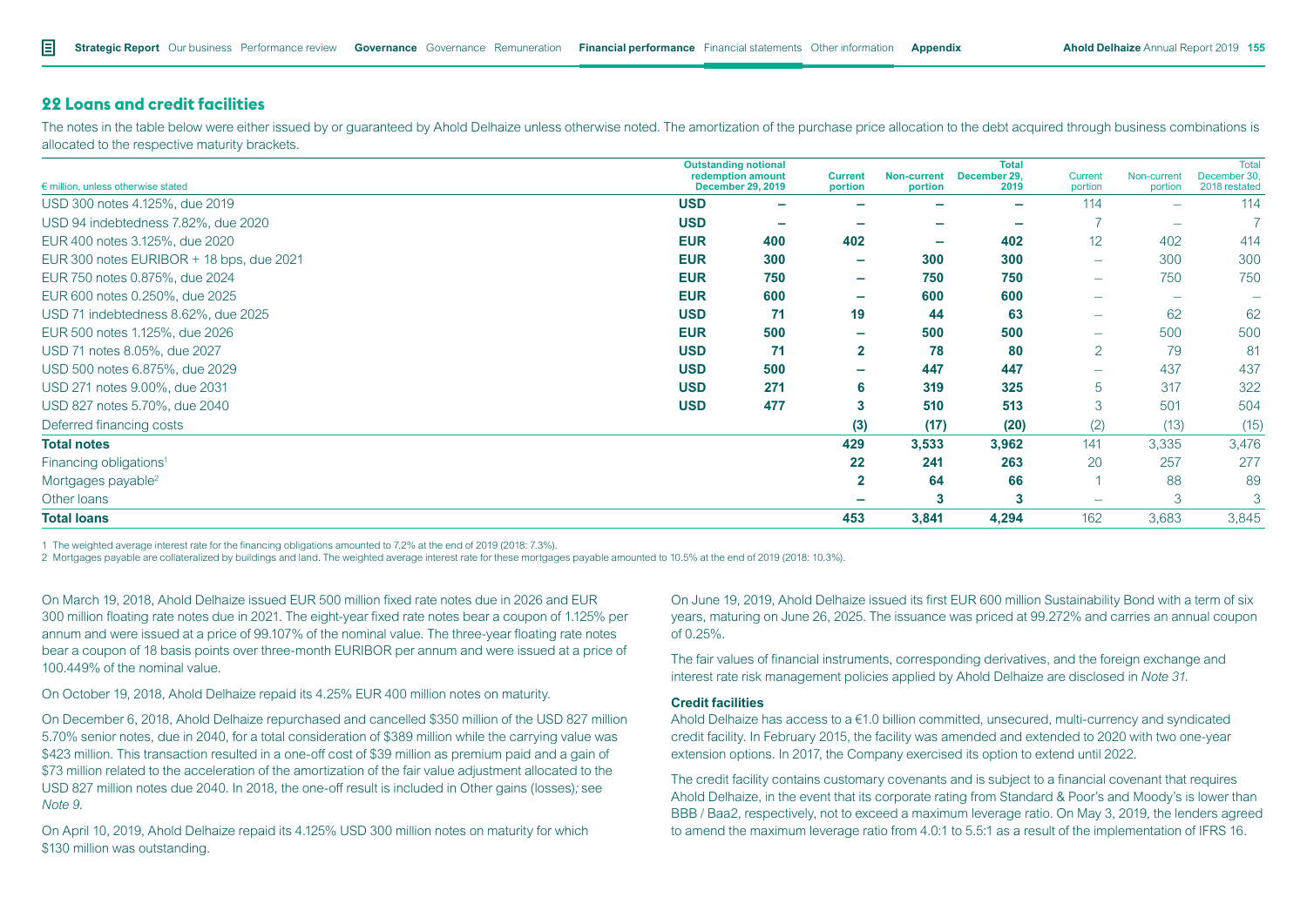# **22 Loans and credit facilities**

The notes in the table below were either issued by or guaranteed by Ahold Delhaize unless otherwise noted. The amortization of the purchase price allocation to the debt acquired through business combinations is allocated to the respective maturity brackets.

|                                          | <b>Outstanding notional</b> |                                               |                           |                               | <b>Total</b>         |                          |                        | <b>Total</b>                 |
|------------------------------------------|-----------------------------|-----------------------------------------------|---------------------------|-------------------------------|----------------------|--------------------------|------------------------|------------------------------|
| € million, unless otherwise stated       |                             | redemption amount<br><b>December 29, 2019</b> | <b>Current</b><br>portion | <b>Non-current</b><br>portion | December 29,<br>2019 | Current<br>portion       | Non-current<br>portion | December 30<br>2018 restated |
| USD 300 notes 4.125%, due 2019           | <b>USD</b>                  | ۰                                             |                           |                               | ÷                    | 114                      |                        | 114                          |
| USD 94 indebtedness 7.82%, due 2020      | <b>USD</b>                  | $\overline{\phantom{a}}$                      |                           | $\overline{\phantom{a}}$      |                      |                          |                        |                              |
| EUR 400 notes 3.125%, due 2020           | <b>EUR</b>                  | 400                                           | 402                       | -                             | 402                  | 12                       | 402                    | 414                          |
| EUR 300 notes EURIBOR + 18 bps, due 2021 | <b>EUR</b>                  | 300                                           | -                         | 300                           | 300                  | $\overline{\phantom{0}}$ | 300                    | 300                          |
| EUR 750 notes 0.875%, due 2024           | <b>EUR</b>                  | 750                                           | $\overline{\phantom{0}}$  | 750                           | 750                  | $\overline{\phantom{0}}$ | 750                    | 750                          |
| EUR 600 notes 0.250%, due 2025           | <b>EUR</b>                  | 600                                           | ۰                         | 600                           | 600                  |                          |                        |                              |
| USD 71 indebtedness 8.62%, due 2025      | <b>USD</b>                  | 71                                            | 19                        | 44                            | 63                   | $\overline{\phantom{0}}$ | 62                     | 62                           |
| EUR 500 notes 1.125%, due 2026           | <b>EUR</b>                  | 500                                           | ۰                         | 500                           | 500                  | $\overline{\phantom{m}}$ | 500                    | 500                          |
| USD 71 notes 8.05%, due 2027             | <b>USD</b>                  | 71                                            | $\mathbf{2}$              | 78                            | 80                   | 2                        | 79                     | 81                           |
| USD 500 notes 6.875%, due 2029           | <b>USD</b>                  | 500                                           | -                         | 447                           | 447                  | $\overline{\phantom{0}}$ | 437                    | 437                          |
| USD 271 notes 9.00%, due 2031            | <b>USD</b>                  | 271                                           | 6                         | 319                           | 325                  | 5                        | 317                    | 322                          |
| USD 827 notes 5.70%, due 2040            | <b>USD</b>                  | 477                                           | 3                         | 510                           | 513                  | 3                        | 501                    | 504                          |
| Deferred financing costs                 |                             |                                               | (3)                       | (17)                          | (20)                 | (2)                      | (13)                   | (15)                         |
| <b>Total notes</b>                       |                             |                                               | 429                       | 3,533                         | 3,962                | 141                      | 3,335                  | 3,476                        |
| Financing obligations <sup>1</sup>       |                             |                                               | 22                        | 241                           | 263                  | 20                       | 257                    | 277                          |
| Mortgages payable <sup>2</sup>           |                             |                                               | $\overline{2}$            | 64                            | 66                   |                          | 88                     | 89                           |
| Other loans                              |                             |                                               |                           |                               | 3                    | $\overline{\phantom{0}}$ | 3                      | 3                            |
| <b>Total loans</b>                       |                             |                                               | 453                       | 3,841                         | 4,294                | 162                      | 3,683                  | 3,845                        |

1 The weighted average interest rate for the financing obligations amounted to 7.2% at the end of 2019 (2018: 7.3%).

2 Mortgages payable are collateralized by buildings and land. The weighted average interest rate for these mortgages payable amounted to 10.5% at the end of 2019 (2018: 10.3%).

On March 19, 2018, Ahold Delhaize issued EUR 500 million fixed rate notes due in 2026 and EUR 300 million floating rate notes due in 2021. The eight-year fixed rate notes bear a coupon of 1.125% per annum and were issued at a price of 99.107% of the nominal value. The three-year floating rate notes bear a coupon of 18 basis points over three-month EURIBOR per annum and were issued at a price of 100.449% of the nominal value.

On October 19, 2018, Ahold Delhaize repaid its 4.25% EUR 400 million notes on maturity.

On December 6, 2018, Ahold Delhaize repurchased and cancelled \$350 million of the USD 827 million 5.70% senior notes, due in 2040, for a total consideration of \$389 million while the carrying value was \$423 million. This transaction resulted in a one-off cost of \$39 million as premium paid and a gain of \$73 million related to the acceleration of the amortization of the fair value adjustment allocated to the USD 827 million notes due 2040. In 2018, the one-off result is included in Other gains (losses)*;* see *Note 9*.

On April 10, 2019, Ahold Delhaize repaid its 4.125% USD 300 million notes on maturity for which \$130 million was outstanding.

On June 19, 2019, Ahold Delhaize issued its first EUR 600 million Sustainability Bond with a term of six years, maturing on June 26, 2025. The issuance was priced at 99.272% and carries an annual coupon of 0.25%.

The fair values of financial instruments, corresponding derivatives, and the foreign exchange and interest rate risk management policies applied by Ahold Delhaize are disclosed in *Note 31*.

### **Credit facilities**

Ahold Delhaize has access to  $a \in 1.0$  billion committed, unsecured, multi-currency and syndicated credit facility. In February 2015, the facility was amended and extended to 2020 with two one-year extension options. In 2017, the Company exercised its option to extend until 2022.

The credit facility contains customary covenants and is subject to a financial covenant that requires Ahold Delhaize, in the event that its corporate rating from Standard & Poor's and Moody's is lower than BBB / Baa2, respectively, not to exceed a maximum leverage ratio. On May 3, 2019, the lenders agreed to amend the maximum leverage ratio from 4.0:1 to 5.5:1 as a result of the implementation of IFRS 16.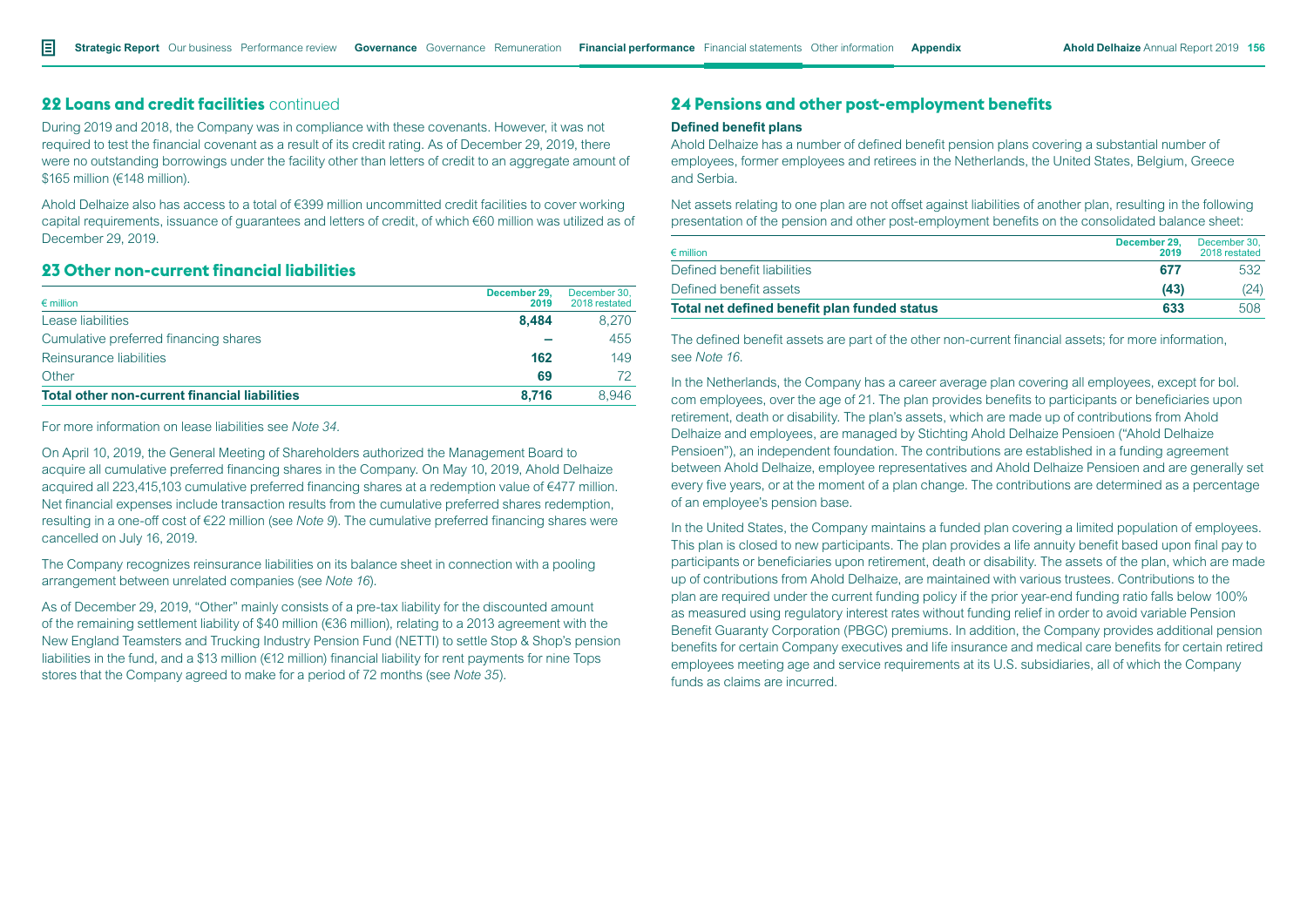# **22 Loans and credit facilities** continued

During 2019 and 2018, the Company was in compliance with these covenants. However, it was not required to test the financial covenant as a result of its credit rating. As of December 29, 2019, there were no outstanding borrowings under the facility other than letters of credit to an aggregate amount of \$165 million (€148 million).

Ahold Delhaize also has access to a total of €399 million uncommitted credit facilities to cover working capital requirements, issuance of guarantees and letters of credit, of which €60 million was utilized as of December 29, 2019.

# **23 Other non-current financial liabilities**

| $\epsilon$ million                                   | December 29.<br>2019 | December 30.<br>2018 restated |
|------------------------------------------------------|----------------------|-------------------------------|
| Lease liabilities                                    | 8.484                | 8.270                         |
| Cumulative preferred financing shares                |                      | 455                           |
| Reinsurance liabilities                              | 162                  | 149                           |
| Other                                                | 69                   |                               |
| <b>Total other non-current financial liabilities</b> | 8.716                | 8.946                         |

For more information on lease liabilities see *Note 34.*

On April 10, 2019, the General Meeting of Shareholders authorized the Management Board to acquire all cumulative preferred financing shares in the Company. On May 10, 2019, Ahold Delhaize acquired all 223,415,103 cumulative preferred financing shares at a redemption value of €477 million. Net financial expenses include transaction results from the cumulative preferred shares redemption, resulting in a one-off cost of €22 million (see *Note 9*). The cumulative preferred financing shares were cancelled on July 16, 2019.

The Company recognizes reinsurance liabilities on its balance sheet in connection with a pooling arrangement between unrelated companies (see *Note 16*)*.*

As of December 29, 2019, "Other" mainly consists of a pre-tax liability for the discounted amount of the remaining settlement liability of \$40 million ( $\epsilon$ 36 million), relating to a 2013 agreement with the New England Teamsters and Trucking Industry Pension Fund (NETTI) to settle Stop & Shop's pension liabilities in the fund, and a \$13 million (€12 million) financial liability for rent payments for nine Tops stores that the Company agreed to make for a period of 72 months (see *Note 35*)*.*

# **24 Pensions and other post-employment benefits**

# **Defined benefit plans**

Ahold Delhaize has a number of defined benefit pension plans covering a substantial number of employees, former employees and retirees in the Netherlands, the United States, Belgium, Greece and Serbia.

Net assets relating to one plan are not offset against liabilities of another plan, resulting in the following presentation of the pension and other post-employment benefits on the consolidated balance sheet:

| $\epsilon$ million                           | December 29.<br>2019 | December 30.<br>2018 restated |
|----------------------------------------------|----------------------|-------------------------------|
| Defined benefit liabilities                  | 677                  | 532                           |
| Defined benefit assets                       | (43)                 | (24)                          |
| Total net defined benefit plan funded status | 633                  | 508                           |

The defined benefit assets are part of the other non-current financial assets; for more information, see *Note 16*.

In the Netherlands, the Company has a career average plan covering all employees, except for bol. com employees, over the age of 21. The plan provides benefits to participants or beneficiaries upon retirement, death or disability. The plan's assets, which are made up of contributions from Ahold Delhaize and employees, are managed by Stichting Ahold Delhaize Pensioen ("Ahold Delhaize Pensioen"), an independent foundation. The contributions are established in a funding agreement between Ahold Delhaize, employee representatives and Ahold Delhaize Pensioen and are generally set every five years, or at the moment of a plan change. The contributions are determined as a percentage of an employee's pension base.

In the United States, the Company maintains a funded plan covering a limited population of employees. This plan is closed to new participants. The plan provides a life annuity benefit based upon final pay to participants or beneficiaries upon retirement, death or disability. The assets of the plan, which are made up of contributions from Ahold Delhaize, are maintained with various trustees. Contributions to the plan are required under the current funding policy if the prior year-end funding ratio falls below 100% as measured using regulatory interest rates without funding relief in order to avoid variable Pension Benefit Guaranty Corporation (PBGC) premiums. In addition, the Company provides additional pension benefits for certain Company executives and life insurance and medical care benefits for certain retired employees meeting age and service requirements at its U.S. subsidiaries, all of which the Company funds as claims are incurred.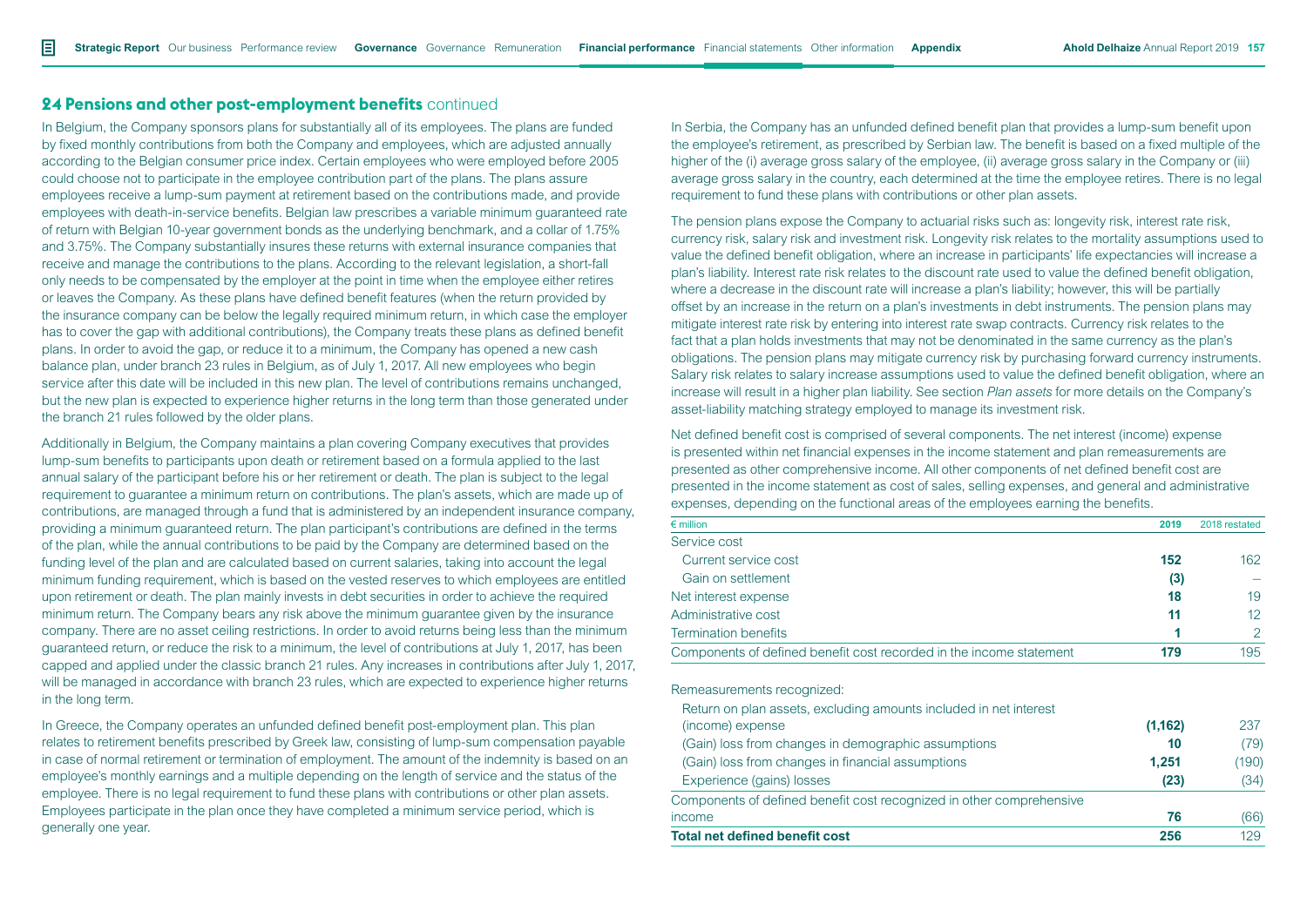In Belgium, the Company sponsors plans for substantially all of its employees. The plans are funded by fixed monthly contributions from both the Company and employees, which are adjusted annually according to the Belgian consumer price index. Certain employees who were employed before 2005 could choose not to participate in the employee contribution part of the plans. The plans assure employees receive a lump-sum payment at retirement based on the contributions made, and provide employees with death-in-service benefits. Belgian law prescribes a variable minimum guaranteed rate of return with Belgian 10-year government bonds as the underlying benchmark, and a collar of 1.75% and 3.75%. The Company substantially insures these returns with external insurance companies that receive and manage the contributions to the plans. According to the relevant legislation, a short-fall only needs to be compensated by the employer at the point in time when the employee either retires or leaves the Company. As these plans have defined benefit features (when the return provided by the insurance company can be below the legally required minimum return, in which case the employer has to cover the gap with additional contributions), the Company treats these plans as defined benefit plans. In order to avoid the gap, or reduce it to a minimum, the Company has opened a new cash balance plan, under branch 23 rules in Belgium, as of July 1, 2017. All new employees who begin service after this date will be included in this new plan. The level of contributions remains unchanged, but the new plan is expected to experience higher returns in the long term than those generated under the branch 21 rules followed by the older plans.

Additionally in Belgium, the Company maintains a plan covering Company executives that provides lump-sum benefits to participants upon death or retirement based on a formula applied to the last annual salary of the participant before his or her retirement or death. The plan is subject to the legal requirement to guarantee a minimum return on contributions. The plan's assets, which are made up of contributions, are managed through a fund that is administered by an independent insurance company, providing a minimum guaranteed return. The plan participant's contributions are defined in the terms of the plan, while the annual contributions to be paid by the Company are determined based on the funding level of the plan and are calculated based on current salaries, taking into account the legal minimum funding requirement, which is based on the vested reserves to which employees are entitled upon retirement or death. The plan mainly invests in debt securities in order to achieve the required minimum return. The Company bears any risk above the minimum guarantee given by the insurance company. There are no asset ceiling restrictions. In order to avoid returns being less than the minimum guaranteed return, or reduce the risk to a minimum, the level of contributions at July 1, 2017, has been capped and applied under the classic branch 21 rules. Any increases in contributions after July 1, 2017, will be managed in accordance with branch 23 rules, which are expected to experience higher returns in the long term.

In Greece, the Company operates an unfunded defined benefit post-employment plan. This plan relates to retirement benefits prescribed by Greek law, consisting of lump-sum compensation payable in case of normal retirement or termination of employment. The amount of the indemnity is based on an employee's monthly earnings and a multiple depending on the length of service and the status of the employee. There is no legal requirement to fund these plans with contributions or other plan assets. Employees participate in the plan once they have completed a minimum service period, which is generally one year.

In Serbia, the Company has an unfunded defined benefit plan that provides a lump-sum benefit upon the employee's retirement, as prescribed by Serbian law. The benefit is based on a fixed multiple of the higher of the (i) average gross salary of the employee, (ii) average gross salary in the Company or (iii) average gross salary in the country, each determined at the time the employee retires. There is no legal requirement to fund these plans with contributions or other plan assets.

The pension plans expose the Company to actuarial risks such as: longevity risk, interest rate risk, currency risk, salary risk and investment risk. Longevity risk relates to the mortality assumptions used to value the defined benefit obligation, where an increase in participants' life expectancies will increase a plan's liability. Interest rate risk relates to the discount rate used to value the defined benefit obligation, where a decrease in the discount rate will increase a plan's liability; however, this will be partially offset by an increase in the return on a plan's investments in debt instruments. The pension plans may mitigate interest rate risk by entering into interest rate swap contracts. Currency risk relates to the fact that a plan holds investments that may not be denominated in the same currency as the plan's obligations. The pension plans may mitigate currency risk by purchasing forward currency instruments. Salary risk relates to salary increase assumptions used to value the defined benefit obligation, where an increase will result in a higher plan liability. See section *Plan assets* for more details on the Company's asset-liability matching strategy employed to manage its investment risk.

Net defined benefit cost is comprised of several components. The net interest (income) expense is presented within net financial expenses in the income statement and plan remeasurements are presented as other comprehensive income. All other components of net defined benefit cost are presented in the income statement as cost of sales, selling expenses, and general and administrative expenses, depending on the functional areas of the employees earning the benefits.

| $\epsilon$ million                                                   | 2019    | 2018 restated |
|----------------------------------------------------------------------|---------|---------------|
| Service cost                                                         |         |               |
| Current service cost                                                 | 152     | 162           |
| Gain on settlement                                                   | (3)     |               |
| Net interest expense                                                 | 18      | 19            |
| Administrative cost                                                  | 11      | 12            |
| <b>Termination benefits</b>                                          |         | 2             |
| Components of defined benefit cost recorded in the income statement  | 179     | 195           |
| Remeasurements recognized:                                           |         |               |
| Return on plan assets, excluding amounts included in net interest    |         |               |
| (income) expense                                                     | (1,162) | 237           |
| (Gain) loss from changes in demographic assumptions                  | 10      | (79)          |
| (Gain) loss from changes in financial assumptions                    | 1,251   | (190)         |
| Experience (gains) losses                                            | (23)    | (34)          |
| Components of defined benefit cost recognized in other comprehensive |         |               |
| income                                                               | 76      | (66)          |
| <b>Total net defined benefit cost</b>                                | 256     | 129           |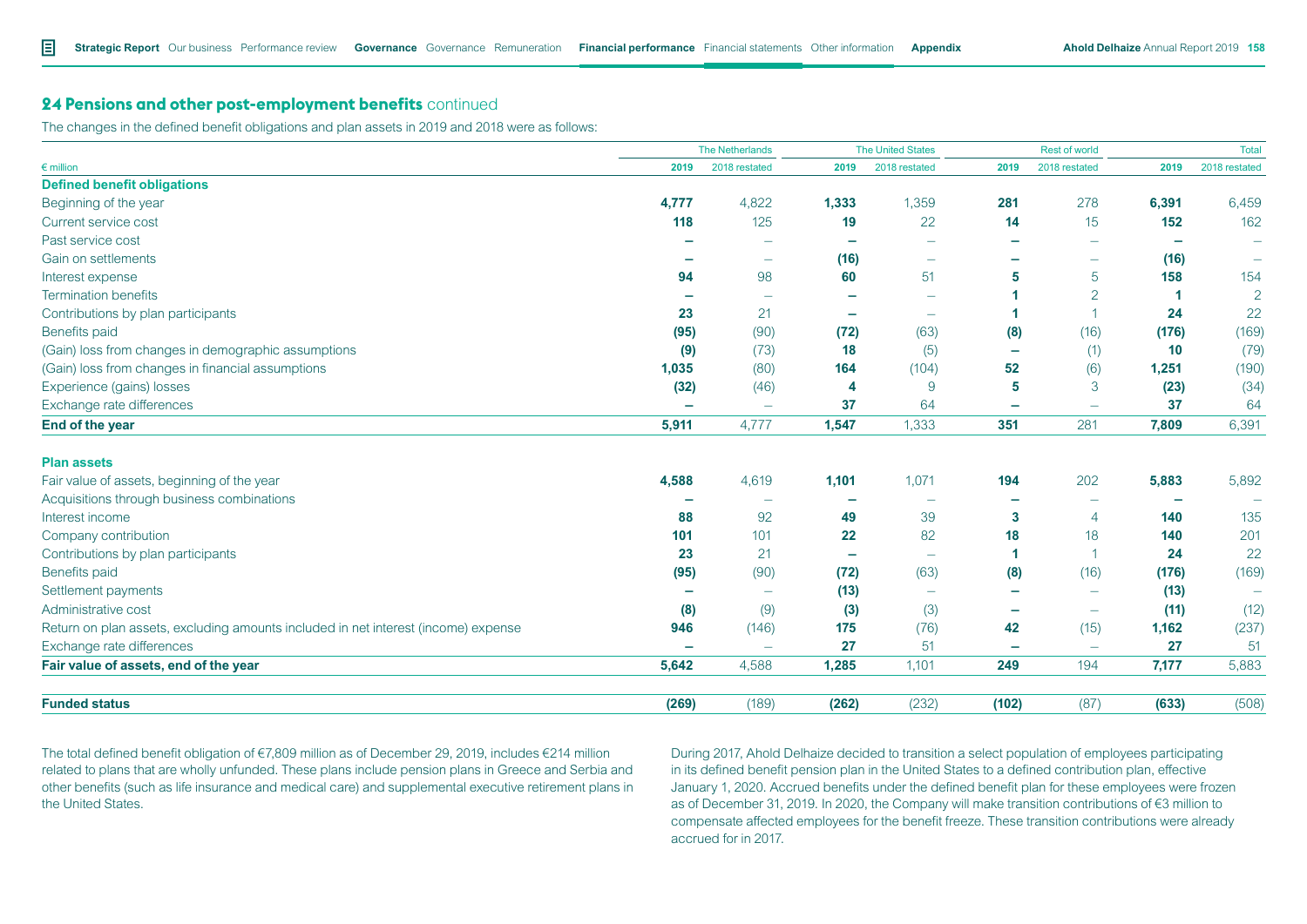The changes in the defined benefit obligations and plan assets in 2019 and 2018 were as follows:

|                                                                                    |       | <b>The Netherlands</b>   | <b>The United States</b> |                          | Rest of world            |                          |       | <b>Total</b>   |
|------------------------------------------------------------------------------------|-------|--------------------------|--------------------------|--------------------------|--------------------------|--------------------------|-------|----------------|
| $\epsilon$ million                                                                 | 2019  | 2018 restated            | 2019                     | 2018 restated            | 2019                     | 2018 restated            | 2019  | 2018 restated  |
| <b>Defined benefit obligations</b>                                                 |       |                          |                          |                          |                          |                          |       |                |
| Beginning of the year                                                              | 4,777 | 4,822                    | 1,333                    | 1,359                    | 281                      | 278                      | 6,391 | 6,459          |
| Current service cost                                                               | 118   | 125                      | 19                       | 22                       | 14                       | 15                       | 152   | 162            |
| Past service cost                                                                  |       |                          |                          | $\overline{\phantom{0}}$ |                          |                          |       |                |
| Gain on settlements                                                                |       | $\overline{\phantom{a}}$ | (16)                     |                          | -                        | $\overline{\phantom{a}}$ | (16)  |                |
| Interest expense                                                                   | 94    | 98                       | 60                       | 51                       | 5                        | 5                        | 158   | 154            |
| <b>Termination benefits</b>                                                        |       |                          | -                        |                          |                          | $\overline{2}$           |       | $\overline{2}$ |
| Contributions by plan participants                                                 | 23    | 21                       | $\overline{\phantom{0}}$ | $\overline{\phantom{0}}$ |                          | -1                       | 24    | 22             |
| <b>Benefits paid</b>                                                               | (95)  | (90)                     | (72)                     | (63)                     | (8)                      | (16)                     | (176) | (169)          |
| (Gain) loss from changes in demographic assumptions                                | (9)   | (73)                     | 18                       | (5)                      | -                        | (1)                      | 10    | (79)           |
| (Gain) loss from changes in financial assumptions                                  | 1,035 | (80)                     | 164                      | (104)                    | 52                       | (6)                      | 1,251 | (190)          |
| Experience (gains) losses                                                          | (32)  | (46)                     | 4                        | 9                        | 5                        | 3                        | (23)  | (34)           |
| Exchange rate differences                                                          | -     | $\overline{\phantom{m}}$ | 37                       | 64                       | -                        | $\overline{\phantom{m}}$ | 37    | 64             |
| End of the year                                                                    | 5,911 | 4,777                    | 1,547                    | 1,333                    | 351                      | 281                      | 7,809 | 6,391          |
| <b>Plan assets</b>                                                                 |       |                          |                          |                          |                          |                          |       |                |
| Fair value of assets, beginning of the year                                        | 4,588 | 4,619                    | 1,101                    | 1,071                    | 194                      | 202                      | 5,883 | 5,892          |
| Acquisitions through business combinations                                         |       |                          |                          | $\overline{\phantom{0}}$ |                          |                          |       |                |
| Interest income                                                                    | 88    | 92                       | 49                       | 39                       | 3                        | $\overline{4}$           | 140   | 135            |
| Company contribution                                                               | 101   | 101                      | 22                       | 82                       | 18                       | 18                       | 140   | 201            |
| Contributions by plan participants                                                 | 23    | 21                       | -                        | $\overline{\phantom{m}}$ |                          | 1                        | 24    | 22             |
| Benefits paid                                                                      | (95)  | (90)                     | (72)                     | (63)                     | (8)                      | (16)                     | (176) | (169)          |
| Settlement payments                                                                |       |                          | (13)                     |                          | $\overline{\phantom{0}}$ |                          | (13)  |                |
| Administrative cost                                                                | (8)   | (9)                      | (3)                      | (3)                      | -                        | $\overline{\phantom{m}}$ | (11)  | (12)           |
| Return on plan assets, excluding amounts included in net interest (income) expense | 946   | (146)                    | 175                      | (76)                     | 42                       | (15)                     | 1,162 | (237)          |
| Exchange rate differences                                                          |       | $\overline{\phantom{0}}$ | 27                       | 51                       | $\overline{\phantom{a}}$ | $\overline{\phantom{m}}$ | 27    | 51             |
| Fair value of assets, end of the year                                              | 5,642 | 4,588                    | 1,285                    | 1,101                    | 249                      | 194                      | 7,177 | 5,883          |
| <b>Funded status</b>                                                               | (269) | (189)                    | (262)                    | (232)                    | (102)                    | (87)                     | (633) | (508)          |

The total defined benefit obligation of €7,809 million as of December 29, 2019, includes €214 million related to plans that are wholly unfunded. These plans include pension plans in Greece and Serbia and other benefits (such as life insurance and medical care) and supplemental executive retirement plans in the United States.

During 2017, Ahold Delhaize decided to transition a select population of employees participating in its defined benefit pension plan in the United States to a defined contribution plan, effective January 1, 2020. Accrued benefits under the defined benefit plan for these employees were frozen as of December 31, 2019. In 2020, the Company will make transition contributions of €3 million to compensate affected employees for the benefit freeze. These transition contributions were already accrued for in 2017.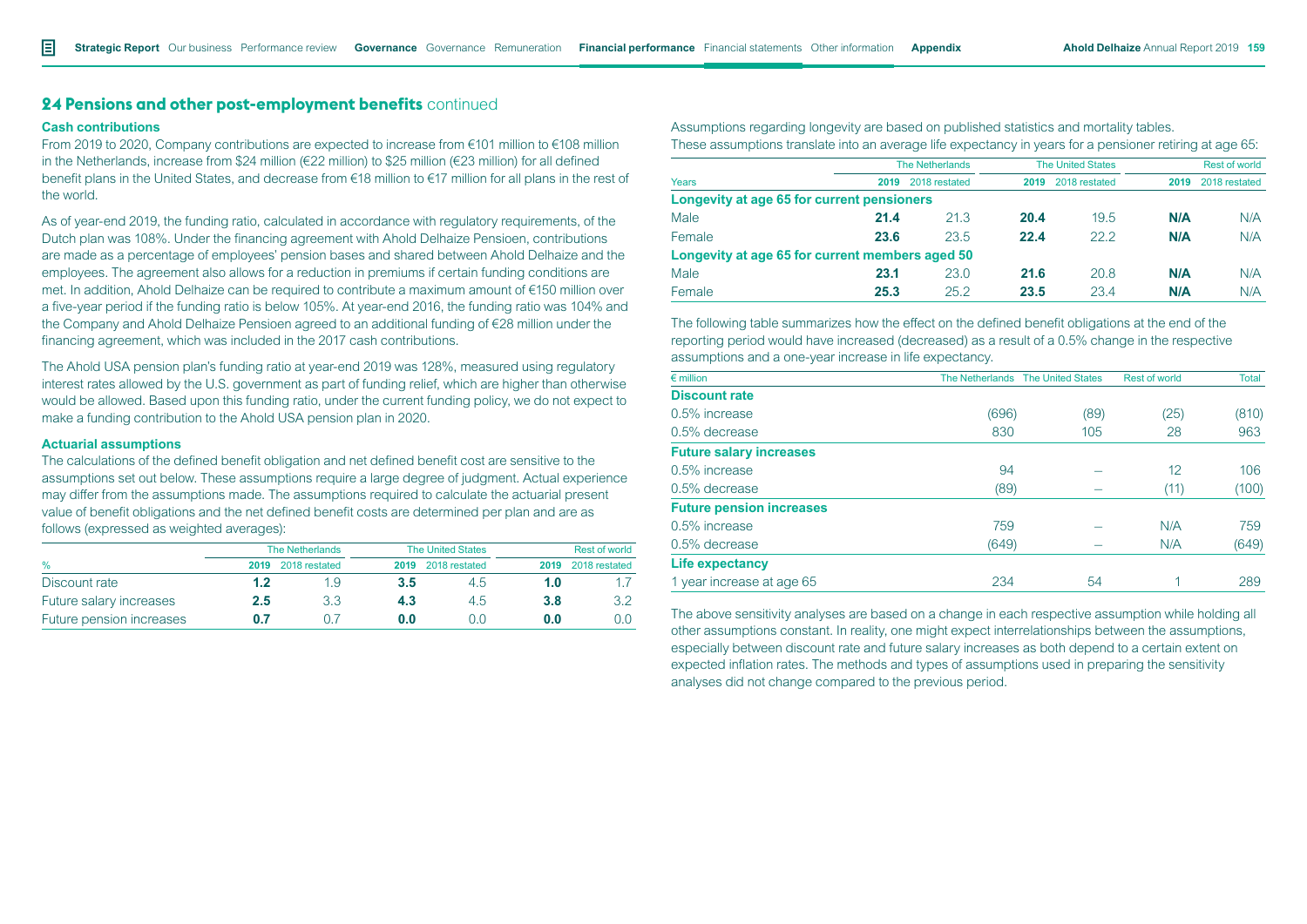#### **Cash contributions**

From 2019 to 2020, Company contributions are expected to increase from €101 million to €108 million in the Netherlands, increase from \$24 million (€22 million) to \$25 million (€23 million) for all defined benefit plans in the United States, and decrease from €18 million to €17 million for all plans in the rest of the world.

As of year-end 2019, the funding ratio, calculated in accordance with regulatory requirements, of the Dutch plan was 108%. Under the financing agreement with Ahold Delhaize Pensioen, contributions are made as a percentage of employees' pension bases and shared between Ahold Delhaize and the employees. The agreement also allows for a reduction in premiums if certain funding conditions are met. In addition, Ahold Delhaize can be required to contribute a maximum amount of €150 million over a five-year period if the funding ratio is below 105%. At year-end 2016, the funding ratio was 104% and the Company and Ahold Delhaize Pensioen agreed to an additional funding of €28 million under the financing agreement, which was included in the 2017 cash contributions.

The Ahold USA pension plan's funding ratio at year-end 2019 was 128%, measured using regulatory interest rates allowed by the U.S. government as part of funding relief, which are higher than otherwise would be allowed. Based upon this funding ratio, under the current funding policy, we do not expect to make a funding contribution to the Ahold USA pension plan in 2020.

#### **Actuarial assumptions**

The calculations of the defined benefit obligation and net defined benefit cost are sensitive to the assumptions set out below. These assumptions require a large degree of judgment. Actual experience may differ from the assumptions made. The assumptions required to calculate the actuarial present value of benefit obligations and the net defined benefit costs are determined per plan and are as follows (expressed as weighted averages):

|                          |         | <b>The Netherlands</b> |      | <b>The United States</b> | Rest of world |               |  |
|--------------------------|---------|------------------------|------|--------------------------|---------------|---------------|--|
| $\%$                     | 2019    | 2018 restated          | 2019 | 2018 restated            | 2019          | 2018 restated |  |
| Discount rate            | 1.2     | 1.9                    | 3.5  | 4.5                      | 1.0           |               |  |
| Future salary increases  | $2.5\,$ | 3.3                    | 4.3  | 4.5                      | 3.8           | 3.2           |  |
| Future pension increases | 0 7     |                        | 0.0  |                          | 0.0           | 0.0           |  |

Assumptions regarding longevity are based on published statistics and mortality tables. These assumptions translate into an average life expectancy in years for a pensioner retiring at age 65:

|                                                 | <b>The Netherlands</b> |               |      | <b>The United States</b> |      | <b>Rest of world</b> |  |  |
|-------------------------------------------------|------------------------|---------------|------|--------------------------|------|----------------------|--|--|
| Years                                           | 2019                   | 2018 restated | 2019 | 2018 restated            | 2019 | 2018 restated        |  |  |
| Longevity at age 65 for current pensioners      |                        |               |      |                          |      |                      |  |  |
| Male                                            | 21.4                   | 21.3          | 20.4 | 19.5                     | N/A  | N/A                  |  |  |
| Female                                          | 23.6                   | 23.5          | 22.4 | 22.2                     | N/A  | N/A                  |  |  |
| Longevity at age 65 for current members aged 50 |                        |               |      |                          |      |                      |  |  |
| Male                                            | 23.1                   | 23.0          | 21.6 | 20.8                     | N/A  | N/A                  |  |  |
| Female                                          | 25.3                   | 25.2          | 23.5 | 23.4                     | N/A  | N/A                  |  |  |

The following table summarizes how the effect on the defined benefit obligations at the end of the reporting period would have increased (decreased) as a result of a 0.5% change in the respective assumptions and a one-year increase in life expectancy.

| $\epsilon$ million              |       | The Netherlands The United States | <b>Rest of world</b> | Total |
|---------------------------------|-------|-----------------------------------|----------------------|-------|
| <b>Discount rate</b>            |       |                                   |                      |       |
| 0.5% increase                   | (696) | (89)                              | (25)                 | (810) |
| 0.5% decrease                   | 830   | 105                               | 28                   | 963   |
| <b>Future salary increases</b>  |       |                                   |                      |       |
| 0.5% increase                   | 94    |                                   | 12                   | 106   |
| $0.5\%$ decrease                | (89)  |                                   | (11)                 | (100) |
| <b>Future pension increases</b> |       |                                   |                      |       |
| 0.5% increase                   | 759   |                                   | N/A                  | 759   |
| 0.5% decrease                   | (649) |                                   | N/A                  | (649) |
| Life expectancy                 |       |                                   |                      |       |
| 1 year increase at age 65       | 234   | 54                                |                      | 289   |

The above sensitivity analyses are based on a change in each respective assumption while holding all other assumptions constant. In reality, one might expect interrelationships between the assumptions, especially between discount rate and future salary increases as both depend to a certain extent on expected inflation rates. The methods and types of assumptions used in preparing the sensitivity analyses did not change compared to the previous period.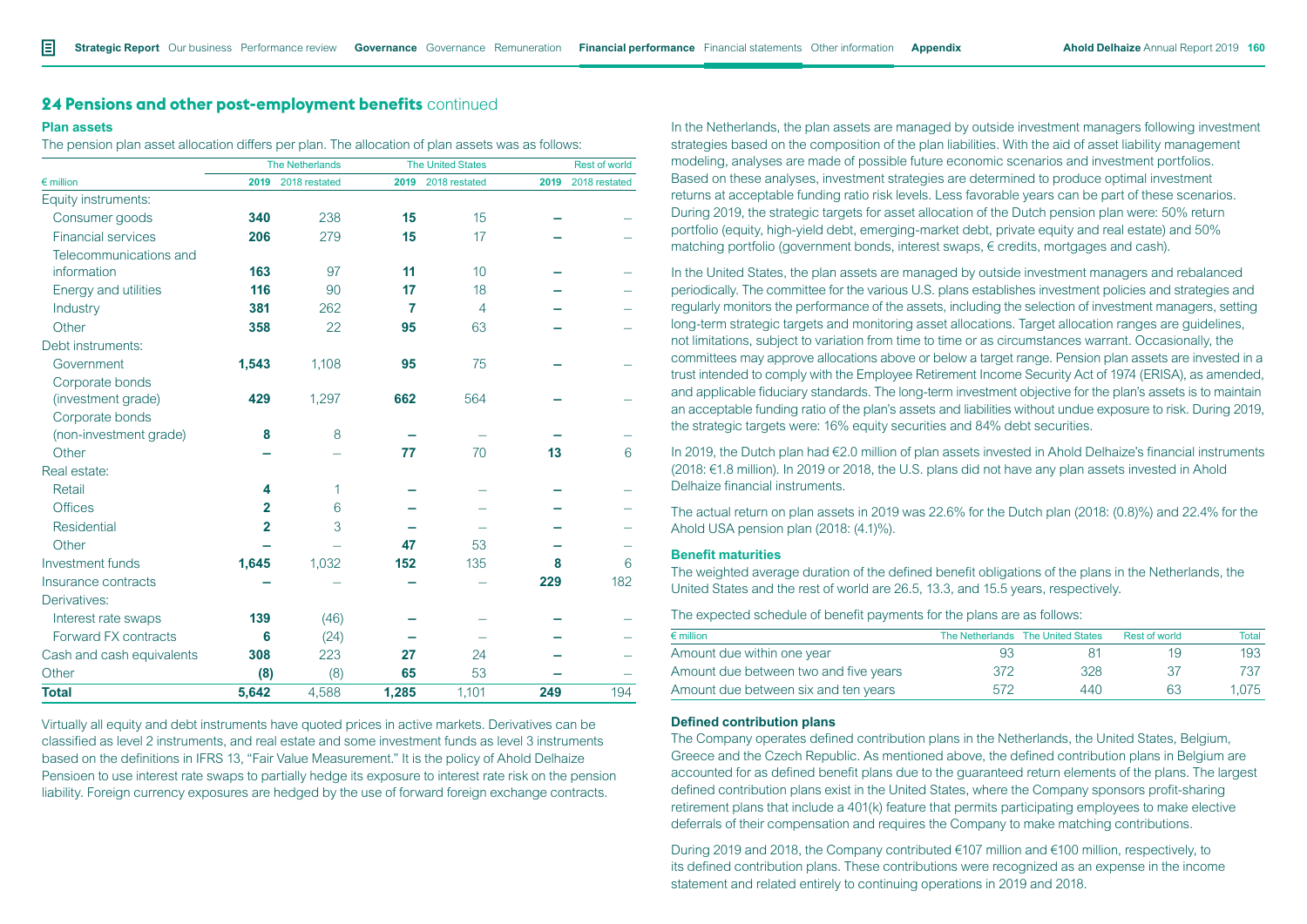#### **Plan assets**

The pension plan asset allocation differs per plan. The allocation of plan assets was as follows:

|                           |                | <b>The Netherlands</b> | <b>The United States</b> |                | <b>Rest of world</b> |               |
|---------------------------|----------------|------------------------|--------------------------|----------------|----------------------|---------------|
| $\epsilon$ million        | 2019           | 2018 restated          | 2019                     | 2018 restated  | 2019                 | 2018 restated |
| Equity instruments:       |                |                        |                          |                |                      |               |
| Consumer goods            | 340            | 238                    | 15                       | 15             |                      |               |
| <b>Financial services</b> | 206            | 279                    | 15                       | 17             |                      |               |
| Telecommunications and    |                |                        |                          |                |                      |               |
| information               | 163            | 97                     | 11                       | 10             |                      |               |
| Energy and utilities      | 116            | 90                     | 17                       | 18             |                      |               |
| Industry                  | 381            | 262                    | 7                        | $\overline{4}$ |                      |               |
| Other                     | 358            | 22                     | 95                       | 63             |                      |               |
| Debt instruments:         |                |                        |                          |                |                      |               |
| Government                | 1,543          | 1,108                  | 95                       | 75             |                      |               |
| Corporate bonds           |                |                        |                          |                |                      |               |
| (investment grade)        | 429            | 1,297                  | 662                      | 564            |                      |               |
| Corporate bonds           |                |                        |                          |                |                      |               |
| (non-investment grade)    | 8              | 8                      |                          |                |                      |               |
| Other                     |                |                        | 77                       | 70             | 13                   | 6             |
| Real estate:              |                |                        |                          |                |                      |               |
| Retail                    | 4              | 1                      |                          |                |                      |               |
| <b>Offices</b>            | $\mathbf{2}$   | 6                      |                          |                |                      |               |
| <b>Residential</b>        | $\overline{2}$ | 3                      |                          |                |                      |               |
| Other                     |                |                        | 47                       | 53             |                      |               |
| Investment funds          | 1,645          | 1,032                  | 152                      | 135            | 8                    | 6             |
| Insurance contracts       |                |                        |                          |                | 229                  | 182           |
| Derivatives:              |                |                        |                          |                |                      |               |
| Interest rate swaps       | 139            | (46)                   |                          |                |                      |               |
| Forward FX contracts      | 6              | (24)                   |                          |                |                      |               |
| Cash and cash equivalents | 308            | 223                    | 27                       | 24             |                      |               |
| Other                     | (8)            | (8)                    | 65                       | 53             |                      |               |
| <b>Total</b>              | 5,642          | 4,588                  | 1,285                    | 1,101          | 249                  | 194           |

Virtually all equity and debt instruments have quoted prices in active markets. Derivatives can be classified as level 2 instruments, and real estate and some investment funds as level 3 instruments based on the definitions in IFRS 13, "Fair Value Measurement." It is the policy of Ahold Delhaize Pensioen to use interest rate swaps to partially hedge its exposure to interest rate risk on the pension liability. Foreign currency exposures are hedged by the use of forward foreign exchange contracts.

In the Netherlands, the plan assets are managed by outside investment managers following investment strategies based on the composition of the plan liabilities. With the aid of asset liability management modeling, analyses are made of possible future economic scenarios and investment portfolios. Based on these analyses, investment strategies are determined to produce optimal investment returns at acceptable funding ratio risk levels. Less favorable years can be part of these scenarios. During 2019, the strategic targets for asset allocation of the Dutch pension plan were: 50% return portfolio (equity, high-yield debt, emerging-market debt, private equity and real estate) and 50% matching portfolio (government bonds, interest swaps, € credits, mortgages and cash).

In the United States, the plan assets are managed by outside investment managers and rebalanced periodically. The committee for the various U.S. plans establishes investment policies and strategies and regularly monitors the performance of the assets, including the selection of investment managers, setting long-term strategic targets and monitoring asset allocations. Target allocation ranges are guidelines, not limitations, subject to variation from time to time or as circumstances warrant. Occasionally, the committees may approve allocations above or below a target range. Pension plan assets are invested in a trust intended to comply with the Employee Retirement Income Security Act of 1974 (ERISA), as amended, and applicable fiduciary standards. The long-term investment objective for the plan's assets is to maintain an acceptable funding ratio of the plan's assets and liabilities without undue exposure to risk. During 2019, the strategic targets were: 16% equity securities and 84% debt securities.

In 2019, the Dutch plan had €2.0 million of plan assets invested in Ahold Delhaize's financial instruments (2018: €1.8 million). In 2019 or 2018, the U.S. plans did not have any plan assets invested in Ahold Delhaize financial instruments.

The actual return on plan assets in 2019 was 22.6% for the Dutch plan (2018: (0.8)%) and 22.4% for the Ahold USA pension plan (2018: (4.1)%).

#### **Benefit maturities**

The weighted average duration of the defined benefit obligations of the plans in the Netherlands, the United States and the rest of world are 26.5, 13.3, and 15.5 years, respectively.

The expected schedule of benefit payments for the plans are as follows:

| $\epsilon$ million                    |     | The Netherlands The United States | Rest of world | Total |
|---------------------------------------|-----|-----------------------------------|---------------|-------|
| Amount due within one year            | 93  |                                   | 19            | 193   |
| Amount due between two and five years | 372 | 328                               | 27            | 737   |
| Amount due between six and ten years  | 572 | 440                               | 63            | 1.075 |

### **Defined contribution plans**

The Company operates defined contribution plans in the Netherlands, the United States, Belgium, Greece and the Czech Republic. As mentioned above, the defined contribution plans in Belgium are accounted for as defined benefit plans due to the guaranteed return elements of the plans. The largest defined contribution plans exist in the United States, where the Company sponsors profit-sharing retirement plans that include a 401(k) feature that permits participating employees to make elective deferrals of their compensation and requires the Company to make matching contributions.

During 2019 and 2018, the Company contributed €107 million and €100 million, respectively, to its defined contribution plans. These contributions were recognized as an expense in the income statement and related entirely to continuing operations in 2019 and 2018.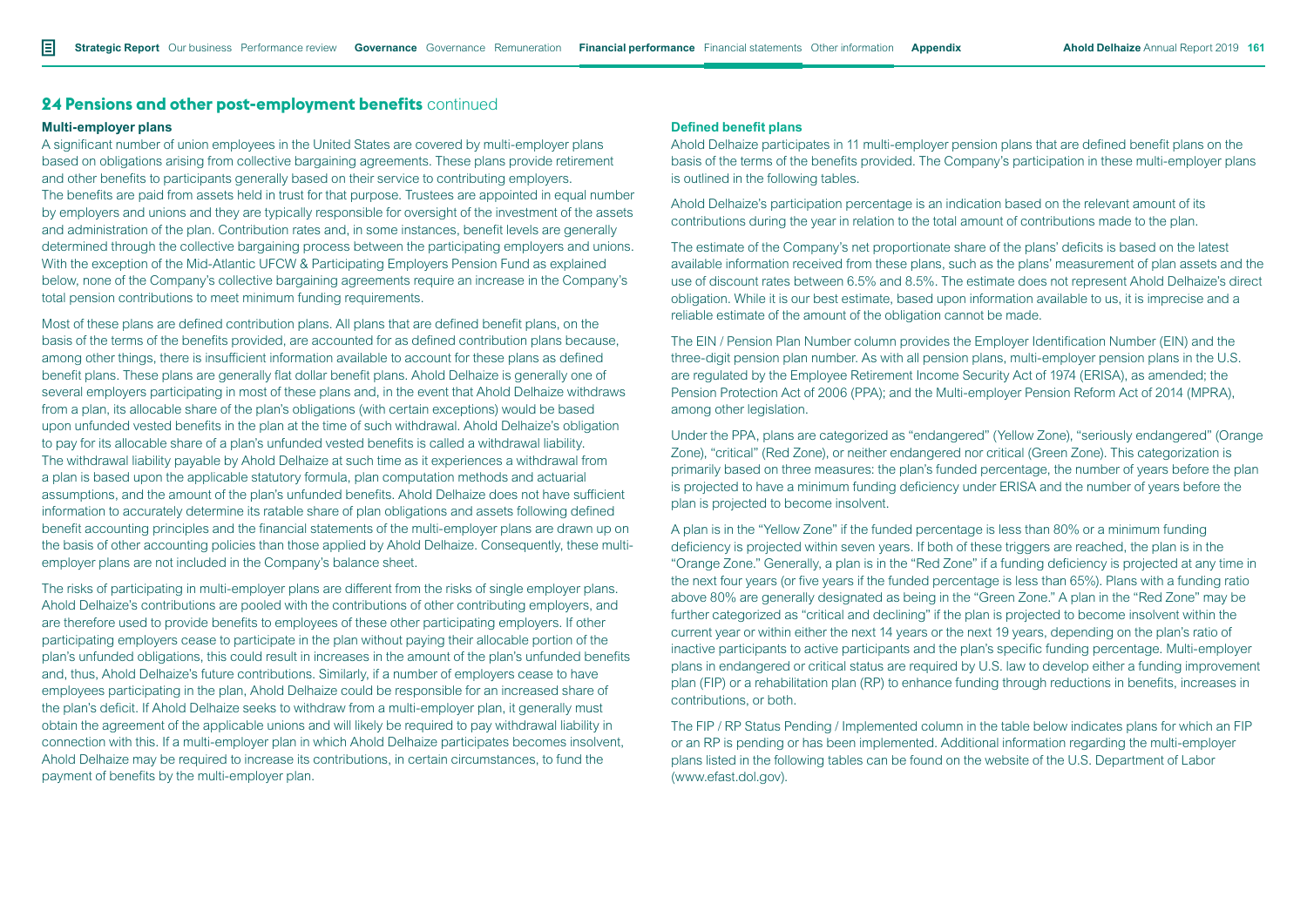#### **Multi-employer plans**

A significant number of union employees in the United States are covered by multi-employer plans based on obligations arising from collective bargaining agreements. These plans provide retirement and other benefits to participants generally based on their service to contributing employers. The benefits are paid from assets held in trust for that purpose. Trustees are appointed in equal number by employers and unions and they are typically responsible for oversight of the investment of the assets and administration of the plan. Contribution rates and, in some instances, benefit levels are generally determined through the collective bargaining process between the participating employers and unions. With the exception of the Mid-Atlantic UFCW & Participating Employers Pension Fund as explained below, none of the Company's collective bargaining agreements require an increase in the Company's total pension contributions to meet minimum funding requirements.

Most of these plans are defined contribution plans. All plans that are defined benefit plans, on the basis of the terms of the benefits provided, are accounted for as defined contribution plans because, among other things, there is insufficient information available to account for these plans as defined benefit plans. These plans are generally flat dollar benefit plans. Ahold Delhaize is generally one of several employers participating in most of these plans and, in the event that Ahold Delhaize withdraws from a plan, its allocable share of the plan's obligations (with certain exceptions) would be based upon unfunded vested benefits in the plan at the time of such withdrawal. Ahold Delhaize's obligation to pay for its allocable share of a plan's unfunded vested benefits is called a withdrawal liability. The withdrawal liability payable by Ahold Delhaize at such time as it experiences a withdrawal from a plan is based upon the applicable statutory formula, plan computation methods and actuarial assumptions, and the amount of the plan's unfunded benefits. Ahold Delhaize does not have sufficient information to accurately determine its ratable share of plan obligations and assets following defined benefit accounting principles and the financial statements of the multi-employer plans are drawn up on the basis of other accounting policies than those applied by Ahold Delhaize. Consequently, these multiemployer plans are not included in the Company's balance sheet.

The risks of participating in multi-employer plans are different from the risks of single employer plans. Ahold Delhaize's contributions are pooled with the contributions of other contributing employers, and are therefore used to provide benefits to employees of these other participating employers. If other participating employers cease to participate in the plan without paying their allocable portion of the plan's unfunded obligations, this could result in increases in the amount of the plan's unfunded benefits and, thus, Ahold Delhaize's future contributions. Similarly, if a number of employers cease to have employees participating in the plan, Ahold Delhaize could be responsible for an increased share of the plan's deficit. If Ahold Delhaize seeks to withdraw from a multi-employer plan, it generally must obtain the agreement of the applicable unions and will likely be required to pay withdrawal liability in connection with this. If a multi-employer plan in which Ahold Delhaize participates becomes insolvent, Ahold Delhaize may be required to increase its contributions, in certain circumstances, to fund the payment of benefits by the multi-employer plan.

## **Defined benefit plans**

Ahold Delhaize participates in 11 multi-employer pension plans that are defined benefit plans on the basis of the terms of the benefits provided. The Company's participation in these multi-employer plans is outlined in the following tables.

Ahold Delhaize's participation percentage is an indication based on the relevant amount of its contributions during the year in relation to the total amount of contributions made to the plan.

The estimate of the Company's net proportionate share of the plans' deficits is based on the latest available information received from these plans, such as the plans' measurement of plan assets and the use of discount rates between 6.5% and 8.5%. The estimate does not represent Ahold Delhaize's direct obligation. While it is our best estimate, based upon information available to us, it is imprecise and a reliable estimate of the amount of the obligation cannot be made.

The EIN / Pension Plan Number column provides the Employer Identification Number (EIN) and the three-digit pension plan number. As with all pension plans, multi-employer pension plans in the U.S. are regulated by the Employee Retirement Income Security Act of 1974 (ERISA), as amended; the Pension Protection Act of 2006 (PPA); and the Multi-employer Pension Reform Act of 2014 (MPRA), among other legislation.

Under the PPA, plans are categorized as "endangered" (Yellow Zone), "seriously endangered" (Orange Zone), "critical" (Red Zone), or neither endangered nor critical (Green Zone). This categorization is primarily based on three measures: the plan's funded percentage, the number of years before the plan is projected to have a minimum funding deficiency under ERISA and the number of years before the plan is projected to become insolvent.

A plan is in the "Yellow Zone" if the funded percentage is less than 80% or a minimum funding deficiency is projected within seven years. If both of these triggers are reached, the plan is in the "Orange Zone." Generally, a plan is in the "Red Zone" if a funding deficiency is projected at any time in the next four years (or five years if the funded percentage is less than 65%). Plans with a funding ratio above 80% are generally designated as being in the "Green Zone." A plan in the "Red Zone" may be further categorized as "critical and declining" if the plan is projected to become insolvent within the current year or within either the next 14 years or the next 19 years, depending on the plan's ratio of inactive participants to active participants and the plan's specific funding percentage. Multi-employer plans in endangered or critical status are required by U.S. law to develop either a funding improvement plan (FIP) or a rehabilitation plan (RP) to enhance funding through reductions in benefits, increases in contributions, or both.

The FIP / RP Status Pending / Implemented column in the table below indicates plans for which an FIP or an RP is pending or has been implemented. Additional information regarding the multi-employer plans listed in the following tables can be found on the website of the U.S. Department of Labor (www.efast.dol.gov).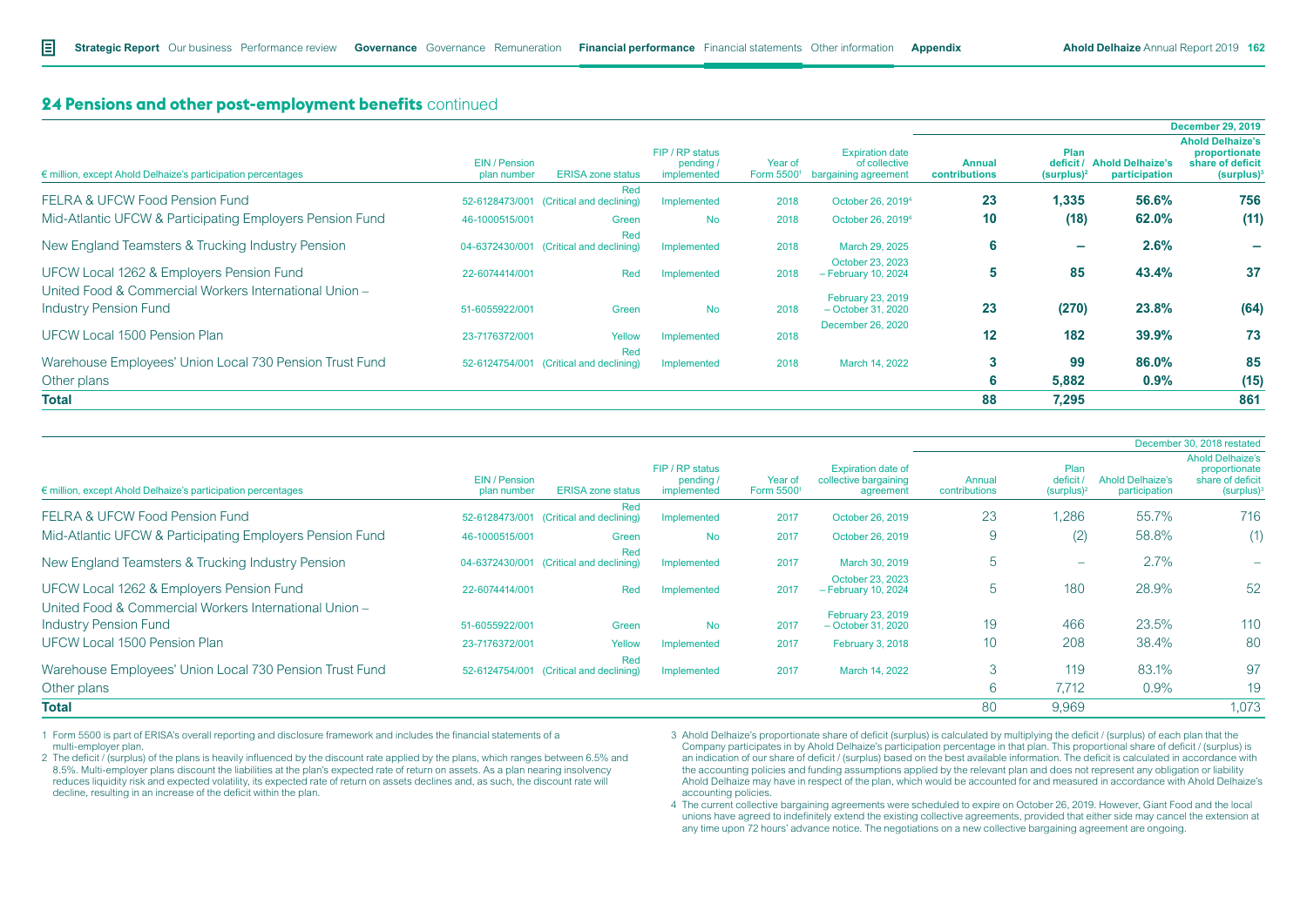|                                                                                        |                              |                                                |                                             |                       |                                                                 |                                |                                   |                                          | <b>December 29, 2019</b>                                                      |
|----------------------------------------------------------------------------------------|------------------------------|------------------------------------------------|---------------------------------------------|-----------------------|-----------------------------------------------------------------|--------------------------------|-----------------------------------|------------------------------------------|-------------------------------------------------------------------------------|
| € million, except Ahold Delhaize's participation percentages                           | EIN / Pension<br>plan number | <b>ERISA zone status</b>                       | FIP / RP status<br>pending /<br>implemented | Year of<br>Form 55001 | <b>Expiration date</b><br>of collective<br>bargaining agreement | <b>Annual</b><br>contributions | Plan<br>deficit/<br>$(surplus)^2$ | <b>Ahold Delhaize's</b><br>participation | <b>Ahold Delhaize's</b><br>proportionate<br>share of deficit<br>$(surplus)^3$ |
| <b>FELRA &amp; UFCW Food Pension Fund</b>                                              | 52-6128473/001               | Red<br>(Critical and declining)                | Implemented                                 | 2018                  | October 26, 2019 <sup>4</sup>                                   | 23                             | 1,335                             | 56.6%                                    | 756                                                                           |
| Mid-Atlantic UFCW & Participating Employers Pension Fund                               | 46-1000515/001               | Green                                          | <b>No</b>                                   | 2018                  | October 26, 2019 <sup>4</sup>                                   | 10 <sup>°</sup>                | (18)                              | 62.0%                                    | (11)                                                                          |
| New England Teamsters & Trucking Industry Pension                                      |                              | Red<br>04-6372430/001 (Critical and declining) | Implemented                                 | 2018                  | March 29, 2025                                                  | 6                              | ۰                                 | 2.6%                                     |                                                                               |
| UFCW Local 1262 & Employers Pension Fund                                               | 22-6074414/001               | Red                                            | Implemented                                 | 2018                  | October 23, 2023<br>- February 10, 2024                         | 5                              | 85                                | 43.4%                                    | 37                                                                            |
| United Food & Commercial Workers International Union -<br><b>Industry Pension Fund</b> | 51-6055922/001               | Green                                          | <b>No</b>                                   | 2018                  | <b>February 23, 2019</b><br>- October 31, 2020                  | 23                             | (270)                             | 23.8%                                    | (64)                                                                          |
| UFCW Local 1500 Pension Plan                                                           | 23-7176372/001               | Yellow                                         | Implemented                                 | 2018                  | December 26, 2020                                               | 12 <sup>2</sup>                | 182                               | 39.9%                                    | 73                                                                            |
| Warehouse Employees' Union Local 730 Pension Trust Fund                                |                              | Red<br>52-6124754/001 (Critical and declining) | Implemented                                 | 2018                  | March 14, 2022                                                  | 3                              | 99                                | 86.0%                                    | 85                                                                            |
| Other plans                                                                            |                              |                                                |                                             |                       |                                                                 | 6                              | 5,882                             | $0.9\%$                                  | (15)                                                                          |
| <b>Total</b>                                                                           |                              |                                                |                                             |                       |                                                                 | 88                             | 7,295                             |                                          | 861                                                                           |

|                                                                                        |                              |                                                |                                            |                       |                                                                 |                         |                                  |                                          | December 30, 2018 restated                                                    |
|----------------------------------------------------------------------------------------|------------------------------|------------------------------------------------|--------------------------------------------|-----------------------|-----------------------------------------------------------------|-------------------------|----------------------------------|------------------------------------------|-------------------------------------------------------------------------------|
| $\epsilon$ million, except Ahold Delhaize's participation percentages                  | EIN / Pension<br>plan number | <b>ERISA zone status</b>                       | FIP / RP status<br>pending/<br>implemented | Year of<br>Form 55001 | <b>Expiration date of</b><br>collective bargaining<br>agreement | Annual<br>contributions | Plan<br>deficit<br>$(surplus)^2$ | <b>Ahold Delhaize's</b><br>participation | <b>Ahold Delhaize's</b><br>proportionate<br>share of deficit<br>$(surplus)^3$ |
| <b>FELRA &amp; UFCW Food Pension Fund</b>                                              |                              | Red<br>52-6128473/001 (Critical and declining) | Implemented                                | 2017                  | October 26, 2019                                                | 23                      | 1,286                            | 55.7%                                    | 716                                                                           |
| Mid-Atlantic UFCW & Participating Employers Pension Fund                               | 46-1000515/001               | Green                                          | <b>No</b>                                  | 2017                  | October 26, 2019                                                | 9                       | (2)                              | 58.8%                                    | (1)                                                                           |
| New England Teamsters & Trucking Industry Pension                                      |                              | Red<br>04-6372430/001 (Critical and declining) | Implemented                                | 2017                  | March 30, 2019                                                  | $\mathfrak b$           | $\overline{\phantom{a}}$         | 2.7%                                     |                                                                               |
| UFCW Local 1262 & Employers Pension Fund                                               | 22-6074414/001               | Red                                            | Implemented                                | 2017                  | October 23, 2023<br>$-$ February 10, 2024                       | b                       | 180                              | 28.9%                                    | 52                                                                            |
| United Food & Commercial Workers International Union -<br><b>Industry Pension Fund</b> | 51-6055922/001               | Green                                          | <b>No</b>                                  | 2017                  | February 23, 2019<br>$-$ October 31, 2020                       | 19                      | 466                              | 23.5%                                    | 110                                                                           |
| <b>UFCW Local 1500 Pension Plan</b>                                                    | 23-7176372/001               | Yellow                                         | Implemented                                | 2017                  | <b>February 3, 2018</b>                                         | 10 <sup>°</sup>         | 208                              | 38.4%                                    | 80                                                                            |
| Warehouse Employees' Union Local 730 Pension Trust Fund                                |                              | Red<br>52-6124754/001 (Critical and declining) | Implemented                                | 2017                  | March 14, 2022                                                  | 3                       | 119                              | 83.1%                                    | 97                                                                            |
| Other plans                                                                            |                              |                                                |                                            |                       |                                                                 | $\sim$<br>$\circ$       | 7,712                            | 0.9%                                     | 19                                                                            |
| <b>Total</b>                                                                           |                              |                                                |                                            |                       |                                                                 | 80                      | 9,969                            |                                          | 1,073                                                                         |

1 Form 5500 is part of ERISA's overall reporting and disclosure framework and includes the financial statements of a multi-employer plan.

2 The deficit / (surplus) of the plans is heavily influenced by the discount rate applied by the plans, which ranges between 6.5% and 8.5%. Multi-employer plans discount the liabilities at the plan's expected rate of return on assets. As a plan nearing insolvency reduces liquidity risk and expected volatility, its expected rate of return on assets declines and, as such, the discount rate will decline, resulting in an increase of the deficit within the plan.

3 Ahold Delhaize's proportionate share of deficit (surplus) is calculated by multiplying the deficit / (surplus) of each plan that the Company participates in by Ahold Delhaize's participation percentage in that plan. This proportional share of deficit / (surplus) is an indication of our share of deficit / (surplus) based on the best available information. The deficit is calculated in accordance with the accounting policies and funding assumptions applied by the relevant plan and does not represent any obligation or liability Ahold Delhaize may have in respect of the plan, which would be accounted for and measured in accordance with Ahold Delhaize's accounting policies.

4 The current collective bargaining agreements were scheduled to expire on October 26, 2019. However, Giant Food and the local unions have agreed to indefinitely extend the existing collective agreements, provided that either side may cancel the extension at any time upon 72 hours' advance notice. The negotiations on a new collective bargaining agreement are ongoing.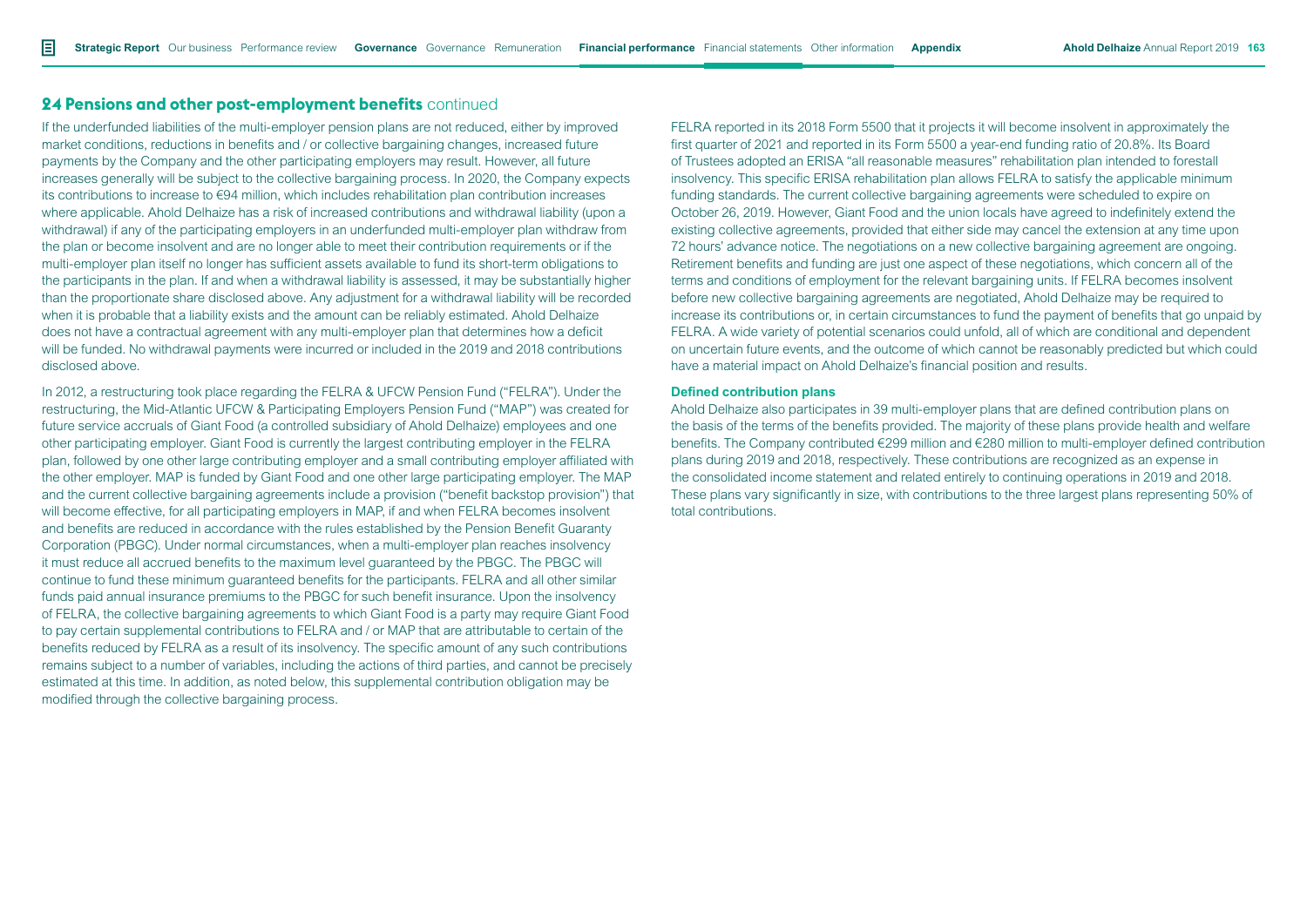If the underfunded liabilities of the multi-employer pension plans are not reduced, either by improved market conditions, reductions in benefits and / or collective bargaining changes, increased future payments by the Company and the other participating employers may result. However, all future increases generally will be subject to the collective bargaining process. In 2020, the Company expects its contributions to increase to €94 million, which includes rehabilitation plan contribution increases where applicable. Ahold Delhaize has a risk of increased contributions and withdrawal liability (upon a withdrawal) if any of the participating employers in an underfunded multi-employer plan withdraw from the plan or become insolvent and are no longer able to meet their contribution requirements or if the multi-employer plan itself no longer has sufficient assets available to fund its short-term obligations to the participants in the plan. If and when a withdrawal liability is assessed, it may be substantially higher than the proportionate share disclosed above. Any adjustment for a withdrawal liability will be recorded when it is probable that a liability exists and the amount can be reliably estimated. Ahold Delhaize does not have a contractual agreement with any multi-employer plan that determines how a deficit will be funded. No withdrawal payments were incurred or included in the 2019 and 2018 contributions disclosed above.

In 2012, a restructuring took place regarding the FELRA & UFCW Pension Fund ("FELRA"). Under the restructuring, the Mid-Atlantic UFCW & Participating Employers Pension Fund ("MAP") was created for future service accruals of Giant Food (a controlled subsidiary of Ahold Delhaize) employees and one other participating employer. Giant Food is currently the largest contributing employer in the FELRA plan, followed by one other large contributing employer and a small contributing employer affiliated with the other employer. MAP is funded by Giant Food and one other large participating employer. The MAP and the current collective bargaining agreements include a provision ("benefit backstop provision") that will become effective, for all participating employers in MAP, if and when FELRA becomes insolvent and benefits are reduced in accordance with the rules established by the Pension Benefit Guaranty Corporation (PBGC). Under normal circumstances, when a multi-employer plan reaches insolvency it must reduce all accrued benefits to the maximum level guaranteed by the PBGC. The PBGC will continue to fund these minimum guaranteed benefits for the participants. FELRA and all other similar funds paid annual insurance premiums to the PBGC for such benefit insurance. Upon the insolvency of FELRA, the collective bargaining agreements to which Giant Food is a party may require Giant Food to pay certain supplemental contributions to FELRA and / or MAP that are attributable to certain of the benefits reduced by FELRA as a result of its insolvency. The specific amount of any such contributions remains subject to a number of variables, including the actions of third parties, and cannot be precisely estimated at this time. In addition, as noted below, this supplemental contribution obligation may be modified through the collective bargaining process.

FELRA reported in its 2018 Form 5500 that it projects it will become insolvent in approximately the first quarter of 2021 and reported in its Form 5500 a year-end funding ratio of 20.8%. Its Board of Trustees adopted an ERISA "all reasonable measures" rehabilitation plan intended to forestall insolvency. This specific ERISA rehabilitation plan allows FELRA to satisfy the applicable minimum funding standards. The current collective bargaining agreements were scheduled to expire on October 26, 2019. However, Giant Food and the union locals have agreed to indefinitely extend the existing collective agreements, provided that either side may cancel the extension at any time upon 72 hours' advance notice. The negotiations on a new collective bargaining agreement are ongoing. Retirement benefits and funding are just one aspect of these negotiations, which concern all of the terms and conditions of employment for the relevant bargaining units. If FELRA becomes insolvent before new collective bargaining agreements are negotiated, Ahold Delhaize may be required to increase its contributions or, in certain circumstances to fund the payment of benefits that go unpaid by FELRA. A wide variety of potential scenarios could unfold, all of which are conditional and dependent on uncertain future events, and the outcome of which cannot be reasonably predicted but which could have a material impact on Ahold Delhaize's financial position and results.

### **Defined contribution plans**

Ahold Delhaize also participates in 39 multi-employer plans that are defined contribution plans on the basis of the terms of the benefits provided. The majority of these plans provide health and welfare benefits. The Company contributed €299 million and €280 million to multi-employer defined contribution plans during 2019 and 2018, respectively. These contributions are recognized as an expense in the consolidated income statement and related entirely to continuing operations in 2019 and 2018. These plans vary significantly in size, with contributions to the three largest plans representing 50% of total contributions.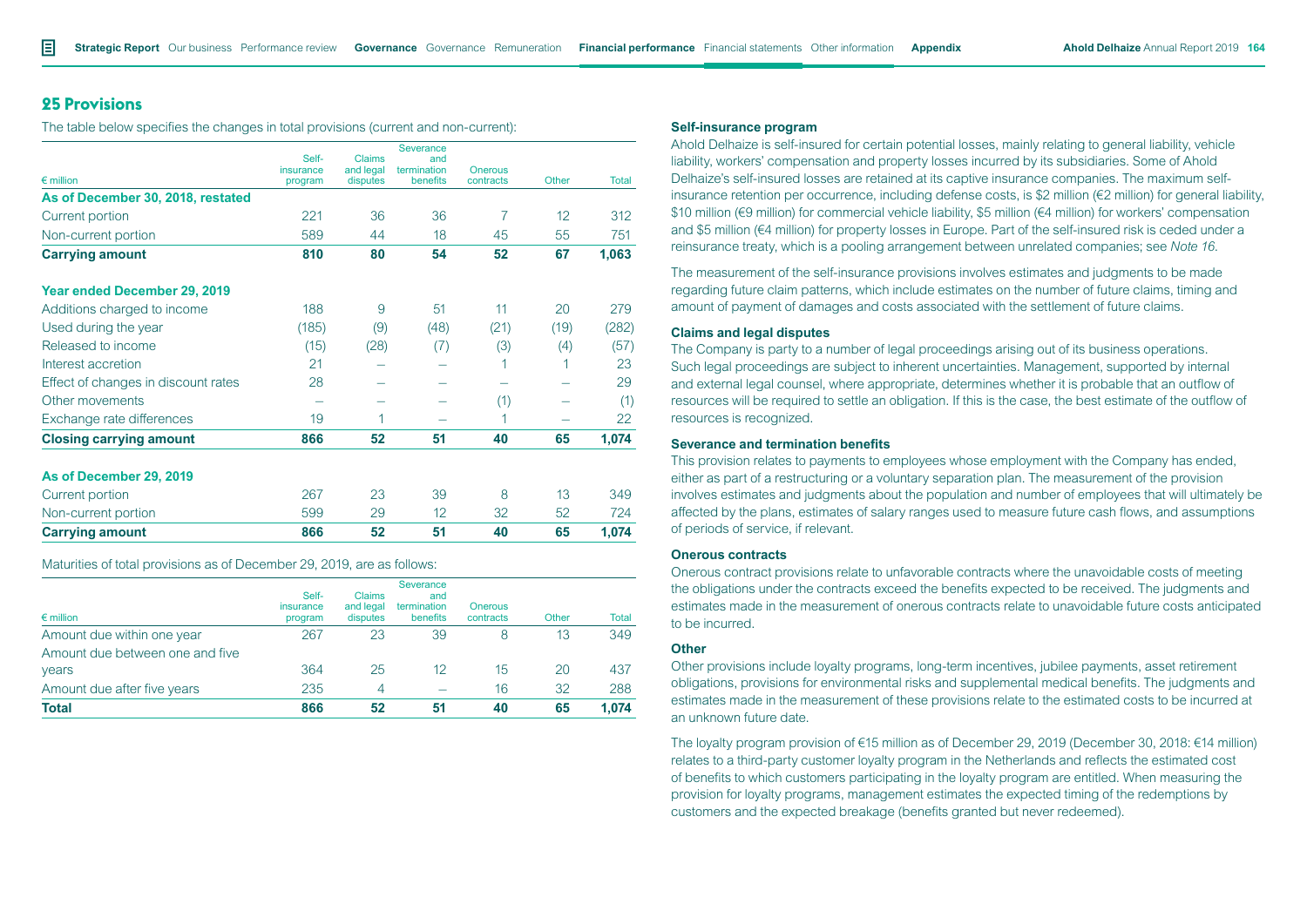# **25 Provisions**

The table below specifies the changes in total provisions (current and non-current):

|                                     | Self-                | Claims                | Severance<br>and        |                             |       |       |
|-------------------------------------|----------------------|-----------------------|-------------------------|-----------------------------|-------|-------|
| $\epsilon$ million                  | insurance<br>program | and legal<br>disputes | termination<br>benefits | <b>Onerous</b><br>contracts | Other | Total |
| As of December 30, 2018, restated   |                      |                       |                         |                             |       |       |
| Current portion                     | 221                  | 36                    | 36                      | $\overline{7}$              | 12    | 312   |
| Non-current portion                 | 589                  | 44                    | 18                      | 45                          | 55    | 751   |
| <b>Carrying amount</b>              | 810                  | 80                    | 54                      | 52                          | 67    | 1,063 |
| Year ended December 29, 2019        |                      |                       |                         |                             |       |       |
| Additions charged to income         | 188                  | 9                     | 51                      | 11                          | 20    | 279   |
| Used during the year                | (185)                | (9)                   | (48)                    | (21)                        | (19)  | (282) |
| Released to income                  | (15)                 | (28)                  | (7)                     | (3)                         | (4)   | (57)  |
| Interest accretion                  | 21                   |                       |                         |                             |       | 23    |
| Effect of changes in discount rates | 28                   |                       |                         |                             |       | 29    |
| Other movements                     |                      |                       |                         | (1)                         |       | (1)   |
| Exchange rate differences           | 19                   |                       |                         |                             |       | 22    |
| <b>Closing carrying amount</b>      | 866                  | 52                    | 51                      | 40                          | 65    | 1,074 |
| As of December 29, 2019             |                      |                       |                         |                             |       |       |
| Current portion                     | 267                  | 23                    | 39                      | 8                           | 13    | 349   |
| Non-current portion                 | 599                  | 29                    | 12                      | 32                          | 52    | 724   |
| <b>Carrying amount</b>              | 866                  | 52                    | 51                      | 40                          | 65    | 1,074 |

Maturities of total provisions as of December 29, 2019, are as follows:

| $\epsilon$ million              | Self-<br>insurance<br>program | <b>Claims</b><br>and legal<br>disputes | <b>Severance</b><br>and<br>termination<br>benefits | Onerous<br>contracts | Other | <b>Total</b> |
|---------------------------------|-------------------------------|----------------------------------------|----------------------------------------------------|----------------------|-------|--------------|
| Amount due within one year      | 267                           | 23                                     | 39                                                 | 8                    | 13    | 349          |
| Amount due between one and five |                               |                                        |                                                    |                      |       |              |
| years                           | 364                           | 25                                     | 12                                                 | 15                   | 20    | 437          |
| Amount due after five years     | 235                           | 4                                      |                                                    | 16                   | 32    | 288          |
| <b>Total</b>                    | 866                           | 52                                     | 51                                                 | 40                   | 65    | 1.074        |

#### **Self-insurance program**

Ahold Delhaize is self-insured for certain potential losses, mainly relating to general liability, vehicle liability, workers' compensation and property losses incurred by its subsidiaries. Some of Ahold Delhaize's self-insured losses are retained at its captive insurance companies. The maximum selfinsurance retention per occurrence, including defense costs, is \$2 million (€2 million) for general liability, \$10 million (€9 million) for commercial vehicle liability, \$5 million (€4 million) for workers' compensation and \$5 million (€4 million) for property losses in Europe. Part of the self-insured risk is ceded under a reinsurance treaty, which is a pooling arrangement between unrelated companies; see *Note 16*.

The measurement of the self-insurance provisions involves estimates and judgments to be made regarding future claim patterns, which include estimates on the number of future claims, timing and amount of payment of damages and costs associated with the settlement of future claims.

## **Claims and legal disputes**

The Company is party to a number of legal proceedings arising out of its business operations. Such legal proceedings are subject to inherent uncertainties. Management, supported by internal and external legal counsel, where appropriate, determines whether it is probable that an outflow of resources will be required to settle an obligation. If this is the case, the best estimate of the outflow of resources is recognized.

#### **Severance and termination benefits**

This provision relates to payments to employees whose employment with the Company has ended, either as part of a restructuring or a voluntary separation plan. The measurement of the provision involves estimates and judgments about the population and number of employees that will ultimately be affected by the plans, estimates of salary ranges used to measure future cash flows, and assumptions of periods of service, if relevant.

#### **Onerous contracts**

Onerous contract provisions relate to unfavorable contracts where the unavoidable costs of meeting the obligations under the contracts exceed the benefits expected to be received. The judgments and estimates made in the measurement of onerous contracts relate to unavoidable future costs anticipated to be incurred.

#### **Other**

Other provisions include loyalty programs, long-term incentives, jubilee payments, asset retirement obligations, provisions for environmental risks and supplemental medical benefits. The judgments and estimates made in the measurement of these provisions relate to the estimated costs to be incurred at an unknown future date.

The loyalty program provision of €15 million as of December 29, 2019 (December 30, 2018: €14 million) relates to a third-party customer loyalty program in the Netherlands and reflects the estimated cost of benefits to which customers participating in the loyalty program are entitled. When measuring the provision for loyalty programs, management estimates the expected timing of the redemptions by customers and the expected breakage (benefits granted but never redeemed).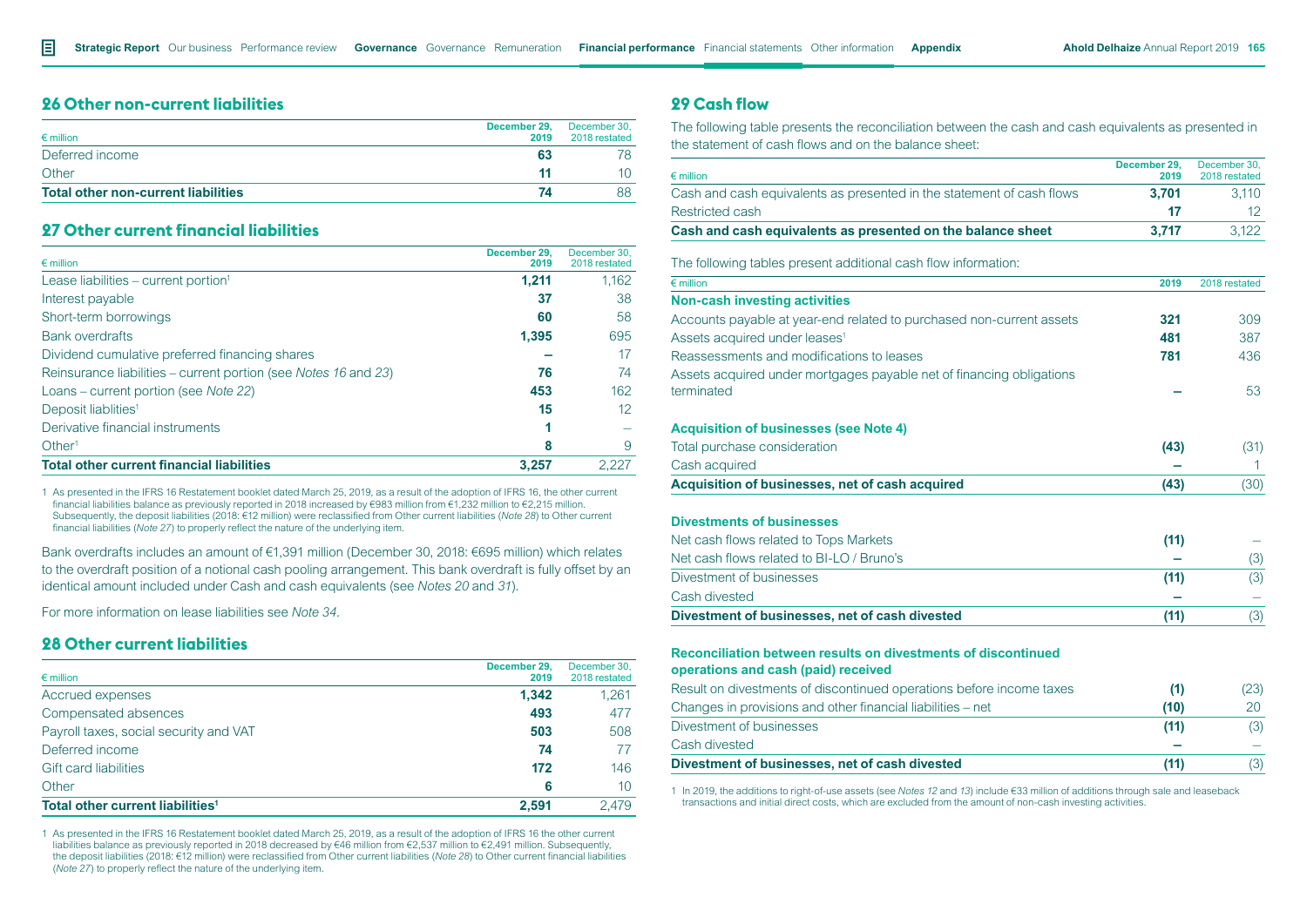# **26 Other non-current liabilities**

| $\epsilon$ million                         | December 29,<br>2019 | December 30.<br>2018 restated |
|--------------------------------------------|----------------------|-------------------------------|
| Deferred income                            | 63                   |                               |
| Other                                      |                      |                               |
| <b>Total other non-current liabilities</b> |                      | 88                            |

# **27 Other current financial liabilities**

| $\epsilon$ million                                              | December 29.<br>2019 | December 30,<br>2018 restated |
|-----------------------------------------------------------------|----------------------|-------------------------------|
| Lease liabilities – current portion <sup>1</sup>                | 1,211                | 1,162                         |
| Interest payable                                                | 37                   | 38                            |
| Short-term borrowings                                           | 60                   | 58                            |
| <b>Bank overdrafts</b>                                          | 1,395                | 695                           |
| Dividend cumulative preferred financing shares                  |                      | 17                            |
| Reinsurance liabilities – current portion (see Notes 16 and 23) | 76                   | 74                            |
| Loans – current portion (see Note 22)                           | 453                  | 162                           |
| Deposit liablities <sup>1</sup>                                 | 15                   | 12                            |
| Derivative financial instruments                                |                      |                               |
| Other <sup>1</sup>                                              | 8                    | 9                             |
| <b>Total other current financial liabilities</b>                | 3.257                | 2.227                         |

1 As presented in the IFRS 16 Restatement booklet dated March 25, 2019*,* as a result of the adoption of IFRS 16, the other current financial liabilities balance as previously reported in 2018 increased by €983 million from €1,232 million to €2,215 million. Subsequently, the deposit liabilities (2018: €12 million) were reclassified from Other current liabilities (*Note 28*) to Other current financial liabilities (*Note 27*) to properly reflect the nature of the underlying item.

Bank overdrafts includes an amount of €1,391 million (December 30, 2018: €695 million) which relates to the overdraft position of a notional cash pooling arrangement. This bank overdraft is fully offset by an identical amount included under Cash and cash equivalents (see *Notes 20* and *31*).

For more information on lease liabilities see *Note 34.*

# **28 Other current liabilities**

| $\epsilon$ million                           | December 29.<br>2019 | December 30,<br>2018 restated |
|----------------------------------------------|----------------------|-------------------------------|
| Accrued expenses                             | 1.342                | 1.261                         |
| Compensated absences                         | 493                  | 477                           |
| Payroll taxes, social security and VAT       | 503                  | 508                           |
| Deferred income                              | 74                   | 77                            |
| <b>Gift card liabilities</b>                 | 172                  | 146                           |
| Other                                        | 6                    | 10                            |
| Total other current liabilities <sup>1</sup> | 2.591                | 2.479                         |

1 As presented in the IFRS 16 Restatement booklet dated March 25, 2019, as a result of the adoption of IFRS 16 the other current liabilities balance as previously reported in 2018 decreased by €46 million from €2,537 million to €2,491 million. Subsequently, the deposit liabilities (2018: €12 million) were reclassified from Other current liabilities (*Note 28*) to Other current financial liabilities (*Note 27*) to properly reflect the nature of the underlying item.

# **29 Cash flow**

The following table presents the reconciliation between the cash and cash equivalents as presented in the statement of cash flows and on the balance sheet:

| $\epsilon$ million                                                    | December 29.<br>2019 | December 30.<br>2018 restated |
|-----------------------------------------------------------------------|----------------------|-------------------------------|
| Cash and cash equivalents as presented in the statement of cash flows | 3.701                | 3.110                         |
| Restricted cash                                                       | 47                   |                               |
| Cash and cash equivalents as presented on the balance sheet           | 3.717                | 3.122                         |

The following tables present additional cash flow information:

| 2019 | 2018 restated |
|------|---------------|
|      |               |
| 321  | 309           |
| 481  | 387           |
| 781  | 436           |
|      |               |
|      | 53            |
|      |               |
| (43) | (31)          |
|      |               |
| (43) | (30)          |
|      |               |
| (11) |               |
|      | (3)           |
| (11) | (3)           |
|      |               |
| (11) | (3)           |
|      |               |

# **Reconciliation between results on divestments of discontinued**

**operations and cash (paid) received**

| Result on divestments of discontinued operations before income taxes | (1)  | (23) |
|----------------------------------------------------------------------|------|------|
| Changes in provisions and other financial liabilities – net          | (10) | 20   |
| Divestment of businesses                                             | (11) | (3)  |
| Cash divested                                                        |      |      |
| Divestment of businesses, net of cash divested                       | (11) | (3)  |

1 In 2019, the additions to right-of-use assets (see *Notes 12* and *13*) include €33 million of additions through sale and leaseback transactions and initial direct costs, which are excluded from the amount of non-cash investing activities.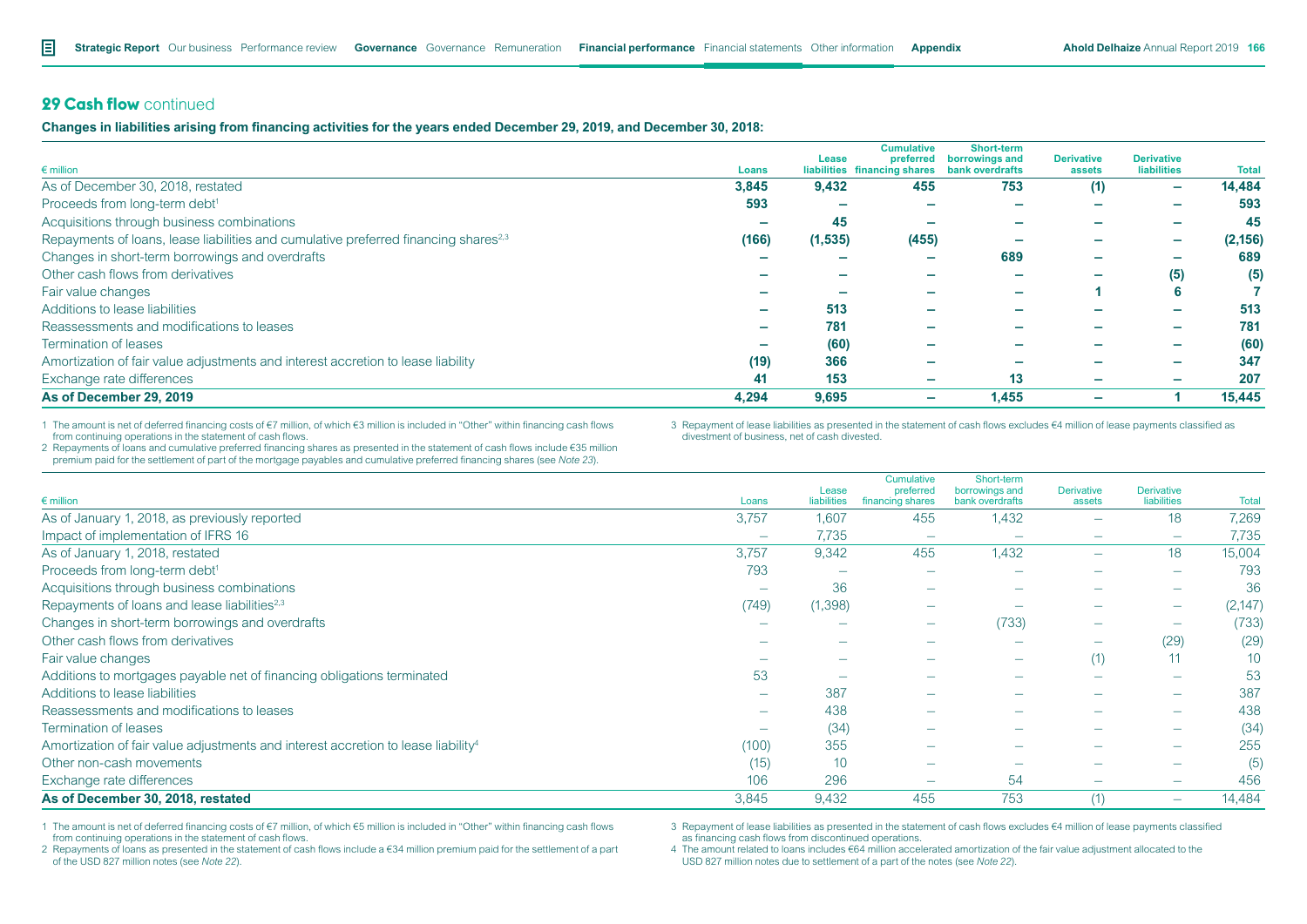# **29 Cash flow** continued

**Changes in liabilities arising from financing activities for the years ended December 29, 2019, and December 30, 2018:**

|                                                                                                 |       |          | <b>Cumulative</b>                                         | <b>Short-term</b> |                             |                                         |              |
|-------------------------------------------------------------------------------------------------|-------|----------|-----------------------------------------------------------|-------------------|-----------------------------|-----------------------------------------|--------------|
| $\epsilon$ million                                                                              | Loans | Lease    | preferred<br>liabilities financing shares bank overdrafts | borrowings and    | <b>Derivative</b><br>assets | <b>Derivative</b><br><b>liabilities</b> | <b>Total</b> |
| As of December 30, 2018, restated                                                               | 3,845 | 9,432    | 455                                                       | 753               | (1)                         | -                                       | 14,484       |
| Proceeds from long-term debt <sup>1</sup>                                                       | 593   |          |                                                           |                   |                             |                                         | 593          |
| Acquisitions through business combinations                                                      |       | 45       |                                                           |                   |                             |                                         | 45           |
| Repayments of loans, lease liabilities and cumulative preferred financing shares <sup>2,3</sup> | (166) | (1, 535) | (455)                                                     |                   |                             | -                                       | (2, 156)     |
| Changes in short-term borrowings and overdrafts                                                 |       |          | -                                                         | 689               |                             |                                         | 689          |
| Other cash flows from derivatives                                                               |       |          |                                                           |                   |                             | (5)                                     | (5)          |
| Fair value changes                                                                              |       |          |                                                           |                   |                             | 6                                       |              |
| Additions to lease liabilities                                                                  |       | 513      |                                                           |                   |                             | -                                       | 513          |
| Reassessments and modifications to leases                                                       |       | 781      | -                                                         |                   |                             | -                                       | 781          |
| Termination of leases                                                                           |       | (60)     | -                                                         |                   |                             | -                                       | (60)         |
| Amortization of fair value adjustments and interest accretion to lease liability                | (19)  | 366      | -                                                         |                   |                             |                                         | 347          |
| Exchange rate differences                                                                       | 41    | 153      | $\overline{\phantom{a}}$                                  | 13                |                             | -                                       | 207          |
| As of December 29, 2019                                                                         | 4,294 | 9,695    | $\overline{\phantom{a}}$                                  | 1,455             |                             |                                         | 15,445       |

1 The amount is net of deferred financing costs of €7 million, of which €3 million is included in "Other" within financing cash flows from continuing operations in the statement of cash flows.

3 Repayment of lease liabilities as presented in the statement of cash flows excludes €4 million of lease payments classified as divestment of business, net of cash divested.

2 Repayments of loans and cumulative preferred financing shares as presented in the statement of cash flows include €35 million premium paid for the settlement of part of the mortgage payables and cumulative preferred financing shares (see *Note 23*).

|                                                                                               |                          | Lease       | <b>Cumulative</b><br>preferred | Short-term<br>borrowings and | <b>Derivative</b>        | <b>Derivative</b>        |                 |
|-----------------------------------------------------------------------------------------------|--------------------------|-------------|--------------------------------|------------------------------|--------------------------|--------------------------|-----------------|
| $\epsilon$ million                                                                            | Loans                    | liabilities | financing shares               | bank overdrafts              | assets                   | liabilities              | <b>Total</b>    |
| As of January 1, 2018, as previously reported                                                 | 3,757                    | 1,607       | 455                            | 1,432                        |                          | 18                       | 7,269           |
| Impact of implementation of IFRS 16                                                           |                          | 7,735       | $\overline{\phantom{0}}$       |                              |                          | $\overline{\phantom{0}}$ | 7,735           |
| As of January 1, 2018, restated                                                               | 3,757                    | 9,342       | 455                            | 1,432                        | $\overline{\phantom{a}}$ | 18                       | 15,004          |
| Proceeds from long-term debt <sup>1</sup>                                                     | 793                      |             |                                |                              |                          |                          | 793             |
| Acquisitions through business combinations                                                    | $\overline{\phantom{m}}$ | 36          |                                |                              |                          |                          | 36              |
| Repayments of loans and lease liabilities <sup>2,3</sup>                                      | (749)                    | (1, 398)    | $\overline{\phantom{a}}$       |                              |                          | $\overline{\phantom{a}}$ | (2, 147)        |
| Changes in short-term borrowings and overdrafts                                               |                          |             | $\overline{\phantom{a}}$       | (733)                        | $\overline{\phantom{0}}$ | $\overline{\phantom{a}}$ | (733)           |
| Other cash flows from derivatives                                                             |                          |             | $\overline{\phantom{m}}$       |                              | $\overline{\phantom{0}}$ | (29)                     | (29)            |
| Fair value changes                                                                            |                          |             | $\overline{\phantom{m}}$       | $\overline{\phantom{0}}$     | (1)                      |                          | 10 <sup>°</sup> |
| Additions to mortgages payable net of financing obligations terminated                        | 53                       |             |                                |                              |                          | $\overline{\phantom{a}}$ | 53              |
| Additions to lease liabilities                                                                |                          | 387         | $\overline{\phantom{m}}$       |                              |                          | $\overline{\phantom{a}}$ | 387             |
| Reassessments and modifications to leases                                                     |                          | 438         |                                |                              |                          | $\overline{\phantom{m}}$ | 438             |
| Termination of leases                                                                         | -                        | (34)        | $\overline{\phantom{0}}$       |                              |                          | $\overline{\phantom{a}}$ | (34)            |
| Amortization of fair value adjustments and interest accretion to lease liability <sup>4</sup> | (100)                    | 355         |                                |                              |                          | $\overline{\phantom{m}}$ | 255             |
| Other non-cash movements                                                                      | (15)                     | 10          | $\overline{\phantom{m}}$       |                              |                          | $\overline{\phantom{a}}$ | (5)             |
| Exchange rate differences                                                                     | 106                      | 296         | $\overline{\phantom{0}}$       | 54                           |                          | $\overline{\phantom{0}}$ | 456             |
| As of December 30, 2018, restated                                                             | 3,845                    | 9,432       | 455                            | 753                          |                          | $\overline{\phantom{0}}$ | 14,484          |

1 The amount is net of deferred financing costs of €7 million, of which €5 million is included in "Other" within financing cash flows from continuing operations in the statement of cash flows.

3 Repayment of lease liabilities as presented in the statement of cash flows excludes €4 million of lease payments classified as financing cash flows from discontinued operations.

2 Repayments of loans as presented in the statement of cash flows include a €34 million premium paid for the settlement of a part of the USD 827 million notes (see *Note 22*).

4 The amount related to loans includes €64 million accelerated amortization of the fair value adjustment allocated to the USD 827 million notes due to settlement of a part of the notes (see *Note 22*).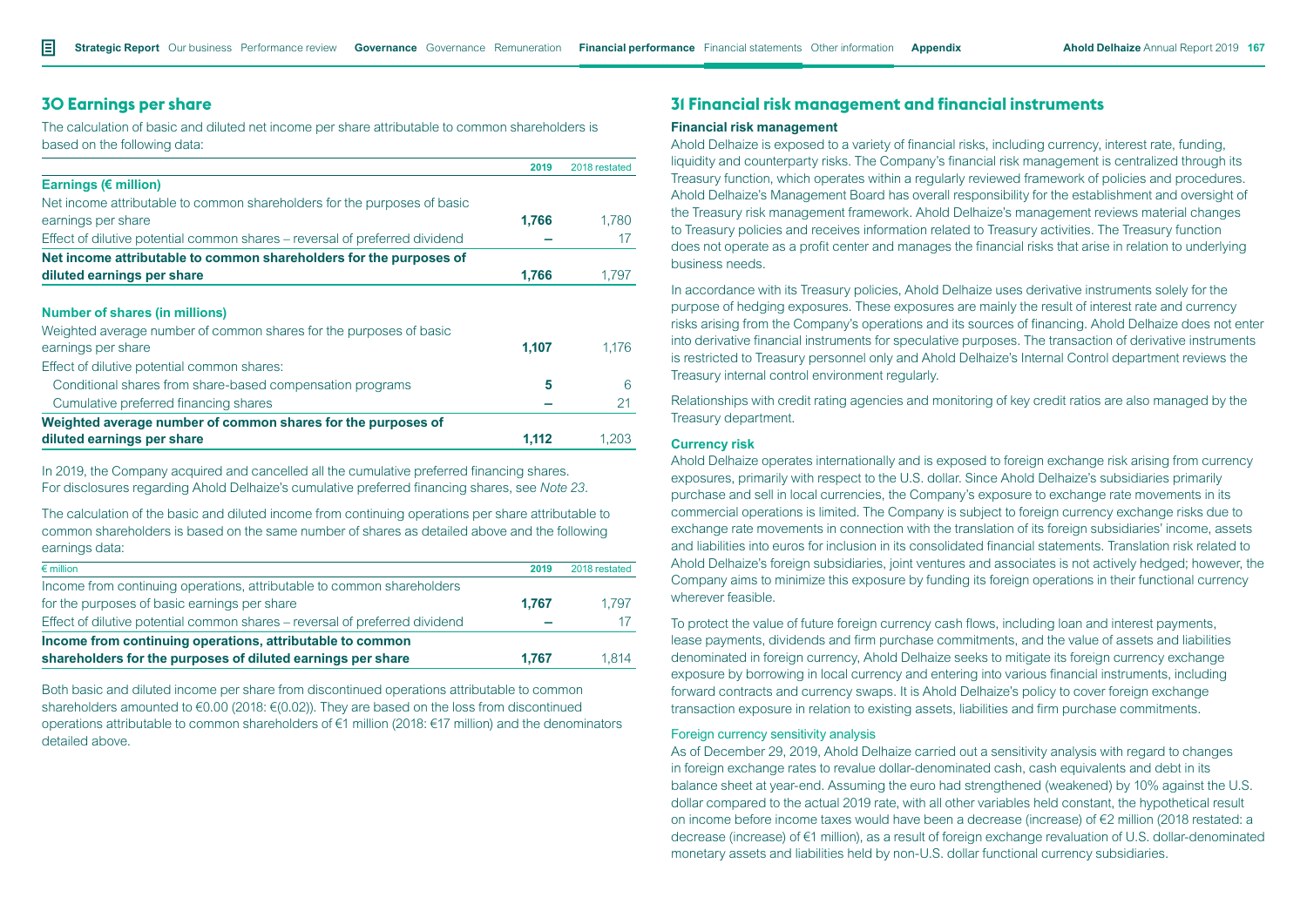# **30 Earnings per share**

The calculation of basic and diluted net income per share attributable to common shareholders is based on the following data:

|                                                                             | 2019  | 2018 restated |
|-----------------------------------------------------------------------------|-------|---------------|
| Earnings (€ million)                                                        |       |               |
| Net income attributable to common shareholders for the purposes of basic    |       |               |
| earnings per share                                                          | 1.766 | 1.780         |
| Effect of dilutive potential common shares – reversal of preferred dividend |       |               |
| Net income attributable to common shareholders for the purposes of          |       |               |
| diluted earnings per share                                                  | 1.766 | 1.797         |
|                                                                             |       |               |
| <b>Number of shares (in millions)</b>                                       |       |               |
| Weighted average number of common shares for the purposes of basic          |       |               |
| earnings per share                                                          | 1,107 | 1.176         |
| Effect of dilutive potential common shares:                                 |       |               |
| Conditional shares from share-based compensation programs                   | 5     | 6             |
| Cumulative preferred financing shares                                       |       |               |

**Weighted average number of common shares for the purposes of diluted earnings per share 1,112** 1,203

In 2019, the Company acquired and cancelled all the cumulative preferred financing shares. For disclosures regarding Ahold Delhaize's cumulative preferred financing shares, see *Note 23.* 

The calculation of the basic and diluted income from continuing operations per share attributable to common shareholders is based on the same number of shares as detailed above and the following earnings data:

| $\epsilon$ million                                                          | 2019  | 2018 restated |
|-----------------------------------------------------------------------------|-------|---------------|
| Income from continuing operations, attributable to common shareholders      |       |               |
| for the purposes of basic earnings per share                                | 1.767 | 1.797         |
| Effect of dilutive potential common shares – reversal of preferred dividend |       |               |
| Income from continuing operations, attributable to common                   |       |               |
| shareholders for the purposes of diluted earnings per share                 | 1.767 | 1.814         |

Both basic and diluted income per share from discontinued operations attributable to common shareholders amounted to  $\epsilon$ 0.00 (2018:  $\epsilon$ (0.02)). They are based on the loss from discontinued operations attributable to common shareholders of €1 million (2018: €17 million) and the denominators detailed above.

# **31 Financial risk management and financial instruments**

### **Financial risk management**

Ahold Delhaize is exposed to a variety of financial risks, including currency, interest rate, funding, liquidity and counterparty risks. The Company's financial risk management is centralized through its Treasury function, which operates within a regularly reviewed framework of policies and procedures. Ahold Delhaize's Management Board has overall responsibility for the establishment and oversight of the Treasury risk management framework. Ahold Delhaize's management reviews material changes to Treasury policies and receives information related to Treasury activities. The Treasury function does not operate as a profit center and manages the financial risks that arise in relation to underlying business needs.

In accordance with its Treasury policies, Ahold Delhaize uses derivative instruments solely for the purpose of hedging exposures. These exposures are mainly the result of interest rate and currency risks arising from the Company's operations and its sources of financing. Ahold Delhaize does not enter into derivative financial instruments for speculative purposes. The transaction of derivative instruments is restricted to Treasury personnel only and Ahold Delhaize's Internal Control department reviews the Treasury internal control environment regularly.

Relationships with credit rating agencies and monitoring of key credit ratios are also managed by the Treasury department.

#### **Currency risk**

Ahold Delhaize operates internationally and is exposed to foreign exchange risk arising from currency exposures, primarily with respect to the U.S. dollar. Since Ahold Delhaize's subsidiaries primarily purchase and sell in local currencies, the Company's exposure to exchange rate movements in its commercial operations is limited. The Company is subject to foreign currency exchange risks due to exchange rate movements in connection with the translation of its foreign subsidiaries' income, assets and liabilities into euros for inclusion in its consolidated financial statements. Translation risk related to Ahold Delhaize's foreign subsidiaries, joint ventures and associates is not actively hedged; however, the Company aims to minimize this exposure by funding its foreign operations in their functional currency wherever feasible.

To protect the value of future foreign currency cash flows, including loan and interest payments, lease payments, dividends and firm purchase commitments, and the value of assets and liabilities denominated in foreign currency, Ahold Delhaize seeks to mitigate its foreign currency exchange exposure by borrowing in local currency and entering into various financial instruments, including forward contracts and currency swaps. It is Ahold Delhaize's policy to cover foreign exchange transaction exposure in relation to existing assets, liabilities and firm purchase commitments.

### Foreign currency sensitivity analysis

As of December 29, 2019, Ahold Delhaize carried out a sensitivity analysis with regard to changes in foreign exchange rates to revalue dollar-denominated cash, cash equivalents and debt in its balance sheet at year-end. Assuming the euro had strengthened (weakened) by 10% against the U.S. dollar compared to the actual 2019 rate, with all other variables held constant, the hypothetical result on income before income taxes would have been a decrease (increase) of €2 million (2018 restated: a decrease (increase) of €1 million), as a result of foreign exchange revaluation of U.S. dollar-denominated monetary assets and liabilities held by non-U.S. dollar functional currency subsidiaries.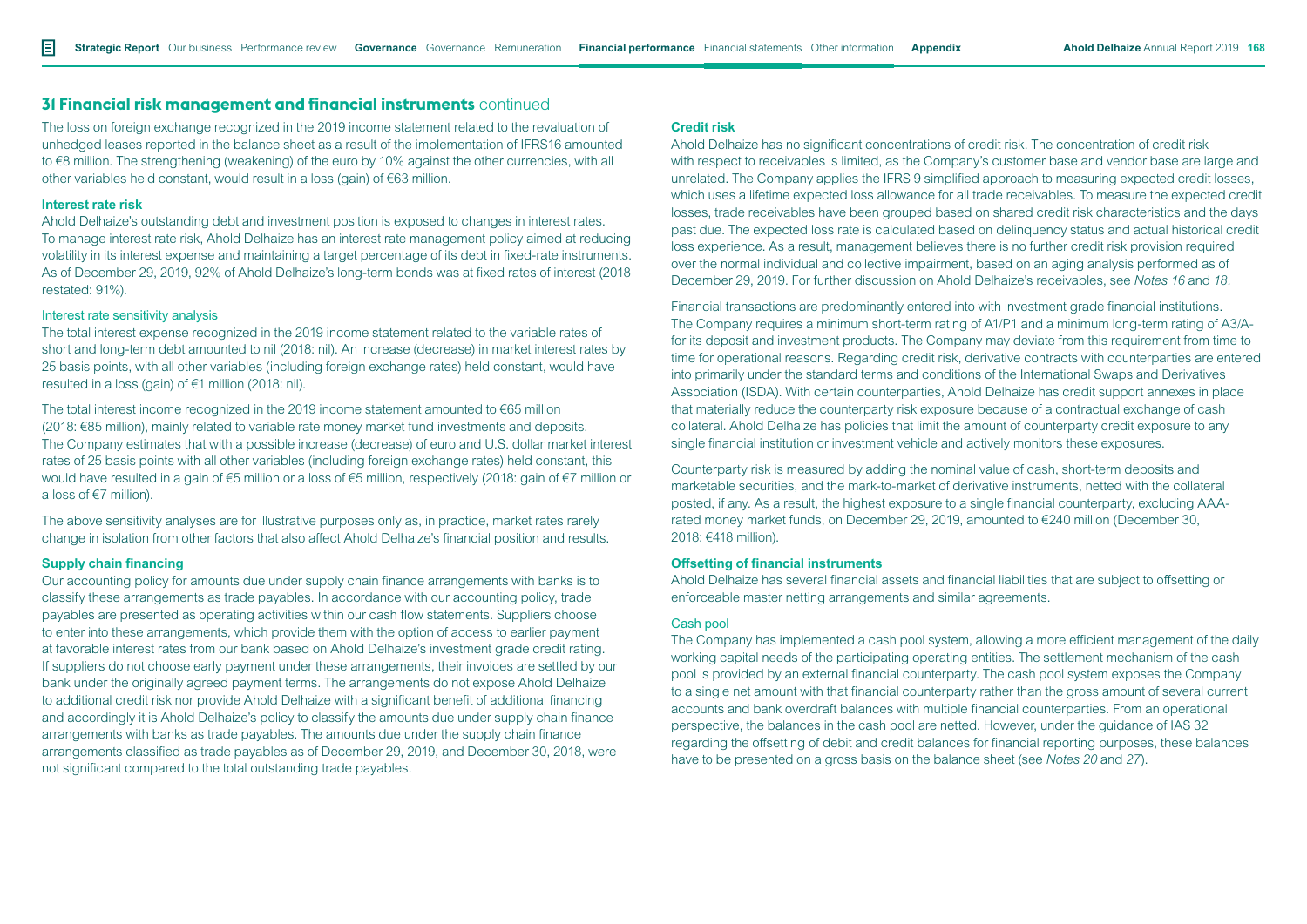The loss on foreign exchange recognized in the 2019 income statement related to the revaluation of unhedged leases reported in the balance sheet as a result of the implementation of IFRS16 amounted to €8 million. The strengthening (weakening) of the euro by 10% against the other currencies, with all other variables held constant, would result in a loss (gain) of €63 million.

#### **Interest rate risk**

Ahold Delhaize's outstanding debt and investment position is exposed to changes in interest rates. To manage interest rate risk, Ahold Delhaize has an interest rate management policy aimed at reducing volatility in its interest expense and maintaining a target percentage of its debt in fixed-rate instruments. As of December 29, 2019, 92% of Ahold Delhaize's long-term bonds was at fixed rates of interest (2018 restated: 91%).

### Interest rate sensitivity analysis

The total interest expense recognized in the 2019 income statement related to the variable rates of short and long-term debt amounted to nil (2018: nil). An increase (decrease) in market interest rates by 25 basis points, with all other variables (including foreign exchange rates) held constant, would have resulted in a loss (gain) of €1 million (2018: nil).

The total interest income recognized in the 2019 income statement amounted to €65 million (2018: €85 million), mainly related to variable rate money market fund investments and deposits. The Company estimates that with a possible increase (decrease) of euro and U.S. dollar market interest rates of 25 basis points with all other variables (including foreign exchange rates) held constant, this would have resulted in a gain of €5 million or a loss of €5 million, respectively (2018: gain of €7 million or a loss of €7 million).

The above sensitivity analyses are for illustrative purposes only as, in practice, market rates rarely change in isolation from other factors that also affect Ahold Delhaize's financial position and results.

#### **Supply chain financing**

Our accounting policy for amounts due under supply chain finance arrangements with banks is to classify these arrangements as trade payables. In accordance with our accounting policy, trade payables are presented as operating activities within our cash flow statements. Suppliers choose to enter into these arrangements, which provide them with the option of access to earlier payment at favorable interest rates from our bank based on Ahold Delhaize's investment grade credit rating. If suppliers do not choose early payment under these arrangements, their invoices are settled by our bank under the originally agreed payment terms. The arrangements do not expose Ahold Delhaize to additional credit risk nor provide Ahold Delhaize with a significant benefit of additional financing and accordingly it is Ahold Delhaize's policy to classify the amounts due under supply chain finance arrangements with banks as trade payables. The amounts due under the supply chain finance arrangements classified as trade payables as of December 29, 2019, and December 30, 2018, were not significant compared to the total outstanding trade payables.

### **Credit risk**

Ahold Delhaize has no significant concentrations of credit risk. The concentration of credit risk with respect to receivables is limited, as the Company's customer base and vendor base are large and unrelated. The Company applies the IFRS 9 simplified approach to measuring expected credit losses, which uses a lifetime expected loss allowance for all trade receivables. To measure the expected credit losses, trade receivables have been grouped based on shared credit risk characteristics and the days past due. The expected loss rate is calculated based on delinquency status and actual historical credit loss experience. As a result, management believes there is no further credit risk provision required over the normal individual and collective impairment, based on an aging analysis performed as of December 29, 2019. For further discussion on Ahold Delhaize's receivables, see *Notes 16* and *18.*

Financial transactions are predominantly entered into with investment grade financial institutions. The Company requires a minimum short-term rating of A1/P1 and a minimum long-term rating of A3/Afor its deposit and investment products. The Company may deviate from this requirement from time to time for operational reasons. Regarding credit risk, derivative contracts with counterparties are entered into primarily under the standard terms and conditions of the International Swaps and Derivatives Association (ISDA). With certain counterparties, Ahold Delhaize has credit support annexes in place that materially reduce the counterparty risk exposure because of a contractual exchange of cash collateral. Ahold Delhaize has policies that limit the amount of counterparty credit exposure to any single financial institution or investment vehicle and actively monitors these exposures.

Counterparty risk is measured by adding the nominal value of cash, short-term deposits and marketable securities, and the mark-to-market of derivative instruments, netted with the collateral posted, if any. As a result, the highest exposure to a single financial counterparty, excluding AAArated money market funds, on December 29, 2019, amounted to €240 million (December 30, 2018: €418 million).

### **Offsetting of financial instruments**

Ahold Delhaize has several financial assets and financial liabilities that are subject to offsetting or enforceable master netting arrangements and similar agreements.

### Cash pool

The Company has implemented a cash pool system, allowing a more efficient management of the daily working capital needs of the participating operating entities. The settlement mechanism of the cash pool is provided by an external financial counterparty. The cash pool system exposes the Company to a single net amount with that financial counterparty rather than the gross amount of several current accounts and bank overdraft balances with multiple financial counterparties. From an operational perspective, the balances in the cash pool are netted. However, under the guidance of IAS 32 regarding the offsetting of debit and credit balances for financial reporting purposes, these balances have to be presented on a gross basis on the balance sheet (see *Notes 20* and *27*).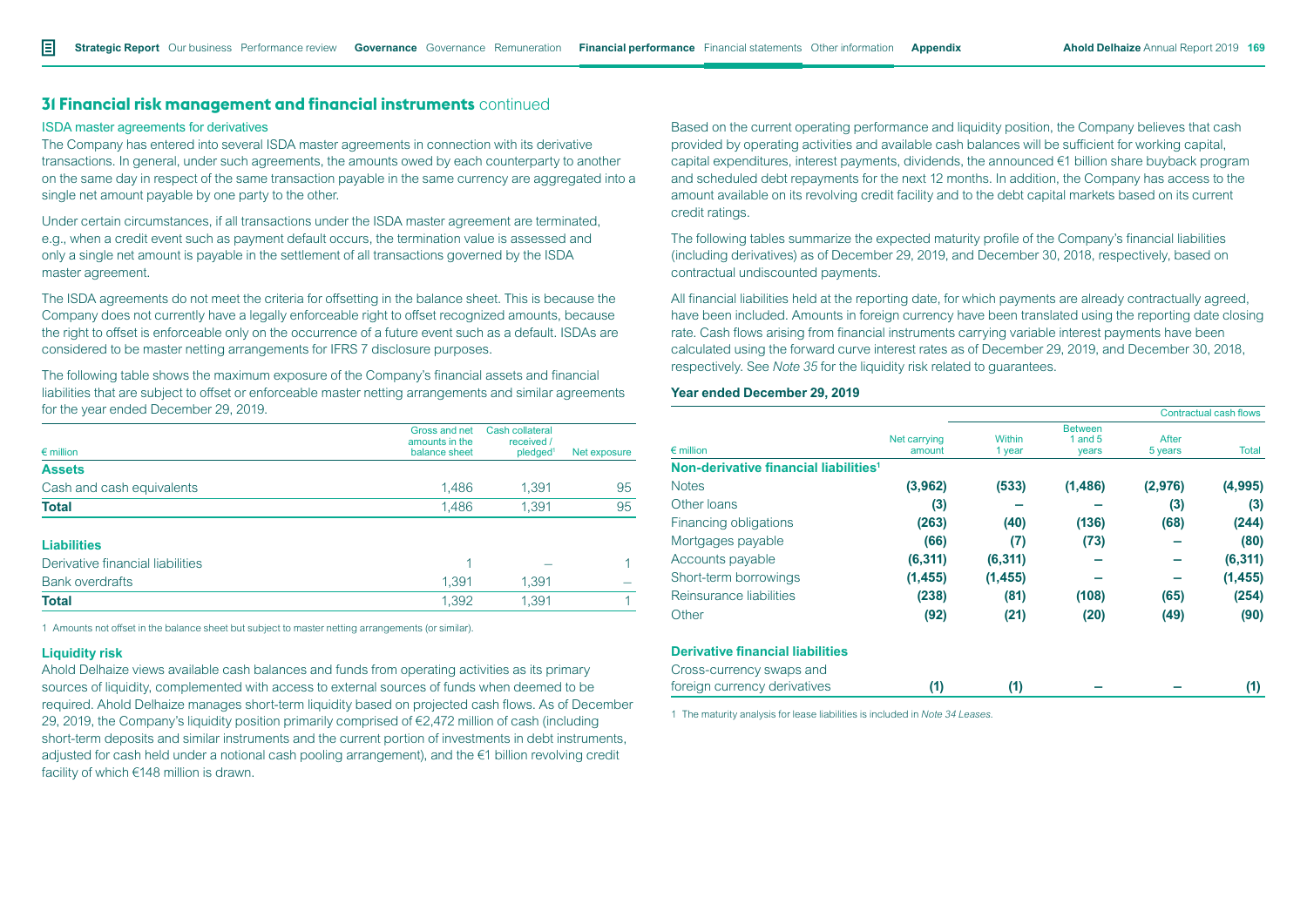#### ISDA master agreements for derivatives

The Company has entered into several ISDA master agreements in connection with its derivative transactions. In general, under such agreements, the amounts owed by each counterparty to another on the same day in respect of the same transaction payable in the same currency are aggregated into a single net amount payable by one party to the other.

Under certain circumstances, if all transactions under the ISDA master agreement are terminated, e.g., when a credit event such as payment default occurs, the termination value is assessed and only a single net amount is payable in the settlement of all transactions governed by the ISDA master agreement.

The ISDA agreements do not meet the criteria for offsetting in the balance sheet. This is because the Company does not currently have a legally enforceable right to offset recognized amounts, because the right to offset is enforceable only on the occurrence of a future event such as a default. ISDAs are considered to be master netting arrangements for IFRS 7 disclosure purposes.

The following table shows the maximum exposure of the Company's financial assets and financial liabilities that are subject to offset or enforceable master netting arrangements and similar agreements for the year ended December 29, 2019.

| $\epsilon$ million               | Gross and net<br>amounts in the<br>balance sheet | Cash collateral<br>received /<br>pledged <sup>1</sup> | Net exposure |
|----------------------------------|--------------------------------------------------|-------------------------------------------------------|--------------|
| <b>Assets</b>                    |                                                  |                                                       |              |
|                                  |                                                  |                                                       |              |
| Cash and cash equivalents        | 1,486                                            | 1,391                                                 | 95           |
| <b>Total</b>                     | 1,486                                            | 1,391                                                 | 95           |
| <b>Liabilities</b>               |                                                  |                                                       |              |
| Derivative financial liabilities |                                                  |                                                       |              |
| <b>Bank overdrafts</b>           | 1,391                                            | 1,391                                                 |              |
| <b>Total</b>                     | 1,392                                            | 1.391                                                 |              |
|                                  |                                                  |                                                       |              |

1 Amounts not offset in the balance sheet but subject to master netting arrangements (or similar).

### **Liquidity risk**

Ahold Delhaize views available cash balances and funds from operating activities as its primary sources of liquidity, complemented with access to external sources of funds when deemed to be required. Ahold Delhaize manages short-term liquidity based on projected cash flows. As of December 29, 2019, the Company's liquidity position primarily comprised of €2,472 million of cash (including short-term deposits and similar instruments and the current portion of investments in debt instruments, adjusted for cash held under a notional cash pooling arrangement), and the €1 billion revolving credit facility of which €148 million is drawn.

Based on the current operating performance and liquidity position, the Company believes that cash provided by operating activities and available cash balances will be sufficient for working capital, capital expenditures, interest payments, dividends, the announced €1 billion share buyback program and scheduled debt repayments for the next 12 months. In addition, the Company has access to the amount available on its revolving credit facility and to the debt capital markets based on its current credit ratings.

The following tables summarize the expected maturity profile of the Company's financial liabilities (including derivatives) as of December 29, 2019, and December 30, 2018, respectively, based on contractual undiscounted payments.

All financial liabilities held at the reporting date, for which payments are already contractually agreed, have been included. Amounts in foreign currency have been translated using the reporting date closing rate. Cash flows arising from financial instruments carrying variable interest payments have been calculated using the forward curve interest rates as of December 29, 2019, and December 30, 2018, respectively. See *Note 35* for the liquidity risk related to guarantees.

#### **Year ended December 29, 2019**

|                                                   |                        |                         | <b>Contractual cash flows</b>        |                  |          |  |
|---------------------------------------------------|------------------------|-------------------------|--------------------------------------|------------------|----------|--|
| $\epsilon$ million                                | Net carrying<br>amount | <b>Within</b><br>1 year | <b>Between</b><br>1 and $5$<br>years | After<br>5 years | Total    |  |
| Non-derivative financial liabilities <sup>1</sup> |                        |                         |                                      |                  |          |  |
| <b>Notes</b>                                      | (3,962)                | (533)                   | (1, 486)                             | (2,976)          | (4,995)  |  |
| Other loans                                       | (3)                    |                         |                                      | (3)              | (3)      |  |
| Financing obligations                             | (263)                  | (40)                    | (136)                                | (68)             | (244)    |  |
| Mortgages payable                                 | (66)                   | (7)                     | (73)                                 |                  | (80)     |  |
| Accounts payable                                  | (6, 311)               | (6, 311)                |                                      |                  | (6, 311) |  |
| Short-term borrowings                             | (1, 455)               | (1, 455)                |                                      |                  | (1, 455) |  |
| Reinsurance liabilities                           | (238)                  | (81)                    | (108)                                | (65)             | (254)    |  |
| Other                                             | (92)                   | (21)                    | (20)                                 | (49)             | (90)     |  |
| <b>Derivative financial liabilities</b>           |                        |                         |                                      |                  |          |  |
| Cross-currency swaps and                          |                        |                         |                                      |                  |          |  |
| foreign currency derivatives                      | (1)                    | (1)                     |                                      |                  | (1)      |  |

1 The maturity analysis for lease liabilities is included in *Note 34 Leases*.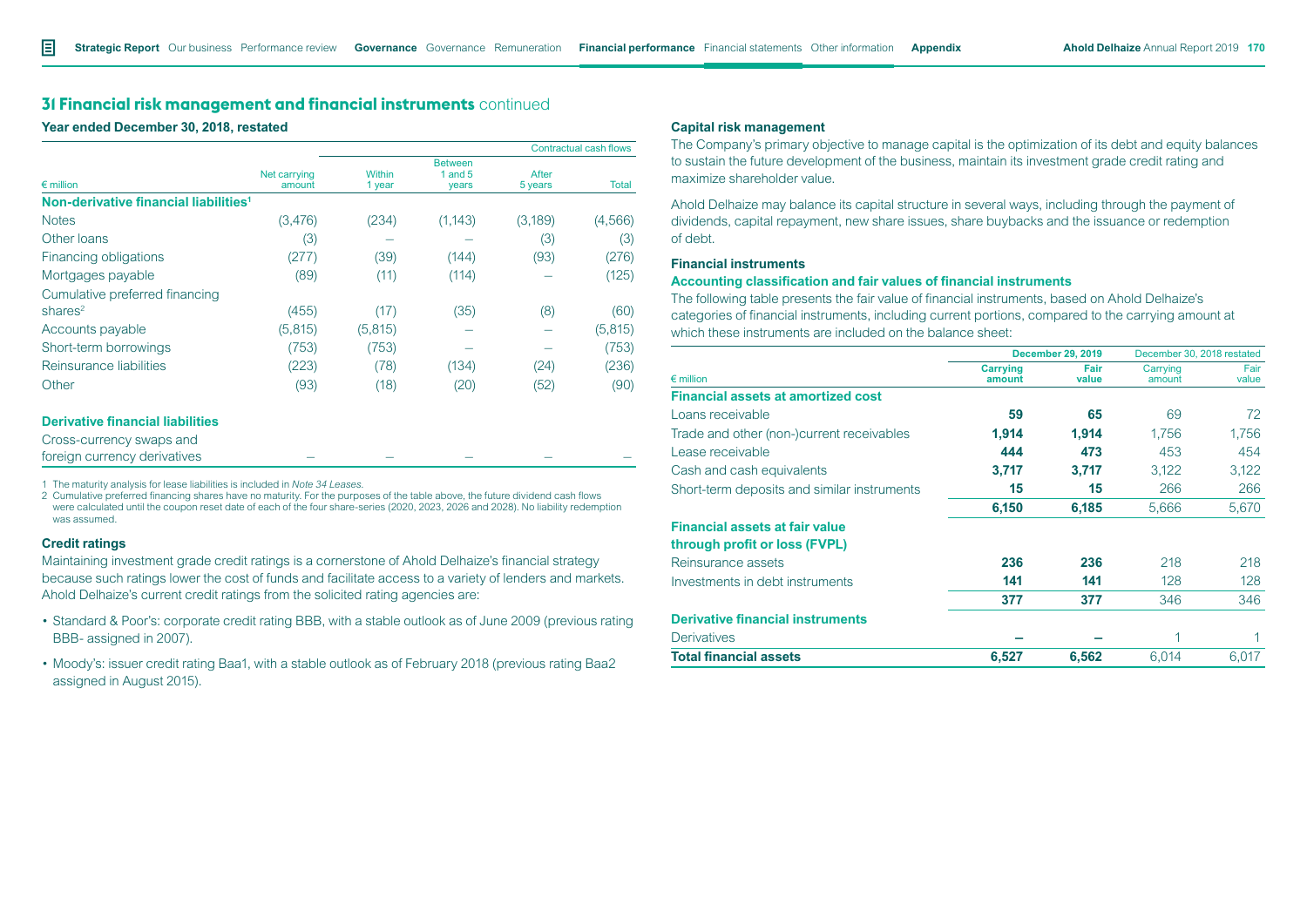**Year ended December 30, 2018, restated**

|                                                   |                        |                  |                                      |                  | Contractual cash flows |
|---------------------------------------------------|------------------------|------------------|--------------------------------------|------------------|------------------------|
| $\epsilon$ million                                | Net carrying<br>amount | Within<br>1 year | <b>Between</b><br>1 and $5$<br>years | After<br>5 years | Total                  |
| Non-derivative financial liabilities <sup>1</sup> |                        |                  |                                      |                  |                        |
| <b>Notes</b>                                      | (3,476)                | (234)            | (1, 143)                             | (3,189)          | (4,566)                |
| Other loans                                       | (3)                    |                  |                                      | (3)              | (3)                    |
| Financing obligations                             | (277)                  | (39)             | (144)                                | (93)             | (276)                  |
| Mortgages payable                                 | (89)                   | (11)             | (114)                                |                  | (125)                  |
| Cumulative preferred financing                    |                        |                  |                                      |                  |                        |
| shares $2$                                        | (455)                  | (17)             | (35)                                 | (8)              | (60)                   |
| Accounts payable                                  | (5, 815)               | (5, 815)         |                                      |                  | (5, 815)               |
| Short-term borrowings                             | (753)                  | (753)            |                                      |                  | (753)                  |
| Reinsurance liabilities                           | (223)                  | (78)             | (134)                                | (24)             | (236)                  |
| Other                                             | (93)                   | (18)             | (20)                                 | (52)             | (90)                   |

#### **Derivative financial liabilities**

Cross-currency swaps and foreign currency derivatives

1 The maturity analysis for lease liabilities is included in *Note 34 Leases*.

2 Cumulative preferred financing shares have no maturity. For the purposes of the table above, the future dividend cash flows were calculated until the coupon reset date of each of the four share-series (2020, 2023, 2026 and 2028). No liability redemption was assumed.

## **Credit ratings**

Maintaining investment grade credit ratings is a cornerstone of Ahold Delhaize's financial strategy because such ratings lower the cost of funds and facilitate access to a variety of lenders and markets. Ahold Delhaize's current credit ratings from the solicited rating agencies are:

- Standard & Poor's: corporate credit rating BBB, with a stable outlook as of June 2009 (previous rating BBB- assigned in 2007).
- Moody's: issuer credit rating Baa1, with a stable outlook as of February 2018 (previous rating Baa2 assigned in August 2015).

### **Capital risk management**

The Company's primary objective to manage capital is the optimization of its debt and equity balances to sustain the future development of the business, maintain its investment grade credit rating and maximize shareholder value.

Ahold Delhaize may balance its capital structure in several ways, including through the payment of dividends, capital repayment, new share issues, share buybacks and the issuance or redemption of debt.

#### **Financial instruments**

#### **Accounting classification and fair values of financial instruments**

The following table presents the fair value of financial instruments, based on Ahold Delhaize's categories of financial instruments, including current portions, compared to the carrying amount at which these instruments are included on the balance sheet:

|                                                                        |                           | <b>December 29, 2019</b> | December 30, 2018 restated |               |
|------------------------------------------------------------------------|---------------------------|--------------------------|----------------------------|---------------|
| $\epsilon$ million                                                     | <b>Carrying</b><br>amount | Fair<br>value            | Carrying<br>amount         | Fair<br>value |
| <b>Financial assets at amortized cost</b>                              |                           |                          |                            |               |
| Loans receivable                                                       | 59                        | 65                       | 69                         | 72            |
| Trade and other (non-)current receivables                              | 1,914                     | 1,914                    | 1,756                      | 1,756         |
| Lease receivable                                                       | 444                       | 473                      | 453                        | 454           |
| Cash and cash equivalents                                              | 3,717                     | 3,717                    | 3,122                      | 3,122         |
| Short-term deposits and similar instruments                            | 15                        | 15                       | 266                        | 266           |
|                                                                        | 6,150                     | 6,185                    | 5,666                      | 5,670         |
| <b>Financial assets at fair value</b><br>through profit or loss (FVPL) |                           |                          |                            |               |
| Reinsurance assets                                                     | 236                       | 236                      | 218                        | 218           |
| Investments in debt instruments                                        | 141                       | 141                      | 128                        | 128           |
|                                                                        | 377                       | 377                      | 346                        | 346           |
| <b>Derivative financial instruments</b>                                |                           |                          |                            |               |
| <b>Derivatives</b>                                                     |                           |                          |                            |               |
| <b>Total financial assets</b>                                          | 6,527                     | 6,562                    | 6.014                      | 6,017         |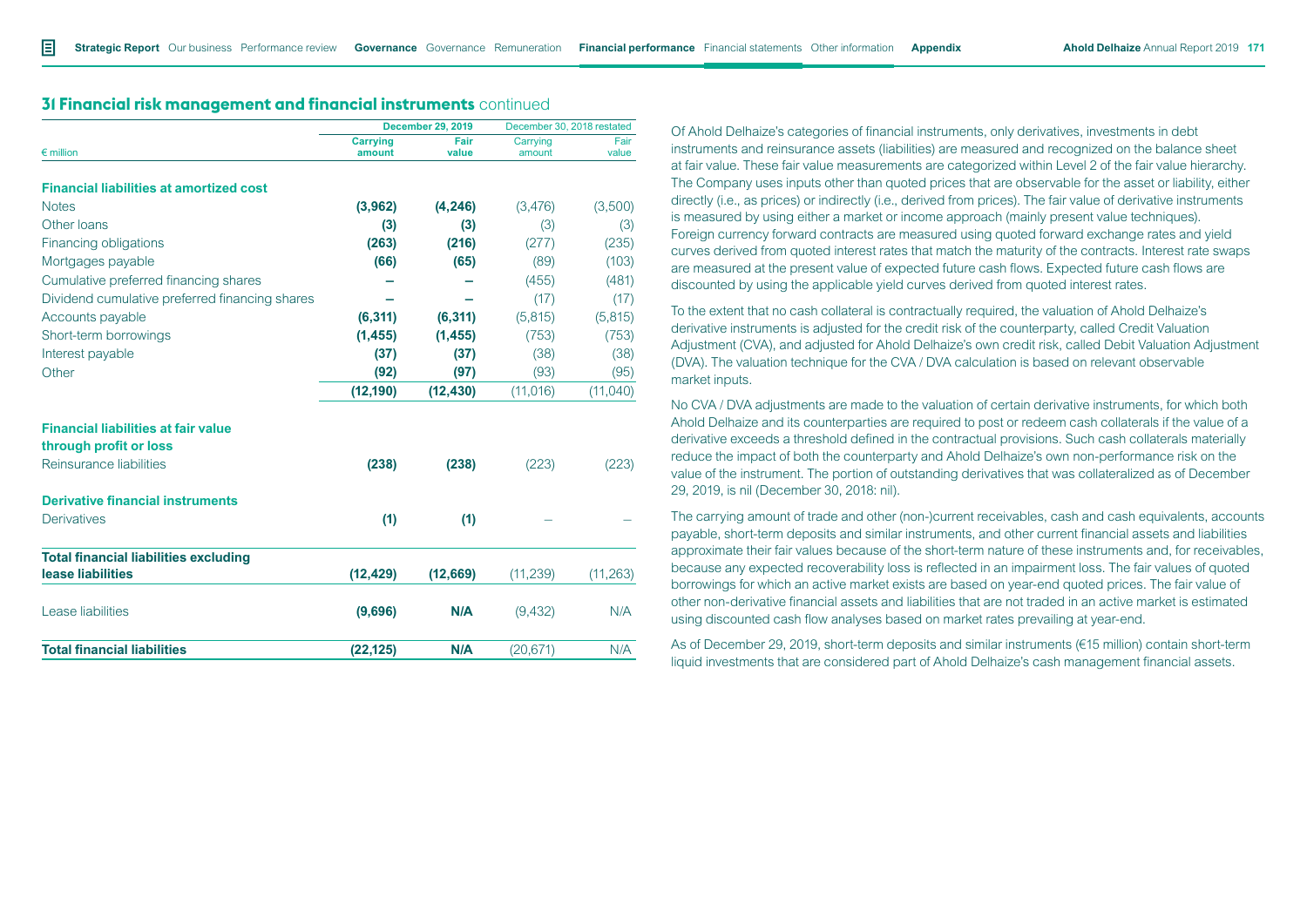| <b>31 Financial risk management and financial instruments</b> continued |  |
|-------------------------------------------------------------------------|--|
|-------------------------------------------------------------------------|--|

|                                                | <b>December 29, 2019</b>  |               | December 30, 2018 restated |               |
|------------------------------------------------|---------------------------|---------------|----------------------------|---------------|
| $\epsilon$ million                             | <b>Carrying</b><br>amount | Fair<br>value | Carrying<br>amount         | Fair<br>value |
| <b>Financial liabilities at amortized cost</b> |                           |               |                            |               |
| <b>Notes</b>                                   | (3,962)                   | (4, 246)      | (3,476)                    | (3,500)       |
| Other loans                                    | (3)                       | (3)           | (3)                        | (3)           |
| Financing obligations                          | (263)                     | (216)         | (277)                      | (235)         |
| Mortgages payable                              | (66)                      | (65)          | (89)                       | (103)         |
| Cumulative preferred financing shares          |                           |               | (455)                      | (481)         |
| Dividend cumulative preferred financing shares |                           |               | (17)                       | (17)          |
| Accounts payable                               | (6, 311)                  | (6, 311)      | (5,815)                    | (5,815)       |
| Short-term borrowings                          | (1, 455)                  | (1, 455)      | (753)                      | (753)         |
| Interest payable                               | (37)                      | (37)          | (38)                       | (38)          |
| Other                                          | (92)                      | (97)          | (93)                       | (95)          |
|                                                | (12, 190)                 | (12, 430)     | (11, 016)                  | (11,040)      |
| <b>Financial liabilities at fair value</b>     |                           |               |                            |               |
| through profit or loss                         |                           |               |                            |               |
| Reinsurance liabilities                        | (238)                     | (238)         | (223)                      | (223)         |
| <b>Derivative financial instruments</b>        |                           |               |                            |               |
| <b>Derivatives</b>                             | (1)                       | (1)           |                            |               |
| <b>Total financial liabilities excluding</b>   |                           |               |                            |               |
| lease liabilities                              | (12, 429)                 | (12,669)      | (11, 239)                  | (11, 263)     |
| Lease liabilities                              | (9,696)                   | N/A           | (9,432)                    | N/A           |
| <b>Total financial liabilities</b>             | (22, 125)                 | N/A           | (20, 671)                  | N/A           |
|                                                |                           |               |                            |               |

Of Ahold Delhaize's categories of financial instruments, only derivatives, investments in debt instruments and reinsurance assets (liabilities) are measured and recognized on the balance sheet at fair value. These fair value measurements are categorized within Level 2 of the fair value hierarchy. The Company uses inputs other than quoted prices that are observable for the asset or liability, either directly (i.e., as prices) or indirectly (i.e., derived from prices). The fair value of derivative instruments is measured by using either a market or income approach (mainly present value techniques). Foreign currency forward contracts are measured using quoted forward exchange rates and yield curves derived from quoted interest rates that match the maturity of the contracts. Interest rate swaps are measured at the present value of expected future cash flows. Expected future cash flows are discounted by using the applicable yield curves derived from quoted interest rates.

To the extent that no cash collateral is contractually required, the valuation of Ahold Delhaize's derivative instruments is adjusted for the credit risk of the counterparty, called Credit Valuation Adjustment (CVA), and adjusted for Ahold Delhaize's own credit risk, called Debit Valuation Adjustment (DVA). The valuation technique for the CVA / DVA calculation is based on relevant observable market inputs.

No CVA / DVA adjustments are made to the valuation of certain derivative instruments, for which both Ahold Delhaize and its counterparties are required to post or redeem cash collaterals if the value of a derivative exceeds a threshold defined in the contractual provisions. Such cash collaterals materially reduce the impact of both the counterparty and Ahold Delhaize's own non-performance risk on the value of the instrument. The portion of outstanding derivatives that was collateralized as of December 29, 2019, is nil (December 30, 2018: nil).

The carrying amount of trade and other (non-)current receivables, cash and cash equivalents, accounts payable, short-term deposits and similar instruments, and other current financial assets and liabilities approximate their fair values because of the short-term nature of these instruments and, for receivables, because any expected recoverability loss is reflected in an impairment loss. The fair values of quoted borrowings for which an active market exists are based on year-end quoted prices. The fair value of other non-derivative financial assets and liabilities that are not traded in an active market is estimated using discounted cash flow analyses based on market rates prevailing at year-end.

As of December 29, 2019, short-term deposits and similar instruments (€15 million) contain short-term liquid investments that are considered part of Ahold Delhaize's cash management financial assets.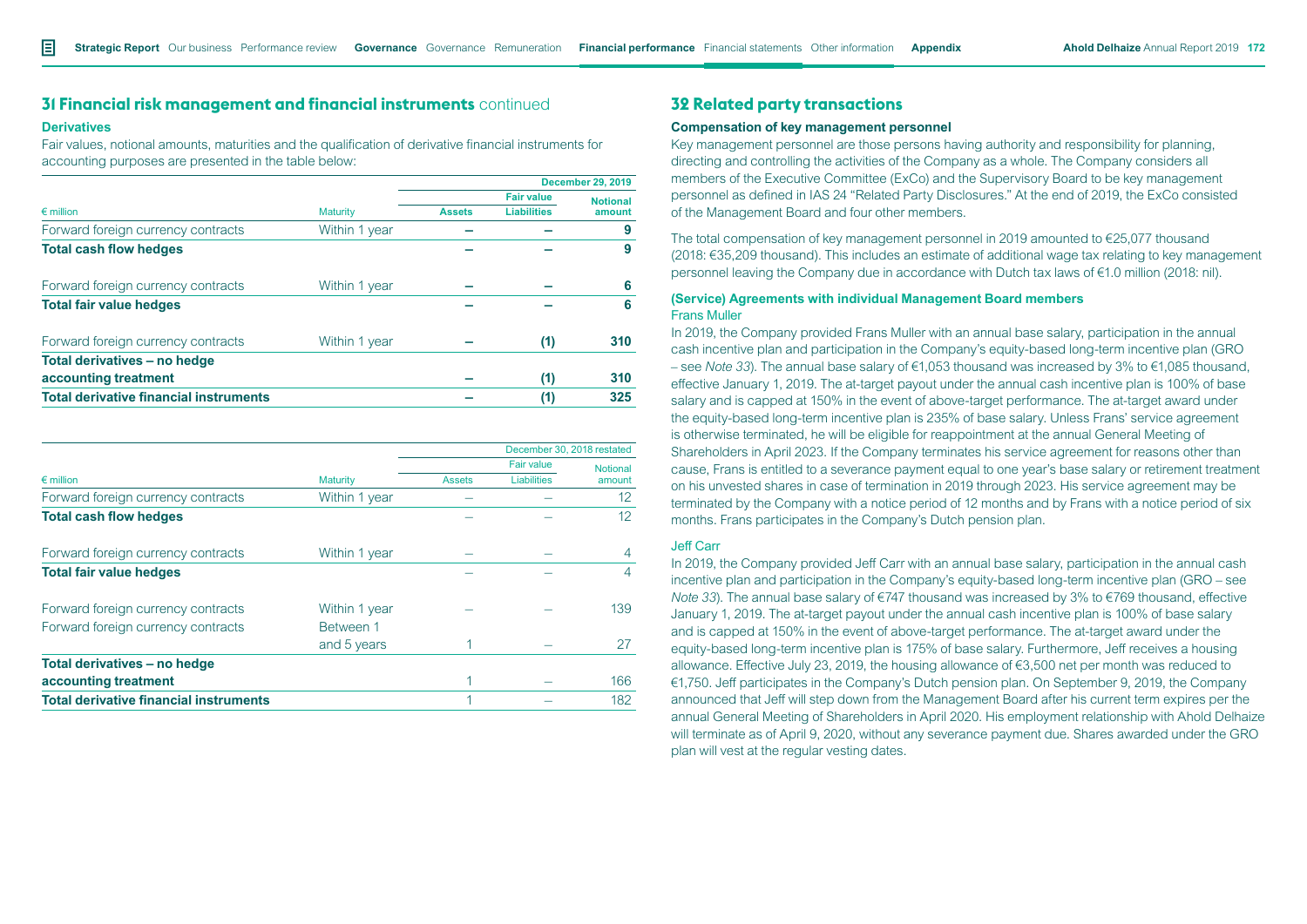#### **Derivatives**

Fair values, notional amounts, maturities and the qualification of derivative financial instruments for accounting purposes are presented in the table below:

|                                               |                 |               | <b>December 29, 2019</b> |                 |
|-----------------------------------------------|-----------------|---------------|--------------------------|-----------------|
|                                               |                 |               | <b>Fair value</b>        | <b>Notional</b> |
| $\epsilon$ million                            | <b>Maturity</b> | <b>Assets</b> | <b>Liabilities</b>       | amount          |
| Forward foreign currency contracts            | Within 1 year   |               |                          | 9               |
| <b>Total cash flow hedges</b>                 |                 |               |                          | 9               |
| Forward foreign currency contracts            | Within 1 year   |               |                          | 6               |
| <b>Total fair value hedges</b>                |                 |               |                          | 6               |
| Forward foreign currency contracts            | Within 1 year   |               | (1)                      | 310             |
| Total derivatives - no hedge                  |                 |               |                          |                 |
| accounting treatment                          |                 |               | (1)                      | 310             |
| <b>Total derivative financial instruments</b> |                 |               | (1)                      | 325             |

|                                               |                 |               |                    | December 30, 2018 restated |  |
|-----------------------------------------------|-----------------|---------------|--------------------|----------------------------|--|
|                                               |                 |               | <b>Fair value</b>  | <b>Notional</b>            |  |
| $\epsilon$ million                            | <b>Maturity</b> | <b>Assets</b> | <b>Liabilities</b> | amount                     |  |
| Forward foreign currency contracts            | Within 1 year   |               |                    | 12                         |  |
| <b>Total cash flow hedges</b>                 |                 |               |                    | 12                         |  |
| Forward foreign currency contracts            | Within 1 year   |               |                    | $\overline{4}$             |  |
| <b>Total fair value hedges</b>                |                 |               |                    | 4                          |  |
| Forward foreign currency contracts            | Within 1 year   |               |                    | 139                        |  |
| Forward foreign currency contracts            | Between 1       |               |                    |                            |  |
|                                               | and 5 years     |               |                    | 27                         |  |
| Total derivatives - no hedge                  |                 |               |                    |                            |  |
| accounting treatment                          |                 |               |                    | 166                        |  |
| <b>Total derivative financial instruments</b> |                 |               |                    | 182                        |  |

# **32 Related party transactions**

### **Compensation of key management personnel**

Key management personnel are those persons having authority and responsibility for planning, directing and controlling the activities of the Company as a whole. The Company considers all members of the Executive Committee (ExCo) and the Supervisory Board to be key management personnel as defined in IAS 24 "Related Party Disclosures." At the end of 2019, the ExCo consisted of the Management Board and four other members.

The total compensation of key management personnel in 2019 amounted to €25,077 thousand (2018: €35,209 thousand). This includes an estimate of additional wage tax relating to key management personnel leaving the Company due in accordance with Dutch tax laws of €1.0 million (2018: nil).

### **(Service) Agreements with individual Management Board members** Frans Muller

In 2019, the Company provided Frans Muller with an annual base salary, participation in the annual cash incentive plan and participation in the Company's equity-based long-term incentive plan (GRO – see *Note 33*). The annual base salary of €1,053 thousand was increased by 3% to €1,085 thousand, effective January 1, 2019. The at-target payout under the annual cash incentive plan is 100% of base salary and is capped at 150% in the event of above-target performance. The at-target award under the equity-based long-term incentive plan is 235% of base salary. Unless Frans' service agreement is otherwise terminated, he will be eligible for reappointment at the annual General Meeting of Shareholders in April 2023. If the Company terminates his service agreement for reasons other than cause, Frans is entitled to a severance payment equal to one year's base salary or retirement treatment on his unvested shares in case of termination in 2019 through 2023. His service agreement may be terminated by the Company with a notice period of 12 months and by Frans with a notice period of six months. Frans participates in the Company's Dutch pension plan.

## Jeff Carr

In 2019, the Company provided Jeff Carr with an annual base salary, participation in the annual cash incentive plan and participation in the Company's equity-based long-term incentive plan (GRO – see *Note 33*). The annual base salary of €747 thousand was increased by 3% to €769 thousand, effective January 1, 2019. The at-target payout under the annual cash incentive plan is 100% of base salary and is capped at 150% in the event of above-target performance. The at-target award under the equity-based long-term incentive plan is 175% of base salary. Furthermore, Jeff receives a housing allowance. Effective July 23, 2019, the housing allowance of €3,500 net per month was reduced to €1,750. Jeff participates in the Company's Dutch pension plan. On September 9, 2019, the Company announced that Jeff will step down from the Management Board after his current term expires per the annual General Meeting of Shareholders in April 2020. His employment relationship with Ahold Delhaize will terminate as of April 9, 2020, without any severance payment due. Shares awarded under the GRO plan will vest at the regular vesting dates.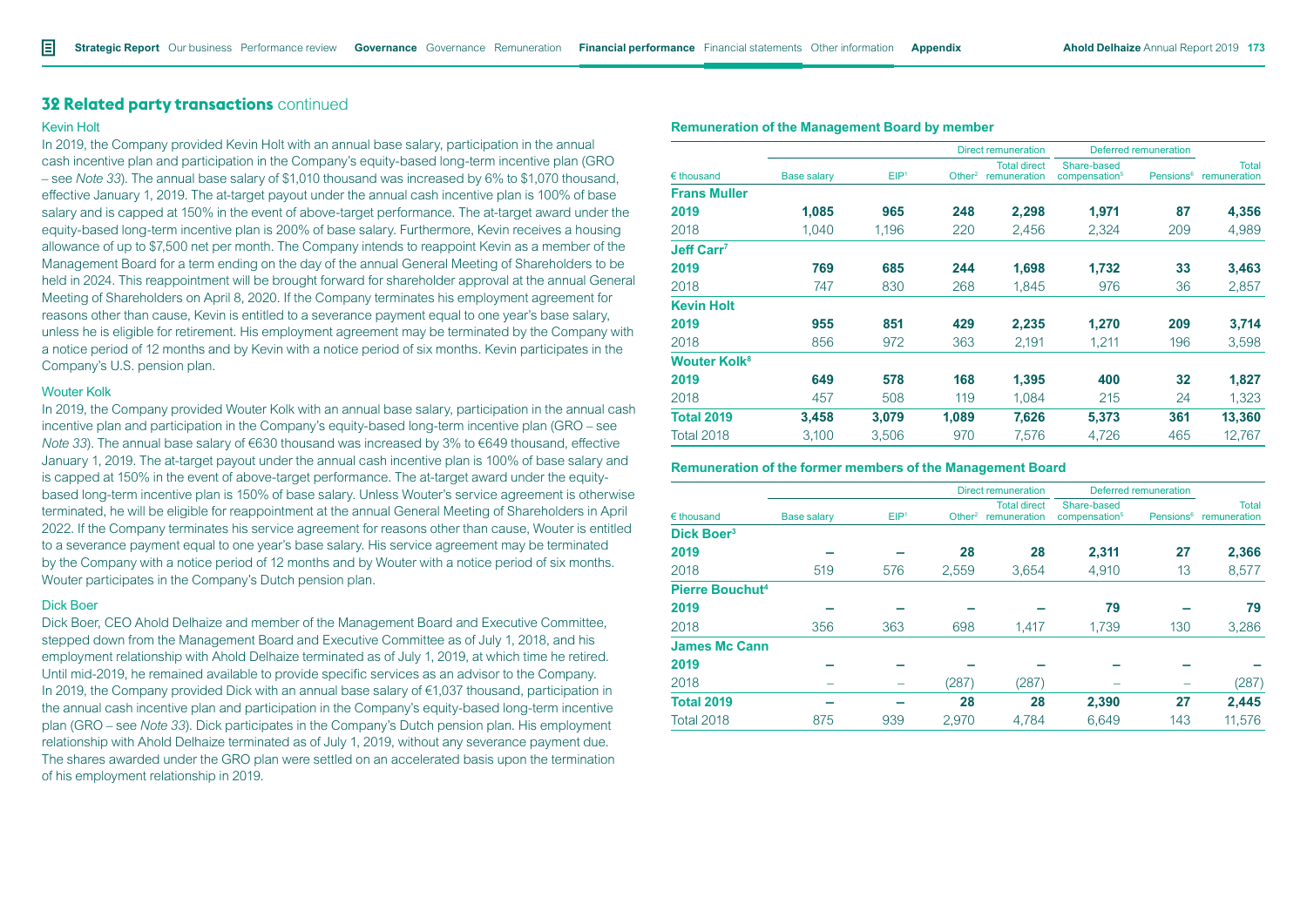## **32 Related party transactions** continued

#### Kevin Holt

In 2019, the Company provided Kevin Holt with an annual base salary, participation in the annual cash incentive plan and participation in the Company's equity-based long-term incentive plan (GRO – see *Note 33*). The annual base salary of \$1,010 thousand was increased by 6% to \$1,070 thousand, effective January 1, 2019. The at-target payout under the annual cash incentive plan is 100% of base salary and is capped at 150% in the event of above-target performance. The at-target award under the equity-based long-term incentive plan is 200% of base salary. Furthermore, Kevin receives a housing allowance of up to \$7,500 net per month. The Company intends to reappoint Kevin as a member of the Management Board for a term ending on the day of the annual General Meeting of Shareholders to be held in 2024. This reappointment will be brought forward for shareholder approval at the annual General Meeting of Shareholders on April 8, 2020. If the Company terminates his employment agreement for reasons other than cause, Kevin is entitled to a severance payment equal to one year's base salary, unless he is eligible for retirement. His employment agreement may be terminated by the Company with a notice period of 12 months and by Kevin with a notice period of six months. Kevin participates in the Company's U.S. pension plan.

#### Wouter Kolk

In 2019, the Company provided Wouter Kolk with an annual base salary, participation in the annual cash incentive plan and participation in the Company's equity-based long-term incentive plan (GRO – see *Note 33*). The annual base salary of €630 thousand was increased by 3% to €649 thousand, effective January 1, 2019. The at-target payout under the annual cash incentive plan is 100% of base salary and is capped at 150% in the event of above-target performance. The at-target award under the equitybased long-term incentive plan is 150% of base salary. Unless Wouter's service agreement is otherwise terminated, he will be eligible for reappointment at the annual General Meeting of Shareholders in April 2022. If the Company terminates his service agreement for reasons other than cause, Wouter is entitled to a severance payment equal to one year's base salary. His service agreement may be terminated by the Company with a notice period of 12 months and by Wouter with a notice period of six months. Wouter participates in the Company's Dutch pension plan.

#### Dick Boer

Dick Boer, CEO Ahold Delhaize and member of the Management Board and Executive Committee, stepped down from the Management Board and Executive Committee as of July 1, 2018, and his employment relationship with Ahold Delhaize terminated as of July 1, 2019, at which time he retired. Until mid-2019, he remained available to provide specific services as an advisor to the Company. In 2019, the Company provided Dick with an annual base salary of  $\epsilon$ 1,037 thousand, participation in the annual cash incentive plan and participation in the Company's equity-based long-term incentive plan (GRO – see *Note 33*). Dick participates in the Company's Dutch pension plan. His employment relationship with Ahold Delhaize terminated as of July 1, 2019, without any severance payment due. The shares awarded under the GRO plan were settled on an accelerated basis upon the termination of his employment relationship in 2019.

|                          |                    |                  |                    | <b>Direct remuneration</b>          | Deferred remuneration                    |                       |                              |
|--------------------------|--------------------|------------------|--------------------|-------------------------------------|------------------------------------------|-----------------------|------------------------------|
| $\n  thousand\n$         | <b>Base salary</b> | EIP <sup>1</sup> | Other <sup>2</sup> | <b>Total direct</b><br>remuneration | Share-based<br>compensation <sup>5</sup> | Pensions <sup>6</sup> | <b>Total</b><br>remuneration |
| <b>Frans Muller</b>      |                    |                  |                    |                                     |                                          |                       |                              |
| 2019                     | 1,085              | 965              | 248                | 2,298                               | 1,971                                    | 87                    | 4,356                        |
| 2018                     | 1,040              | 1,196            | 220                | 2,456                               | 2,324                                    | 209                   | 4,989                        |
| Jeff Carr <sup>7</sup>   |                    |                  |                    |                                     |                                          |                       |                              |
| 2019                     | 769                | 685              | 244                | 1,698                               | 1,732                                    | 33                    | 3,463                        |
| 2018                     | 747                | 830              | 268                | 1,845                               | 976                                      | 36                    | 2,857                        |
| <b>Kevin Holt</b>        |                    |                  |                    |                                     |                                          |                       |                              |
| 2019                     | 955                | 851              | 429                | 2,235                               | 1,270                                    | 209                   | 3,714                        |
| 2018                     | 856                | 972              | 363                | 2,191                               | 1,211                                    | 196                   | 3,598                        |
| Wouter Kolk <sup>8</sup> |                    |                  |                    |                                     |                                          |                       |                              |
| 2019                     | 649                | 578              | 168                | 1,395                               | 400                                      | 32                    | 1,827                        |
| 2018                     | 457                | 508              | 119                | 1,084                               | 215                                      | 24                    | 1,323                        |
| <b>Total 2019</b>        | 3,458              | 3,079            | 1,089              | 7,626                               | 5,373                                    | 361                   | 13,360                       |
| <b>Total 2018</b>        | 3.100              | 3.506            | 970                | 7.576                               | 4.726                                    | 465                   | 12.767                       |

### **Remuneration of the Management Board by member**

#### **Remuneration of the former members of the Management Board**

|                        |                    |                  |           | <b>Direct remuneration</b>          |                                          | Deferred remuneration |                              |
|------------------------|--------------------|------------------|-----------|-------------------------------------|------------------------------------------|-----------------------|------------------------------|
| $\epsilon$ thousand    | <b>Base salary</b> | EIP <sup>1</sup> | Other $2$ | <b>Total direct</b><br>remuneration | Share-based<br>compensation <sup>5</sup> | Pensions <sup>6</sup> | <b>Total</b><br>remuneration |
| Dick Boer <sup>3</sup> |                    |                  |           |                                     |                                          |                       |                              |
| 2019                   |                    |                  | 28        | 28                                  | 2,311                                    | 27                    | 2,366                        |
| 2018                   | 519                | 576              | 2,559     | 3,654                               | 4,910                                    | 13                    | 8,577                        |
| <b>Pierre Bouchut4</b> |                    |                  |           |                                     |                                          |                       |                              |
| 2019                   |                    |                  |           |                                     | 79                                       |                       | 79                           |
| 2018                   | 356                | 363              | 698       | 1,417                               | 1,739                                    | 130                   | 3,286                        |
| <b>James Mc Cann</b>   |                    |                  |           |                                     |                                          |                       |                              |
| 2019                   |                    |                  |           |                                     |                                          |                       |                              |
| 2018                   |                    |                  | (287)     | (287)                               |                                          |                       | (287)                        |
| <b>Total 2019</b>      |                    |                  | 28        | 28                                  | 2,390                                    | 27                    | 2,445                        |
| <b>Total 2018</b>      | 875                | 939              | 2,970     | 4,784                               | 6,649                                    | 143                   | 11,576                       |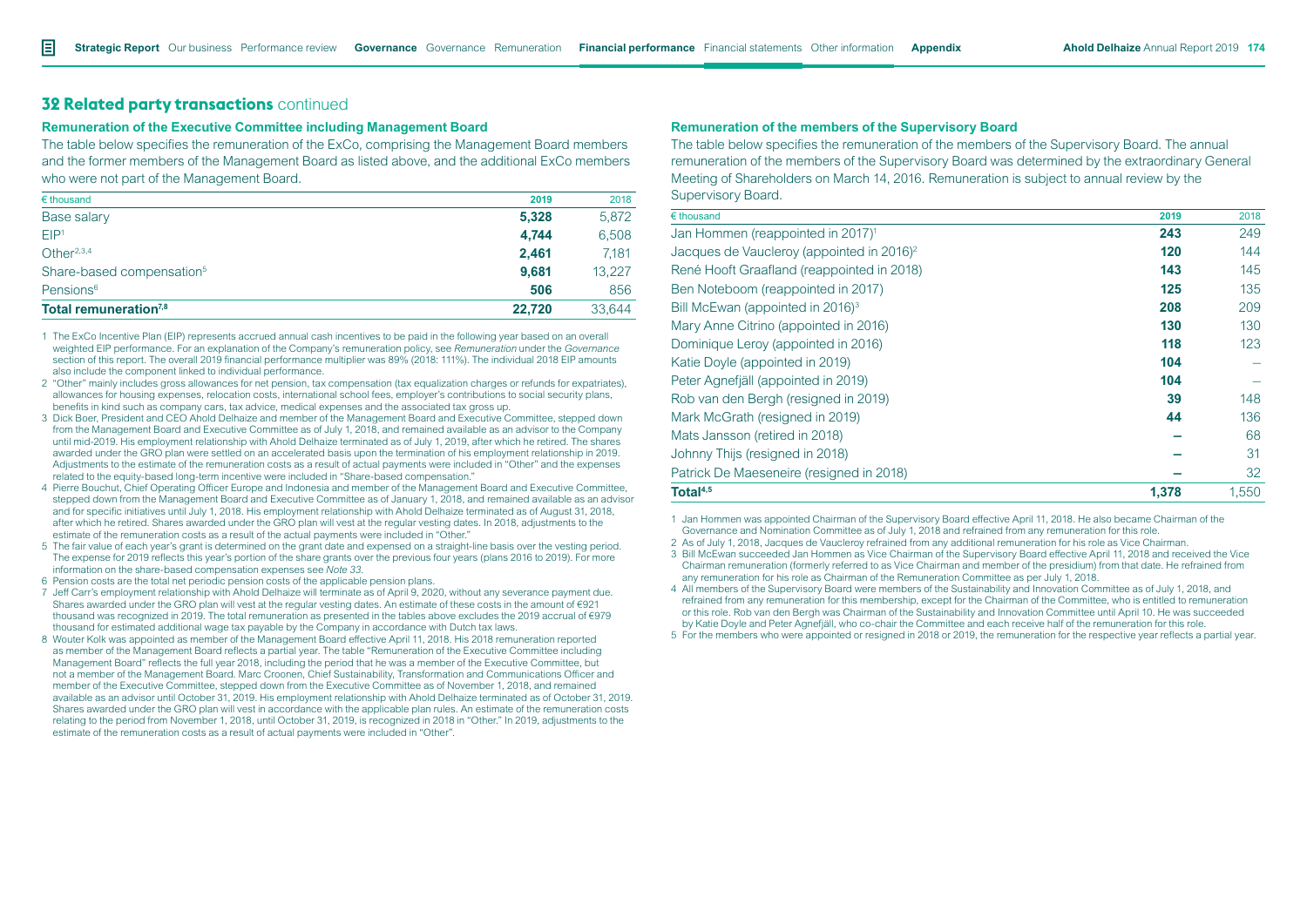# **32 Related party transactions** continued

#### **Remuneration of the Executive Committee including Management Board**

The table below specifies the remuneration of the ExCo, comprising the Management Board members and the former members of the Management Board as listed above, and the additional ExCo members who were not part of the Management Board.

| $\epsilon$ thousand                   | 2019   | 2018   |
|---------------------------------------|--------|--------|
| Base salary                           | 5,328  | 5,872  |
| EIP <sup>1</sup>                      | 4.744  | 6,508  |
| Other $2,3,4$                         | 2.461  | 7.181  |
| Share-based compensation <sup>5</sup> | 9.681  | 13.227 |
| Pensions <sup>6</sup>                 | 506    | 856    |
| Total remuneration <sup>7,8</sup>     | 22.720 | 33.644 |

1 The ExCo Incentive Plan (EIP) represents accrued annual cash incentives to be paid in the following year based on an overall weighted EIP performance. For an explanation of the Company's remuneration policy, see *Remuneration* under the *Governance* section of this report. The overall 2019 financial performance multiplier was 89% (2018: 111%). The individual 2018 EIP amounts also include the component linked to individual performance.

- 2 "Other" mainly includes gross allowances for net pension, tax compensation (tax equalization charges or refunds for expatriates), allowances for housing expenses, relocation costs, international school fees, employer's contributions to social security plans, benefits in kind such as company cars, tax advice, medical expenses and the associated tax gross up.
- 3 Dick Boer, President and CEO Ahold Delhaize and member of the Management Board and Executive Committee, stepped down from the Management Board and Executive Committee as of July 1, 2018, and remained available as an advisor to the Company until mid-2019. His employment relationship with Ahold Delhaize terminated as of July 1, 2019, after which he retired. The shares awarded under the GRO plan were settled on an accelerated basis upon the termination of his employment relationship in 2019. Adjustments to the estimate of the remuneration costs as a result of actual payments were included in "Other" and the expenses related to the equity-based long-term incentive were included in "Share-based compensation."
- 4 Pierre Bouchut, Chief Operating Officer Europe and Indonesia and member of the Management Board and Executive Committee, stepped down from the Management Board and Executive Committee as of January 1, 2018, and remained available as an advisor and for specific initiatives until July 1, 2018. His employment relationship with Ahold Delhaize terminated as of August 31, 2018, after which he retired. Shares awarded under the GRO plan will vest at the regular vesting dates. In 2018, adjustments to the estimate of the remuneration costs as a result of the actual payments were included in "Other."
- 5 The fair value of each year's grant is determined on the grant date and expensed on a straight-line basis over the vesting period. The expense for 2019 reflects this year's portion of the share grants over the previous four years (plans 2016 to 2019). For more information on the share-based compensation expenses see *Note 33*.
- 6 Pension costs are the total net periodic pension costs of the applicable pension plans.
- 7 Jeff Carr's employment relationship with Ahold Delhaize will terminate as of April 9, 2020, without any severance payment due. Shares awarded under the GRO plan will vest at the regular vesting dates. An estimate of these costs in the amount of €921 thousand was recognized in 2019. The total remuneration as presented in the tables above excludes the 2019 accrual of €979 thousand for estimated additional wage tax payable by the Company in accordance with Dutch tax laws.
- 8 Wouter Kolk was appointed as member of the Management Board effective April 11, 2018. His 2018 remuneration reported as member of the Management Board reflects a partial year. The table "Remuneration of the Executive Committee including Management Board" reflects the full year 2018, including the period that he was a member of the Executive Committee, but not a member of the Management Board. Marc Croonen, Chief Sustainability, Transformation and Communications Officer and member of the Executive Committee, stepped down from the Executive Committee as of November 1, 2018, and remained available as an advisor until October 31, 2019. His employment relationship with Ahold Delhaize terminated as of October 31, 2019. Shares awarded under the GRO plan will vest in accordance with the applicable plan rules. An estimate of the remuneration costs relating to the period from November 1, 2018, until October 31, 2019, is recognized in 2018 in "Other." In 2019, adjustments to the estimate of the remuneration costs as a result of actual payments were included in "Other".

### **Remuneration of the members of the Supervisory Board**

The table below specifies the remuneration of the members of the Supervisory Board. The annual remuneration of the members of the Supervisory Board was determined by the extraordinary General Meeting of Shareholders on March 14, 2016. Remuneration is subject to annual review by the Supervisory Board.

| $\epsilon$ thousand                                   | 2019  | 2018  |
|-------------------------------------------------------|-------|-------|
| Jan Hommen (reappointed in 2017) <sup>1</sup>         | 243   | 249   |
| Jacques de Vaucleroy (appointed in 2016) <sup>2</sup> | 120   | 144   |
| René Hooft Graafland (reappointed in 2018)            | 143   | 145   |
| Ben Noteboom (reappointed in 2017)                    | 125   | 135   |
| Bill McEwan (appointed in 2016) <sup>3</sup>          | 208   | 209   |
| Mary Anne Citrino (appointed in 2016)                 | 130   | 130   |
| Dominique Leroy (appointed in 2016)                   | 118   | 123   |
| Katie Doyle (appointed in 2019)                       | 104   |       |
| Peter Agnefjäll (appointed in 2019)                   | 104   |       |
| Rob van den Bergh (resigned in 2019)                  | 39    | 148   |
| Mark McGrath (resigned in 2019)                       | 44    | 136   |
| Mats Jansson (retired in 2018)                        |       | 68    |
| Johnny Thijs (resigned in 2018)                       |       | 31    |
| Patrick De Maeseneire (resigned in 2018)              |       | 32    |
| Total <sup>4,5</sup>                                  | 1.378 | 1.550 |

1 Jan Hommen was appointed Chairman of the Supervisory Board effective April 11, 2018. He also became Chairman of the Governance and Nomination Committee as of July 1, 2018 and refrained from any remuneration for this role.

2 As of July 1, 2018, Jacques de Vaucleroy refrained from any additional remuneration for his role as Vice Chairman.

3 Bill McEwan succeeded Jan Hommen as Vice Chairman of the Supervisory Board effective April 11, 2018 and received the Vice Chairman remuneration (formerly referred to as Vice Chairman and member of the presidium) from that date. He refrained from any remuneration for his role as Chairman of the Remuneration Committee as per July 1, 2018.

4 All members of the Supervisory Board were members of the Sustainability and Innovation Committee as of July 1, 2018, and refrained from any remuneration for this membership, except for the Chairman of the Committee, who is entitled to remuneration or this role. Rob van den Bergh was Chairman of the Sustainability and Innovation Committee until April 10. He was succeeded by Katie Doyle and Peter Agnefjäll, who co-chair the Committee and each receive half of the remuneration for this role.

5 For the members who were appointed or resigned in 2018 or 2019, the remuneration for the respective year reflects a partial year.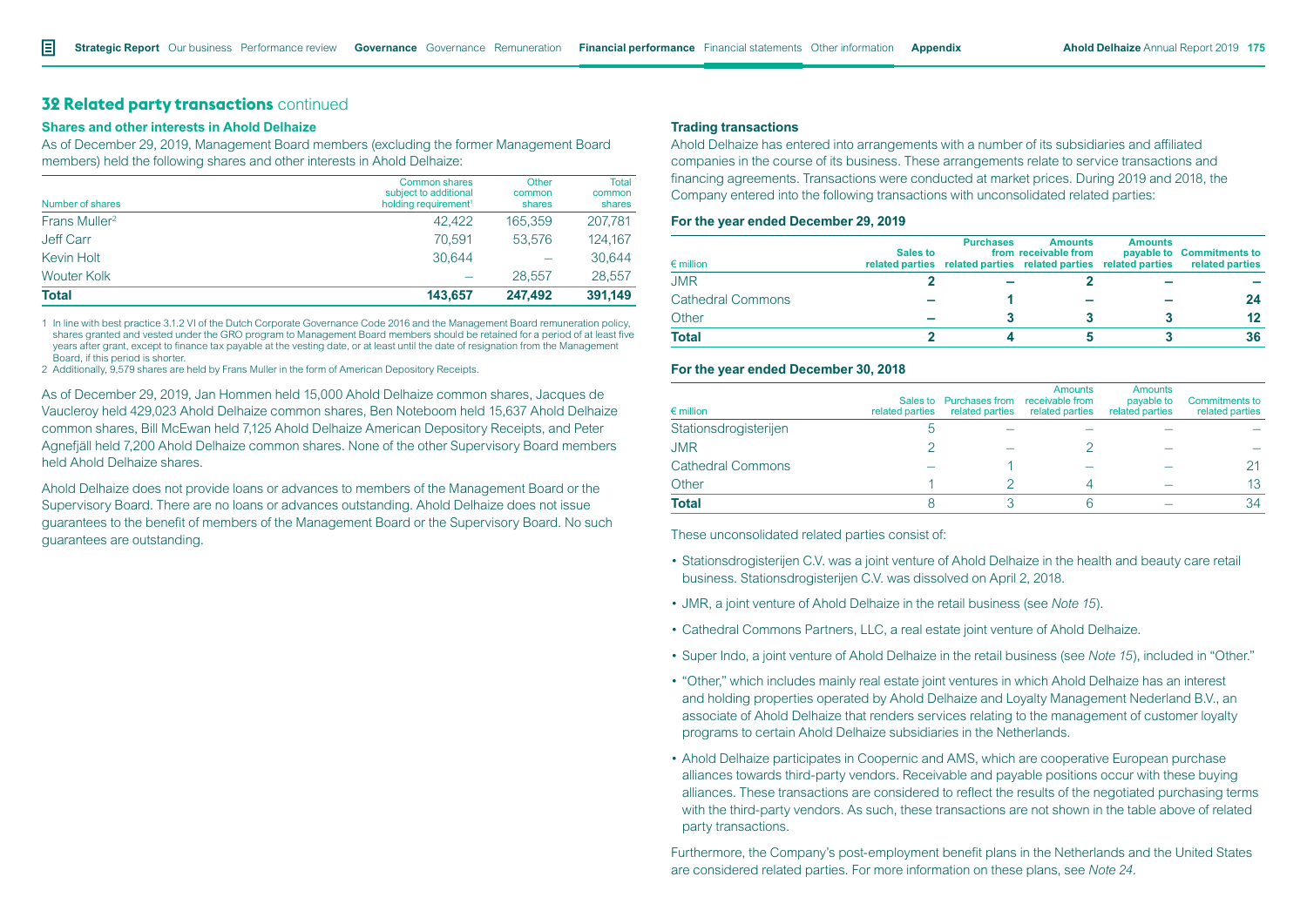# **32 Related party transactions** continued

### **Shares and other interests in Ahold Delhaize**

As of December 29, 2019, Management Board members (excluding the former Management Board members) held the following shares and other interests in Ahold Delhaize:

| Number of shares          | <b>Common shares</b><br>subject to additional<br>holding requirement <sup>1</sup> | Other<br>common<br>shares | <b>Total</b><br>common<br>shares |
|---------------------------|-----------------------------------------------------------------------------------|---------------------------|----------------------------------|
| Frans Muller <sup>2</sup> | 42.422                                                                            | 165.359                   | 207,781                          |
| Jeff Carr                 | 70.591                                                                            | 53.576                    | 124.167                          |
| Kevin Holt                | 30.644                                                                            |                           | 30,644                           |
| <b>Wouter Kolk</b>        |                                                                                   | 28.557                    | 28.557                           |
| <b>Total</b>              | 143.657                                                                           | 247.492                   | 391,149                          |

1 In line with best practice 3.1.2 VI of the Dutch Corporate Governance Code 2016 and the Management Board remuneration policy, shares granted and vested under the GRO program to Management Board members should be retained for a period of at least five years after grant, except to finance tax payable at the vesting date, or at least until the date of resignation from the Management Board, if this period is shorter.

2 Additionally, 9,579 shares are held by Frans Muller in the form of American Depository Receipts.

As of December 29, 2019, Jan Hommen held 15,000 Ahold Delhaize common shares, Jacques de Vaucleroy held 429,023 Ahold Delhaize common shares, Ben Noteboom held 15,637 Ahold Delhaize common shares, Bill McEwan held 7,125 Ahold Delhaize American Depository Receipts, and Peter Agnefjäll held 7,200 Ahold Delhaize common shares. None of the other Supervisory Board members held Ahold Delhaize shares.

Ahold Delhaize does not provide loans or advances to members of the Management Board or the Supervisory Board. There are no loans or advances outstanding. Ahold Delhaize does not issue guarantees to the benefit of members of the Management Board or the Supervisory Board. No such guarantees are outstanding.

#### **Trading transactions**

Ahold Delhaize has entered into arrangements with a number of its subsidiaries and affiliated companies in the course of its business. These arrangements relate to service transactions and financing agreements. Transactions were conducted at market prices. During 2019 and 2018, the Company entered into the following transactions with unconsolidated related parties:

#### **For the year ended December 29, 2019**

| $\epsilon$ million       | Sales to | <b>Purchases</b> | <b>Amounts</b><br>from receivable from<br>related parties related parties related parties related parties | <b>Amounts</b> | payable to Commitments to<br>related parties |
|--------------------------|----------|------------------|-----------------------------------------------------------------------------------------------------------|----------------|----------------------------------------------|
| <b>JMR</b>               |          |                  |                                                                                                           |                |                                              |
| <b>Cathedral Commons</b> |          |                  |                                                                                                           |                | 24                                           |
| Other                    |          |                  |                                                                                                           |                | 12                                           |
| <b>Total</b>             |          |                  |                                                                                                           |                | 36                                           |

#### **For the year ended December 30, 2018**

| $\epsilon$ million       | related parties | Sales to Purchases from receivable from<br>related parties | <b>Amounts</b><br>related parties | <b>Amounts</b><br>payable to<br>related parties | <b>Commitments to</b><br>related parties |
|--------------------------|-----------------|------------------------------------------------------------|-----------------------------------|-------------------------------------------------|------------------------------------------|
| Stationsdrogisterijen    |                 |                                                            |                                   |                                                 |                                          |
| <b>JMR</b>               |                 |                                                            |                                   |                                                 |                                          |
| <b>Cathedral Commons</b> |                 |                                                            |                                   |                                                 |                                          |
| Other                    |                 |                                                            |                                   |                                                 | 13                                       |
| <b>Total</b>             |                 |                                                            |                                   |                                                 | 34                                       |

These unconsolidated related parties consist of:

- Stationsdrogisterijen C.V. was a joint venture of Ahold Delhaize in the health and beauty care retail business. Stationsdrogisterijen C.V. was dissolved on April 2, 2018.
- JMR, a joint venture of Ahold Delhaize in the retail business (see *Note 15*).
- Cathedral Commons Partners, LLC, a real estate joint venture of Ahold Delhaize.
- Super Indo, a joint venture of Ahold Delhaize in the retail business (see *Note 15*), included in "Other."
- "Other," which includes mainly real estate joint ventures in which Ahold Delhaize has an interest and holding properties operated by Ahold Delhaize and Loyalty Management Nederland B.V., an associate of Ahold Delhaize that renders services relating to the management of customer loyalty programs to certain Ahold Delhaize subsidiaries in the Netherlands.
- Ahold Delhaize participates in Coopernic and AMS, which are cooperative European purchase alliances towards third-party vendors. Receivable and payable positions occur with these buying alliances. These transactions are considered to reflect the results of the negotiated purchasing terms with the third-party vendors. As such, these transactions are not shown in the table above of related party transactions.

Furthermore, the Company's post-employment benefit plans in the Netherlands and the United States are considered related parties. For more information on these plans, see *Note 24.*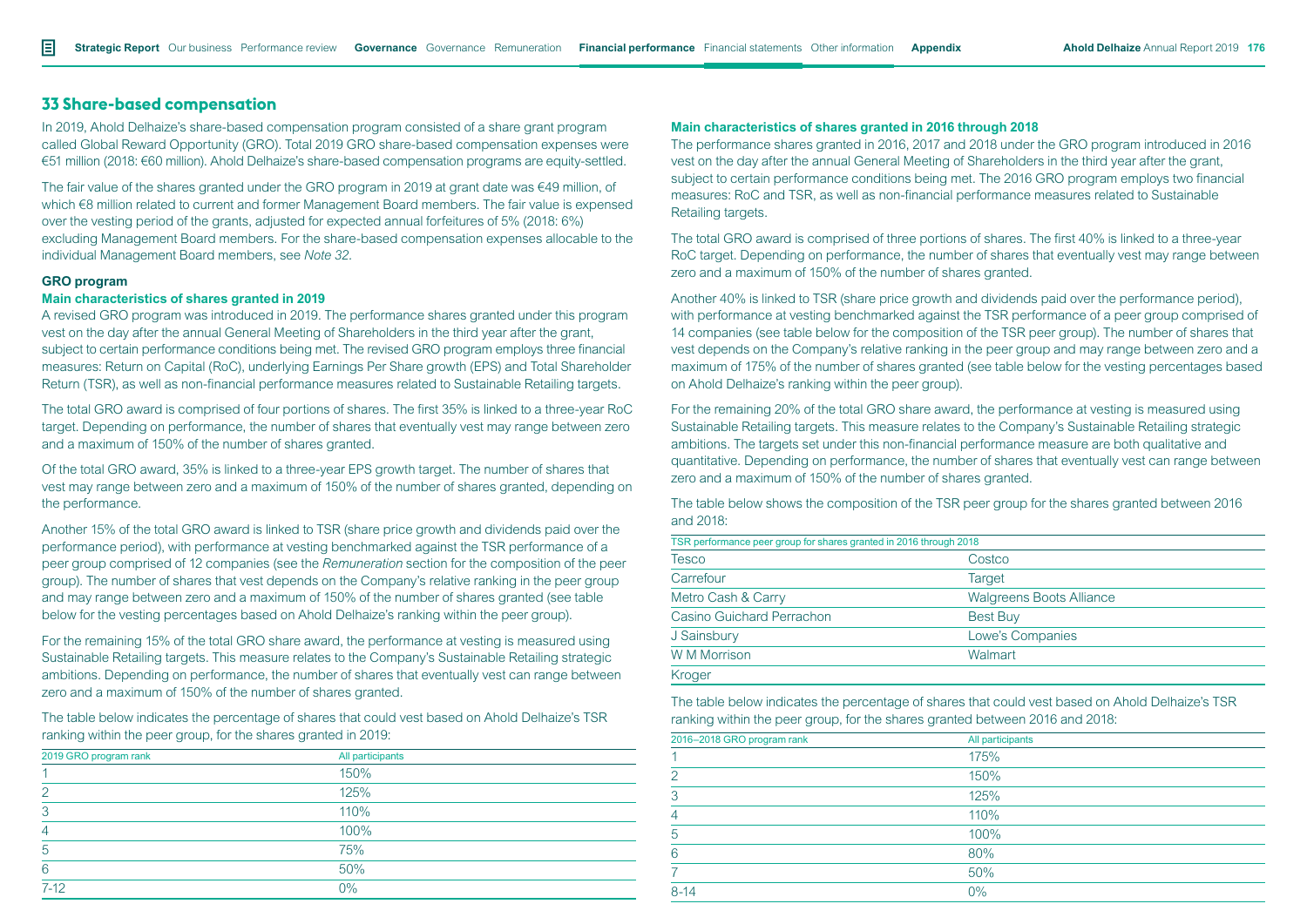# **33 Share-based compensation**

In 2019, Ahold Delhaize's share-based compensation program consisted of a share grant program called Global Reward Opportunity (GRO). Total 2019 GRO share-based compensation expenses were €51 million (2018: €60 million). Ahold Delhaize's share-based compensation programs are equity-settled.

The fair value of the shares granted under the GRO program in 2019 at grant date was €49 million, of which €8 million related to current and former Management Board members. The fair value is expensed over the vesting period of the grants, adjusted for expected annual forfeitures of 5% (2018: 6%) excluding Management Board members. For the share-based compensation expenses allocable to the individual Management Board members, see *Note 32.* 

### **GRO program**

### **Main characteristics of shares granted in 2019**

A revised GRO program was introduced in 2019. The performance shares granted under this program vest on the day after the annual General Meeting of Shareholders in the third year after the grant, subject to certain performance conditions being met. The revised GRO program employs three financial measures: Return on Capital (RoC), underlying Earnings Per Share growth (EPS) and Total Shareholder Return (TSR), as well as non-financial performance measures related to Sustainable Retailing targets.

The total GRO award is comprised of four portions of shares. The first 35% is linked to a three-year RoC target. Depending on performance, the number of shares that eventually vest may range between zero and a maximum of 150% of the number of shares granted.

Of the total GRO award, 35% is linked to a three-year EPS growth target. The number of shares that vest may range between zero and a maximum of 150% of the number of shares granted, depending on the performance.

Another 15% of the total GRO award is linked to TSR (share price growth and dividends paid over the performance period), with performance at vesting benchmarked against the TSR performance of a peer group comprised of 12 companies (see the *Remuneration* section for the composition of the peer group). The number of shares that vest depends on the Company's relative ranking in the peer group and may range between zero and a maximum of 150% of the number of shares granted (see table below for the vesting percentages based on Ahold Delhaize's ranking within the peer group).

For the remaining 15% of the total GRO share award, the performance at vesting is measured using Sustainable Retailing targets. This measure relates to the Company's Sustainable Retailing strategic ambitions. Depending on performance, the number of shares that eventually vest can range between zero and a maximum of 150% of the number of shares granted.

The table below indicates the percentage of shares that could vest based on Ahold Delhaize's TSR ranking within the peer group, for the shares granted in 2019:

| 2019 GRO program rank | All participants |  |
|-----------------------|------------------|--|
|                       | 150%             |  |
| $\mathcal{P}$         | 125%             |  |
| 3                     | 110%             |  |
| 4                     | 100%             |  |
| 5                     | 75%              |  |
| 6                     | 50%              |  |
| $7-12$                | $0\%$            |  |

#### **Main characteristics of shares granted in 2016 through 2018**

The performance shares granted in 2016, 2017 and 2018 under the GRO program introduced in 2016 vest on the day after the annual General Meeting of Shareholders in the third year after the grant, subject to certain performance conditions being met. The 2016 GRO program employs two financial measures: RoC and TSR, as well as non-financial performance measures related to Sustainable Retailing targets.

The total GRO award is comprised of three portions of shares. The first 40% is linked to a three-year RoC target. Depending on performance, the number of shares that eventually vest may range between zero and a maximum of 150% of the number of shares granted.

Another 40% is linked to TSR (share price growth and dividends paid over the performance period), with performance at vesting benchmarked against the TSR performance of a peer group comprised of 14 companies (see table below for the composition of the TSR peer group). The number of shares that vest depends on the Company's relative ranking in the peer group and may range between zero and a maximum of 175% of the number of shares granted (see table below for the vesting percentages based on Ahold Delhaize's ranking within the peer group).

For the remaining 20% of the total GRO share award, the performance at vesting is measured using Sustainable Retailing targets. This measure relates to the Company's Sustainable Retailing strategic ambitions. The targets set under this non-financial performance measure are both qualitative and quantitative. Depending on performance, the number of shares that eventually vest can range between zero and a maximum of 150% of the number of shares granted.

The table below shows the composition of the TSR peer group for the shares granted between 2016 and 2018:

| TSR performance peer group for shares granted in 2016 through 2018 |                                 |  |
|--------------------------------------------------------------------|---------------------------------|--|
| <b>Tesco</b>                                                       | Costco                          |  |
| Carrefour                                                          | <b>Target</b>                   |  |
| Metro Cash & Carry                                                 | <b>Walgreens Boots Alliance</b> |  |
| Casino Guichard Perrachon                                          | <b>Best Buy</b>                 |  |
| J Sainsbury                                                        | Lowe's Companies                |  |
| <b>W M Morrison</b>                                                | Walmart                         |  |
| Kroger                                                             |                                 |  |

The table below indicates the percentage of shares that could vest based on Ahold Delhaize's TSR ranking within the peer group, for the shares granted between 2016 and 2018:

| 2016-2018 GRO program rank | All participants |  |
|----------------------------|------------------|--|
|                            | 175%             |  |
| 2                          | 150%             |  |
| 3                          | 125%             |  |
| 4                          | 110%             |  |
| 5                          | 100%             |  |
| 6                          | 80%              |  |
|                            | 50%              |  |
| $8 - 14$                   | 0%               |  |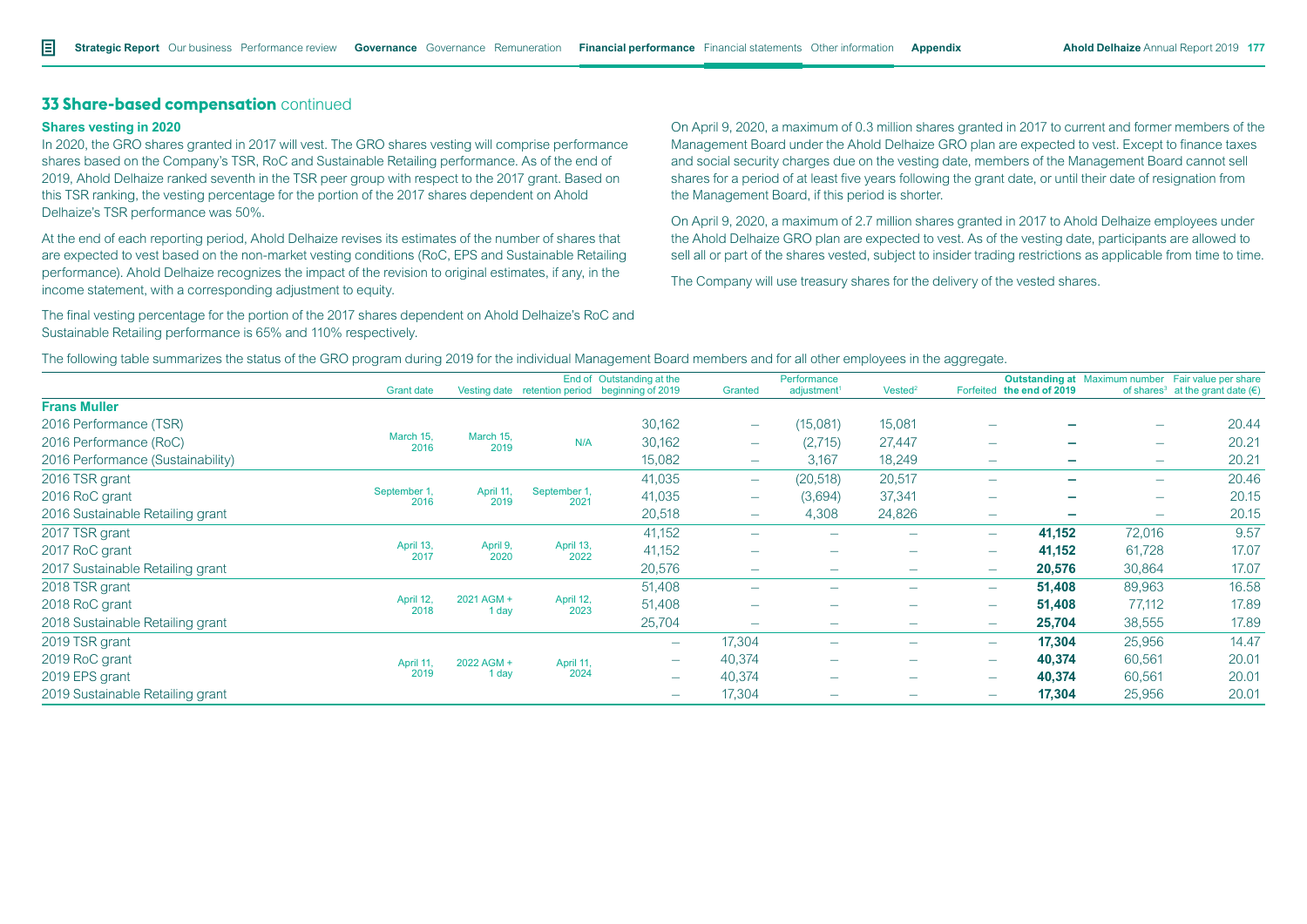# **Shares vesting in 2020**

In 2020, the GRO shares granted in 2017 will vest. The GRO shares vesting will comprise performance shares based on the Company's TSR, RoC and Sustainable Retailing performance. As of the end of 2019, Ahold Delhaize ranked seventh in the TSR peer group with respect to the 2017 grant. Based on this TSR ranking, the vesting percentage for the portion of the 2017 shares dependent on Ahold Delhaize's TSR performance was 50%.

At the end of each reporting period, Ahold Delhaize revises its estimates of the number of shares that are expected to vest based on the non-market vesting conditions (RoC, EPS and Sustainable Retailing performance). Ahold Delhaize recognizes the impact of the revision to original estimates, if any, in the income statement, with a corresponding adjustment to equity.

The final vesting percentage for the portion of the 2017 shares dependent on Ahold Delhaize's RoC and Sustainable Retailing performance is 65% and 110% respectively.

On April 9, 2020, a maximum of 0.3 million shares granted in 2017 to current and former members of the Management Board under the Ahold Delhaize GRO plan are expected to vest. Except to finance taxes and social security charges due on the vesting date, members of the Management Board cannot sell shares for a period of at least five years following the grant date, or until their date of resignation from the Management Board, if this period is shorter.

On April 9, 2020, a maximum of 2.7 million shares granted in 2017 to Ahold Delhaize employees under the Ahold Delhaize GRO plan are expected to vest. As of the vesting date, participants are allowed to sell all or part of the shares vested, subject to insider trading restrictions as applicable from time to time.

The Company will use treasury shares for the delivery of the vested shares.

| The following table summarizes the status of the GRO program during 2019 for the individual Management Board members and for all other employees in the aggregate. |
|--------------------------------------------------------------------------------------------------------------------------------------------------------------------|
|--------------------------------------------------------------------------------------------------------------------------------------------------------------------|

|                                   | <b>Grant date</b>    |                     |                      | End of Outstanding at the<br>Vesting date retention period beginning of 2019 | Granted                  | Performance<br>adjustment <sup>1</sup> | Vested <sup>2</sup>      |                          | <b>Outstanding at</b> Maximum number Fair value per share<br>Forfeited the end of 2019 |                          | of shares <sup>3</sup> at the grant date $(\epsilon)$ |
|-----------------------------------|----------------------|---------------------|----------------------|------------------------------------------------------------------------------|--------------------------|----------------------------------------|--------------------------|--------------------------|----------------------------------------------------------------------------------------|--------------------------|-------------------------------------------------------|
| <b>Frans Muller</b>               |                      |                     |                      |                                                                              |                          |                                        |                          |                          |                                                                                        |                          |                                                       |
| 2016 Performance (TSR)            |                      |                     |                      | 30,162                                                                       | $\overline{\phantom{m}}$ | (15,081)                               | 15,081                   |                          |                                                                                        | $\overline{\phantom{0}}$ | 20.44                                                 |
| 2016 Performance (RoC)            | March 15,<br>2016    | March 15,<br>2019   | N/A                  | 30,162                                                                       | $\overline{\phantom{m}}$ | (2,715)                                | 27,447                   |                          | -                                                                                      | $\overline{\phantom{0}}$ | 20.21                                                 |
| 2016 Performance (Sustainability) |                      |                     |                      | 15,082                                                                       |                          | 3,167                                  | 18,249                   | $\overline{\phantom{a}}$ | -                                                                                      | $\overline{\phantom{0}}$ | 20.21                                                 |
| 2016 TSR grant                    |                      |                     |                      | 41,035                                                                       |                          | (20,518)                               | 20,517                   | $\overline{\phantom{a}}$ | -                                                                                      | $\overline{\phantom{0}}$ | 20.46                                                 |
| 2016 RoC grant                    | September 1,<br>2016 | April 11,<br>2019   | September 1,<br>2021 | 41,035                                                                       |                          | (3,694)                                | 37,341                   |                          |                                                                                        | $\overline{\phantom{0}}$ | 20.15                                                 |
| 2016 Sustainable Retailing grant  |                      |                     |                      | 20,518                                                                       | $\overline{\phantom{m}}$ | 4,308                                  | 24,826                   | $\overline{\phantom{m}}$ |                                                                                        | $\overline{\phantom{0}}$ | 20.15                                                 |
| 2017 TSR grant                    |                      |                     |                      | 41,152                                                                       |                          |                                        |                          | $\overline{\phantom{a}}$ | 41,152                                                                                 | 72,016                   | 9.57                                                  |
| 2017 RoC grant                    | April 13,<br>2017    | April 9,<br>2020    | April 13,<br>2022    | 41,152                                                                       | ۰                        | $\overline{\phantom{0}}$               | -                        | $\overline{\phantom{a}}$ | 41,152                                                                                 | 61,728                   | 17.07                                                 |
| 2017 Sustainable Retailing grant  |                      |                     |                      | 20,576                                                                       |                          | $\overline{\phantom{0}}$               |                          | $\overline{\phantom{a}}$ | 20,576                                                                                 | 30,864                   | 17.07                                                 |
| 2018 TSR grant                    |                      |                     |                      | 51,408                                                                       |                          | -                                      |                          | $\overline{\phantom{a}}$ | 51,408                                                                                 | 89,963                   | 16.58                                                 |
| 2018 RoC grant                    | April 12,<br>2018    | 2021 AGM +<br>1 day | April 12,<br>2023    | 51,408                                                                       | ۰                        | $\overline{\phantom{0}}$               | -                        | $\overline{\phantom{a}}$ | 51,408                                                                                 | 77,112                   | 17.89                                                 |
| 2018 Sustainable Retailing grant  |                      |                     |                      | 25,704                                                                       | $\overline{\phantom{a}}$ | $\overline{\phantom{a}}$               | $\overline{\phantom{0}}$ | $\overline{\phantom{a}}$ | 25,704                                                                                 | 38,555                   | 17.89                                                 |
| 2019 TSR grant                    |                      |                     |                      | $\overline{\phantom{0}}$                                                     | 17,304                   | $\overline{\phantom{a}}$               | -                        | $\overline{\phantom{0}}$ | 17,304                                                                                 | 25,956                   | 14.47                                                 |
| 2019 RoC grant                    | April 11             | 2022 AGM +          | April 11,            | $\overline{\phantom{0}}$                                                     | 40,374                   | $\overline{\phantom{0}}$               |                          | $\overline{\phantom{a}}$ | 40,374                                                                                 | 60,561                   | 20.01                                                 |
| 2019 EPS grant                    | 2019                 | 1 day               | 2024                 | $\overline{\phantom{0}}$                                                     | 40,374                   | $\overline{\phantom{0}}$               | -                        | $\overline{\phantom{a}}$ | 40,374                                                                                 | 60,561                   | 20.01                                                 |
| 2019 Sustainable Retailing grant  |                      |                     |                      | $\overline{\phantom{0}}$                                                     | 17,304                   | $\overline{\phantom{0}}$               | -                        | $\overline{\phantom{m}}$ | 17,304                                                                                 | 25,956                   | 20.01                                                 |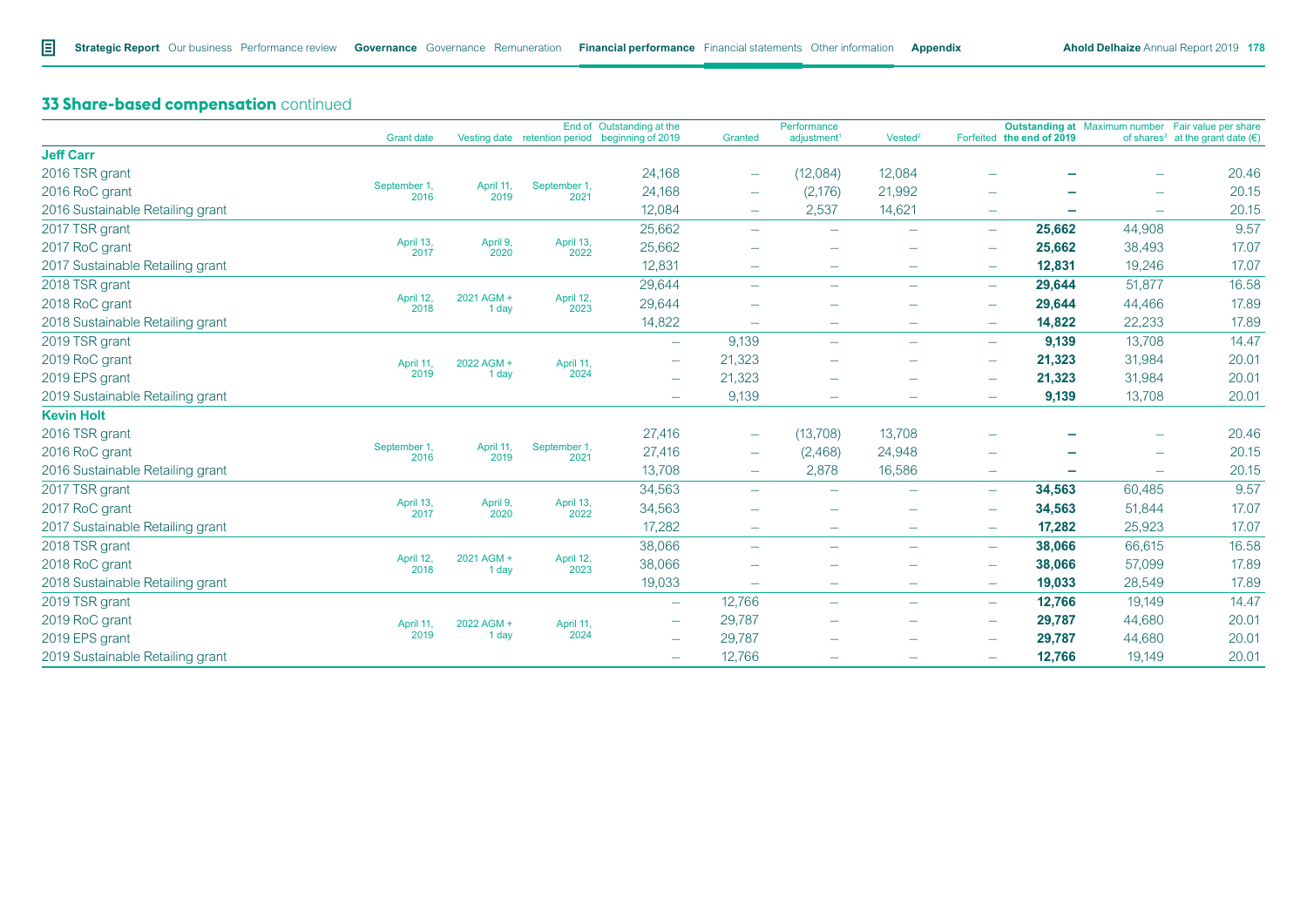|                                  | <b>Grant date</b>    |                     |                      | End of Outstanding at the<br>Vesting date retention period beginning of 2019 | Granted                         | Performance<br>adjustment <sup>1</sup> | Vested <sup>2</sup>      |                          | Forfeited the end of 2019 |                          | Outstanding at Maximum number Fair value per share<br>of shares <sup>3</sup> at the grant date $(\epsilon)$ |
|----------------------------------|----------------------|---------------------|----------------------|------------------------------------------------------------------------------|---------------------------------|----------------------------------------|--------------------------|--------------------------|---------------------------|--------------------------|-------------------------------------------------------------------------------------------------------------|
| <b>Jeff Carr</b>                 |                      |                     |                      |                                                                              |                                 |                                        |                          |                          |                           |                          |                                                                                                             |
| 2016 TSR grant                   |                      |                     |                      | 24,168                                                                       | $\overline{\phantom{m}}$        | (12,084)                               | 12,084                   |                          |                           | -                        | 20.46                                                                                                       |
| 2016 RoC grant                   | September 1,<br>2016 | April 11,<br>2019   | September 1,<br>2021 | 24,168                                                                       | $\overline{\phantom{m}}$        | (2, 176)                               | 21,992                   | $\overline{\phantom{0}}$ |                           | $\overline{\phantom{m}}$ | 20.15                                                                                                       |
| 2016 Sustainable Retailing grant |                      |                     |                      | 12,084                                                                       | $\overline{\phantom{a}}$        | 2,537                                  | 14,621                   | $\overline{\phantom{m}}$ | $\overline{\phantom{0}}$  | $\overline{\phantom{m}}$ | 20.15                                                                                                       |
| 2017 TSR grant                   |                      |                     |                      | 25,662                                                                       |                                 | $\overline{\phantom{m}}$               | $\overline{\phantom{a}}$ | $\overline{\phantom{0}}$ | 25,662                    | 44,908                   | 9.57                                                                                                        |
| 2017 RoC grant                   | April 13,<br>2017    | April 9,<br>2020    | April 13,<br>2022    | 25,662                                                                       |                                 |                                        | $\overline{\phantom{a}}$ | $\overline{\phantom{0}}$ | 25,662                    | 38,493                   | 17.07                                                                                                       |
| 2017 Sustainable Retailing grant |                      |                     |                      | 12,831                                                                       | $\overline{\phantom{m}}$        | $\overline{\phantom{0}}$               | $\overline{\phantom{0}}$ |                          | 12,831                    | 19,246                   | 17.07                                                                                                       |
| 2018 TSR grant                   |                      |                     |                      | 29,644                                                                       | $\overline{\phantom{m}}$        | $\overline{\phantom{0}}$               | $\overline{\phantom{a}}$ | $\overline{\phantom{m}}$ | 29,644                    | 51,877                   | 16.58                                                                                                       |
| 2018 RoC grant                   | April 12,<br>2018    | 2021 AGM +<br>1 day | April 12,<br>2023    | 29,644                                                                       |                                 |                                        | -                        | $\overline{\phantom{0}}$ | 29,644                    | 44,466                   | 17.89                                                                                                       |
| 2018 Sustainable Retailing grant |                      |                     |                      | 14,822                                                                       | $\overline{\phantom{0}}$        |                                        | $\overline{\phantom{m}}$ | $\overline{\phantom{m}}$ | 14,822                    | 22,233                   | 17.89                                                                                                       |
| 2019 TSR grant                   |                      |                     |                      | $\overline{\phantom{0}}$                                                     | 9,139                           | $\overline{\phantom{0}}$               |                          | $\overline{\phantom{m}}$ | 9,139                     | 13,708                   | 14.47                                                                                                       |
| 2019 RoC grant                   | April 11,            | 2022 AGM +          | April 11,            |                                                                              | 21,323                          |                                        | $\overline{\phantom{0}}$ | $\overline{\phantom{m}}$ | 21,323                    | 31,984                   | 20.01                                                                                                       |
| 2019 EPS grant                   | 2019                 | 1 day               | 2024                 | $\overline{\phantom{0}}$                                                     | 21,323                          | $\overline{\phantom{0}}$               | $\overline{\phantom{0}}$ | $\overline{\phantom{0}}$ | 21,323                    | 31,984                   | 20.01                                                                                                       |
| 2019 Sustainable Retailing grant |                      |                     |                      |                                                                              | 9,139                           |                                        |                          | $\equiv$                 | 9,139                     | 13,708                   | 20.01                                                                                                       |
| <b>Kevin Holt</b>                |                      |                     |                      |                                                                              |                                 |                                        |                          |                          |                           |                          |                                                                                                             |
| 2016 TSR grant                   |                      |                     |                      | 27,416                                                                       | $\hspace{0.1mm}-\hspace{0.1mm}$ | (13,708)                               | 13,708                   |                          |                           |                          | 20.46                                                                                                       |
| 2016 RoC grant                   | September 1,<br>2016 | April 11,<br>2019   | September 1,<br>2021 | 27,416                                                                       | $\overline{\phantom{m}}$        | (2,468)                                | 24,948                   | $\overline{\phantom{0}}$ |                           | $\overline{\phantom{m}}$ | 20.15                                                                                                       |
| 2016 Sustainable Retailing grant |                      |                     |                      | 13,708                                                                       | $\hspace{0.1mm}-\hspace{0.1mm}$ | 2,878                                  | 16,586                   | $\overline{\phantom{0}}$ |                           | $\overline{\phantom{0}}$ | 20.15                                                                                                       |
| 2017 TSR grant                   |                      |                     |                      | 34,563                                                                       | $\overline{\phantom{m}}$        | $\overline{\phantom{0}}$               | $\overline{\phantom{a}}$ | $\overline{\phantom{m}}$ | 34,563                    | 60,485                   | 9.57                                                                                                        |
| 2017 RoC grant                   | April 13,<br>2017    | April 9,<br>2020    | April 13,<br>2022    | 34,563                                                                       |                                 |                                        |                          | $\overline{\phantom{0}}$ | 34,563                    | 51,844                   | 17.07                                                                                                       |
| 2017 Sustainable Retailing grant |                      |                     |                      | 17,282                                                                       | $\overline{\phantom{m}}$        | $\overline{\phantom{0}}$               | $\overline{\phantom{m}}$ | $\overline{\phantom{m}}$ | 17,282                    | 25,923                   | 17.07                                                                                                       |
| 2018 TSR grant                   |                      |                     |                      | 38,066                                                                       | $\overline{\phantom{0}}$        | $\overline{\phantom{0}}$               | $\overline{\phantom{m}}$ | $\overline{\phantom{m}}$ | 38,066                    | 66,615                   | 16.58                                                                                                       |
| 2018 RoC grant                   | April 12,<br>2018    | 2021 AGM +<br>1 day | April 12,<br>2023    | 38,066                                                                       |                                 |                                        |                          | $\overline{\phantom{m}}$ | 38,066                    | 57,099                   | 17.89                                                                                                       |
| 2018 Sustainable Retailing grant |                      |                     |                      | 19,033                                                                       | $\overline{\phantom{m}}$        | $\overline{\phantom{m}}$               | $\overline{\phantom{m}}$ | $\overline{\phantom{m}}$ | 19,033                    | 28,549                   | 17.89                                                                                                       |
| 2019 TSR grant                   |                      |                     |                      |                                                                              | 12,766                          | $\overline{\phantom{0}}$               | $\overline{\phantom{m}}$ | $\overline{\phantom{0}}$ | 12,766                    | 19,149                   | 14.47                                                                                                       |
| 2019 RoC grant                   | April 11.            | 2022 AGM +          | April 11,            | $\overline{\phantom{0}}$                                                     | 29,787                          | $\overline{\phantom{0}}$               | $\overline{\phantom{m}}$ | $\overline{\phantom{m}}$ | 29,787                    | 44,680                   | 20.01                                                                                                       |
| 2019 EPS grant                   | 2019                 | 1 day               | 2024                 | $\overline{\phantom{0}}$                                                     | 29,787                          |                                        |                          |                          | 29,787                    | 44,680                   | 20.01                                                                                                       |
| 2019 Sustainable Retailing grant |                      |                     |                      | $\overline{\phantom{0}}$                                                     | 12,766                          |                                        | $\overline{\phantom{m}}$ | $\overline{\phantom{0}}$ | 12,766                    | 19,149                   | 20.01                                                                                                       |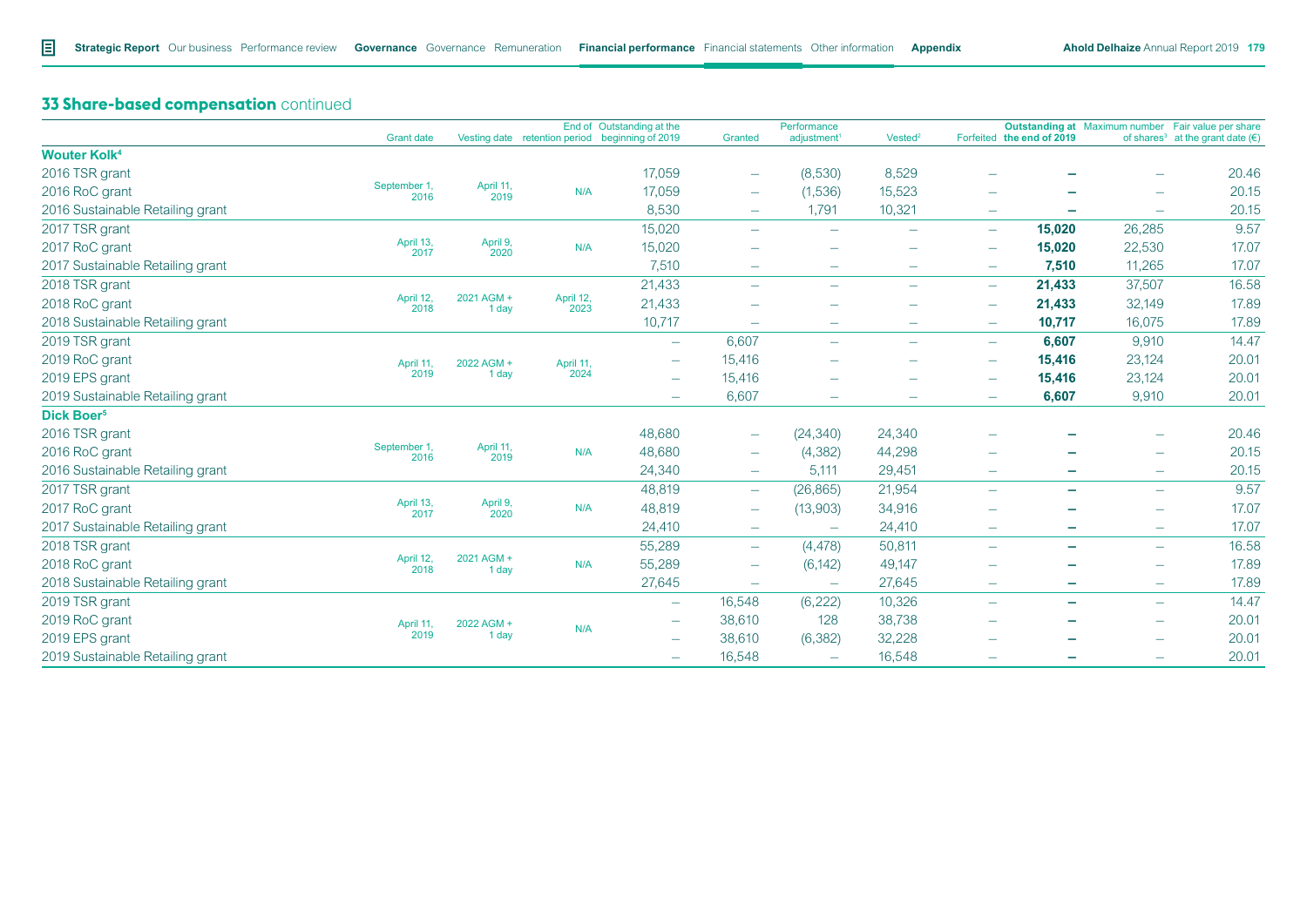|                                  | <b>Grant date</b>    |                     |                   | End of Outstanding at the<br>Vesting date retention period beginning of 2019 | Granted                         | Performance<br>adjustment <sup>1</sup> | Vested <sup>2</sup>      |                          | Forfeited the end of 2019 |                          | Outstanding at Maximum number Fair value per share<br>of shares <sup>3</sup> at the grant date $(\epsilon)$ |
|----------------------------------|----------------------|---------------------|-------------------|------------------------------------------------------------------------------|---------------------------------|----------------------------------------|--------------------------|--------------------------|---------------------------|--------------------------|-------------------------------------------------------------------------------------------------------------|
| <b>Wouter Kolk4</b>              |                      |                     |                   |                                                                              |                                 |                                        |                          |                          |                           |                          |                                                                                                             |
| 2016 TSR grant                   |                      |                     |                   | 17,059                                                                       | $\overline{\phantom{a}}$        | (8,530)                                | 8,529                    |                          |                           | -                        | 20.46                                                                                                       |
| 2016 RoC grant                   | September 1,         | April 11,           | N/A               | 17,059                                                                       | $\overline{\phantom{m}}$        | (1,536)                                | 15,523                   |                          |                           | $\overline{\phantom{0}}$ | 20.15                                                                                                       |
| 2016 Sustainable Retailing grant | 2016                 | 2019                |                   | 8,530                                                                        | $\overline{\phantom{a}}$        | 1,791                                  | 10,321                   | $\overline{\phantom{m}}$ | $\overline{\phantom{0}}$  | $\overline{\phantom{m}}$ | 20.15                                                                                                       |
| 2017 TSR grant                   |                      |                     |                   | 15,020                                                                       | $\overline{\phantom{0}}$        | $\overline{\phantom{0}}$               | $\overline{\phantom{0}}$ | $\overline{\phantom{m}}$ | 15,020                    | 26,285                   | 9.57                                                                                                        |
| 2017 RoC grant                   | April 13,<br>2017    | April 9,<br>2020    | N/A               | 15,020                                                                       |                                 | $\overline{\phantom{0}}$               | $\overline{\phantom{m}}$ | $\overline{\phantom{m}}$ | 15,020                    | 22,530                   | 17.07                                                                                                       |
| 2017 Sustainable Retailing grant |                      |                     |                   | 7,510                                                                        | $\overline{\phantom{a}}$        | $\overline{\phantom{0}}$               | $\overline{\phantom{0}}$ | $\overline{\phantom{m}}$ | 7,510                     | 11,265                   | 17.07                                                                                                       |
| 2018 TSR grant                   |                      |                     |                   | 21,433                                                                       | $\overline{\phantom{m}}$        | $\overline{\phantom{0}}$               | $\overline{\phantom{0}}$ | $\overline{\phantom{m}}$ | 21,433                    | 37,507                   | 16.58                                                                                                       |
| 2018 RoC grant                   | April 12,<br>2018    | 2021 AGM +<br>1 day | April 12,<br>2023 | 21,433                                                                       |                                 |                                        |                          | -                        | 21,433                    | 32,149                   | 17.89                                                                                                       |
| 2018 Sustainable Retailing grant |                      |                     |                   | 10,717                                                                       | $\overline{\phantom{0}}$        | $\overline{\phantom{m}}$               | $\overline{\phantom{m}}$ | $\overline{\phantom{m}}$ | 10,717                    | 16,075                   | 17.89                                                                                                       |
| 2019 TSR grant                   |                      |                     |                   | $\overline{\phantom{0}}$                                                     | 6,607                           | $\overline{\phantom{0}}$               | $\overline{\phantom{m}}$ | $\overline{\phantom{m}}$ | 6,607                     | 9,910                    | 14.47                                                                                                       |
| 2019 RoC grant                   | April 11,            | 2022 AGM +          | April 11,         |                                                                              | 15,416                          |                                        |                          | $\overline{\phantom{m}}$ | 15,416                    | 23,124                   | 20.01                                                                                                       |
| 2019 EPS grant                   | 2019                 | 1 day               | 2024              | $\overline{\phantom{0}}$                                                     | 15,416                          | $\overline{\phantom{0}}$               | -                        | $\overline{\phantom{0}}$ | 15,416                    | 23,124                   | 20.01                                                                                                       |
| 2019 Sustainable Retailing grant |                      |                     |                   | $\overline{\phantom{0}}$                                                     | 6,607                           | $\overline{\phantom{0}}$               |                          | $\overline{\phantom{m}}$ | 6,607                     | 9,910                    | 20.01                                                                                                       |
| Dick Boer <sup>5</sup>           |                      |                     |                   |                                                                              |                                 |                                        |                          |                          |                           |                          |                                                                                                             |
| 2016 TSR grant                   |                      |                     |                   | 48,680                                                                       | $\hspace{0.1mm}-\hspace{0.1mm}$ | (24, 340)                              | 24,340                   |                          |                           |                          | 20.46                                                                                                       |
| 2016 RoC grant                   | September 1,<br>2016 | April 11,<br>2019   | N/A               | 48,680                                                                       | $\overline{\phantom{a}}$        | (4, 382)                               | 44,298                   |                          |                           | -                        | 20.15                                                                                                       |
| 2016 Sustainable Retailing grant |                      |                     |                   | 24,340                                                                       | $\overline{\phantom{m}}$        | 5,111                                  | 29,451                   | $\equiv$                 | ۳                         | $\overline{\phantom{m}}$ | 20.15                                                                                                       |
| 2017 TSR grant                   |                      |                     |                   | 48,819                                                                       | $\overline{\phantom{a}}$        | (26, 865)                              | 21,954                   | $\overline{\phantom{m}}$ | $\overline{\phantom{0}}$  | $\overline{\phantom{m}}$ | 9.57                                                                                                        |
| 2017 RoC grant                   | April 13,<br>2017    | April 9,<br>2020    | N/A               | 48,819                                                                       | $\hspace{0.1mm}-\hspace{0.1mm}$ | (13,903)                               | 34,916                   |                          |                           | $\overline{\phantom{0}}$ | 17.07                                                                                                       |
| 2017 Sustainable Retailing grant |                      |                     |                   | 24,410                                                                       | $\overline{\phantom{a}}$        | $\equiv$                               | 24,410                   | $\overline{\phantom{m}}$ | $\overline{\phantom{0}}$  | $\overline{\phantom{m}}$ | 17.07                                                                                                       |
| 2018 TSR grant                   |                      |                     |                   | 55,289                                                                       | $\overline{\phantom{m}}$        | (4, 478)                               | 50,811                   | $\overline{\phantom{0}}$ | ۰                         | $\overline{\phantom{m}}$ | 16.58                                                                                                       |
| 2018 RoC grant                   | April 12,<br>2018    | 2021 AGM +<br>1 day | N/A               | 55,289                                                                       | $\hspace{0.1mm}-\hspace{0.1mm}$ | (6, 142)                               | 49,147                   | $\overline{\phantom{0}}$ |                           |                          | 17.89                                                                                                       |
| 2018 Sustainable Retailing grant |                      |                     |                   | 27,645                                                                       | $\overline{\phantom{m}}$        | $\overline{\phantom{0}}$               | 27,645                   | $\overline{\phantom{m}}$ | $\overline{\phantom{0}}$  | $\overline{\phantom{m}}$ | 17.89                                                                                                       |
| 2019 TSR grant                   |                      |                     |                   | $\overline{\phantom{0}}$                                                     | 16,548                          | (6, 222)                               | 10,326                   | $\equiv$                 | $\equiv$                  | $\overline{\phantom{m}}$ | 14.47                                                                                                       |
| 2019 RoC grant                   | April 11,            | 2022 AGM +          | N/A               |                                                                              | 38,610                          | 128                                    | 38,738                   |                          | ۰                         | $\overline{\phantom{m}}$ | 20.01                                                                                                       |
| 2019 EPS grant                   | 2019                 | 1 day               |                   | $\overline{\phantom{0}}$                                                     | 38,610                          | (6, 382)                               | 32,228                   |                          |                           | -                        | 20.01                                                                                                       |
| 2019 Sustainable Retailing grant |                      |                     |                   | $\overline{\phantom{0}}$                                                     | 16,548                          |                                        | 16,548                   | $\overline{\phantom{0}}$ | ۰                         | $\overline{\phantom{0}}$ | 20.01                                                                                                       |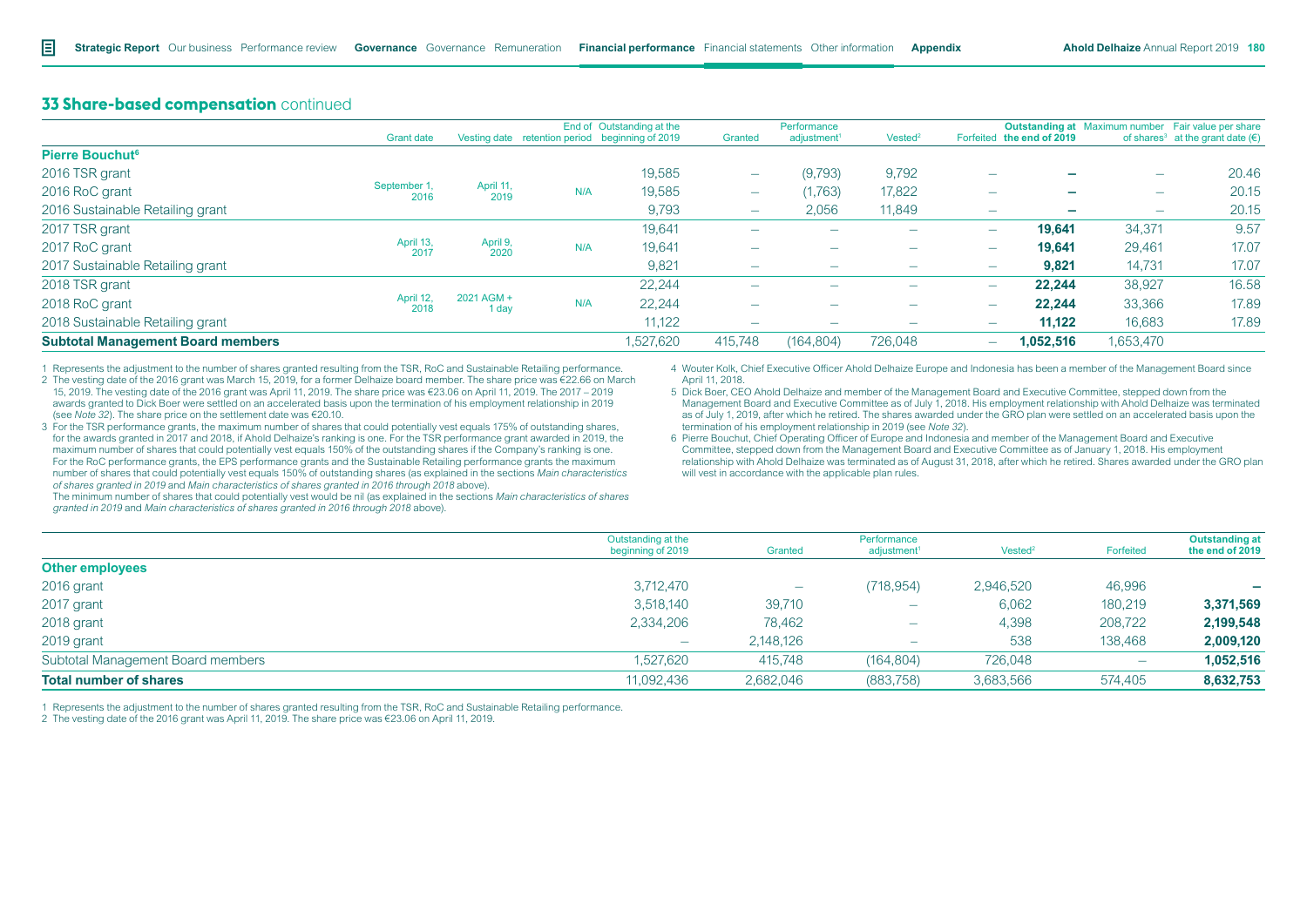|                                          | <b>Grant date</b>    |                     |     | End of Outstanding at the<br>Vesting date retention period beginning of 2019 | Granted                  | Performance<br>adjustment <sup>1</sup> | Vested <sup>2</sup>      |                          | Forfeited the end of 2019 |                          | <b>Outstanding at</b> Maximum number Fair value per share<br>of shares <sup>3</sup> at the grant date ( $\epsilon$ ) |                          |        |                          |       |                          |                          |        |        |       |  |  |  |  |  |  |  |  |  |  |  |  |  |  |  |  |  |  |  |  |  |  |  |        |                          |   |                          |                          |        |        |       |
|------------------------------------------|----------------------|---------------------|-----|------------------------------------------------------------------------------|--------------------------|----------------------------------------|--------------------------|--------------------------|---------------------------|--------------------------|----------------------------------------------------------------------------------------------------------------------|--------------------------|--------|--------------------------|-------|--------------------------|--------------------------|--------|--------|-------|--|--|--|--|--|--|--|--|--|--|--|--|--|--|--|--|--|--|--|--|--|--|--|--------|--------------------------|---|--------------------------|--------------------------|--------|--------|-------|
| <b>Pierre Bouchut<sup>6</sup></b>        |                      |                     |     |                                                                              |                          |                                        |                          |                          |                           |                          |                                                                                                                      |                          |        |                          |       |                          |                          |        |        |       |  |  |  |  |  |  |  |  |  |  |  |  |  |  |  |  |  |  |  |  |  |  |  |        |                          |   |                          |                          |        |        |       |
| 2016 TSR grant                           |                      |                     |     | 19,585                                                                       | $\overline{\phantom{a}}$ | (9,793)                                | 9,792                    | $\overline{\phantom{0}}$ |                           | $\overline{\phantom{0}}$ | 20.46                                                                                                                |                          |        |                          |       |                          |                          |        |        |       |  |  |  |  |  |  |  |  |  |  |  |  |  |  |  |  |  |  |  |  |  |  |  |        |                          |   |                          |                          |        |        |       |
| 2016 RoC grant                           | September 1,<br>2016 | April 11,<br>2019   | N/A | 19,585                                                                       | $\overline{\phantom{a}}$ | (1,763)                                | 17,822                   | $\overline{\phantom{0}}$ |                           | $\overline{\phantom{0}}$ | 20.15                                                                                                                |                          |        |                          |       |                          |                          |        |        |       |  |  |  |  |  |  |  |  |  |  |  |  |  |  |  |  |  |  |  |  |  |  |  |        |                          |   |                          |                          |        |        |       |
| 2016 Sustainable Retailing grant         |                      |                     |     | 9,793                                                                        | $\overline{\phantom{a}}$ | 2,056                                  | 11,849                   | $\overline{\phantom{0}}$ |                           | $\overline{\phantom{a}}$ | 20.15                                                                                                                |                          |        |                          |       |                          |                          |        |        |       |  |  |  |  |  |  |  |  |  |  |  |  |  |  |  |  |  |  |  |  |  |  |  |        |                          |   |                          |                          |        |        |       |
| 2017 TSR grant                           |                      |                     |     | 19,641                                                                       | $\overline{\phantom{a}}$ | $\overline{\phantom{a}}$               | $\overline{\phantom{a}}$ | $\overline{\phantom{0}}$ | 19.641                    | 34,371                   | 9.57                                                                                                                 |                          |        |                          |       |                          |                          |        |        |       |  |  |  |  |  |  |  |  |  |  |  |  |  |  |  |  |  |  |  |  |  |  |  |        |                          |   |                          |                          |        |        |       |
| 2017 RoC grant                           | April 13,<br>2017    | April 9,<br>2020    | N/A |                                                                              |                          |                                        |                          |                          |                           |                          |                                                                                                                      |                          | 19,641 | $\overline{\phantom{a}}$ | -     | $\overline{\phantom{0}}$ | $\overline{\phantom{0}}$ | 19,641 | 29,461 | 17.07 |  |  |  |  |  |  |  |  |  |  |  |  |  |  |  |  |  |  |  |  |  |  |  |        |                          |   |                          |                          |        |        |       |
| 2017 Sustainable Retailing grant         |                      |                     |     |                                                                              |                          |                                        |                          | 9,821                    | $\overline{\phantom{a}}$  | $\overline{\phantom{a}}$ | $\overline{\phantom{a}}$                                                                                             | $\overline{\phantom{a}}$ | 9.821  | 14,731                   | 17.07 |                          |                          |        |        |       |  |  |  |  |  |  |  |  |  |  |  |  |  |  |  |  |  |  |  |  |  |  |  |        |                          |   |                          |                          |        |        |       |
| 2018 TSR grant                           |                      |                     |     | 22.244                                                                       |                          | -                                      | $\overline{\phantom{0}}$ | $\overline{\phantom{0}}$ | 22.244                    | 38,927                   | 16.58                                                                                                                |                          |        |                          |       |                          |                          |        |        |       |  |  |  |  |  |  |  |  |  |  |  |  |  |  |  |  |  |  |  |  |  |  |  |        |                          |   |                          |                          |        |        |       |
| 2018 RoC grant                           | April 12,<br>2018    | 2021 AGM +<br>1 day | N/A | 22.244                                                                       | $\overline{\phantom{a}}$ | $\overline{\phantom{a}}$               | $\overline{\phantom{a}}$ | $\overline{\phantom{0}}$ | 22.244                    | 33,366                   | 17.89                                                                                                                |                          |        |                          |       |                          |                          |        |        |       |  |  |  |  |  |  |  |  |  |  |  |  |  |  |  |  |  |  |  |  |  |  |  |        |                          |   |                          |                          |        |        |       |
| 2018 Sustainable Retailing grant         |                      |                     |     |                                                                              |                          |                                        |                          |                          |                           |                          |                                                                                                                      |                          |        |                          |       |                          |                          |        |        |       |  |  |  |  |  |  |  |  |  |  |  |  |  |  |  |  |  |  |  |  |  |  |  | 11,122 | $\overline{\phantom{a}}$ | - | $\overline{\phantom{a}}$ | $\overline{\phantom{a}}$ | 11,122 | 16,683 | 17.89 |
| <b>Subtotal Management Board members</b> |                      |                     |     | 1,527,620                                                                    | 415.748                  | (164, 804)                             | 726,048                  | $\overline{\phantom{0}}$ | 1.052.516                 | 1,653,470                |                                                                                                                      |                          |        |                          |       |                          |                          |        |        |       |  |  |  |  |  |  |  |  |  |  |  |  |  |  |  |  |  |  |  |  |  |  |  |        |                          |   |                          |                          |        |        |       |

1 Represents the adjustment to the number of shares granted resulting from the TSR, RoC and Sustainable Retailing performance.

2 The vesting date of the 2016 grant was March 15, 2019, for a former Delhaize board member. The share price was €22.66 on March 15, 2019. The vesting date of the 2016 grant was April 11, 2019. The share price was €23.06 on April 11, 2019. The 2017 – 2019 awards granted to Dick Boer were settled on an accelerated basis upon the termination of his employment relationship in 2019 (see *Note 32*). The share price on the settlement date was €20.10.

3 For the TSR performance grants, the maximum number of shares that could potentially vest equals 175% of outstanding shares, for the awards granted in 2017 and 2018, if Ahold Delhaize's ranking is one. For the TSR performance grant awarded in 2019, the maximum number of shares that could potentially vest equals 150% of the outstanding shares if the Company's ranking is one. For the RoC performance grants, the EPS performance grants and the Sustainable Retailing performance grants the maximum number of shares that could potentially vest equals 150% of outstanding shares (as explained in the sections *Main characteristics of shares granted in 2019* and *Main characteristics of shares granted in 2016 through 2018* above).

4 Wouter Kolk, Chief Executive Officer Ahold Delhaize Europe and Indonesia has been a member of the Management Board since April 11, 2018.

5 Dick Boer, CEO Ahold Delhaize and member of the Management Board and Executive Committee, stepped down from the Management Board and Executive Committee as of July 1, 2018. His employment relationship with Ahold Delhaize was terminated as of July 1, 2019, after which he retired. The shares awarded under the GRO plan were settled on an accelerated basis upon the termination of his employment relationship in 2019 (see *Note 32*).

6 Pierre Bouchut, Chief Operating Officer of Europe and Indonesia and member of the Management Board and Executive Committee, stepped down from the Management Board and Executive Committee as of January 1, 2018. His employment relationship with Ahold Delhaize was terminated as of August 31, 2018, after which he retired. Shares awarded under the GRO plan will vest in accordance with the applicable plan rules.

The minimum number of shares that could potentially vest would be nil (as explained in the sections *Main characteristics of shares granted in 2019* and *Main characteristics of shares granted in 2016 through 2018* above).

|                                   | Outstanding at the<br>beginning of 2019 | Granted                  | Performance<br>adjustment <sup>1</sup> | Vested <sup>2</sup> | Forfeited                | <b>Outstanding at</b><br>the end of 2019 |
|-----------------------------------|-----------------------------------------|--------------------------|----------------------------------------|---------------------|--------------------------|------------------------------------------|
| <b>Other employees</b>            |                                         |                          |                                        |                     |                          |                                          |
| 2016 grant                        | 3,712,470                               | $\overline{\phantom{a}}$ | (718, 954)                             | 2,946,520           | 46,996                   | -                                        |
| 2017 grant                        | 3,518,140                               | 39,710                   | $\overline{\phantom{m}}$               | 6,062               | 180,219                  | 3,371,569                                |
| 2018 grant                        | 2,334,206                               | 78,462                   | $\overline{\phantom{m}}$               | 4,398               | 208,722                  | 2,199,548                                |
| 2019 grant                        |                                         | 2,148,126                |                                        | 538                 | 138,468                  | 2,009,120                                |
| Subtotal Management Board members | 1,527,620                               | 415,748                  | (164, 804)                             | 726,048             | $\overline{\phantom{m}}$ | 1,052,516                                |
| <b>Total number of shares</b>     | 11,092,436                              | 2,682,046                | (883, 758)                             | 3,683,566           | 574,405                  | 8,632,753                                |

1 Represents the adjustment to the number of shares granted resulting from the TSR, RoC and Sustainable Retailing performance.

2 The vesting date of the 2016 grant was April 11, 2019. The share price was €23.06 on April 11, 2019.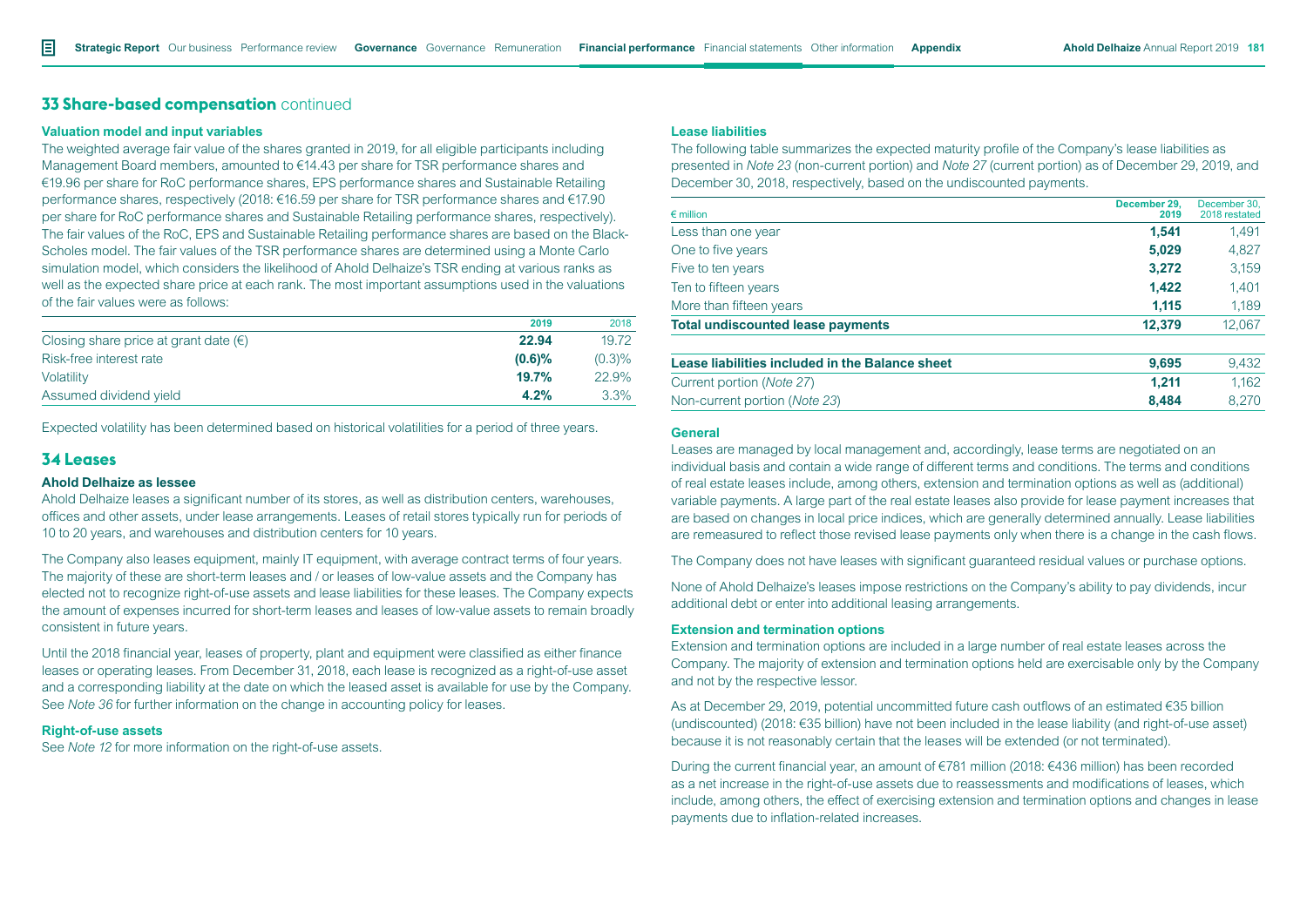### **Valuation model and input variables**

The weighted average fair value of the shares granted in 2019, for all eligible participants including Management Board members, amounted to €14.43 per share for TSR performance shares and €19.96 per share for RoC performance shares, EPS performance shares and Sustainable Retailing performance shares, respectively (2018: €16.59 per share for TSR performance shares and €17.90 per share for RoC performance shares and Sustainable Retailing performance shares, respectively). The fair values of the RoC, EPS and Sustainable Retailing performance shares are based on the Black-Scholes model. The fair values of the TSR performance shares are determined using a Monte Carlo simulation model, which considers the likelihood of Ahold Delhaize's TSR ending at various ranks as well as the expected share price at each rank. The most important assumptions used in the valuations of the fair values were as follows:

|                                                | 2019      | 2018    |
|------------------------------------------------|-----------|---------|
| Closing share price at grant date $(\epsilon)$ | 22.94     | 19.72   |
| Risk-free interest rate                        | $(0.6)\%$ | (0.3)%  |
| Volatility                                     | 19.7%     | 22.9%   |
| Assumed dividend yield                         | 4.2%      | $3.3\%$ |

Expected volatility has been determined based on historical volatilities for a period of three years.

# **34 Leases**

### **Ahold Delhaize as lessee**

Ahold Delhaize leases a significant number of its stores, as well as distribution centers, warehouses, offices and other assets, under lease arrangements. Leases of retail stores typically run for periods of 10 to 20 years, and warehouses and distribution centers for 10 years.

The Company also leases equipment, mainly IT equipment, with average contract terms of four years. The majority of these are short-term leases and / or leases of low-value assets and the Company has elected not to recognize right-of-use assets and lease liabilities for these leases. The Company expects the amount of expenses incurred for short-term leases and leases of low-value assets to remain broadly consistent in future years.

Until the 2018 financial year, leases of property, plant and equipment were classified as either finance leases or operating leases. From December 31, 2018, each lease is recognized as a right-of-use asset and a corresponding liability at the date on which the leased asset is available for use by the Company. See *Note 36* for further information on the change in accounting policy for leases.

### **Right-of-use assets**

See *Note 12* for more information on the right-of-use assets.

# **Lease liabilities**

The following table summarizes the expected maturity profile of the Company's lease liabilities as presented in *Note 23* (non-current portion) and *Note 27* (current portion) as of December 29, 2019, and December 30, 2018, respectively, based on the undiscounted payments.

| $\epsilon$ million                              | December 29.<br>2019 | December 30.<br>2018 restated |
|-------------------------------------------------|----------------------|-------------------------------|
| Less than one year                              | 1,541                | 1,491                         |
| One to five years                               | 5,029                | 4,827                         |
| Five to ten years                               | 3,272                | 3,159                         |
| Ten to fifteen years                            | 1,422                | 1,401                         |
| More than fifteen years                         | 1,115                | 1,189                         |
| <b>Total undiscounted lease payments</b>        | 12,379               | 12,067                        |
| Lease liabilities included in the Balance sheet | 9,695                | 9,432                         |
| Current portion (Note 27)                       | 1.211                | 1,162                         |
| Non-current portion (Note 23)                   | 8,484                | 8.270                         |

### **General**

Leases are managed by local management and, accordingly, lease terms are negotiated on an individual basis and contain a wide range of different terms and conditions. The terms and conditions of real estate leases include, among others, extension and termination options as well as (additional) variable payments. A large part of the real estate leases also provide for lease payment increases that are based on changes in local price indices, which are generally determined annually. Lease liabilities are remeasured to reflect those revised lease payments only when there is a change in the cash flows.

The Company does not have leases with significant guaranteed residual values or purchase options.

None of Ahold Delhaize's leases impose restrictions on the Company's ability to pay dividends, incur additional debt or enter into additional leasing arrangements.

#### **Extension and termination options**

Extension and termination options are included in a large number of real estate leases across the Company. The majority of extension and termination options held are exercisable only by the Company and not by the respective lessor.

As at December 29, 2019, potential uncommitted future cash outflows of an estimated €35 billion (undiscounted) (2018: €35 billion) have not been included in the lease liability (and right-of-use asset) because it is not reasonably certain that the leases will be extended (or not terminated).

During the current financial year, an amount of €781 million (2018: €436 million) has been recorded as a net increase in the right-of-use assets due to reassessments and modifications of leases, which include, among others, the effect of exercising extension and termination options and changes in lease payments due to inflation-related increases.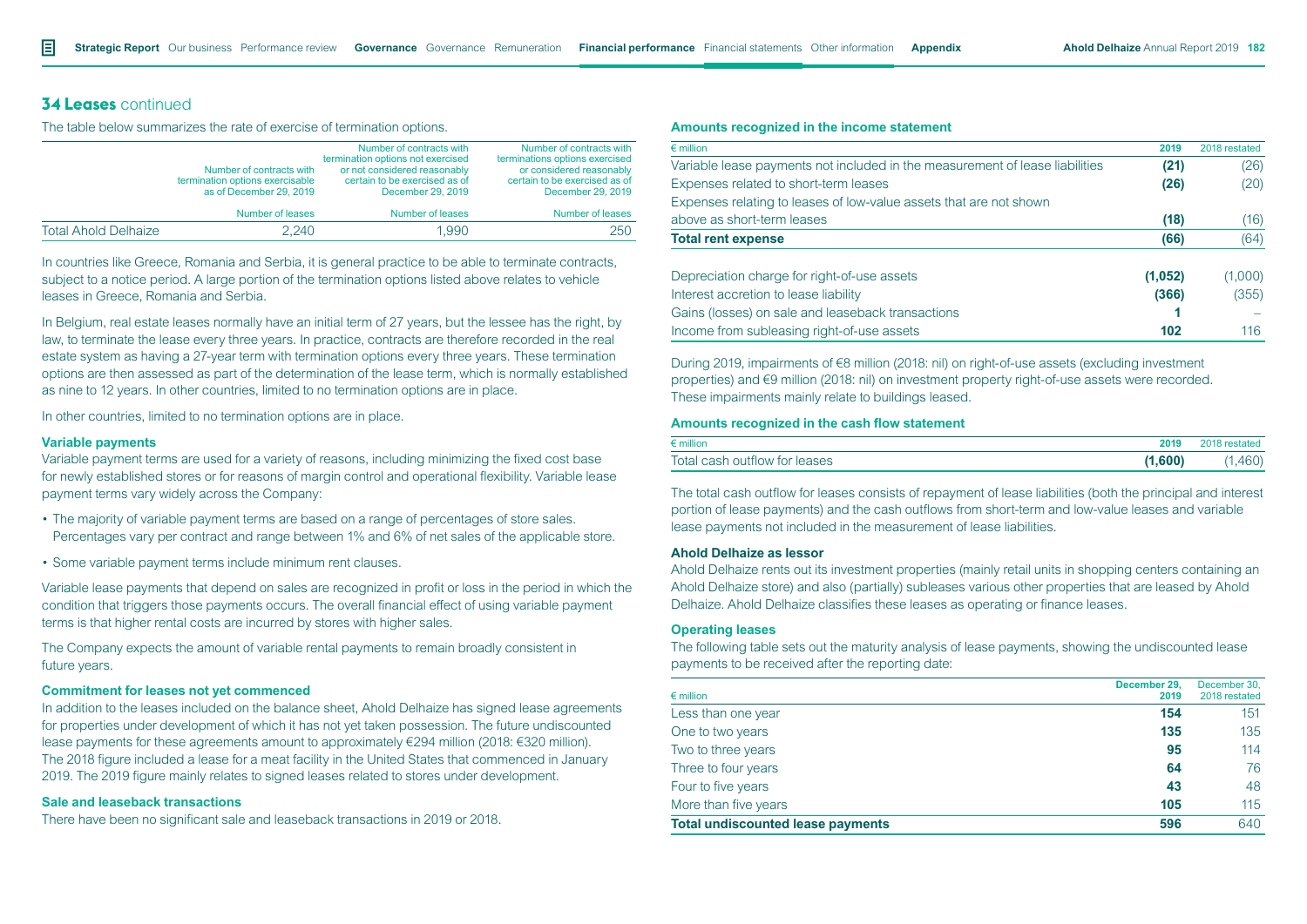# **34 Leases** continued

The table below summarizes the rate of exercise of termination options.

|                             | Number of contracts with<br>termination options exercisable<br>as of December 29, 2019 | Number of contracts with<br>termination options not exercised<br>or not considered reasonably<br>certain to be exercised as of<br>December 29, 2019 | Number of contracts with<br>terminations options exercised<br>or considered reasonably<br>certain to be exercised as of<br>December 29, 2019 |
|-----------------------------|----------------------------------------------------------------------------------------|-----------------------------------------------------------------------------------------------------------------------------------------------------|----------------------------------------------------------------------------------------------------------------------------------------------|
|                             | Number of leases                                                                       | Number of leases                                                                                                                                    | Number of leases                                                                                                                             |
| <b>Total Ahold Delhaize</b> | 2.240                                                                                  | 1.990                                                                                                                                               | 250                                                                                                                                          |

In countries like Greece, Romania and Serbia, it is general practice to be able to terminate contracts, subject to a notice period. A large portion of the termination options listed above relates to vehicle leases in Greece, Romania and Serbia.

In Belgium, real estate leases normally have an initial term of 27 years, but the lessee has the right, by law, to terminate the lease every three years. In practice, contracts are therefore recorded in the real estate system as having a 27-year term with termination options every three years. These termination options are then assessed as part of the determination of the lease term, which is normally established as nine to 12 years. In other countries, limited to no termination options are in place.

In other countries, limited to no termination options are in place.

### **Variable payments**

Variable payment terms are used for a variety of reasons, including minimizing the fixed cost base for newly established stores or for reasons of margin control and operational flexibility. Variable lease payment terms vary widely across the Company:

- The majority of variable payment terms are based on a range of percentages of store sales. Percentages vary per contract and range between 1% and 6% of net sales of the applicable store.
- Some variable payment terms include minimum rent clauses.

Variable lease payments that depend on sales are recognized in profit or loss in the period in which the condition that triggers those payments occurs. The overall financial effect of using variable payment terms is that higher rental costs are incurred by stores with higher sales.

The Company expects the amount of variable rental payments to remain broadly consistent in future years.

## **Commitment for leases not yet commenced**

In addition to the leases included on the balance sheet, Ahold Delhaize has signed lease agreements for properties under development of which it has not yet taken possession. The future undiscounted lease payments for these agreements amount to approximately €294 million (2018: €320 million). The 2018 figure included a lease for a meat facility in the United States that commenced in January 2019. The 2019 figure mainly relates to signed leases related to stores under development.

### **Sale and leaseback transactions**

There have been no significant sale and leaseback transactions in 2019 or 2018.

### **Amounts recognized in the income statement**

| $\epsilon$ million                                                           | 2019    | 2018 restated |
|------------------------------------------------------------------------------|---------|---------------|
| Variable lease payments not included in the measurement of lease liabilities | (21)    | (26)          |
| Expenses related to short-term leases                                        | (26)    | (20)          |
| Expenses relating to leases of low-value assets that are not shown           |         |               |
| above as short-term leases                                                   | (18)    | (16)          |
| <b>Total rent expense</b>                                                    | (66)    | (64)          |
| Depreciation charge for right-of-use assets                                  | (1,052) | (1,000)       |
| Interest accretion to lease liability                                        | (366)   | (355)         |
| Gains (losses) on sale and leaseback transactions                            |         |               |
| Income from subleasing right-of-use assets                                   | 102     | 116           |

During 2019, impairments of €8 million (2018: nil) on right-of-use assets (excluding investment properties) and €9 million (2018: nil) on investment property right-of-use assets were recorded. These impairments mainly relate to buildings leased.

### **Amounts recognized in the cash flow statement**

| $\epsilon$ million            | 2018 restateo |
|-------------------------------|---------------|
| Total cash outflow for leases | 460)          |

The total cash outflow for leases consists of repayment of lease liabilities (both the principal and interest portion of lease payments) and the cash outflows from short-term and low-value leases and variable lease payments not included in the measurement of lease liabilities.

### **Ahold Delhaize as lessor**

Ahold Delhaize rents out its investment properties (mainly retail units in shopping centers containing an Ahold Delhaize store) and also (partially) subleases various other properties that are leased by Ahold Delhaize. Ahold Delhaize classifies these leases as operating or finance leases.

### **Operating leases**

The following table sets out the maturity analysis of lease payments, showing the undiscounted lease payments to be received after the reporting date:

| $\epsilon$ million                       | December 29.<br>2019 | December 30,<br>2018 restated |
|------------------------------------------|----------------------|-------------------------------|
| Less than one year                       | 154                  | 151                           |
| One to two years                         | 135                  | 135                           |
| Two to three years                       | 95                   | 114                           |
| Three to four years                      | 64                   | 76                            |
| Four to five years                       | 43                   | 48                            |
| More than five years                     | 105                  | 115                           |
| <b>Total undiscounted lease payments</b> | 596                  | 640                           |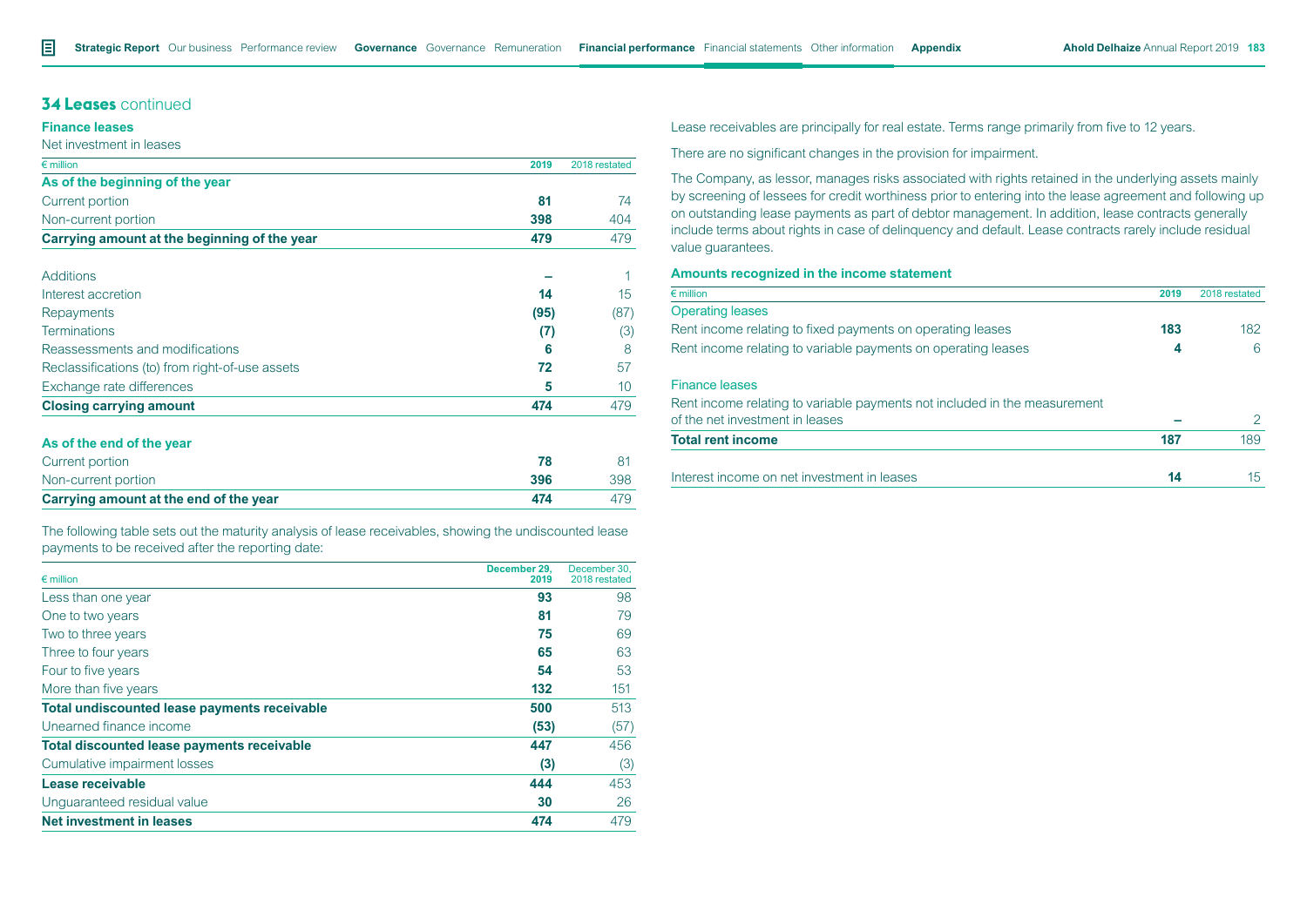# **34 Leases** continued

## **Finance leases**

#### Net investment in leases

| $\epsilon$ million                              | 2019 | 2018 restated |
|-------------------------------------------------|------|---------------|
| As of the beginning of the year                 |      |               |
| Current portion                                 | 81   | 74            |
| Non-current portion                             | 398  | 404           |
| Carrying amount at the beginning of the year    | 479  | 479           |
| Additions                                       |      |               |
| Interest accretion                              | 14   | 15            |
| Repayments                                      | (95) | (87)          |
| <b>Terminations</b>                             | (7)  | (3)           |
| Reassessments and modifications                 | 6    | 8             |
| Reclassifications (to) from right-of-use assets | 72   | 57            |
| Exchange rate differences                       | 5    | 10            |
| <b>Closing carrying amount</b>                  | 474  | 479           |

## **As of the end of the year**

| Current portion                        |     |     |
|----------------------------------------|-----|-----|
| Non-current portion                    | 396 | 398 |
| Carrying amount at the end of the year | 474 |     |

The following table sets out the maturity analysis of lease receivables, showing the undiscounted lease payments to be received after the reporting date:

| $\epsilon$ million                                  | December 29.<br>2019 | December 30.<br>2018 restated |
|-----------------------------------------------------|----------------------|-------------------------------|
| Less than one year                                  | 93                   | 98                            |
| One to two years                                    | 81                   | 79                            |
| Two to three years                                  | 75                   | 69                            |
| Three to four years                                 | 65                   | 63                            |
| Four to five years                                  | 54                   | 53                            |
| More than five years                                | 132                  | 151                           |
| <b>Total undiscounted lease payments receivable</b> | 500                  | 513                           |
| Unearned finance income                             | (53)                 | (57)                          |
| <b>Total discounted lease payments receivable</b>   | 447                  | 456                           |
| Cumulative impairment losses                        | (3)                  | (3)                           |
| Lease receivable                                    | 444                  | 453                           |
| Unguaranteed residual value                         | 30                   | 26                            |
| <b>Net investment in leases</b>                     | 474                  | 479                           |

Lease receivables are principally for real estate. Terms range primarily from five to 12 years.

There are no significant changes in the provision for impairment.

The Company, as lessor, manages risks associated with rights retained in the underlying assets mainly by screening of lessees for credit worthiness prior to entering into the lease agreement and following up on outstanding lease payments as part of debtor management. In addition, lease contracts generally include terms about rights in case of delinquency and default. Lease contracts rarely include residual value guarantees.

#### **Amounts recognized in the income statement**

| $\epsilon$ million                                                        | 2019 | 2018 restated |
|---------------------------------------------------------------------------|------|---------------|
| <b>Operating leases</b>                                                   |      |               |
| Rent income relating to fixed payments on operating leases                | 183  | 182           |
| Rent income relating to variable payments on operating leases             | 4    | 6             |
| <b>Finance leases</b>                                                     |      |               |
| Rent income relating to variable payments not included in the measurement |      |               |
| of the net investment in leases                                           |      | $\mathcal{P}$ |
| <b>Total rent income</b>                                                  | 187  | 189           |
| Interest income on net investment in leases                               | 14   | 15            |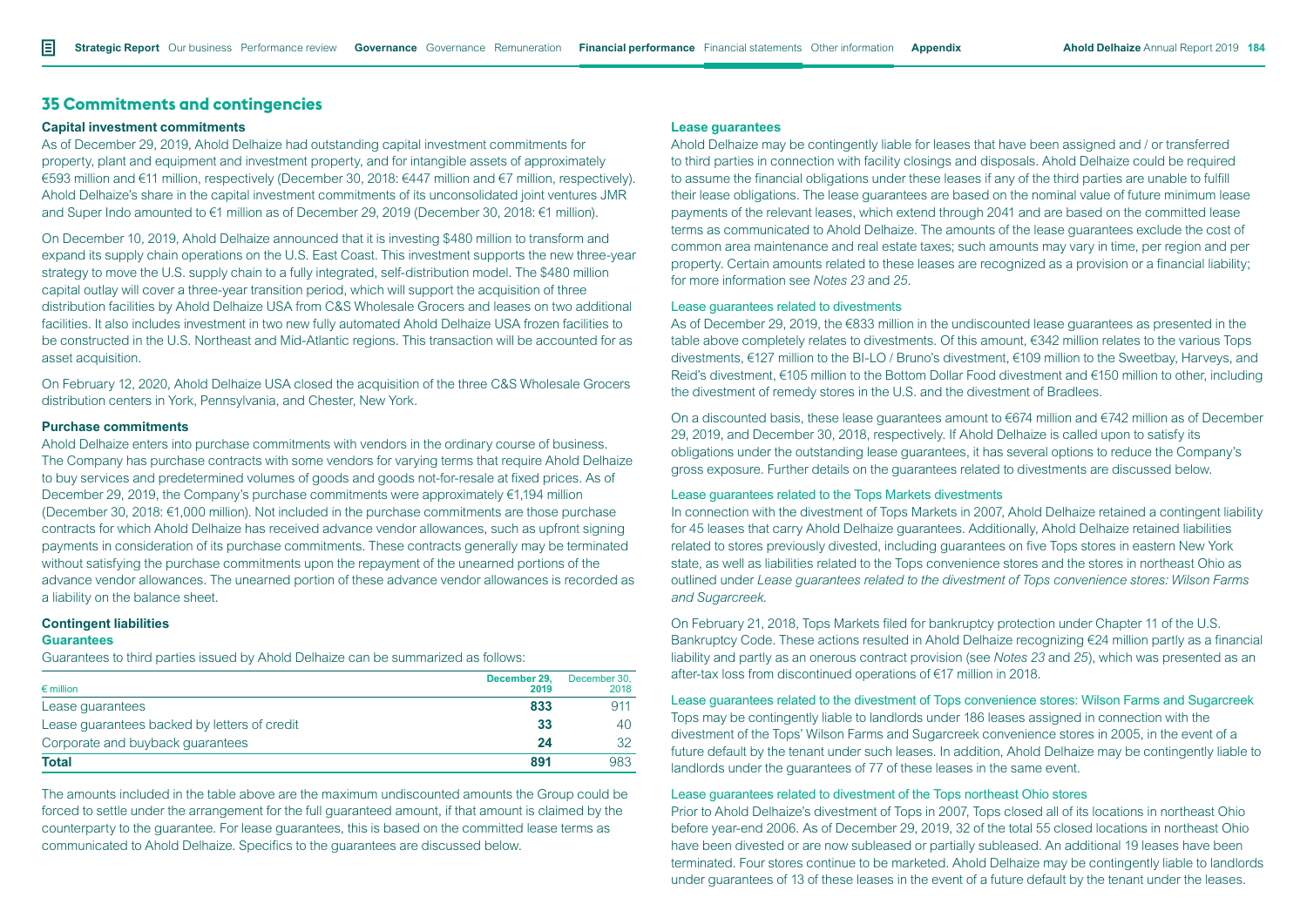# **35 Commitments and contingencies**

#### **Capital investment commitments**

As of December 29, 2019, Ahold Delhaize had outstanding capital investment commitments for property, plant and equipment and investment property, and for intangible assets of approximately €593 million and €11 million, respectively (December 30, 2018: €447 million and €7 million, respectively). Ahold Delhaize's share in the capital investment commitments of its unconsolidated joint ventures JMR and Super Indo amounted to €1 million as of December 29, 2019 (December 30, 2018: €1 million).

On December 10, 2019, Ahold Delhaize announced that it is investing \$480 million to transform and expand its supply chain operations on the U.S. East Coast. This investment supports the new three-year strategy to move the U.S. supply chain to a fully integrated, self-distribution model. The \$480 million capital outlay will cover a three-year transition period, which will support the acquisition of three distribution facilities by Ahold Delhaize USA from C&S Wholesale Grocers and leases on two additional facilities. It also includes investment in two new fully automated Ahold Delhaize USA frozen facilities to be constructed in the U.S. Northeast and Mid-Atlantic regions. This transaction will be accounted for as asset acquisition.

On February 12, 2020, Ahold Delhaize USA closed the acquisition of the three C&S Wholesale Grocers distribution centers in York, Pennsylvania, and Chester, New York.

# **Purchase commitments**

Ahold Delhaize enters into purchase commitments with vendors in the ordinary course of business. The Company has purchase contracts with some vendors for varying terms that require Ahold Delhaize to buy services and predetermined volumes of goods and goods not-for-resale at fixed prices. As of December 29, 2019, the Company's purchase commitments were approximately  $\epsilon$ 1,194 million (December 30, 2018: €1,000 million). Not included in the purchase commitments are those purchase contracts for which Ahold Delhaize has received advance vendor allowances, such as upfront signing payments in consideration of its purchase commitments. These contracts generally may be terminated without satisfying the purchase commitments upon the repayment of the unearned portions of the advance vendor allowances. The unearned portion of these advance vendor allowances is recorded as a liability on the balance sheet.

### **Contingent liabilities**

#### **Guarantees**

Guarantees to third parties issued by Ahold Delhaize can be summarized as follows:

| $\epsilon$ million                           | December 29.<br>2019 | December 30.<br>2018 |
|----------------------------------------------|----------------------|----------------------|
| Lease guarantees                             | 833                  | 911                  |
| Lease quarantees backed by letters of credit | 33                   | 40                   |
| Corporate and buyback quarantees             | 24                   | 32                   |
| Total                                        | 891                  | 983                  |

The amounts included in the table above are the maximum undiscounted amounts the Group could be forced to settle under the arrangement for the full guaranteed amount, if that amount is claimed by the counterparty to the guarantee. For lease guarantees, this is based on the committed lease terms as communicated to Ahold Delhaize. Specifics to the guarantees are discussed below.

# **Lease guarantees**

Ahold Delhaize may be contingently liable for leases that have been assigned and / or transferred to third parties in connection with facility closings and disposals. Ahold Delhaize could be required to assume the financial obligations under these leases if any of the third parties are unable to fulfill their lease obligations. The lease guarantees are based on the nominal value of future minimum lease payments of the relevant leases, which extend through 2041 and are based on the committed lease terms as communicated to Ahold Delhaize. The amounts of the lease guarantees exclude the cost of common area maintenance and real estate taxes; such amounts may vary in time, per region and per property. Certain amounts related to these leases are recognized as a provision or a financial liability; for more information see *Notes 23* and *25.*

#### Lease guarantees related to divestments

As of December 29, 2019, the €833 million in the undiscounted lease guarantees as presented in the table above completely relates to divestments. Of this amount, €342 million relates to the various Tops divestments, €127 million to the BI-LO / Bruno's divestment, €109 million to the Sweetbay, Harveys, and Reid's divestment, €105 million to the Bottom Dollar Food divestment and €150 million to other, including the divestment of remedy stores in the U.S. and the divestment of Bradlees.

On a discounted basis, these lease guarantees amount to  $\epsilon$ 674 million and  $\epsilon$ 742 million as of December 29, 2019, and December 30, 2018, respectively. If Ahold Delhaize is called upon to satisfy its obligations under the outstanding lease guarantees, it has several options to reduce the Company's gross exposure. Further details on the guarantees related to divestments are discussed below.

### Lease guarantees related to the Tops Markets divestments

In connection with the divestment of Tops Markets in 2007, Ahold Delhaize retained a contingent liability for 45 leases that carry Ahold Delhaize guarantees. Additionally, Ahold Delhaize retained liabilities related to stores previously divested, including guarantees on five Tops stores in eastern New York state, as well as liabilities related to the Tops convenience stores and the stores in northeast Ohio as outlined under *Lease guarantees related to the divestment of Tops convenience stores: Wilson Farms and Sugarcreek*.

On February 21, 2018, Tops Markets filed for bankruptcy protection under Chapter 11 of the U.S. Bankruptcy Code. These actions resulted in Ahold Delhaize recognizing €24 million partly as a financial liability and partly as an onerous contract provision (see *Notes 23* and *25*), which was presented as an after-tax loss from discontinued operations of €17 million in 2018.

Lease guarantees related to the divestment of Tops convenience stores: Wilson Farms and Sugarcreek Tops may be contingently liable to landlords under 186 leases assigned in connection with the divestment of the Tops' Wilson Farms and Sugarcreek convenience stores in 2005, in the event of a future default by the tenant under such leases. In addition, Ahold Delhaize may be contingently liable to landlords under the guarantees of 77 of these leases in the same event.

### Lease guarantees related to divestment of the Tops northeast Ohio stores

Prior to Ahold Delhaize's divestment of Tops in 2007, Tops closed all of its locations in northeast Ohio before year-end 2006. As of December 29, 2019, 32 of the total 55 closed locations in northeast Ohio have been divested or are now subleased or partially subleased. An additional 19 leases have been terminated. Four stores continue to be marketed. Ahold Delhaize may be contingently liable to landlords under guarantees of 13 of these leases in the event of a future default by the tenant under the leases.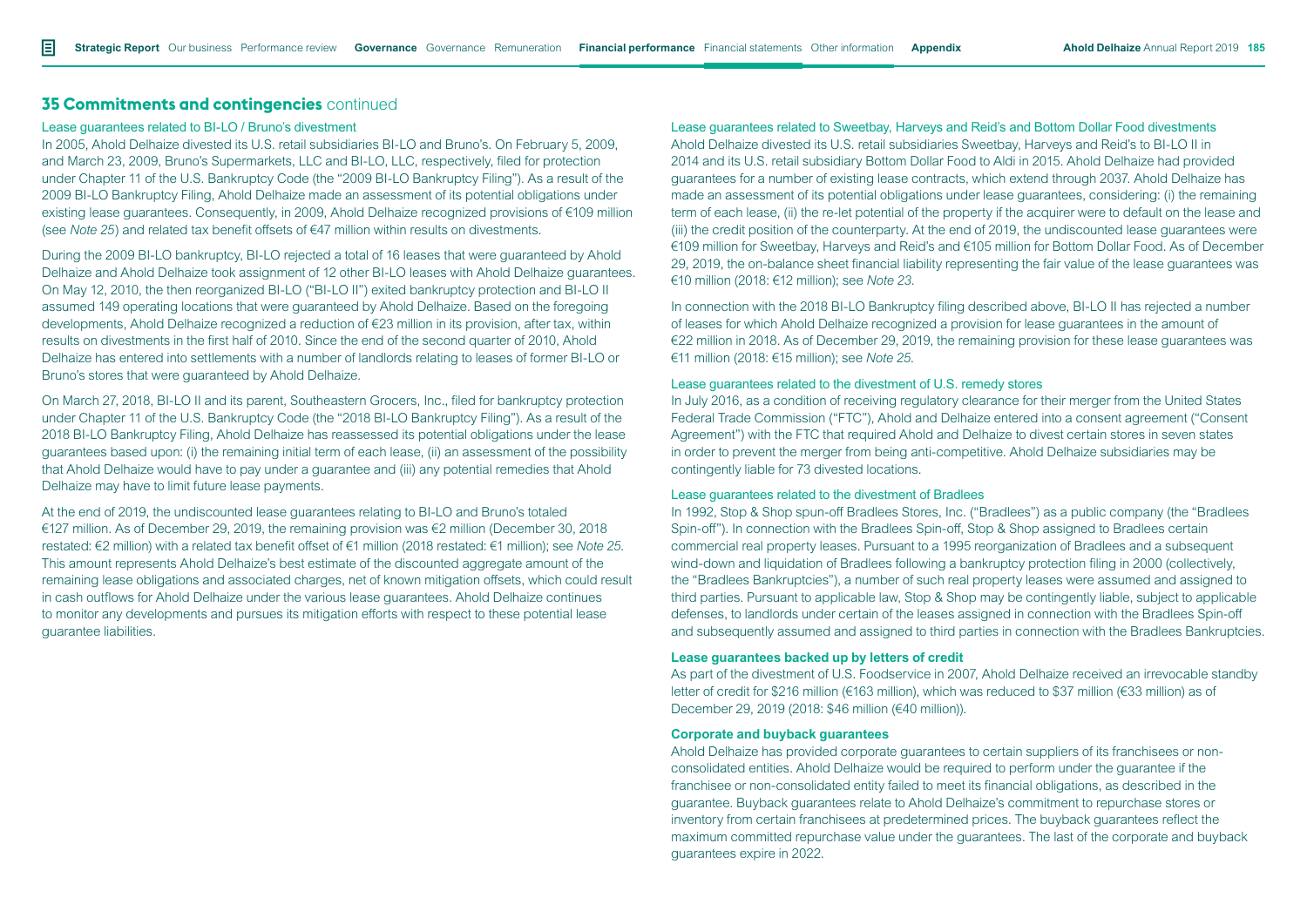# **35 Commitments and contingencies** continued

#### Lease guarantees related to BI-LO / Bruno's divestment

In 2005, Ahold Delhaize divested its U.S. retail subsidiaries BI-LO and Bruno's. On February 5, 2009, and March 23, 2009, Bruno's Supermarkets, LLC and BI-LO, LLC, respectively, filed for protection under Chapter 11 of the U.S. Bankruptcy Code (the "2009 BI-LO Bankruptcy Filing"). As a result of the 2009 BI-LO Bankruptcy Filing, Ahold Delhaize made an assessment of its potential obligations under existing lease guarantees. Consequently, in 2009, Ahold Delhaize recognized provisions of €109 million (see *Note 25*) and related tax benefit offsets of €47 million within results on divestments.

During the 2009 BI-LO bankruptcy, BI-LO rejected a total of 16 leases that were guaranteed by Ahold Delhaize and Ahold Delhaize took assignment of 12 other BI-LO leases with Ahold Delhaize guarantees. On May 12, 2010, the then reorganized BI-LO ("BI-LO II") exited bankruptcy protection and BI-LO II assumed 149 operating locations that were guaranteed by Ahold Delhaize. Based on the foregoing developments, Ahold Delhaize recognized a reduction of €23 million in its provision, after tax, within results on divestments in the first half of 2010. Since the end of the second quarter of 2010, Ahold Delhaize has entered into settlements with a number of landlords relating to leases of former BI-LO or Bruno's stores that were guaranteed by Ahold Delhaize.

On March 27, 2018, BI-LO II and its parent, Southeastern Grocers, Inc., filed for bankruptcy protection under Chapter 11 of the U.S. Bankruptcy Code (the "2018 BI-LO Bankruptcy Filing"). As a result of the 2018 BI-LO Bankruptcy Filing, Ahold Delhaize has reassessed its potential obligations under the lease guarantees based upon: (i) the remaining initial term of each lease, (ii) an assessment of the possibility that Ahold Delhaize would have to pay under a guarantee and (iii) any potential remedies that Ahold Delhaize may have to limit future lease payments.

At the end of 2019, the undiscounted lease guarantees relating to BI-LO and Bruno's totaled €127 million. As of December 29, 2019, the remaining provision was €2 million (December 30, 2018 restated: €2 million) with a related tax benefit offset of €1 million (2018 restated: €1 million); see *Note 25*. This amount represents Ahold Delhaize's best estimate of the discounted aggregate amount of the remaining lease obligations and associated charges, net of known mitigation offsets, which could result in cash outflows for Ahold Delhaize under the various lease guarantees. Ahold Delhaize continues to monitor any developments and pursues its mitigation efforts with respect to these potential lease guarantee liabilities.

## Lease guarantees related to Sweetbay, Harveys and Reid's and Bottom Dollar Food divestments

Ahold Delhaize divested its U.S. retail subsidiaries Sweetbay, Harveys and Reid's to BI-LO II in 2014 and its U.S. retail subsidiary Bottom Dollar Food to Aldi in 2015. Ahold Delhaize had provided guarantees for a number of existing lease contracts, which extend through 2037. Ahold Delhaize has made an assessment of its potential obligations under lease guarantees, considering: (i) the remaining term of each lease, (ii) the re-let potential of the property if the acquirer were to default on the lease and (iii) the credit position of the counterparty. At the end of 2019, the undiscounted lease guarantees were €109 million for Sweetbay, Harveys and Reid's and €105 million for Bottom Dollar Food. As of December 29, 2019, the on-balance sheet financial liability representing the fair value of the lease guarantees was €10 million (2018: €12 million); see *Note 23*.

In connection with the 2018 BI-LO Bankruptcy filing described above, BI-LO II has rejected a number of leases for which Ahold Delhaize recognized a provision for lease guarantees in the amount of €22 million in 2018. As of December 29, 2019, the remaining provision for these lease guarantees was €11 million (2018: €15 million); see *Note 25*.

### Lease guarantees related to the divestment of U.S. remedy stores

In July 2016, as a condition of receiving regulatory clearance for their merger from the United States Federal Trade Commission ("FTC"), Ahold and Delhaize entered into a consent agreement ("Consent Agreement") with the FTC that required Ahold and Delhaize to divest certain stores in seven states in order to prevent the merger from being anti-competitive. Ahold Delhaize subsidiaries may be contingently liable for 73 divested locations.

### Lease guarantees related to the divestment of Bradlees

In 1992, Stop & Shop spun-off Bradlees Stores, Inc. ("Bradlees") as a public company (the "Bradlees Spin-off"). In connection with the Bradlees Spin-off, Stop & Shop assigned to Bradlees certain commercial real property leases. Pursuant to a 1995 reorganization of Bradlees and a subsequent wind-down and liquidation of Bradlees following a bankruptcy protection filing in 2000 (collectively, the "Bradlees Bankruptcies"), a number of such real property leases were assumed and assigned to third parties. Pursuant to applicable law, Stop & Shop may be contingently liable, subject to applicable defenses, to landlords under certain of the leases assigned in connection with the Bradlees Spin-off and subsequently assumed and assigned to third parties in connection with the Bradlees Bankruptcies.

#### **Lease guarantees backed up by letters of credit**

As part of the divestment of U.S. Foodservice in 2007, Ahold Delhaize received an irrevocable standby letter of credit for \$216 million (€163 million), which was reduced to \$37 million (€33 million) as of December 29, 2019 (2018: \$46 million (€40 million)).

### **Corporate and buyback guarantees**

Ahold Delhaize has provided corporate guarantees to certain suppliers of its franchisees or nonconsolidated entities. Ahold Delhaize would be required to perform under the guarantee if the franchisee or non-consolidated entity failed to meet its financial obligations, as described in the guarantee. Buyback guarantees relate to Ahold Delhaize's commitment to repurchase stores or inventory from certain franchisees at predetermined prices. The buyback guarantees reflect the maximum committed repurchase value under the guarantees. The last of the corporate and buyback guarantees expire in 2022.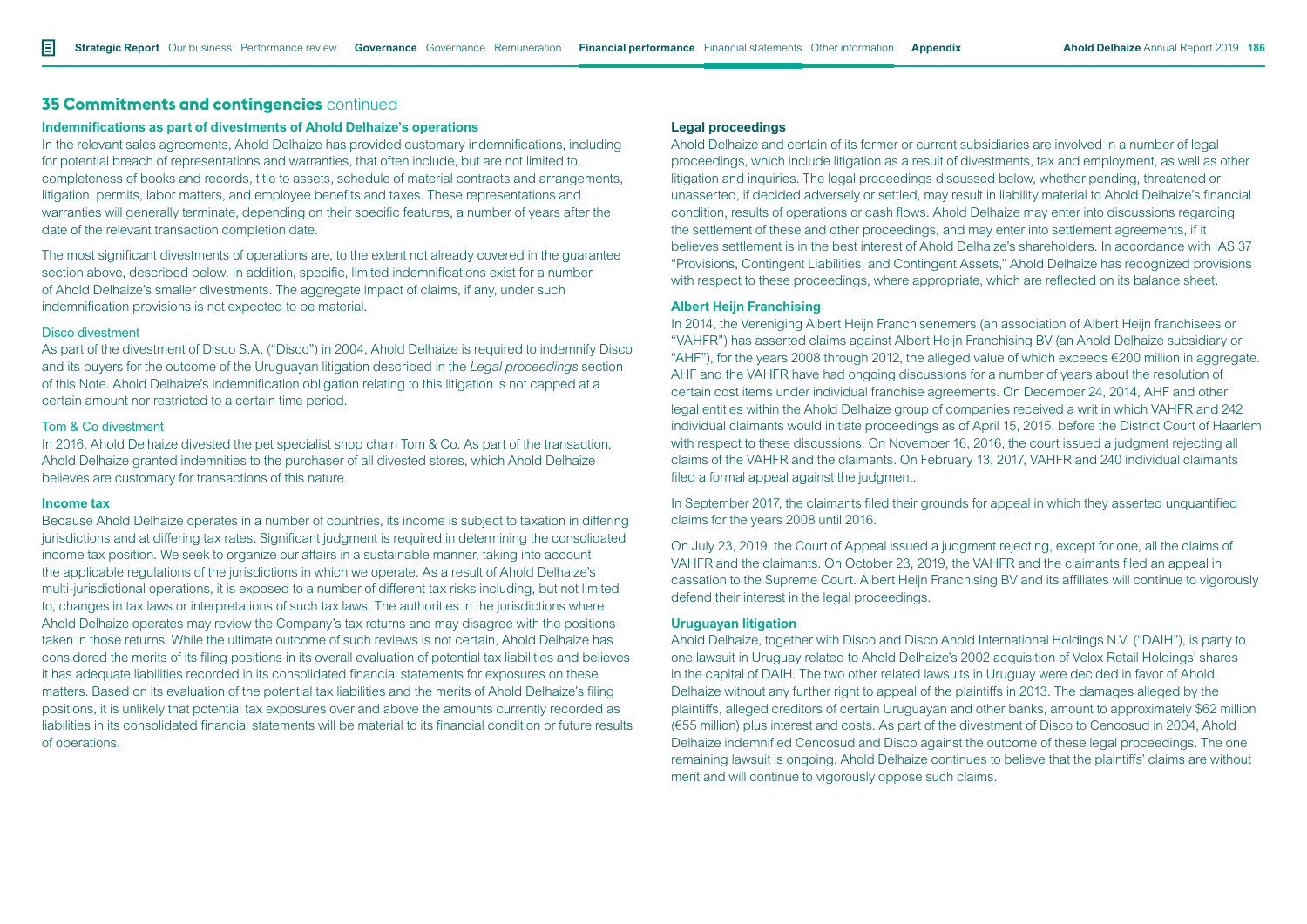# **35 Commitments and contingencies** continued

#### **Indemnifications as part of divestments of Ahold Delhaize's operations**

In the relevant sales agreements, Ahold Delhaize has provided customary indemnifications, including for potential breach of representations and warranties, that often include, but are not limited to, completeness of books and records, title to assets, schedule of material contracts and arrangements, litigation, permits, labor matters, and employee benefits and taxes. These representations and warranties will generally terminate, depending on their specific features, a number of years after the date of the relevant transaction completion date.

The most significant divestments of operations are, to the extent not already covered in the guarantee section above, described below. In addition, specific, limited indemnifications exist for a number of Ahold Delhaize's smaller divestments. The aggregate impact of claims, if any, under such indemnification provisions is not expected to be material.

#### Disco divestment

As part of the divestment of Disco S.A. ("Disco") in 2004, Ahold Delhaize is required to indemnify Disco and its buyers for the outcome of the Uruguayan litigation described in the *Legal proceedings* section of this Note. Ahold Delhaize's indemnification obligation relating to this litigation is not capped at a certain amount nor restricted to a certain time period.

# Tom & Co divestment

In 2016, Ahold Delhaize divested the pet specialist shop chain Tom & Co. As part of the transaction, Ahold Delhaize granted indemnities to the purchaser of all divested stores, which Ahold Delhaize believes are customary for transactions of this nature.

#### **Income tax**

Because Ahold Delhaize operates in a number of countries, its income is subject to taxation in differing jurisdictions and at differing tax rates. Significant judgment is required in determining the consolidated income tax position. We seek to organize our affairs in a sustainable manner, taking into account the applicable regulations of the jurisdictions in which we operate. As a result of Ahold Delhaize's multi-jurisdictional operations, it is exposed to a number of different tax risks including, but not limited to, changes in tax laws or interpretations of such tax laws. The authorities in the jurisdictions where Ahold Delhaize operates may review the Company's tax returns and may disagree with the positions taken in those returns. While the ultimate outcome of such reviews is not certain, Ahold Delhaize has considered the merits of its filing positions in its overall evaluation of potential tax liabilities and believes it has adequate liabilities recorded in its consolidated financial statements for exposures on these matters. Based on its evaluation of the potential tax liabilities and the merits of Ahold Delhaize's filing positions, it is unlikely that potential tax exposures over and above the amounts currently recorded as liabilities in its consolidated financial statements will be material to its financial condition or future results of operations.

### **Legal proceedings**

Ahold Delhaize and certain of its former or current subsidiaries are involved in a number of legal proceedings, which include litigation as a result of divestments, tax and employment, as well as other litigation and inquiries. The legal proceedings discussed below, whether pending, threatened or unasserted, if decided adversely or settled, may result in liability material to Ahold Delhaize's financial condition, results of operations or cash flows. Ahold Delhaize may enter into discussions regarding the settlement of these and other proceedings, and may enter into settlement agreements, if it believes settlement is in the best interest of Ahold Delhaize's shareholders. In accordance with IAS 37 "Provisions, Contingent Liabilities, and Contingent Assets," Ahold Delhaize has recognized provisions with respect to these proceedings, where appropriate, which are reflected on its balance sheet.

### **Albert Heijn Franchising**

In 2014, the Vereniging Albert Heijn Franchisenemers (an association of Albert Heijn franchisees or "VAHFR") has asserted claims against Albert Heijn Franchising BV (an Ahold Delhaize subsidiary or "AHF"), for the years 2008 through 2012, the alleged value of which exceeds  $\epsilon$ 200 million in aggregate. AHF and the VAHFR have had ongoing discussions for a number of years about the resolution of certain cost items under individual franchise agreements. On December 24, 2014, AHF and other legal entities within the Ahold Delhaize group of companies received a writ in which VAHFR and 242 individual claimants would initiate proceedings as of April 15, 2015, before the District Court of Haarlem with respect to these discussions. On November 16, 2016, the court issued a judgment rejecting all claims of the VAHFR and the claimants. On February 13, 2017, VAHFR and 240 individual claimants filed a formal appeal against the judgment.

In September 2017, the claimants filed their grounds for appeal in which they asserted unquantified claims for the years 2008 until 2016.

On July 23, 2019, the Court of Appeal issued a judgment rejecting, except for one, all the claims of VAHFR and the claimants. On October 23, 2019, the VAHFR and the claimants filed an appeal in cassation to the Supreme Court. Albert Heijn Franchising BV and its affiliates will continue to vigorously defend their interest in the legal proceedings.

#### **Uruguayan litigation**

Ahold Delhaize, together with Disco and Disco Ahold International Holdings N.V. ("DAIH"), is party to one lawsuit in Uruguay related to Ahold Delhaize's 2002 acquisition of Velox Retail Holdings' shares in the capital of DAIH. The two other related lawsuits in Uruguay were decided in favor of Ahold Delhaize without any further right to appeal of the plaintiffs in 2013. The damages alleged by the plaintiffs, alleged creditors of certain Uruguayan and other banks, amount to approximately \$62 million (€55 million) plus interest and costs. As part of the divestment of Disco to Cencosud in 2004, Ahold Delhaize indemnified Cencosud and Disco against the outcome of these legal proceedings. The one remaining lawsuit is ongoing. Ahold Delhaize continues to believe that the plaintiffs' claims are without merit and will continue to vigorously oppose such claims.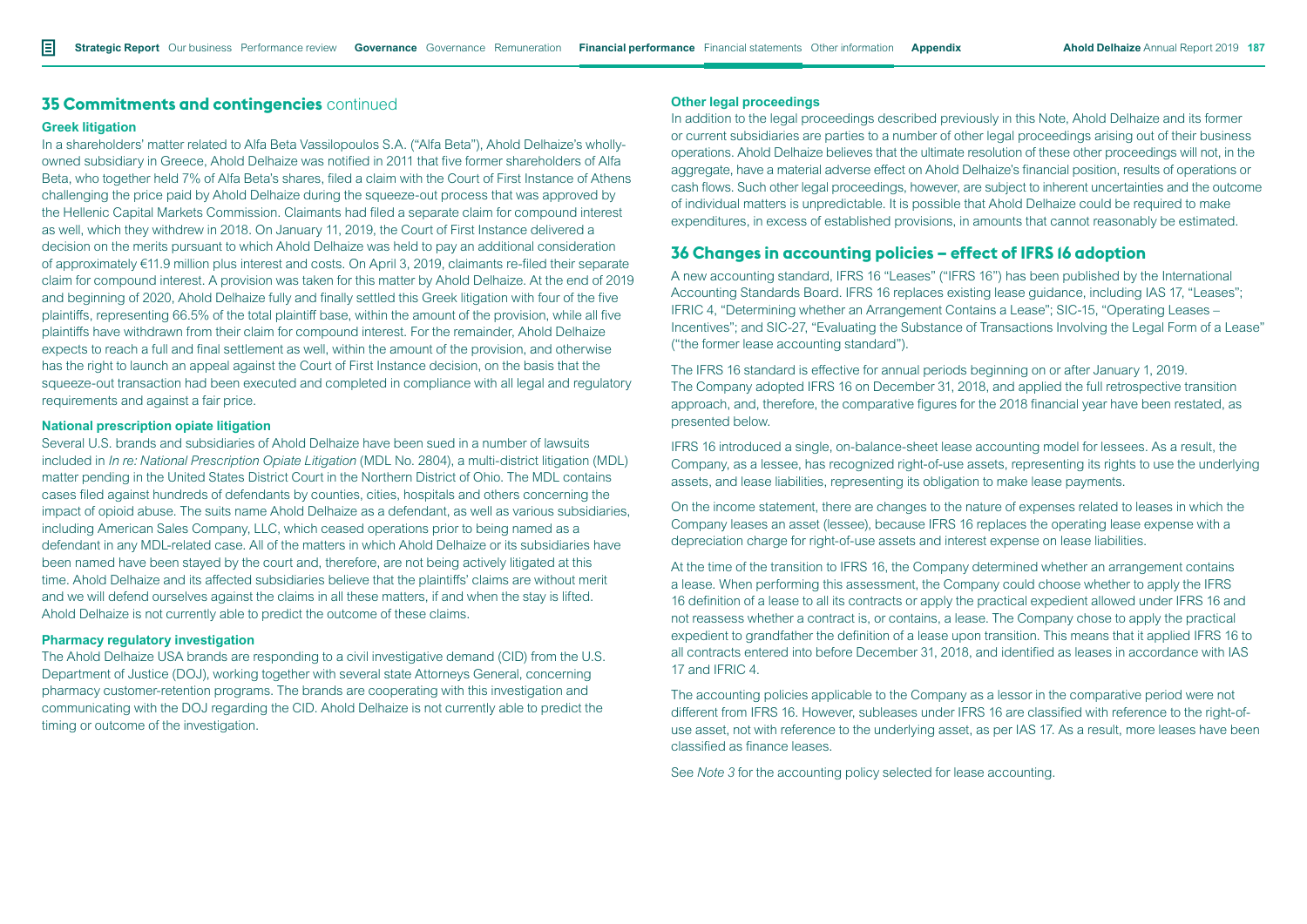# **35 Commitments and contingencies** continued

#### **Greek litigation**

In a shareholders' matter related to Alfa Beta Vassilopoulos S.A. ("Alfa Beta"), Ahold Delhaize's whollyowned subsidiary in Greece, Ahold Delhaize was notified in 2011 that five former shareholders of Alfa Beta, who together held 7% of Alfa Beta's shares, filed a claim with the Court of First Instance of Athens challenging the price paid by Ahold Delhaize during the squeeze-out process that was approved by the Hellenic Capital Markets Commission. Claimants had filed a separate claim for compound interest as well, which they withdrew in 2018. On January 11, 2019, the Court of First Instance delivered a decision on the merits pursuant to which Ahold Delhaize was held to pay an additional consideration of approximately €11.9 million plus interest and costs. On April 3, 2019, claimants re-filed their separate claim for compound interest. A provision was taken for this matter by Ahold Delhaize. At the end of 2019 and beginning of 2020, Ahold Delhaize fully and finally settled this Greek litigation with four of the five plaintiffs, representing 66.5% of the total plaintiff base, within the amount of the provision, while all five plaintiffs have withdrawn from their claim for compound interest. For the remainder, Ahold Delhaize expects to reach a full and final settlement as well, within the amount of the provision, and otherwise has the right to launch an appeal against the Court of First Instance decision, on the basis that the squeeze-out transaction had been executed and completed in compliance with all legal and regulatory requirements and against a fair price.

## **National prescription opiate litigation**

Several U.S. brands and subsidiaries of Ahold Delhaize have been sued in a number of lawsuits included in *In re: National Prescription Opiate Litigation* (MDL No. 2804), a multi-district litigation (MDL) matter pending in the United States District Court in the Northern District of Ohio. The MDL contains cases filed against hundreds of defendants by counties, cities, hospitals and others concerning the impact of opioid abuse. The suits name Ahold Delhaize as a defendant, as well as various subsidiaries, including American Sales Company, LLC, which ceased operations prior to being named as a defendant in any MDL-related case. All of the matters in which Ahold Delhaize or its subsidiaries have been named have been stayed by the court and, therefore, are not being actively litigated at this time. Ahold Delhaize and its affected subsidiaries believe that the plaintiffs' claims are without merit and we will defend ourselves against the claims in all these matters, if and when the stay is lifted. Ahold Delhaize is not currently able to predict the outcome of these claims.

#### **Pharmacy regulatory investigation**

The Ahold Delhaize USA brands are responding to a civil investigative demand (CID) from the U.S. Department of Justice (DOJ), working together with several state Attorneys General, concerning pharmacy customer-retention programs. The brands are cooperating with this investigation and communicating with the DOJ regarding the CID. Ahold Delhaize is not currently able to predict the timing or outcome of the investigation.

### **Other legal proceedings**

In addition to the legal proceedings described previously in this Note, Ahold Delhaize and its former or current subsidiaries are parties to a number of other legal proceedings arising out of their business operations. Ahold Delhaize believes that the ultimate resolution of these other proceedings will not, in the aggregate, have a material adverse effect on Ahold Delhaize's financial position, results of operations or cash flows. Such other legal proceedings, however, are subject to inherent uncertainties and the outcome of individual matters is unpredictable. It is possible that Ahold Delhaize could be required to make expenditures, in excess of established provisions, in amounts that cannot reasonably be estimated.

# **36 Changes in accounting policies – effect of IFRS 16 adoption**

A new accounting standard, IFRS 16 "Leases" ("IFRS 16") has been published by the International Accounting Standards Board. IFRS 16 replaces existing lease guidance, including IAS 17, "Leases"; IFRIC 4, "Determining whether an Arrangement Contains a Lease"; SIC-15, "Operating Leases – Incentives"; and SIC-27, "Evaluating the Substance of Transactions Involving the Legal Form of a Lease" ("the former lease accounting standard").

The IFRS 16 standard is effective for annual periods beginning on or after January 1, 2019. The Company adopted IFRS 16 on December 31, 2018, and applied the full retrospective transition approach, and, therefore, the comparative figures for the 2018 financial year have been restated, as presented below.

IFRS 16 introduced a single, on-balance-sheet lease accounting model for lessees. As a result, the Company, as a lessee, has recognized right-of-use assets, representing its rights to use the underlying assets, and lease liabilities, representing its obligation to make lease payments.

On the income statement, there are changes to the nature of expenses related to leases in which the Company leases an asset (lessee), because IFRS 16 replaces the operating lease expense with a depreciation charge for right-of-use assets and interest expense on lease liabilities.

At the time of the transition to IFRS 16, the Company determined whether an arrangement contains a lease. When performing this assessment, the Company could choose whether to apply the IFRS 16 definition of a lease to all its contracts or apply the practical expedient allowed under IFRS 16 and not reassess whether a contract is, or contains, a lease. The Company chose to apply the practical expedient to grandfather the definition of a lease upon transition. This means that it applied IFRS 16 to all contracts entered into before December 31, 2018, and identified as leases in accordance with IAS 17 and IFRIC 4.

The accounting policies applicable to the Company as a lessor in the comparative period were not different from IFRS 16. However, subleases under IFRS 16 are classified with reference to the right-ofuse asset, not with reference to the underlying asset, as per IAS 17. As a result, more leases have been classified as finance leases.

See *Note 3* for the accounting policy selected for lease accounting.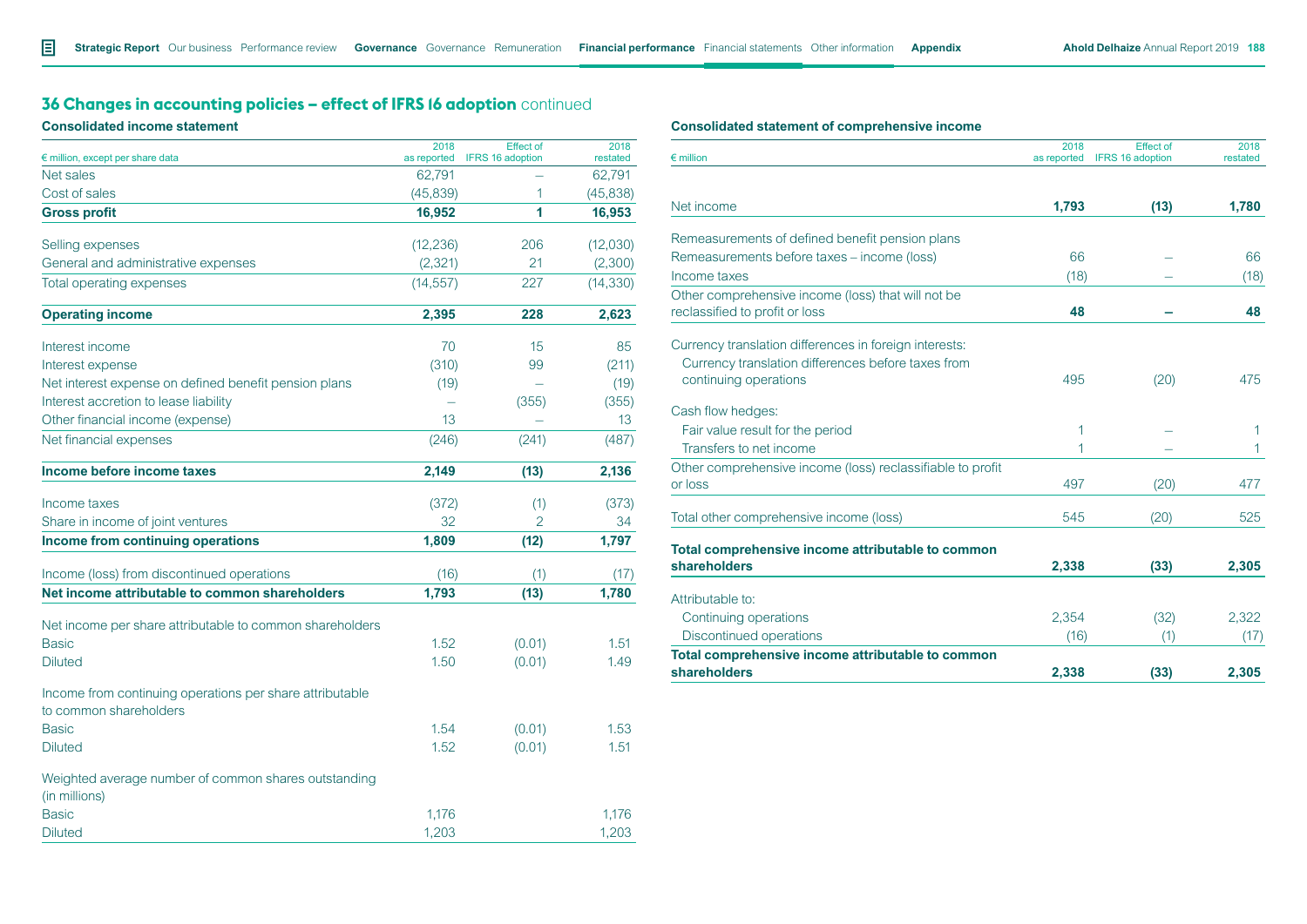# **36 Changes in accounting policies - effect of IFRS 16 adoption** continued

# **Consolidated income statement**

|                                                                                    | 2018        | <b>Effect of</b>        | 2018      |
|------------------------------------------------------------------------------------|-------------|-------------------------|-----------|
| € million, except per share data                                                   | as reported | <b>IFRS 16 adoption</b> | restated  |
| Net sales                                                                          | 62,791      |                         | 62,791    |
| Cost of sales                                                                      | (45, 839)   | 1                       | (45, 838) |
| <b>Gross profit</b>                                                                | 16,952      | 1                       | 16,953    |
| Selling expenses                                                                   | (12, 236)   | 206                     | (12,030)  |
| General and administrative expenses                                                | (2, 321)    | 21                      | (2,300)   |
| Total operating expenses                                                           | (14, 557)   | 227                     | (14, 330) |
| <b>Operating income</b>                                                            | 2,395       | 228                     | 2,623     |
| Interest income                                                                    | 70          | 15                      | 85        |
| Interest expense                                                                   | (310)       | 99                      | (211)     |
| Net interest expense on defined benefit pension plans                              | (19)        |                         | (19)      |
| Interest accretion to lease liability                                              |             | (355)                   | (355)     |
| Other financial income (expense)                                                   | 13          |                         | 13        |
| Net financial expenses                                                             | (246)       | (241)                   | (487)     |
| Income before income taxes                                                         | 2,149       | (13)                    | 2,136     |
| Income taxes                                                                       | (372)       | (1)                     | (373)     |
| Share in income of joint ventures                                                  | 32          | 2                       | 34        |
| Income from continuing operations                                                  | 1,809       | (12)                    | 1,797     |
| Income (loss) from discontinued operations                                         | (16)        | (1)                     | (17)      |
| Net income attributable to common shareholders                                     | 1,793       | (13)                    | 1,780     |
| Net income per share attributable to common shareholders                           |             |                         |           |
| <b>Basic</b>                                                                       | 1.52        | (0.01)                  | 1.51      |
| <b>Diluted</b>                                                                     | 1.50        | (0.01)                  | 1.49      |
| Income from continuing operations per share attributable<br>to common shareholders |             |                         |           |
| <b>Basic</b>                                                                       | 1.54        | (0.01)                  | 1.53      |
| <b>Diluted</b>                                                                     | 1.52        | (0.01)                  | 1.51      |
| Weighted average number of common shares outstanding<br>(in millions)              |             |                         |           |
| <b>Basic</b>                                                                       | 1,176       |                         | 1.176     |
| <b>Diluted</b>                                                                     | 1,203       |                         | 1,203     |

# **Consolidated statement of comprehensive income**

| $\epsilon$ million                                                | 2018<br>as reported | <b>Effect of</b><br>IFRS 16 adoption | 2018<br>restated |
|-------------------------------------------------------------------|---------------------|--------------------------------------|------------------|
|                                                                   |                     |                                      |                  |
| Net income                                                        | 1,793               | (13)                                 | 1,780            |
| Remeasurements of defined benefit pension plans                   |                     |                                      |                  |
| Remeasurements before taxes - income (loss)                       | 66                  |                                      | 66               |
| Income taxes                                                      | (18)                |                                      | (18)             |
| Other comprehensive income (loss) that will not be                |                     |                                      |                  |
| reclassified to profit or loss                                    | 48                  |                                      | 48               |
| Currency translation differences in foreign interests:            |                     |                                      |                  |
| Currency translation differences before taxes from                |                     |                                      |                  |
| continuing operations                                             | 495                 | (20)                                 | 475              |
| Cash flow hedges:                                                 |                     |                                      |                  |
| Fair value result for the period                                  | 1                   |                                      | 1                |
| Transfers to net income                                           | 1                   |                                      | 1                |
| Other comprehensive income (loss) reclassifiable to profit        |                     |                                      |                  |
| or loss                                                           | 497                 | (20)                                 | 477              |
| Total other comprehensive income (loss)                           | 545                 | (20)                                 | 525              |
|                                                                   |                     |                                      |                  |
| Total comprehensive income attributable to common<br>shareholders | 2,338               | (33)                                 | 2,305            |
| Attributable to:                                                  |                     |                                      |                  |
| Continuing operations                                             | 2,354               | (32)                                 | 2,322            |
| Discontinued operations                                           | (16)                | (1)                                  | (17)             |
| Total comprehensive income attributable to common                 |                     |                                      |                  |
| shareholders                                                      | 2,338               | (33)                                 | 2,305            |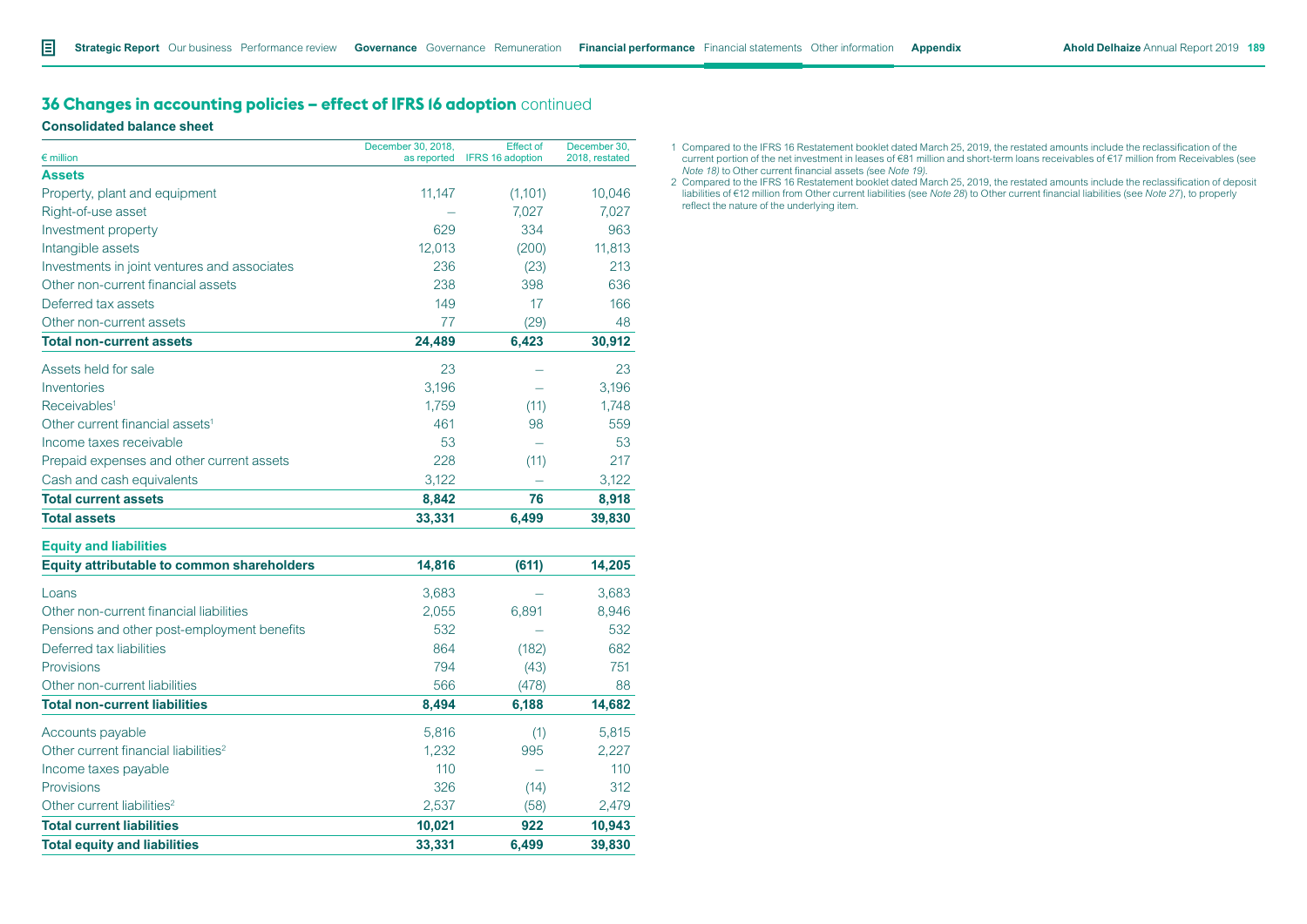# **36 Changes in accounting policies - effect of IFRS 16 adoption** continued

**Consolidated balance sheet**

| $\epsilon$ million                                | December 30, 2018, | <b>Effect of</b><br>as reported IFRS 16 adoption | December 30.<br>2018, restated |
|---------------------------------------------------|--------------------|--------------------------------------------------|--------------------------------|
| <b>Assets</b>                                     |                    |                                                  |                                |
| Property, plant and equipment                     | 11,147             | (1,101)                                          | 10,046                         |
| Right-of-use asset                                |                    | 7,027                                            | 7.027                          |
| Investment property                               | 629                | 334                                              | 963                            |
| Intangible assets                                 | 12,013             | (200)                                            | 11,813                         |
| Investments in joint ventures and associates      | 236                | (23)                                             | 213                            |
| Other non-current financial assets                | 238                | 398                                              | 636                            |
| Deferred tax assets                               | 149                | 17                                               | 166                            |
| Other non-current assets                          | 77                 | (29)                                             | 48                             |
| <b>Total non-current assets</b>                   | 24,489             | 6,423                                            | 30,912                         |
| Assets held for sale                              | 23                 |                                                  | 23                             |
| Inventories                                       | 3,196              |                                                  | 3,196                          |
| Receivables <sup>1</sup>                          | 1,759              | (11)                                             | 1,748                          |
| Other current financial assets <sup>1</sup>       | 461                | 98                                               | 559                            |
| Income taxes receivable                           | 53                 |                                                  | 53                             |
| Prepaid expenses and other current assets         | 228                | (11)                                             | 217                            |
| Cash and cash equivalents                         | 3,122              |                                                  | 3,122                          |
| <b>Total current assets</b>                       | 8,842              | 76                                               | 8,918                          |
| <b>Total assets</b>                               | 33,331             | 6,499                                            | 39,830                         |
| <b>Equity and liabilities</b>                     |                    |                                                  |                                |
| <b>Equity attributable to common shareholders</b> | 14,816             | (611)                                            | 14,205                         |
| Loans                                             | 3,683              |                                                  | 3,683                          |
| Other non-current financial liabilities           | 2,055              | 6,891                                            | 8,946                          |
| Pensions and other post-employment benefits       | 532                |                                                  | 532                            |
| Deferred tax liabilities                          | 864                | (182)                                            | 682                            |
| Provisions                                        | 794                | (43)                                             | 751                            |
| Other non-current liabilities                     | 566                | (478)                                            | 88                             |
| <b>Total non-current liabilities</b>              | 8,494              | 6,188                                            | 14,682                         |
| Accounts payable                                  | 5,816              | (1)                                              | 5,815                          |
| Other current financial liabilities <sup>2</sup>  | 1,232              | 995                                              | 2,227                          |
| Income taxes payable                              | 110                |                                                  | 110                            |
| Provisions                                        | 326                | (14)                                             | 312                            |
| Other current liabilities <sup>2</sup>            | 2,537              | (58)                                             | 2,479                          |
| <b>Total current liabilities</b>                  | 10,021             | 922                                              | 10,943                         |
| <b>Total equity and liabilities</b>               | 33,331             | 6.499                                            | 39,830                         |

- 1 Compared to the IFRS 16 Restatement booklet dated March 25, 2019, the restated amounts include the reclassification of the current portion of the net investment in leases of €81 million and short-term loans receivables of €17 million from Receivables (see *Note 18)* to Other current financial assets *(*see *Note 19)*.
- 2 Compared to the IFRS 16 Restatement booklet dated March 25, 2019, the restated amounts include the reclassification of deposit liabilities of €12 million from Other current liabilities (see *Note 28*) to Other current financial liabilities (see *Note 27*), to properly reflect the nature of the underlying item.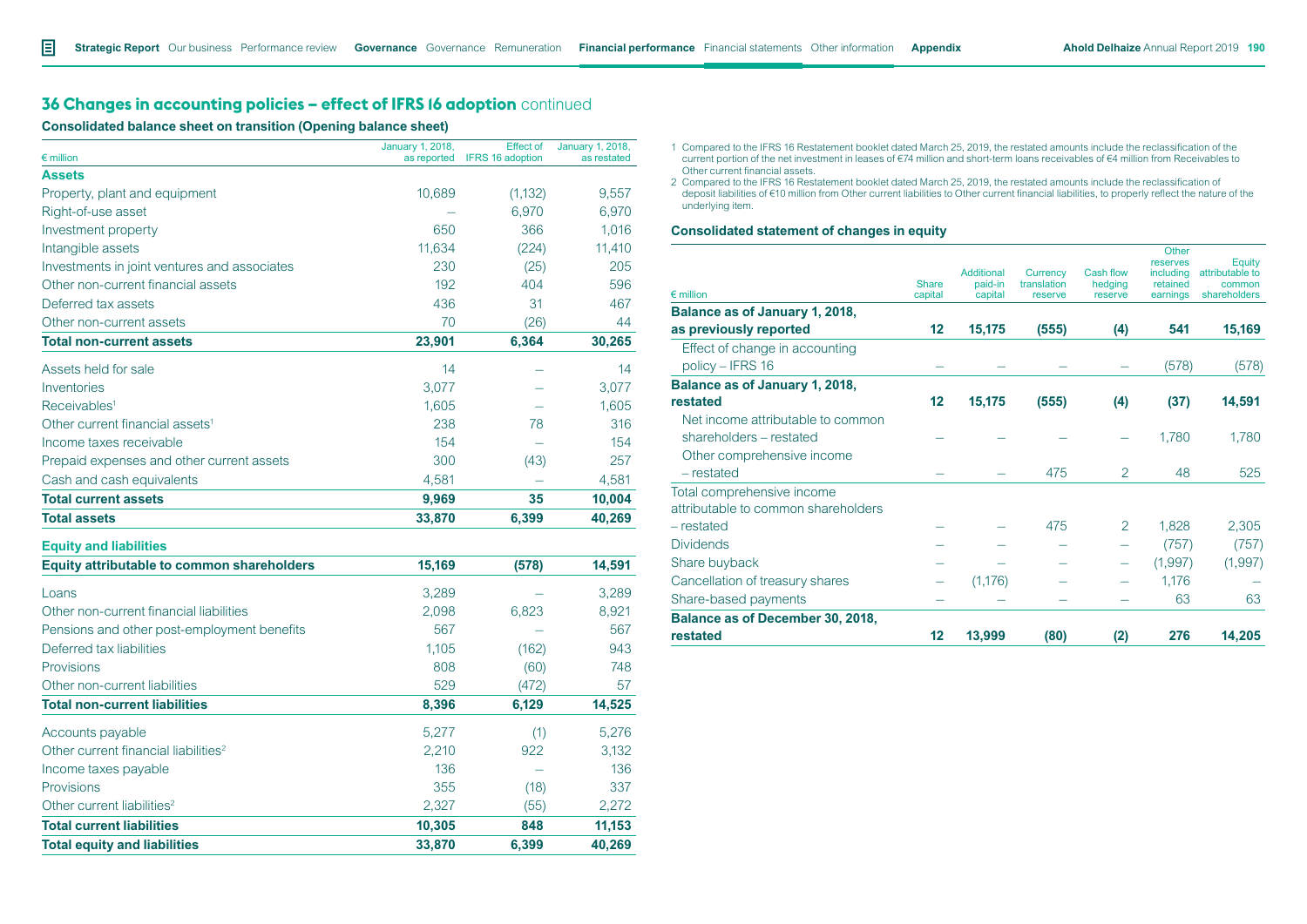# **36 Changes in accounting policies – effect of IFRS 16 adoption** continued

**Consolidated balance sheet on transition (Opening balance sheet)**

|                                                   | <b>January 1, 2018,</b> | <b>Effect of</b>        | January 1, 2018, |
|---------------------------------------------------|-------------------------|-------------------------|------------------|
| $\epsilon$ million                                | as reported             | <b>IFRS 16 adoption</b> | as restated      |
| <b>Assets</b>                                     |                         |                         |                  |
| Property, plant and equipment                     | 10,689                  | (1, 132)                | 9,557            |
| Right-of-use asset                                |                         | 6,970                   | 6,970            |
| Investment property                               | 650                     | 366                     | 1,016            |
| Intangible assets                                 | 11,634                  | (224)                   | 11,410           |
| Investments in joint ventures and associates      | 230                     | (25)                    | 205              |
| Other non-current financial assets                | 192                     | 404                     | 596              |
| Deferred tax assets                               | 436                     | 31                      | 467              |
| Other non-current assets                          | 70                      | (26)                    | 44               |
| <b>Total non-current assets</b>                   | 23,901                  | 6,364                   | 30,265           |
| Assets held for sale                              | 14                      |                         | 14               |
| Inventories                                       | 3,077                   |                         | 3,077            |
| Receivables <sup>1</sup>                          | 1,605                   |                         | 1,605            |
| Other current financial assets <sup>1</sup>       | 238                     | 78                      | 316              |
| Income taxes receivable                           | 154                     |                         | 154              |
| Prepaid expenses and other current assets         | 300                     | (43)                    | 257              |
| Cash and cash equivalents                         | 4,581                   |                         | 4,581            |
| <b>Total current assets</b>                       | 9,969                   | 35                      | 10,004           |
| <b>Total assets</b>                               | 33,870                  | 6,399                   | 40,269           |
| <b>Equity and liabilities</b>                     |                         |                         |                  |
| <b>Equity attributable to common shareholders</b> | 15,169                  | (578)                   | 14,591           |
| Loans                                             | 3,289                   |                         | 3,289            |
| Other non-current financial liabilities           | 2,098                   | 6,823                   | 8,921            |
| Pensions and other post-employment benefits       | 567                     |                         | 567              |
| Deferred tax liabilities                          | 1,105                   | (162)                   | 943              |
| Provisions                                        | 808                     | (60)                    | 748              |
| Other non-current liabilities                     | 529                     | (472)                   | 57               |
| <b>Total non-current liabilities</b>              | 8,396                   | 6,129                   | 14,525           |
| Accounts payable                                  | 5,277                   | (1)                     | 5,276            |
| Other current financial liabilities <sup>2</sup>  | 2,210                   | 922                     | 3,132            |
| Income taxes payable                              | 136                     |                         | 136              |
| Provisions                                        | 355                     | (18)                    | 337              |
| Other current liabilities <sup>2</sup>            | 2,327                   | (55)                    | 2,272            |
| <b>Total current liabilities</b>                  | 10,305                  | 848                     | 11,153           |
| <b>Total equity and liabilities</b>               | 33,870                  | 6.399                   | 40,269           |

1 Compared to the IFRS 16 Restatement booklet dated March 25, 2019, the restated amounts include the reclassification of the current portion of the net investment in leases of €74 million and short-term loans receivables of €4 million from Receivables to Other current financial assets.

2 Compared to the IFRS 16 Restatement booklet dated March 25, 2019, the restated amounts include the reclassification of deposit liabilities of €10 million from Other current liabilities to Other current financial liabilities, to properly reflect the nature of the underlying item.

#### **Consolidated statement of changes in equity**

|                                                                   |                         |                    |                        |                    | Other<br>reserves    | Equity                 |
|-------------------------------------------------------------------|-------------------------|--------------------|------------------------|--------------------|----------------------|------------------------|
|                                                                   |                         | Additional         | Currency               | Cash flow          | including            | attributable to        |
| $\epsilon$ million                                                | <b>Share</b><br>capital | paid-in<br>capital | translation<br>reserve | hedging<br>reserve | retained<br>earnings | common<br>shareholders |
| Balance as of January 1, 2018,                                    |                         |                    |                        |                    |                      |                        |
| as previously reported                                            | 12                      | 15,175             | (555)                  | (4)                | 541                  | 15,169                 |
| Effect of change in accounting<br>policy - IFRS 16                |                         |                    |                        |                    | (578)                | (578)                  |
| Balance as of January 1, 2018,                                    |                         |                    |                        |                    |                      |                        |
| restated                                                          | 12                      | 15,175             | (555)                  | (4)                | (37)                 | 14,591                 |
| Net income attributable to common<br>shareholders - restated      |                         |                    |                        |                    | 1,780                | 1,780                  |
| Other comprehensive income<br>- restated                          |                         |                    | 475                    | 2                  | 48                   | 525                    |
| Total comprehensive income<br>attributable to common shareholders |                         |                    |                        |                    |                      |                        |
| - restated                                                        |                         |                    | 475                    | 2                  | 1,828                | 2,305                  |
| <b>Dividends</b>                                                  |                         |                    |                        |                    | (757)                | (757)                  |
| Share buyback                                                     |                         |                    |                        |                    | (1,997)              | (1,997)                |
| Cancellation of treasury shares                                   |                         | (1, 176)           |                        |                    | 1,176                |                        |
| Share-based payments                                              |                         |                    |                        |                    | 63                   | 63                     |
| Balance as of December 30, 2018,                                  |                         |                    |                        |                    |                      |                        |
| restated                                                          | 12                      | 13,999             | (80)                   | (2)                | 276                  | 14,205                 |
|                                                                   |                         |                    |                        |                    |                      |                        |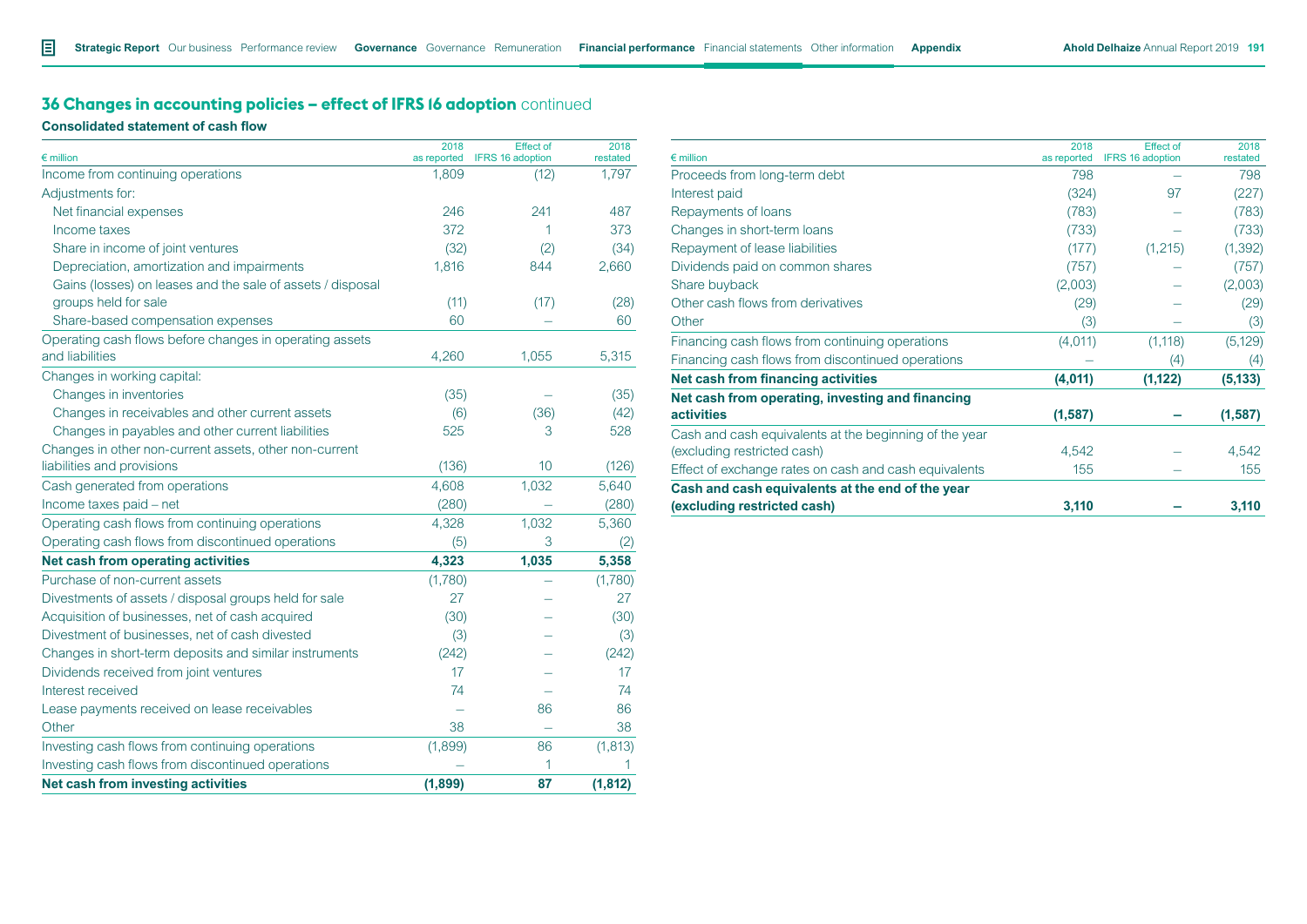# **36 Changes in accounting policies – effect of IFRS 16 adoption** continued

**Consolidated statement of cash flow**

| $\epsilon$ million                                         | 2018<br>as reported | <b>Effect of</b><br><b>IFRS 16 adoption</b> | 2018<br>restated |
|------------------------------------------------------------|---------------------|---------------------------------------------|------------------|
| Income from continuing operations                          | 1,809               | (12)                                        | 1,797            |
| Adjustments for:                                           |                     |                                             |                  |
| Net financial expenses                                     | 246                 | 241                                         | 487              |
| Income taxes                                               | 372                 | 1                                           | 373              |
| Share in income of joint ventures                          | (32)                | (2)                                         | (34)             |
| Depreciation, amortization and impairments                 | 1,816               | 844                                         | 2,660            |
| Gains (losses) on leases and the sale of assets / disposal |                     |                                             |                  |
| groups held for sale                                       | (11)                | (17)                                        | (28)             |
| Share-based compensation expenses                          | 60                  |                                             | 60               |
| Operating cash flows before changes in operating assets    |                     |                                             |                  |
| and liabilities                                            | 4,260               | 1,055                                       | 5,315            |
| Changes in working capital:                                |                     |                                             |                  |
| Changes in inventories                                     | (35)                |                                             | (35)             |
| Changes in receivables and other current assets            | (6)                 | (36)                                        | (42)             |
| Changes in payables and other current liabilities          | 525                 | 3                                           | 528              |
| Changes in other non-current assets, other non-current     |                     |                                             |                  |
| liabilities and provisions                                 | (136)               | 10                                          | (126)            |
| Cash generated from operations                             | 4,608               | 1,032                                       | 5,640            |
| Income taxes paid - net                                    | (280)               |                                             | (280)            |
| Operating cash flows from continuing operations            | 4,328               | 1,032                                       | 5,360            |
| Operating cash flows from discontinued operations          | (5)                 | 3                                           | (2)              |
| Net cash from operating activities                         | 4,323               | 1,035                                       | 5,358            |
| Purchase of non-current assets                             | (1,780)             |                                             | (1,780)          |
| Divestments of assets / disposal groups held for sale      | 27                  |                                             | 27               |
| Acquisition of businesses, net of cash acquired            | (30)                |                                             | (30)             |
| Divestment of businesses, net of cash divested             | (3)                 |                                             | (3)              |
| Changes in short-term deposits and similar instruments     | (242)               |                                             | (242)            |
| Dividends received from joint ventures                     | 17                  |                                             | 17               |
| Interest received                                          | 74                  |                                             | 74               |
| Lease payments received on lease receivables               |                     | 86                                          | 86               |
| Other                                                      | 38                  |                                             | 38               |
| Investing cash flows from continuing operations            | (1,899)             | 86                                          | (1, 813)         |
| Investing cash flows from discontinued operations          |                     | 1                                           | 1                |
| Net cash from investing activities                         | (1, 899)            | 87                                          | (1, 812)         |

| 2018<br>$\epsilon$ million<br>as reported<br>798<br>(324)<br>(783)<br>(733)<br>(177)<br>(757)<br>(2,003)<br>(29)<br>(3)<br>(4,011)<br>(4,011) | <b>Effect of</b><br><b>IFRS 16 adoption</b> | 2018<br>restated |          |
|-----------------------------------------------------------------------------------------------------------------------------------------------|---------------------------------------------|------------------|----------|
| Proceeds from long-term debt                                                                                                                  |                                             |                  | 798      |
| Interest paid                                                                                                                                 |                                             | 97               | (227)    |
| Repayments of loans                                                                                                                           |                                             |                  | (783)    |
| Changes in short-term loans                                                                                                                   |                                             |                  | (733)    |
| Repayment of lease liabilities                                                                                                                |                                             | (1,215)          | (1, 392) |
| Dividends paid on common shares                                                                                                               |                                             |                  | (757)    |
| Share buyback                                                                                                                                 |                                             |                  | (2,003)  |
| Other cash flows from derivatives                                                                                                             |                                             |                  | (29)     |
| Other                                                                                                                                         |                                             |                  | (3)      |
| Financing cash flows from continuing operations                                                                                               |                                             | (1, 118)         | (5, 129) |
| Financing cash flows from discontinued operations                                                                                             |                                             | (4)              | (4)      |
| Net cash from financing activities                                                                                                            |                                             | (1, 122)         | (5, 133) |
| Net cash from operating, investing and financing                                                                                              |                                             |                  |          |
| <b>activities</b>                                                                                                                             | (1,587)                                     |                  | (1,587)  |
| Cash and cash equivalents at the beginning of the year                                                                                        |                                             |                  |          |
| (excluding restricted cash)                                                                                                                   | 4,542                                       |                  | 4,542    |
| Effect of exchange rates on cash and cash equivalents                                                                                         | 155                                         |                  | 155      |
| Cash and cash equivalents at the end of the year                                                                                              |                                             |                  |          |
| (excluding restricted cash)                                                                                                                   | 3,110                                       |                  | 3,110    |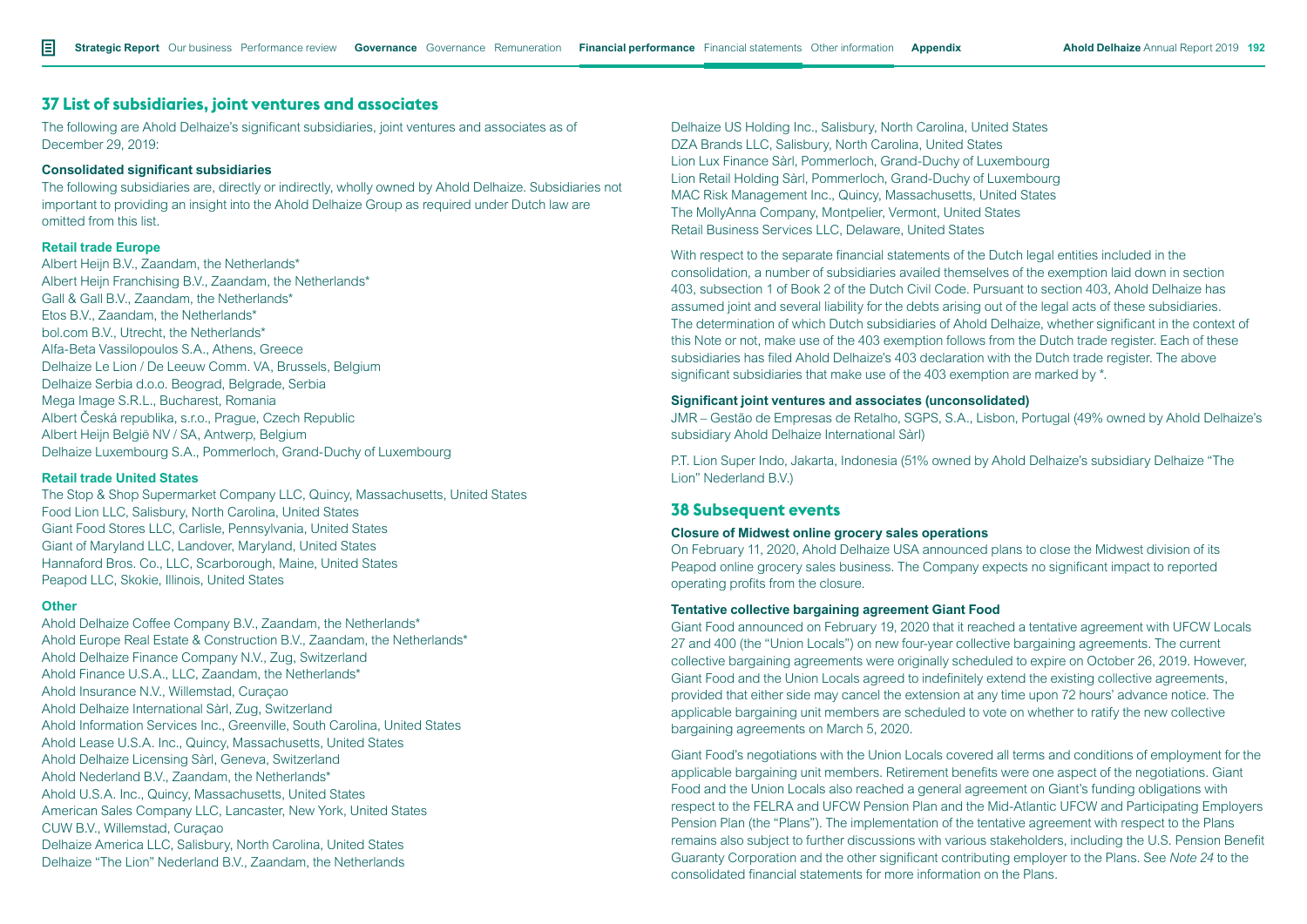### **37 List of subsidiaries, joint ventures and associates**

The following are Ahold Delhaize's significant subsidiaries, joint ventures and associates as of December 29, 2019:

#### **Consolidated significant subsidiaries**

The following subsidiaries are, directly or indirectly, wholly owned by Ahold Delhaize. Subsidiaries not important to providing an insight into the Ahold Delhaize Group as required under Dutch law are omitted from this list.

#### **Retail trade Europe**

Albert Heijn B.V., Zaandam, the Netherlands\* Albert Heijn Franchising B.V., Zaandam, the Netherlands\* Gall & Gall B.V., Zaandam, the Netherlands\* Etos B.V., Zaandam, the Netherlands\* bol.com B.V., Utrecht, the Netherlands\* Alfa-Beta Vassilopoulos S.A., Athens, Greece Delhaize Le Lion / De Leeuw Comm. VA, Brussels, Belgium Delhaize Serbia d.o.o. Beograd, Belgrade, Serbia Mega Image S.R.L., Bucharest, Romania Albert Česká republika, s.r.o., Prague, Czech Republic Albert Heijn België NV / SA, Antwerp, Belgium Delhaize Luxembourg S.A., Pommerloch, Grand-Duchy of Luxembourg

#### **Retail trade United States**

The Stop & Shop Supermarket Company LLC, Quincy, Massachusetts, United States Food Lion LLC, Salisbury, North Carolina, United States Giant Food Stores LLC, Carlisle, Pennsylvania, United States Giant of Maryland LLC, Landover, Maryland, United States Hannaford Bros. Co., LLC, Scarborough, Maine, United States Peapod LLC, Skokie, Illinois, United States

#### **Other**

Ahold Delhaize Coffee Company B.V., Zaandam, the Netherlands\* Ahold Europe Real Estate & Construction B.V., Zaandam, the Netherlands\* Ahold Delhaize Finance Company N.V., Zug, Switzerland Ahold Finance U.S.A., LLC, Zaandam, the Netherlands\* Ahold Insurance N.V., Willemstad, Curaçao Ahold Delhaize International Sàrl, Zug, Switzerland Ahold Information Services Inc., Greenville, South Carolina, United States Ahold Lease U.S.A. Inc., Quincy, Massachusetts, United States Ahold Delhaize Licensing Sàrl, Geneva, Switzerland Ahold Nederland B.V., Zaandam, the Netherlands\* Ahold U.S.A. Inc., Quincy, Massachusetts, United States American Sales Company LLC, Lancaster, New York, United States CUW B.V., Willemstad, Curaçao Delhaize America LLC, Salisbury, North Carolina, United States Delhaize "The Lion" Nederland B.V., Zaandam, the Netherlands

Delhaize US Holding Inc., Salisbury, North Carolina, United States DZA Brands LLC, Salisbury, North Carolina, United States Lion Lux Finance Sàrl, Pommerloch, Grand-Duchy of Luxembourg Lion Retail Holding Sàrl, Pommerloch, Grand-Duchy of Luxembourg MAC Risk Management Inc., Quincy, Massachusetts, United States The MollyAnna Company, Montpelier, Vermont, United States Retail Business Services LLC, Delaware, United States

With respect to the separate financial statements of the Dutch legal entities included in the consolidation, a number of subsidiaries availed themselves of the exemption laid down in section 403, subsection 1 of Book 2 of the Dutch Civil Code. Pursuant to section 403, Ahold Delhaize has assumed joint and several liability for the debts arising out of the legal acts of these subsidiaries. The determination of which Dutch subsidiaries of Ahold Delhaize, whether significant in the context of this Note or not, make use of the 403 exemption follows from the Dutch trade register. Each of these subsidiaries has filed Ahold Delhaize's 403 declaration with the Dutch trade register. The above significant subsidiaries that make use of the 403 exemption are marked by \*.

### **Significant joint ventures and associates (unconsolidated)**

JMR – Gestão de Empresas de Retalho, SGPS, S.A., Lisbon, Portugal (49% owned by Ahold Delhaize's subsidiary Ahold Delhaize International Sàrl)

P.T. Lion Super Indo, Jakarta, Indonesia (51% owned by Ahold Delhaize's subsidiary Delhaize "The Lion" Nederland B.V.)

## **38 Subsequent events**

#### **Closure of Midwest online grocery sales operations**

On February 11, 2020, Ahold Delhaize USA announced plans to close the Midwest division of its Peapod online grocery sales business. The Company expects no significant impact to reported operating profits from the closure.

### **Tentative collective bargaining agreement Giant Food**

Giant Food announced on February 19, 2020 that it reached a tentative agreement with UFCW Locals 27 and 400 (the "Union Locals") on new four-year collective bargaining agreements. The current collective bargaining agreements were originally scheduled to expire on October 26, 2019. However, Giant Food and the Union Locals agreed to indefinitely extend the existing collective agreements, provided that either side may cancel the extension at any time upon 72 hours' advance notice. The applicable bargaining unit members are scheduled to vote on whether to ratify the new collective bargaining agreements on March 5, 2020.

Giant Food's negotiations with the Union Locals covered all terms and conditions of employment for the applicable bargaining unit members. Retirement benefits were one aspect of the negotiations. Giant Food and the Union Locals also reached a general agreement on Giant's funding obligations with respect to the FELRA and UFCW Pension Plan and the Mid-Atlantic UFCW and Participating Employers Pension Plan (the "Plans"). The implementation of the tentative agreement with respect to the Plans remains also subject to further discussions with various stakeholders, including the U.S. Pension Benefit Guaranty Corporation and the other significant contributing employer to the Plans. See *Note 24* to the consolidated financial statements for more information on the Plans.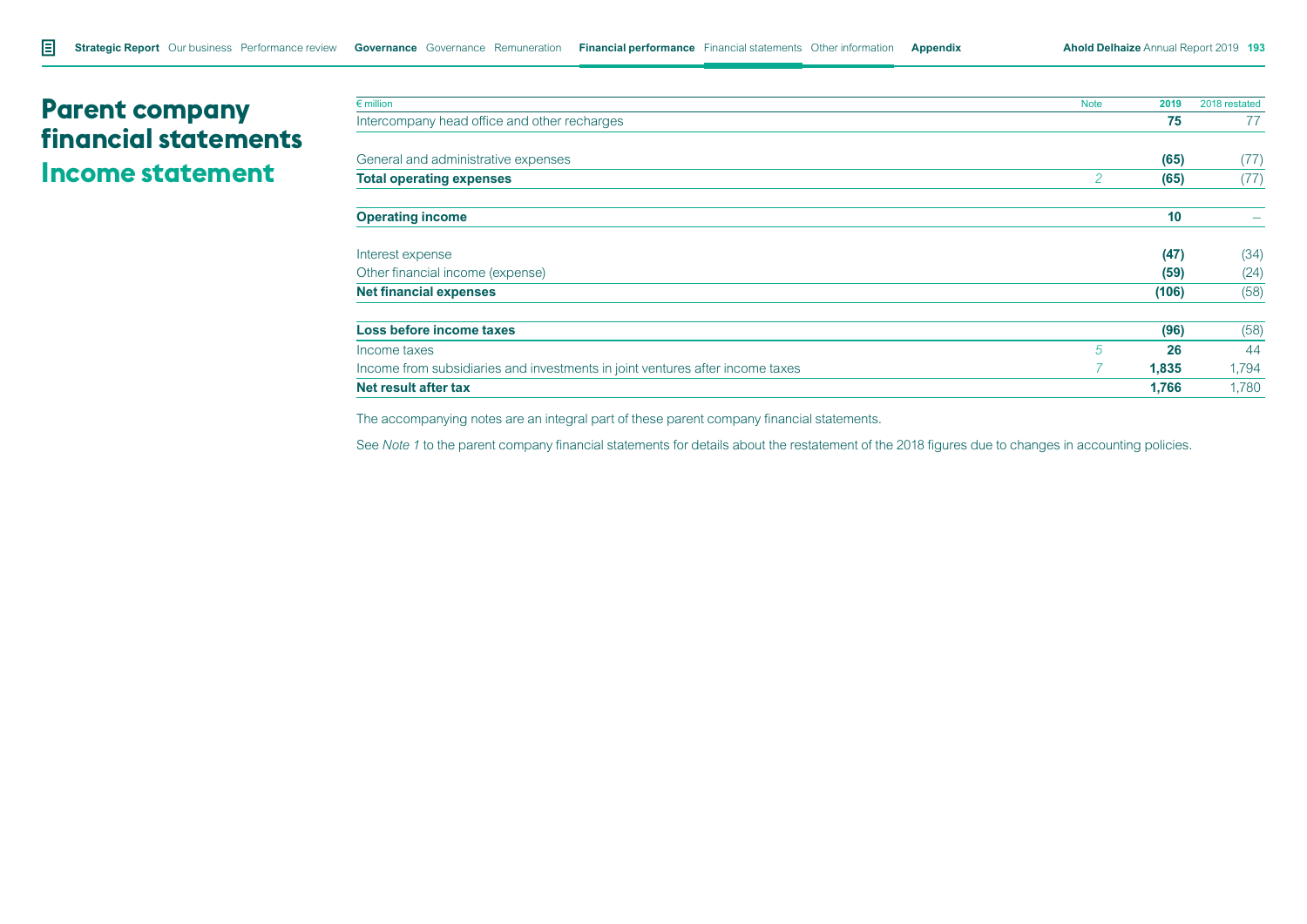# **Parent company financial statements Income statement**

| $\epsilon$ million                                                            | <b>Note</b> | 2019  | 2018 restated |
|-------------------------------------------------------------------------------|-------------|-------|---------------|
| Intercompany head office and other recharges                                  |             | 75    | 77            |
| General and administrative expenses                                           |             | (65)  | (77)          |
| <b>Total operating expenses</b>                                               | 2           | (65)  | (77)          |
| <b>Operating income</b>                                                       |             | 10    |               |
| Interest expense                                                              |             | (47)  | (34)          |
| Other financial income (expense)                                              |             | (59)  | (24)          |
| <b>Net financial expenses</b>                                                 |             | (106) | (58)          |
| Loss before income taxes                                                      |             | (96)  | (58)          |
| Income taxes                                                                  | 5           | 26    | 44            |
| Income from subsidiaries and investments in joint ventures after income taxes |             | 1,835 | 1,794         |
| Net result after tax                                                          |             | 1,766 | 1,780         |

The accompanying notes are an integral part of these parent company financial statements.

See *Note 1* to the parent company financial statements for details about the restatement of the 2018 figures due to changes in accounting policies.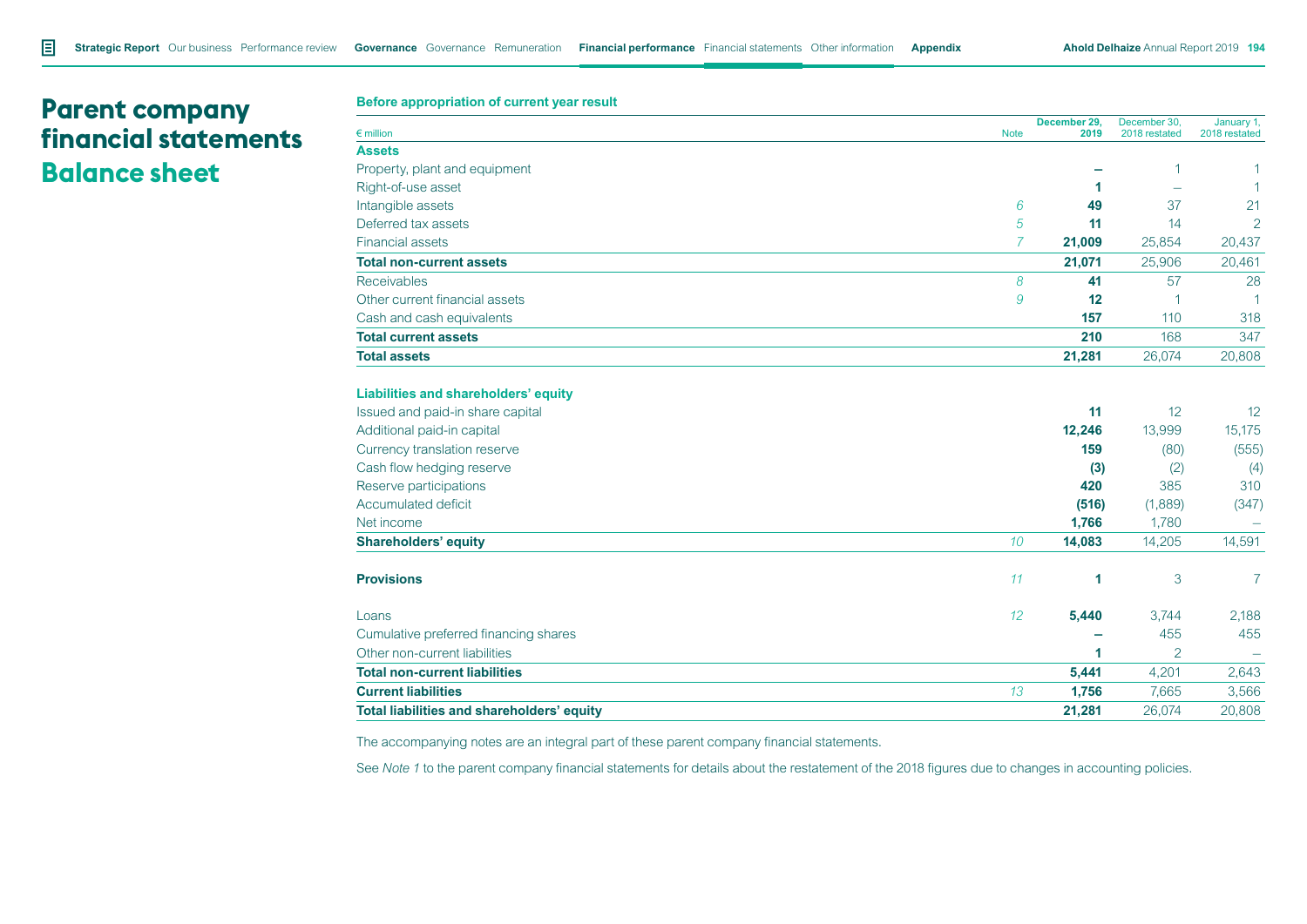# **Parent company financial statements Balance sheet**

**Before appropriation of current year result**

| $\epsilon$ million                         | <b>Note</b>      | December 29,<br>2019 | December 30,<br>2018 restated | January 1,<br>2018 restated |
|--------------------------------------------|------------------|----------------------|-------------------------------|-----------------------------|
| <b>Assets</b>                              |                  |                      |                               |                             |
| Property, plant and equipment              |                  |                      | 1                             |                             |
| Right-of-use asset                         |                  | 1                    | $\overline{\phantom{a}}$      | 1                           |
| Intangible assets                          | 6                | 49                   | 37                            | 21                          |
| Deferred tax assets                        | 5                | 11                   | 14                            | $\overline{2}$              |
| <b>Financial assets</b>                    | 7                | 21,009               | 25,854                        | 20,437                      |
| <b>Total non-current assets</b>            |                  | 21,071               | 25,906                        | 20,461                      |
| <b>Receivables</b>                         | 8                | 41                   | 57                            | 28                          |
| Other current financial assets             | 9                | 12                   | $\overline{1}$                | 1                           |
| Cash and cash equivalents                  |                  | 157                  | 110                           | 318                         |
| <b>Total current assets</b>                |                  | 210                  | 168                           | 347                         |
| <b>Total assets</b>                        |                  | 21,281               | 26,074                        | 20,808                      |
| Liabilities and shareholders' equity       |                  |                      |                               |                             |
| Issued and paid-in share capital           |                  | 11                   | 12                            | 12                          |
| Additional paid-in capital                 |                  | 12,246               | 13,999                        | 15,175                      |
| Currency translation reserve               |                  | 159                  | (80)                          | (555)                       |
| Cash flow hedging reserve                  |                  | (3)                  | (2)                           | (4)                         |
| Reserve participations                     |                  | 420                  | 385                           | 310                         |
| <b>Accumulated deficit</b>                 |                  | (516)                | (1,889)                       | (347)                       |
| Net income                                 |                  | 1,766                | 1,780                         |                             |
| <b>Shareholders' equity</b>                | 10 <sup>10</sup> | 14,083               | 14,205                        | 14,591                      |
| <b>Provisions</b>                          | 11               | 1                    | 3                             | 7                           |
| Loans                                      | 12               | 5,440                | 3,744                         | 2,188                       |
| Cumulative preferred financing shares      |                  |                      | 455                           | 455                         |
| Other non-current liabilities              |                  | 1                    | $\overline{2}$                |                             |
| <b>Total non-current liabilities</b>       |                  | 5,441                | 4,201                         | 2,643                       |
| <b>Current liabilities</b>                 | 13               | 1,756                | 7,665                         | 3,566                       |
| Total liabilities and shareholders' equity |                  | 21,281               | 26,074                        | 20,808                      |

The accompanying notes are an integral part of these parent company financial statements.

See *Note 1* to the parent company financial statements for details about the restatement of the 2018 figures due to changes in accounting policies.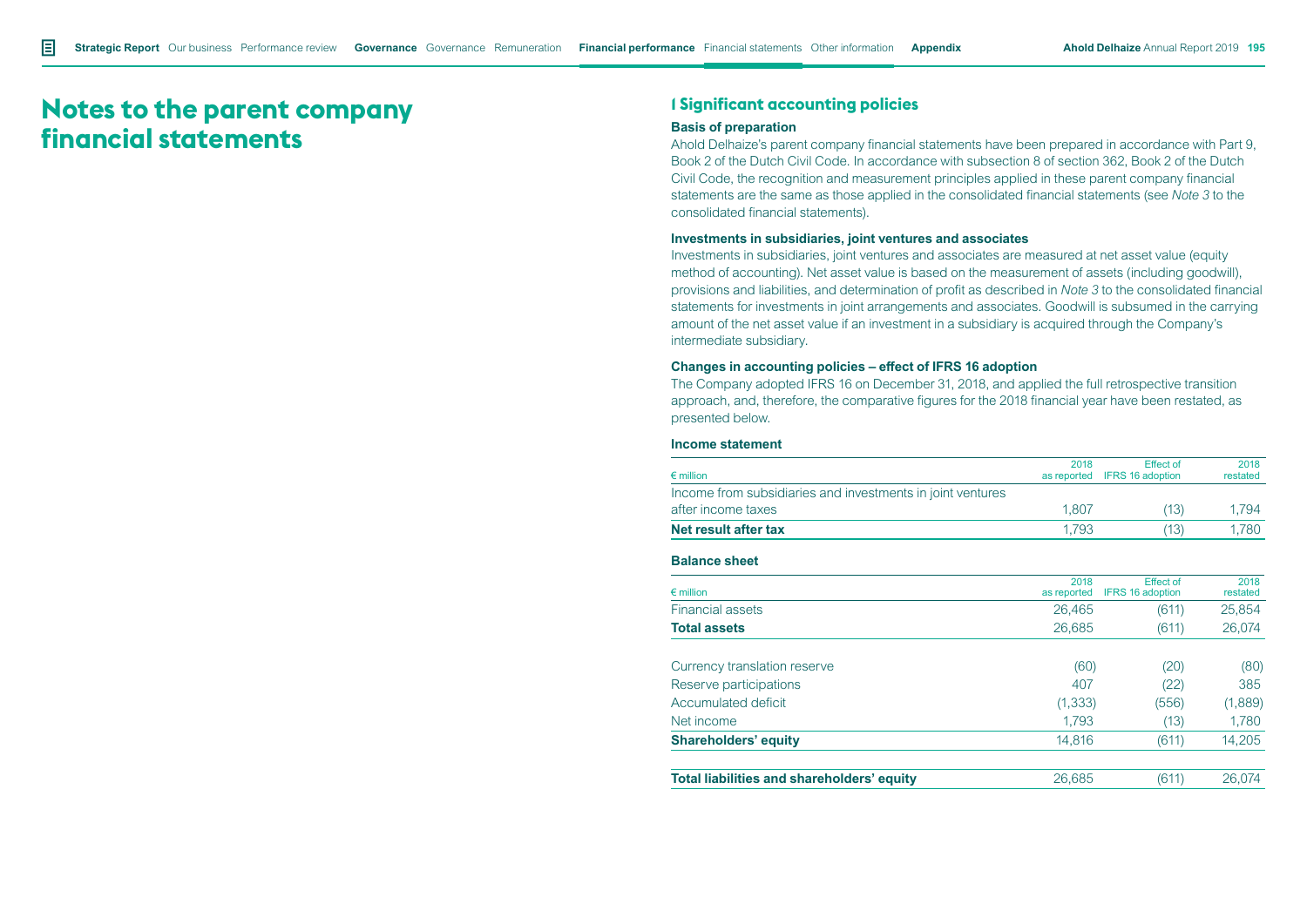# **Notes to the parent company financial statements**

# **1 Significant accounting policies**

#### **Basis of preparation**

Ahold Delhaize's parent company financial statements have been prepared in accordance with Part 9, Book 2 of the Dutch Civil Code. In accordance with subsection 8 of section 362, Book 2 of the Dutch Civil Code, the recognition and measurement principles applied in these parent company financial statements are the same as those applied in the consolidated financial statements (see *Note 3* to the consolidated financial statements).

#### **Investments in subsidiaries, joint ventures and associates**

Investments in subsidiaries, joint ventures and associates are measured at net asset value (equity method of accounting). Net asset value is based on the measurement of assets (including goodwill), provisions and liabilities, and determination of profit as described in *Note 3* to the consolidated financial statements for investments in joint arrangements and associates. Goodwill is subsumed in the carrying amount of the net asset value if an investment in a subsidiary is acquired through the Company's intermediate subsidiary.

#### **Changes in accounting policies – effect of IFRS 16 adoption**

The Company adopted IFRS 16 on December 31, 2018, and applied the full retrospective transition approach, and, therefore, the comparative figures for the 2018 financial year have been restated, as presented below.

#### **Income statement**

| $\epsilon$ million                                         | 2018<br>as reported | <b>Effect of</b><br><b>IFRS 16 adoption</b> | 2018<br>restated |
|------------------------------------------------------------|---------------------|---------------------------------------------|------------------|
| Income from subsidiaries and investments in joint ventures |                     |                                             |                  |
| after income taxes                                         | 1,807               | (13)                                        | 1,794            |
| Net result after tax                                       | 1.793               | (13)                                        | 1,780            |
| <b>Balance sheet</b>                                       |                     |                                             |                  |
| $\epsilon$ million                                         | 2018<br>as reported | <b>Effect of</b><br><b>IFRS 16 adoption</b> | 2018<br>restated |
| <b>Financial assets</b>                                    | 26,465              | (611)                                       | 25,854           |
| <b>Total assets</b>                                        | 26,685              | (611)                                       | 26,074           |
| Currency translation reserve                               | (60)                | (20)                                        | (80)             |
| Reserve participations                                     | 407                 | (22)                                        | 385              |
| Accumulated deficit                                        | (1, 333)            | (556)                                       | (1,889)          |
| Net income                                                 | 1,793               | (13)                                        | 1,780            |
| <b>Shareholders' equity</b>                                | 14,816              | (611)                                       | 14,205           |
| Total liabilities and shareholders' equity                 | 26,685              | (611)                                       | 26,074           |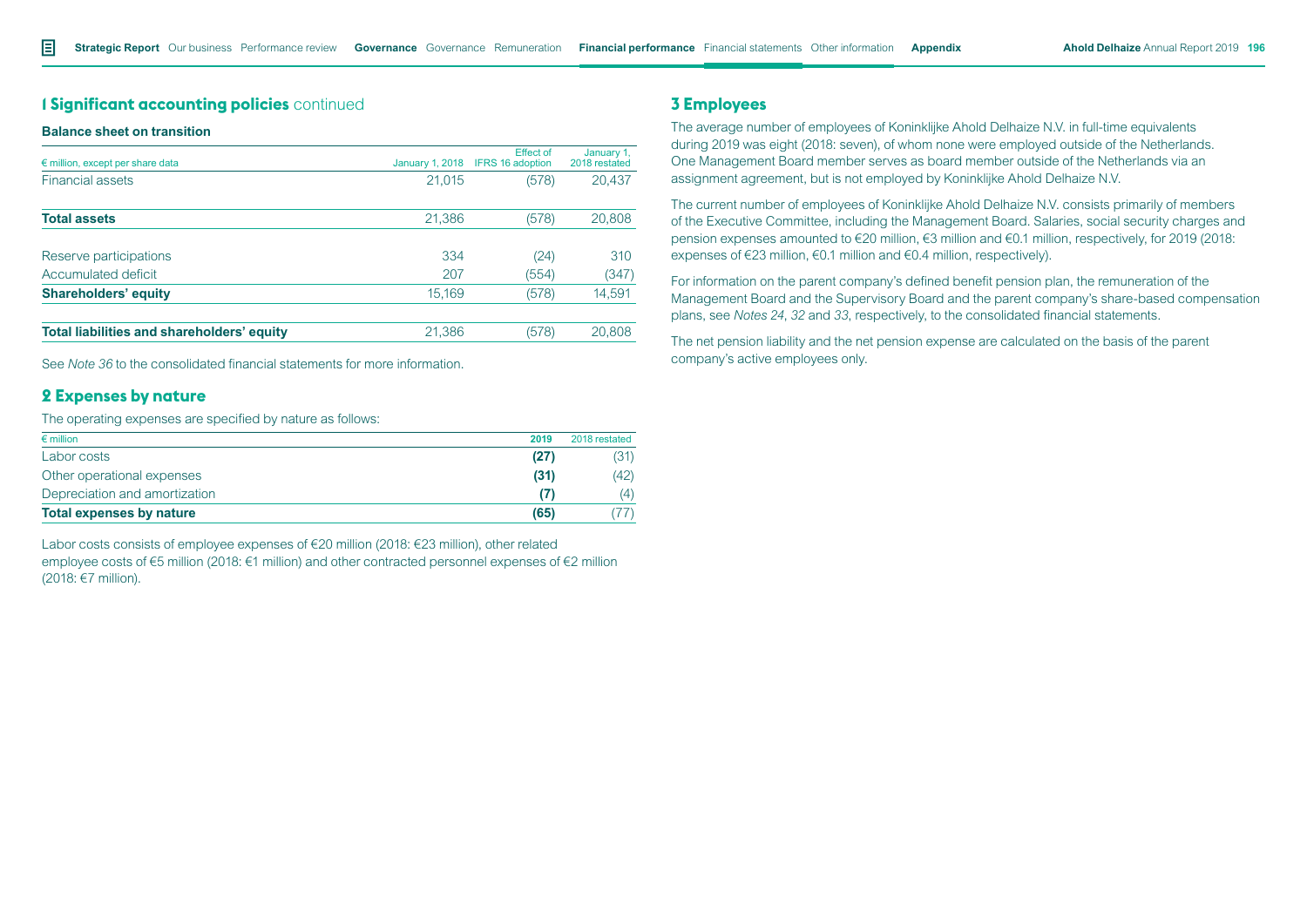# **1 Significant accounting policies** continued

#### **Balance sheet on transition**

| $\epsilon$ million, except per share data  | <b>January 1, 2018</b> | <b>Effect of</b><br><b>IFRS 16 adoption</b> | January 1,<br>2018 restated |
|--------------------------------------------|------------------------|---------------------------------------------|-----------------------------|
| <b>Financial assets</b>                    | 21,015                 | (578)                                       | 20,437                      |
| <b>Total assets</b>                        | 21,386                 | (578)                                       | 20,808                      |
| Reserve participations                     | 334                    | (24)                                        | 310                         |
| Accumulated deficit                        | 207                    | (554)                                       | (347)                       |
| <b>Shareholders' equity</b>                | 15.169                 | (578)                                       | 14,591                      |
| Total liabilities and shareholders' equity | 21,386                 | (578)                                       | 20,808                      |

See *Note 36* to the consolidated financial statements for more information.

## **2 Expenses by nature**

The operating expenses are specified by nature as follows:

| $\epsilon$ million            | 2019 | 2018 restated |
|-------------------------------|------|---------------|
| Labor costs                   | (27) | (31)          |
| Other operational expenses    | (31) | (42)          |
| Depreciation and amortization |      | (4)           |
| Total expenses by nature      | (65) |               |

Labor costs consists of employee expenses of €20 million (2018: €23 million), other related employee costs of €5 million (2018: €1 million) and other contracted personnel expenses of €2 million (2018: €7 million).

# **3 Employees**

The average number of employees of Koninklijke Ahold Delhaize N.V. in full-time equivalents during 2019 was eight (2018: seven), of whom none were employed outside of the Netherlands. One Management Board member serves as board member outside of the Netherlands via an assignment agreement, but is not employed by Koninklijke Ahold Delhaize N.V.

The current number of employees of Koninklijke Ahold Delhaize N.V. consists primarily of members of the Executive Committee, including the Management Board. Salaries, social security charges and pension expenses amounted to €20 million, €3 million and €0.1 million, respectively, for 2019 (2018: expenses of €23 million, €0.1 million and €0.4 million, respectively).

For information on the parent company's defined benefit pension plan, the remuneration of the Management Board and the Supervisory Board and the parent company's share-based compensation plans, see *Notes 24*, *32* and *33*, respectively, to the consolidated financial statements.

The net pension liability and the net pension expense are calculated on the basis of the parent company's active employees only.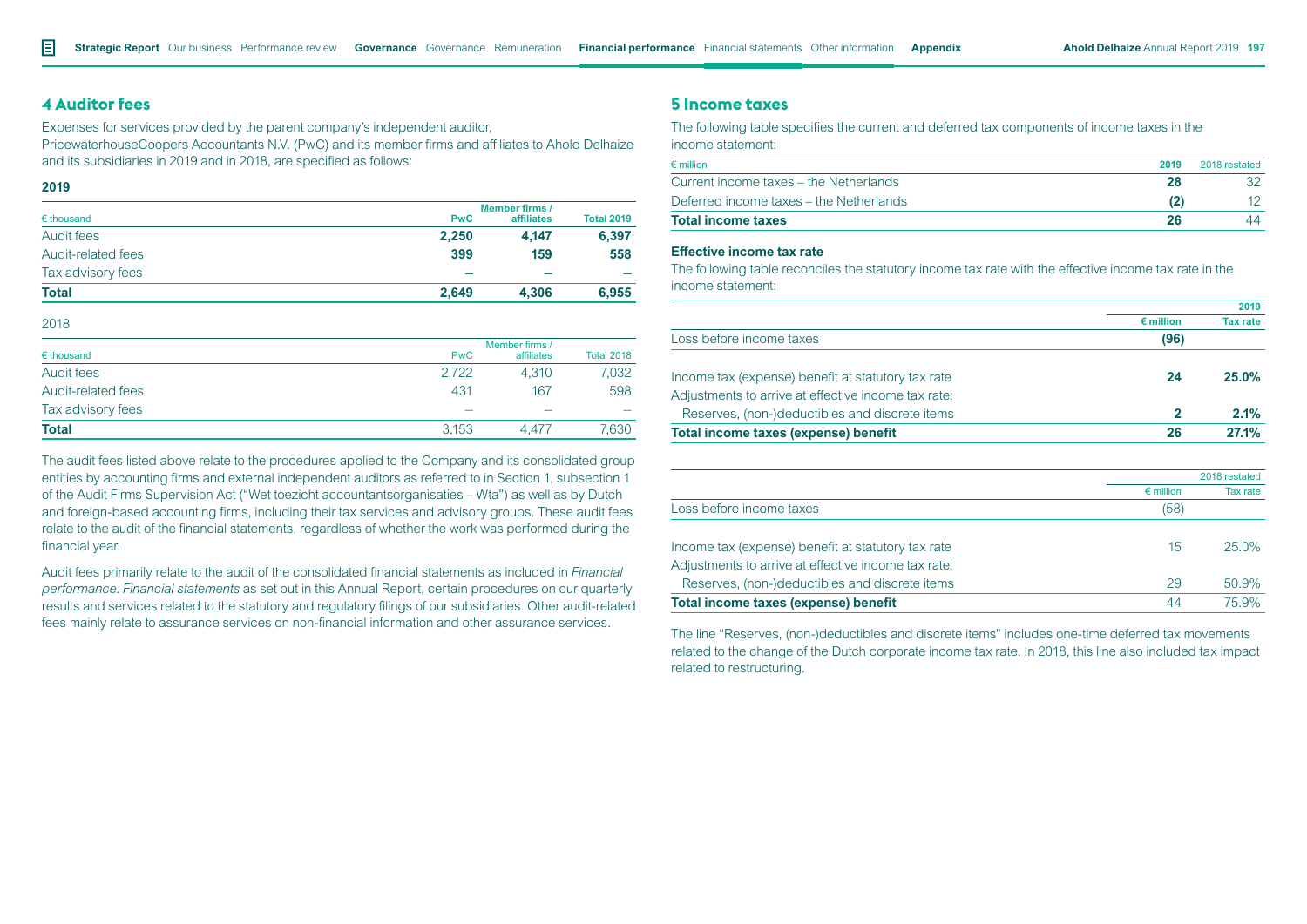### **4 Auditor fees**

Expenses for services provided by the parent company's independent auditor, PricewaterhouseCoopers Accountants N.V. (PwC) and its member firms and affiliates to Ahold Delhaize and its subsidiaries in 2019 and in 2018, are specified as follows:

**2019**

| $\epsilon$ thousand |            | <b>Member firms /</b> |                   |  |  |  |
|---------------------|------------|-----------------------|-------------------|--|--|--|
|                     | <b>PwC</b> | affiliates            | <b>Total 2019</b> |  |  |  |
| Audit fees          | 2.250      | 4.147                 | 6,397             |  |  |  |
| Audit-related fees  | 399        | 159                   | 558               |  |  |  |
| Tax advisory fees   |            |                       |                   |  |  |  |
| Total               | 2.649      | 4.306                 | 6.955             |  |  |  |

2018

|                     |            | Member firms / |                   |  |  |
|---------------------|------------|----------------|-------------------|--|--|
| $\epsilon$ thousand | <b>PwC</b> | affiliates     | <b>Total 2018</b> |  |  |
| Audit fees          | 2.722      | 4.310          | 7.032             |  |  |
| Audit-related fees  | 431        | 167            | 598               |  |  |
| Tax advisory fees   |            |                |                   |  |  |
| <b>Total</b>        | 3.153      | 4.477          | 7.630             |  |  |

The audit fees listed above relate to the procedures applied to the Company and its consolidated group entities by accounting firms and external independent auditors as referred to in Section 1, subsection 1 of the Audit Firms Supervision Act ("Wet toezicht accountantsorganisaties – Wta") as well as by Dutch and foreign-based accounting firms, including their tax services and advisory groups. These audit fees relate to the audit of the financial statements, regardless of whether the work was performed during the financial year.

Audit fees primarily relate to the audit of the consolidated financial statements as included in *Financial performance: Financial statements* as set out in this Annual Report, certain procedures on our quarterly results and services related to the statutory and regulatory filings of our subsidiaries. Other audit-related fees mainly relate to assurance services on non-financial information and other assurance services.

### **5 Income taxes**

The following table specifies the current and deferred tax components of income taxes in the income statement:

| $\epsilon$ million                      | 2019 | 2018 restated   |
|-----------------------------------------|------|-----------------|
| Current income taxes – the Netherlands  | 28   |                 |
| Deferred income taxes – the Netherlands |      | 12 <sup>°</sup> |
| <b>Total income taxes</b>               | 26   | 44              |

#### **Effective income tax rate**

The following table reconciles the statutory income tax rate with the effective income tax rate in the income statement:

|                                                     |                    | 2019            |
|-----------------------------------------------------|--------------------|-----------------|
|                                                     | $\epsilon$ million | <b>Tax rate</b> |
| Loss before income taxes                            | (96)               |                 |
| Income tax (expense) benefit at statutory tax rate  | 24                 | 25.0%           |
| Adjustments to arrive at effective income tax rate: |                    |                 |
| Reserves, (non-)deductibles and discrete items      | $\mathbf{2}$       | 2.1%            |
| Total income taxes (expense) benefit                | 26                 | 27.1%           |
|                                                     |                    |                 |
|                                                     |                    | 2018 restated   |
|                                                     | $\epsilon$ million | Tax rate        |
| Loss before income taxes                            | (58)               |                 |
| Income tax (expense) benefit at statutory tax rate  | $15\,$             | $25.0\%$        |
| Adjustments to arrive at effective income tax rate: |                    |                 |
| Reserves, (non-)deductibles and discrete items      | 29                 | 50.9%           |
| Total income taxes (expense) benefit                | 44                 | 75.9%           |

The line "Reserves, (non-)deductibles and discrete items" includes one-time deferred tax movements related to the change of the Dutch corporate income tax rate. In 2018, this line also included tax impact related to restructuring.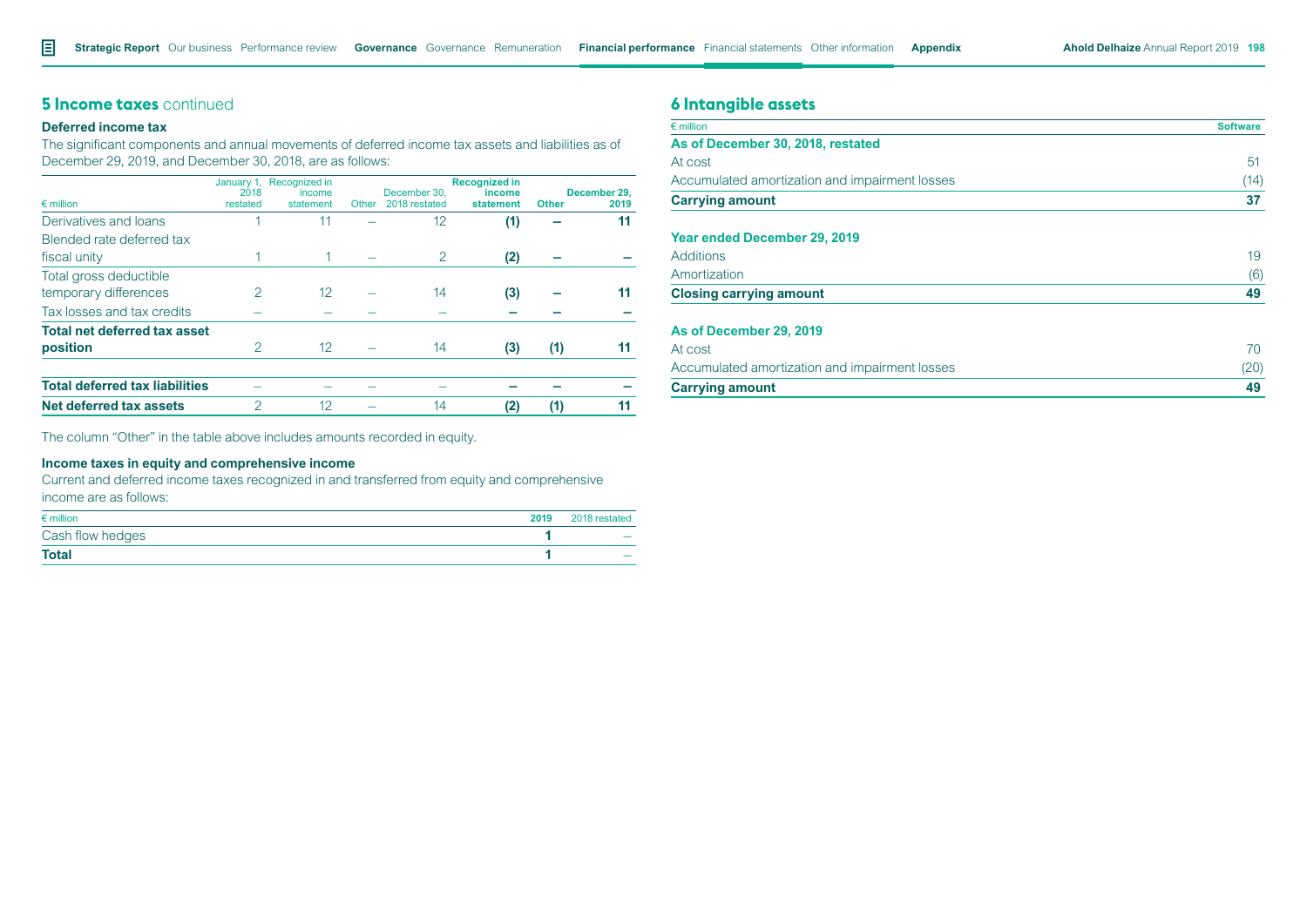# **5 Income taxes** continued

### **Deferred income tax**

The significant components and annual movements of deferred income tax assets and liabilities as of December 29, 2019, and December 30, 2018, are as follows:

| $\epsilon$ million                    | January 1,<br>2018<br>restated | Recognized in<br>income<br>statement | Other | December 30.<br>2018 restated | <b>Recognized in</b><br>income<br>statement | <b>Other</b> | December 29.<br>2019 |
|---------------------------------------|--------------------------------|--------------------------------------|-------|-------------------------------|---------------------------------------------|--------------|----------------------|
| Derivatives and loans                 |                                | 11                                   |       | 12                            | (1)                                         |              | 11                   |
| Blended rate deferred tax             |                                |                                      |       |                               |                                             |              |                      |
| fiscal unity                          |                                |                                      |       | 2                             | (2)                                         |              |                      |
| Total gross deductible                |                                |                                      |       |                               |                                             |              |                      |
| temporary differences                 | 2                              | 12                                   |       | 14                            | (3)                                         |              | 11                   |
| Tax losses and tax credits            |                                |                                      |       |                               |                                             |              |                      |
| <b>Total net deferred tax asset</b>   |                                |                                      |       |                               |                                             |              |                      |
| position                              | $\mathcal{P}$                  | 12                                   |       | 14                            | (3)                                         | (1)          | 11                   |
| <b>Total deferred tax liabilities</b> |                                |                                      |       |                               |                                             |              |                      |
| Net deferred tax assets               | 2                              | 12                                   |       | 14                            | (2)                                         | (1)          | 11                   |

The column "Other" in the table above includes amounts recorded in equity.

# **Income taxes in equity and comprehensive income**

Current and deferred income taxes recognized in and transferred from equity and comprehensive income are as follows:

| $\epsilon$ million | 2019 | 2018 restated            |
|--------------------|------|--------------------------|
| Cash flow hedges   |      | $\overline{\phantom{0}}$ |
| <b>Total</b>       |      |                          |

# **6 Intangible assets**

| $\epsilon$ million                             | <b>Software</b> |
|------------------------------------------------|-----------------|
| As of December 30, 2018, restated              |                 |
| At cost                                        | 51              |
| Accumulated amortization and impairment losses | (14)            |
| <b>Carrying amount</b>                         | 37              |
| Year ended December 29, 2019                   |                 |
| <b>Additions</b>                               | 19              |
| Amortization                                   | (6)             |
| <b>Closing carrying amount</b>                 | 49              |
| As of December 29, 2019                        |                 |
| At cost                                        | 70              |
| Accumulated amortization and impairment losses | (20)            |
| <b>Carrying amount</b>                         | 49              |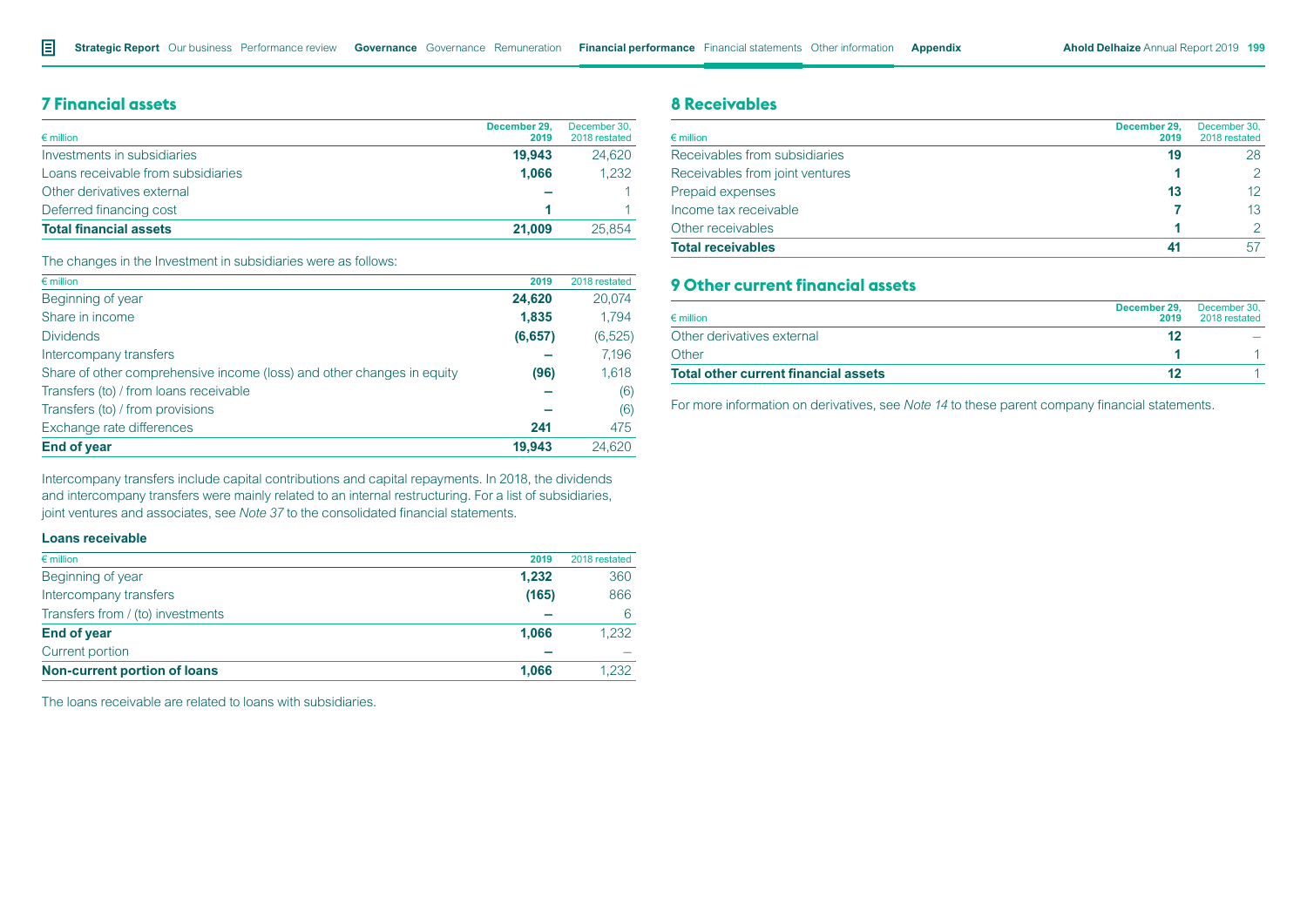# **7 Financial assets**

| Investments in subsidiaries<br>19.943       | 24.620 |
|---------------------------------------------|--------|
| 1.066<br>Loans receivable from subsidiaries | 1.232  |
| Other derivatives external                  | 1.     |
| Deferred financing cost                     |        |
| <b>Total financial assets</b><br>21.009     | 25.854 |

The changes in the Investment in subsidiaries were as follows:

| $\epsilon$ million                                                     | 2019    | 2018 restated |
|------------------------------------------------------------------------|---------|---------------|
| Beginning of year                                                      | 24,620  | 20,074        |
| Share in income                                                        | 1.835   | 1.794         |
| <b>Dividends</b>                                                       | (6,657) | (6, 525)      |
| Intercompany transfers                                                 |         | 7,196         |
| Share of other comprehensive income (loss) and other changes in equity | (96)    | 1,618         |
| Transfers (to) / from loans receivable                                 |         | (6)           |
| Transfers (to) / from provisions                                       |         | (6)           |
| Exchange rate differences                                              | 241     | 475           |
| <b>End of year</b>                                                     | 19.943  | 24.620        |

Intercompany transfers include capital contributions and capital repayments. In 2018, the dividends and intercompany transfers were mainly related to an internal restructuring. For a list of subsidiaries, joint ventures and associates, see *Note 37* to the consolidated financial statements.

#### **Loans receivable**

| $\epsilon$ million                  | 2019  | 2018 restated |
|-------------------------------------|-------|---------------|
| Beginning of year                   | 1.232 | 360           |
| Intercompany transfers              | (165) | 866           |
| Transfers from / (to) investments   |       | 6             |
| <b>End of year</b>                  | 1.066 | 1,232         |
| Current portion                     |       |               |
| <b>Non-current portion of loans</b> | 1.066 | 1.232         |

The loans receivable are related to loans with subsidiaries.

# **8 Receivables**

| $\epsilon$ million              | December 29.<br>2019 | December 30,<br>2018 restated |
|---------------------------------|----------------------|-------------------------------|
| Receivables from subsidiaries   | 19                   | 28                            |
| Receivables from joint ventures |                      | $\mathcal{P}$                 |
| Prepaid expenses                | 13                   | 12                            |
| Income tax receivable           |                      | 13                            |
| Other receivables               |                      | $\mathcal{P}$                 |
| <b>Total receivables</b>        | 41                   | 57                            |

# **9 Other current financial assets**

| $\epsilon$ million                          | December 29,<br>2019 | December 30.<br>2018 restated |
|---------------------------------------------|----------------------|-------------------------------|
| Other derivatives external                  |                      |                               |
| Other                                       |                      |                               |
| <b>Total other current financial assets</b> |                      |                               |

For more information on derivatives, see *Note 14* to these parent company financial statements.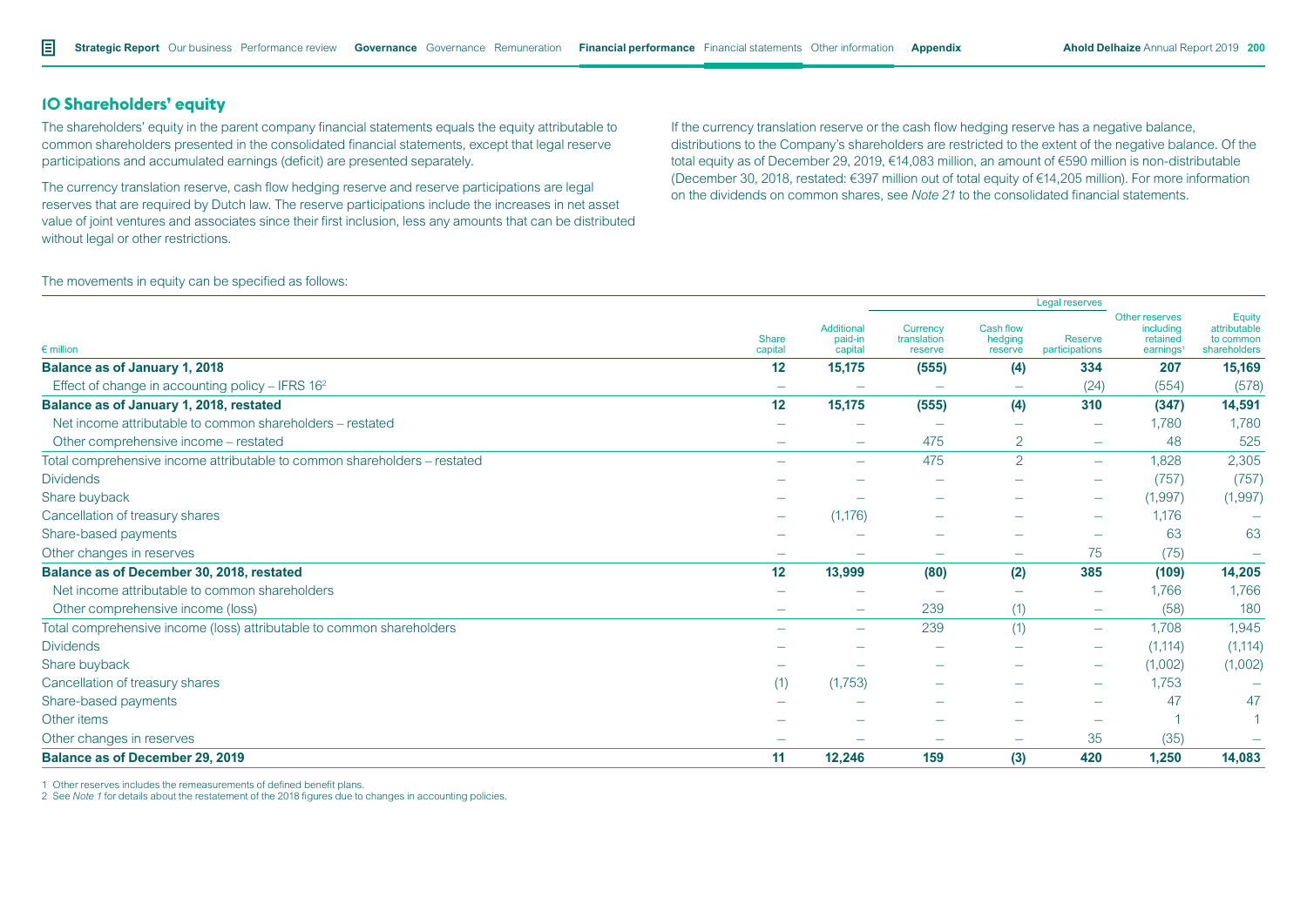# **10 Shareholders' equity**

The shareholders' equity in the parent company financial statements equals the equity attributable to common shareholders presented in the consolidated financial statements, except that legal reserve participations and accumulated earnings (deficit) are presented separately.

The currency translation reserve, cash flow hedging reserve and reserve participations are legal reserves that are required by Dutch law. The reserve participations include the increases in net asset value of joint ventures and associates since their first inclusion, less any amounts that can be distributed without legal or other restrictions.

If the currency translation reserve or the cash flow hedging reserve has a negative balance, distributions to the Company's shareholders are restricted to the extent of the negative balance. Of the total equity as of December 29, 2019, €14,083 million, an amount of €590 million is non-distributable (December 30, 2018, restated: €397 million out of total equity of €14,205 million). For more information on the dividends on common shares, see *Note 21* to the consolidated financial statements.

The movements in equity can be specified as follows:

|                                                                           |                          |                                         | Legal reserves                            |                                 |                           |                                                     |                                                     |
|---------------------------------------------------------------------------|--------------------------|-----------------------------------------|-------------------------------------------|---------------------------------|---------------------------|-----------------------------------------------------|-----------------------------------------------------|
| $\epsilon$ million                                                        | Share<br>capital         | <b>Additional</b><br>paid-in<br>capital | <b>Currency</b><br>translation<br>reserve | Cash flow<br>hedging<br>reserve | Reserve<br>participations | Other reserves<br>including<br>retained<br>earnings | Equity<br>attributable<br>to common<br>shareholders |
| <b>Balance as of January 1, 2018</b>                                      | 12                       | 15,175                                  | (555)                                     | (4)                             | 334                       | 207                                                 | 15,169                                              |
| Effect of change in accounting policy - IFRS 16 <sup>2</sup>              | $\overline{\phantom{a}}$ |                                         | $\overline{\phantom{0}}$                  |                                 | (24)                      | (554)                                               | (578)                                               |
| Balance as of January 1, 2018, restated                                   | 12                       | 15,175                                  | (555)                                     | (4)                             | 310                       | (347)                                               | 14,591                                              |
| Net income attributable to common shareholders – restated                 |                          |                                         | -                                         |                                 | $\overline{\phantom{m}}$  | 1,780                                               | 1,780                                               |
| Other comprehensive income – restated                                     | $\overline{\phantom{0}}$ | $\overline{\phantom{m}}$                | 475                                       | 2                               | $\overline{\phantom{m}}$  | 48                                                  | 525                                                 |
| Total comprehensive income attributable to common shareholders - restated |                          |                                         | 475                                       | $\overline{2}$                  | $\overline{\phantom{m}}$  | 1,828                                               | 2,305                                               |
| <b>Dividends</b>                                                          |                          |                                         |                                           |                                 |                           | (757)                                               | (757)                                               |
| Share buyback                                                             |                          |                                         |                                           |                                 | $\overline{\phantom{m}}$  | (1, 997)                                            | (1, 997)                                            |
| Cancellation of treasury shares                                           |                          | (1, 176)                                | -                                         |                                 | $\overline{\phantom{a}}$  | 1.176                                               |                                                     |
| Share-based payments                                                      |                          |                                         |                                           |                                 |                           | 63                                                  | 63                                                  |
| Other changes in reserves                                                 | $\overline{\phantom{a}}$ | $\overline{\phantom{0}}$                | -                                         | $\overline{\phantom{0}}$        | 75                        | (75)                                                | $\overline{\phantom{m}}$                            |
| Balance as of December 30, 2018, restated                                 | 12                       | 13,999                                  | (80)                                      | (2)                             | 385                       | (109)                                               | 14,205                                              |
| Net income attributable to common shareholders                            |                          |                                         |                                           |                                 | $\overline{\phantom{m}}$  | 1.766                                               | 1,766                                               |
| Other comprehensive income (loss)                                         | $\overline{\phantom{0}}$ | $\overline{\phantom{m}}$                | 239                                       | (1)                             | $\overline{\phantom{m}}$  | (58)                                                | 180                                                 |
| Total comprehensive income (loss) attributable to common shareholders     |                          |                                         | 239                                       | (1)                             | $\overline{\phantom{m}}$  | 1.708                                               | 1,945                                               |
| <b>Dividends</b>                                                          |                          |                                         |                                           |                                 |                           | (1, 114)                                            | (1, 114)                                            |
| Share buyback                                                             |                          |                                         | -                                         | $\overline{\phantom{0}}$        | $\overline{\phantom{m}}$  | (1,002)                                             | (1,002)                                             |
| Cancellation of treasury shares                                           | (1)                      | (1,753)                                 |                                           |                                 | $\overline{\phantom{a}}$  | 1,753                                               |                                                     |
| Share-based payments                                                      |                          |                                         |                                           |                                 |                           | 47                                                  | 47                                                  |
| Other items                                                               |                          |                                         |                                           |                                 |                           |                                                     |                                                     |
| Other changes in reserves                                                 |                          |                                         |                                           | $\overline{\phantom{0}}$        | 35                        | (35)                                                | $\overline{\phantom{m}}$                            |
| <b>Balance as of December 29, 2019</b>                                    | 11                       | 12,246                                  | 159                                       | (3)                             | 420                       | 1,250                                               | 14,083                                              |

1 Other reserves includes the remeasurements of defined benefit plans.

2 See *Note 1* for details about the restatement of the 2018 figures due to changes in accounting policies.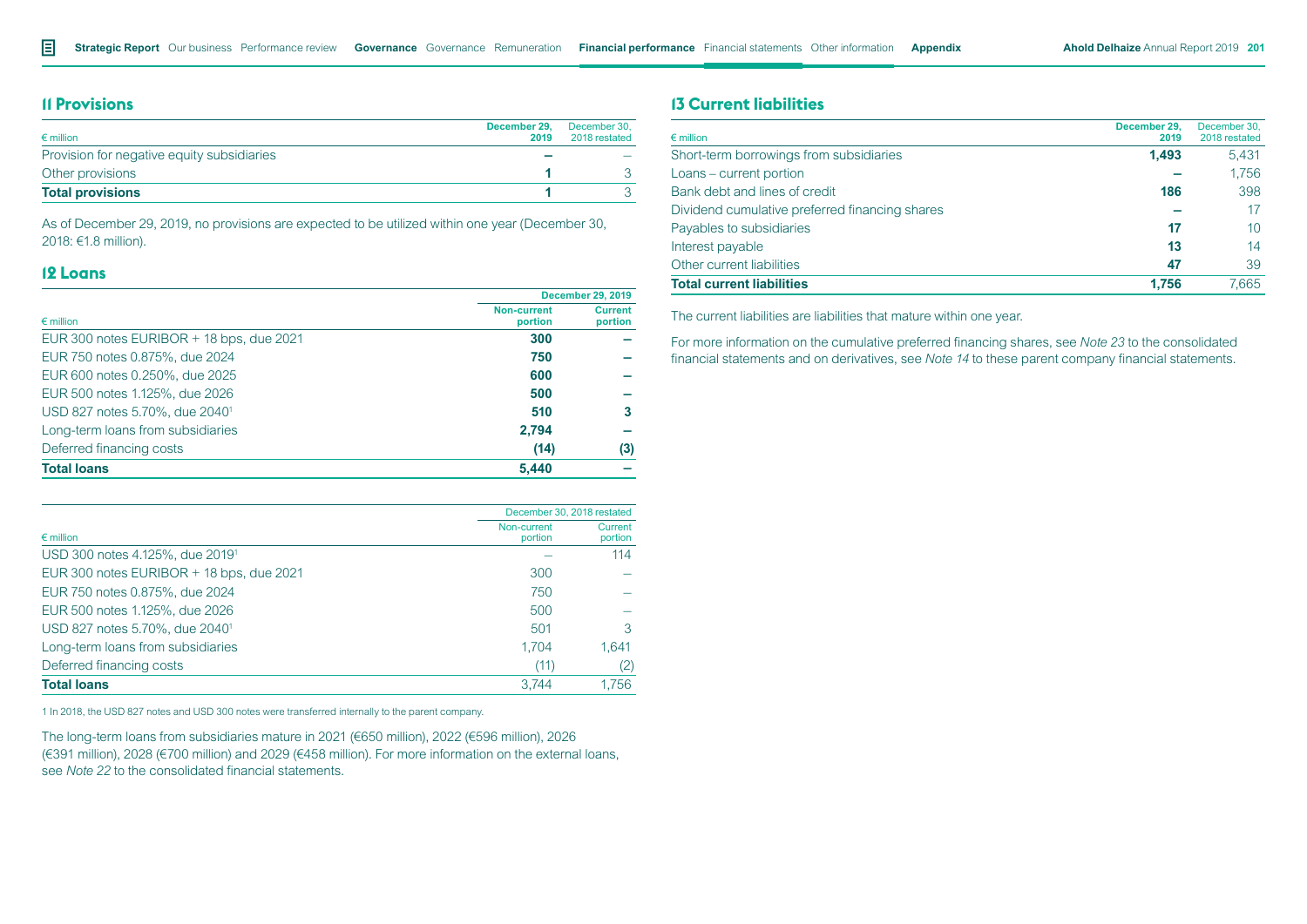# **11 Provisions**

| $\epsilon$ million                         | December 29.<br>2019 | December 30,<br>2018 restated |
|--------------------------------------------|----------------------|-------------------------------|
| Provision for negative equity subsidiaries |                      |                               |
| Other provisions                           |                      |                               |
| <b>Total provisions</b>                    |                      |                               |

As of December 29, 2019, no provisions are expected to be utilized within one year (December 30, 2018: €1.8 million).

# **12 Loans**

|                                            | <b>December 29, 2019</b>      |                           |  |
|--------------------------------------------|-------------------------------|---------------------------|--|
| $\epsilon$ million                         | <b>Non-current</b><br>portion | <b>Current</b><br>portion |  |
| EUR 300 notes EURIBOR + 18 bps, due 2021   | 300                           |                           |  |
| EUR 750 notes 0.875%, due 2024             | 750                           |                           |  |
| EUR 600 notes 0.250%, due 2025             | 600                           |                           |  |
| EUR 500 notes 1.125%, due 2026             | 500                           |                           |  |
| USD 827 notes 5.70%, due 2040 <sup>1</sup> | 510                           | з                         |  |
| Long-term loans from subsidiaries          | 2,794                         |                           |  |
| Deferred financing costs                   | (14)                          | (3)                       |  |
| <b>Total loans</b>                         | 5,440                         |                           |  |

|                                             |                        | December 30, 2018 restated |  |  |
|---------------------------------------------|------------------------|----------------------------|--|--|
| $\epsilon$ million                          | Non-current<br>portion | Current<br>portion         |  |  |
| USD 300 notes 4.125%, due 2019 <sup>1</sup> |                        | 114                        |  |  |
| EUR 300 notes EURIBOR + 18 bps, due 2021    | 300                    |                            |  |  |
| EUR 750 notes 0.875%, due 2024              | 750                    |                            |  |  |
| EUR 500 notes 1.125%, due 2026              | 500                    |                            |  |  |
| USD 827 notes 5.70%, due 2040 <sup>1</sup>  | 501                    | 3                          |  |  |
| Long-term loans from subsidiaries           | 1.704                  | 1.641                      |  |  |
| Deferred financing costs                    | (11)                   | (2)                        |  |  |
| <b>Total loans</b>                          | 3.744                  | 1.756                      |  |  |

1 In 2018, the USD 827 notes and USD 300 notes were transferred internally to the parent company.

The long-term loans from subsidiaries mature in 2021 (€650 million), 2022 (€596 million), 2026 (€391 million), 2028 (€700 million) and 2029 (€458 million). For more information on the external loans, see *Note 22* to the consolidated financial statements.

# **13 Current liabilities**

| $\epsilon$ million                             | December 29.<br>2019 | December 30,<br>2018 restated |
|------------------------------------------------|----------------------|-------------------------------|
| Short-term borrowings from subsidiaries        | 1,493                | 5.431                         |
| Loans – current portion                        |                      | 1.756                         |
| Bank debt and lines of credit                  | 186                  | 398                           |
| Dividend cumulative preferred financing shares |                      | 17                            |
| Payables to subsidiaries                       | 17                   | 10 <sup>1</sup>               |
| Interest payable                               | 13                   | 14                            |
| Other current liabilities                      | 47                   | 39                            |
| <b>Total current liabilities</b>               | 1.756                | 7.665                         |

The current liabilities are liabilities that mature within one year.

For more information on the cumulative preferred financing shares, see *Note 23* to the consolidated financial statements and on derivatives, see *Note 14* to these parent company financial statements.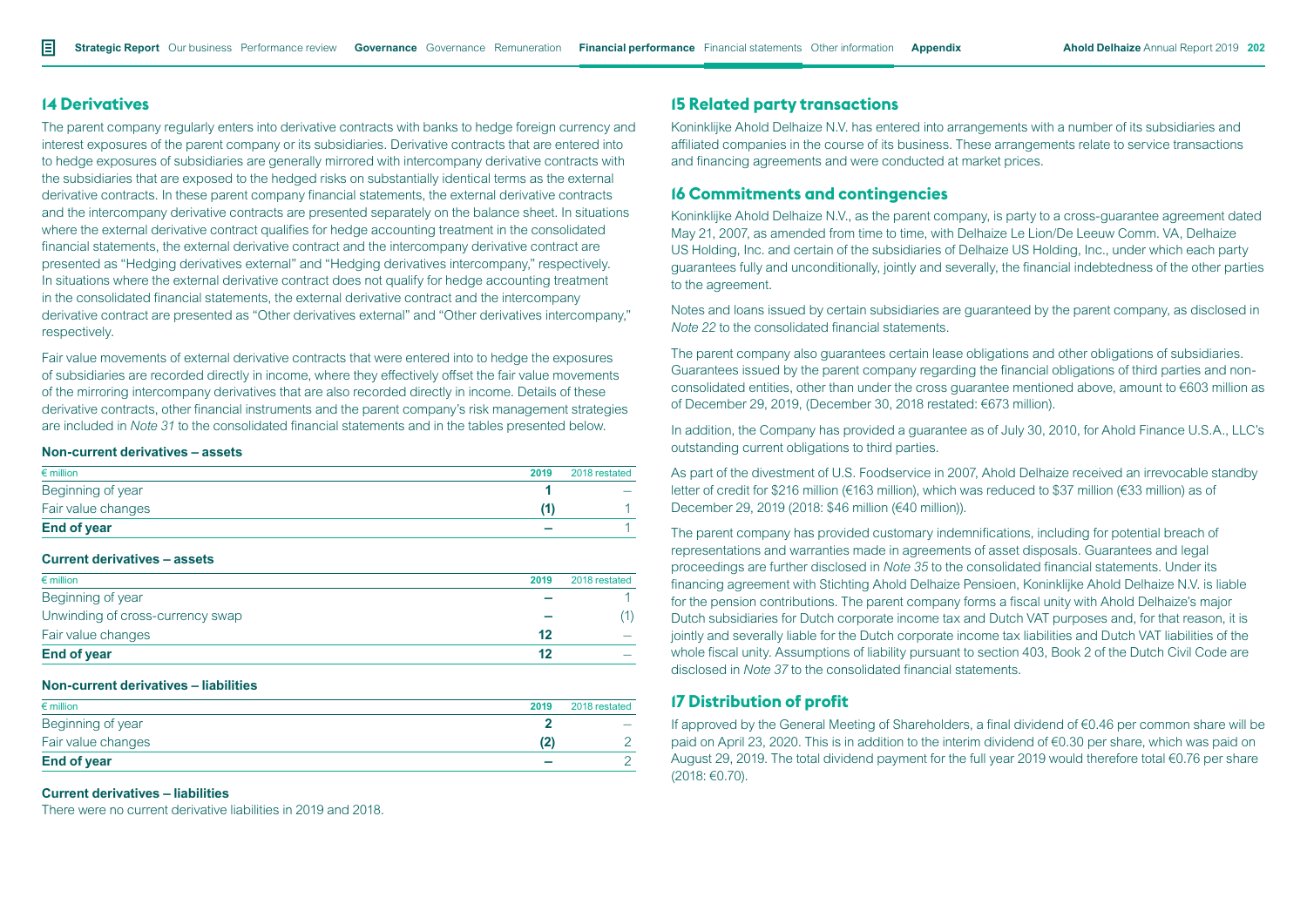### **14 Derivatives**

The parent company regularly enters into derivative contracts with banks to hedge foreign currency and interest exposures of the parent company or its subsidiaries. Derivative contracts that are entered into to hedge exposures of subsidiaries are generally mirrored with intercompany derivative contracts with the subsidiaries that are exposed to the hedged risks on substantially identical terms as the external derivative contracts. In these parent company financial statements, the external derivative contracts and the intercompany derivative contracts are presented separately on the balance sheet. In situations where the external derivative contract qualifies for hedge accounting treatment in the consolidated financial statements, the external derivative contract and the intercompany derivative contract are presented as "Hedging derivatives external" and "Hedging derivatives intercompany," respectively. In situations where the external derivative contract does not qualify for hedge accounting treatment in the consolidated financial statements, the external derivative contract and the intercompany derivative contract are presented as "Other derivatives external" and "Other derivatives intercompany," respectively.

Fair value movements of external derivative contracts that were entered into to hedge the exposures of subsidiaries are recorded directly in income, where they effectively offset the fair value movements of the mirroring intercompany derivatives that are also recorded directly in income. Details of these derivative contracts, other financial instruments and the parent company's risk management strategies are included in *Note 31* to the consolidated financial statements and in the tables presented below.

#### **Non-current derivatives – assets**

| $\epsilon$ million | 2019 | 2018 restated |
|--------------------|------|---------------|
| Beginning of year  |      |               |
| Fair value changes |      |               |
| <b>End of year</b> |      |               |

#### **Current derivatives – assets**

| $\epsilon$ million               | 2019 | 2018 restated |
|----------------------------------|------|---------------|
| Beginning of year                |      |               |
| Unwinding of cross-currency swap |      |               |
| Fair value changes               | 12   |               |
| <b>End of year</b>               | 12   |               |

#### **Non-current derivatives – liabilities**

| $\epsilon$ million | 2019 | 2018 restated |
|--------------------|------|---------------|
| Beginning of year  |      |               |
| Fair value changes |      |               |
| <b>End of year</b> |      |               |

#### **Current derivatives – liabilities**

There were no current derivative liabilities in 2019 and 2018.

## **15 Related party transactions**

Koninklijke Ahold Delhaize N.V. has entered into arrangements with a number of its subsidiaries and affiliated companies in the course of its business. These arrangements relate to service transactions and financing agreements and were conducted at market prices.

# **16 Commitments and contingencies**

Koninklijke Ahold Delhaize N.V., as the parent company, is party to a cross-guarantee agreement dated May 21, 2007, as amended from time to time, with Delhaize Le Lion/De Leeuw Comm. VA, Delhaize US Holding, Inc. and certain of the subsidiaries of Delhaize US Holding, Inc., under which each party guarantees fully and unconditionally, jointly and severally, the financial indebtedness of the other parties to the agreement.

Notes and loans issued by certain subsidiaries are guaranteed by the parent company, as disclosed in *Note 22* to the consolidated financial statements.

The parent company also guarantees certain lease obligations and other obligations of subsidiaries. Guarantees issued by the parent company regarding the financial obligations of third parties and nonconsolidated entities, other than under the cross guarantee mentioned above, amount to €603 million as of December 29, 2019, (December 30, 2018 restated: €673 million).

In addition, the Company has provided a guarantee as of July 30, 2010, for Ahold Finance U.S.A., LLC's outstanding current obligations to third parties.

As part of the divestment of U.S. Foodservice in 2007, Ahold Delhaize received an irrevocable standby letter of credit for \$216 million (€163 million), which was reduced to \$37 million (€33 million) as of December 29, 2019 (2018: \$46 million (€40 million)).

The parent company has provided customary indemnifications, including for potential breach of representations and warranties made in agreements of asset disposals. Guarantees and legal proceedings are further disclosed in *Note 35* to the consolidated financial statements. Under its financing agreement with Stichting Ahold Delhaize Pensioen, Koninklijke Ahold Delhaize N.V. is liable for the pension contributions. The parent company forms a fiscal unity with Ahold Delhaize's major Dutch subsidiaries for Dutch corporate income tax and Dutch VAT purposes and, for that reason, it is jointly and severally liable for the Dutch corporate income tax liabilities and Dutch VAT liabilities of the whole fiscal unity. Assumptions of liability pursuant to section 403, Book 2 of the Dutch Civil Code are disclosed in *Note 37* to the consolidated financial statements.

### **17 Distribution of profit**

If approved by the General Meeting of Shareholders, a final dividend of €0.46 per common share will be paid on April 23, 2020. This is in addition to the interim dividend of €0.30 per share, which was paid on August 29, 2019. The total dividend payment for the full year 2019 would therefore total €0.76 per share (2018: €0.70).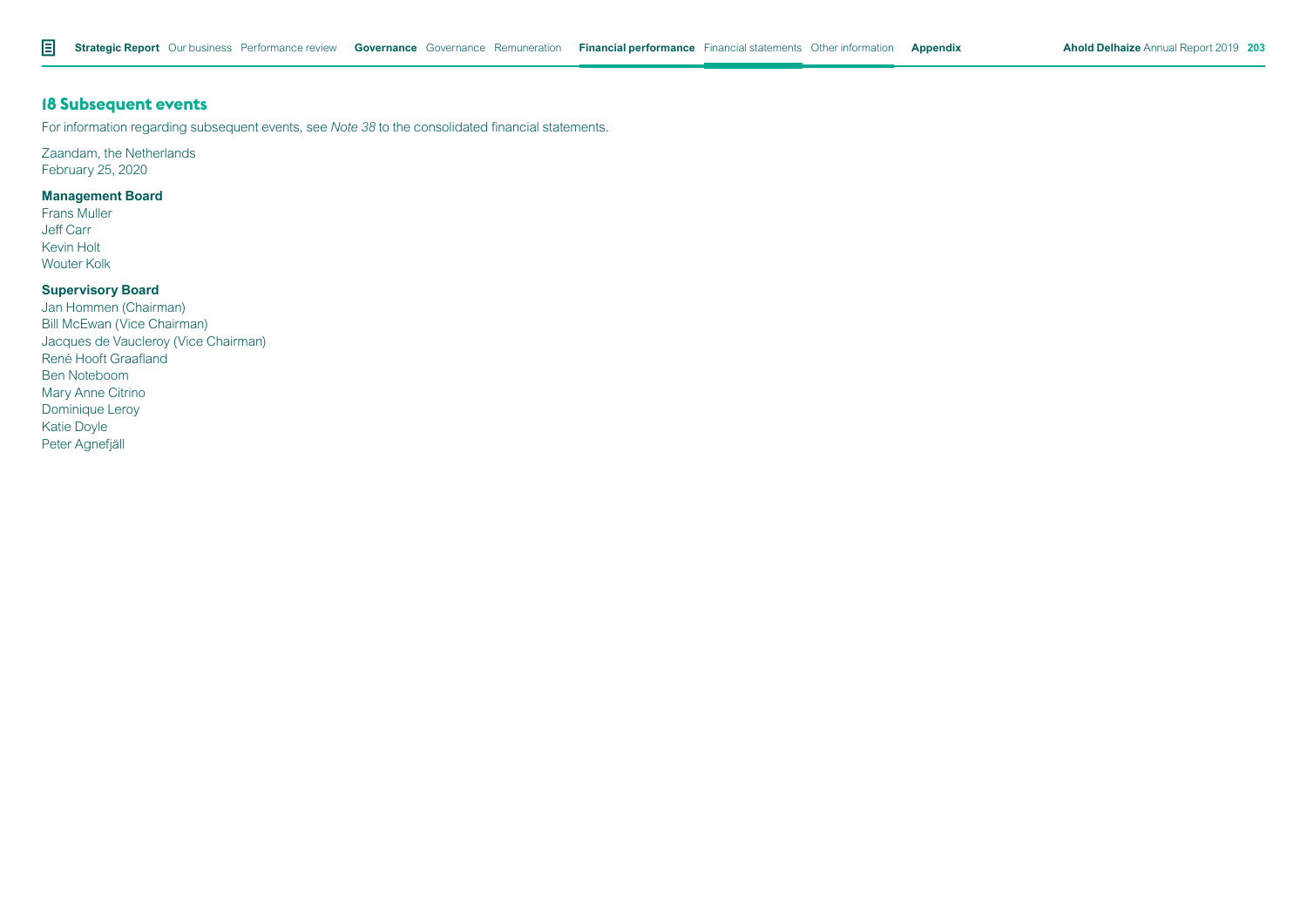# **18 Subsequent events**

For information regarding subsequent events, see *Note 38* to the consolidated financial statements.

# Zaandam, the Netherlands

February 25, 2020

# **Management Board**

Frans Muller Jeff Carr Kevin Holt Wouter Kolk

## **Supervisory Board**

Jan Hommen (Chairman) Bill McEwan (Vice Chairman) Jacques de Vaucleroy (Vice Chairman) René Hooft Graafland Ben Noteboom Mary Anne Citrino Dominique Leroy Katie Doyle Peter Agnefjäll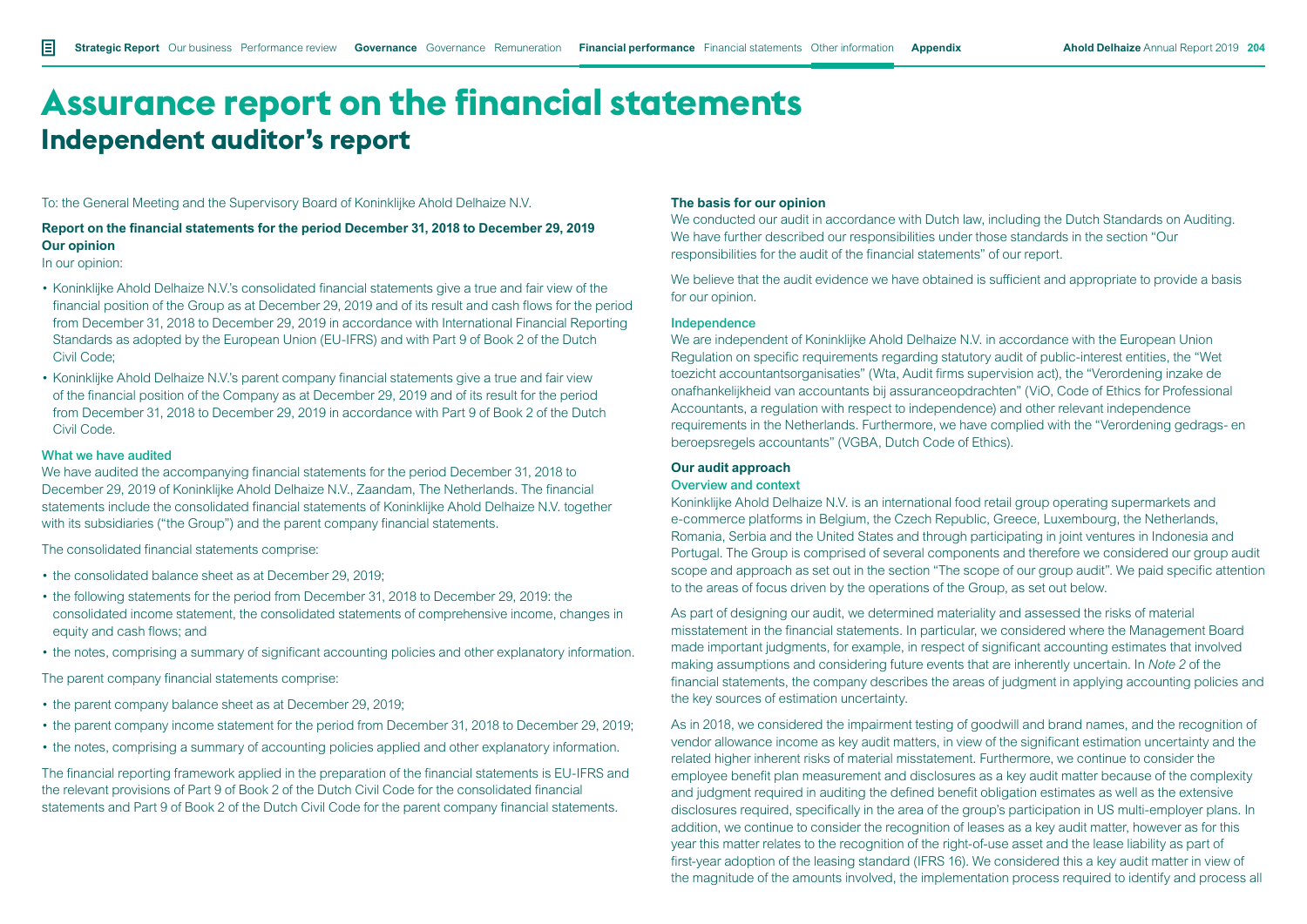To: the General Meeting and the Supervisory Board of Koninklijke Ahold Delhaize N.V.

# **Report on the financial statements for the period December 31, 2018 to December 29, 2019 Our opinion**

In our opinion:

- Koninklijke Ahold Delhaize N.V.'s consolidated financial statements give a true and fair view of the financial position of the Group as at December 29, 2019 and of its result and cash flows for the period from December 31, 2018 to December 29, 2019 in accordance with International Financial Reporting Standards as adopted by the European Union (EU-IFRS) and with Part 9 of Book 2 of the Dutch Civil Code;
- Koninklijke Ahold Delhaize N.V.'s parent company financial statements give a true and fair view of the financial position of the Company as at December 29, 2019 and of its result for the period from December 31, 2018 to December 29, 2019 in accordance with Part 9 of Book 2 of the Dutch Civil Code.

#### What we have audited

We have audited the accompanying financial statements for the period December 31, 2018 to December 29, 2019 of Koninklijke Ahold Delhaize N.V., Zaandam, The Netherlands. The financial statements include the consolidated financial statements of Koninklijke Ahold Delhaize N.V. together with its subsidiaries ("the Group") and the parent company financial statements.

The consolidated financial statements comprise:

- the consolidated balance sheet as at December 29, 2019;
- the following statements for the period from December 31, 2018 to December 29, 2019: the consolidated income statement, the consolidated statements of comprehensive income, changes in equity and cash flows; and
- the notes, comprising a summary of significant accounting policies and other explanatory information.

The parent company financial statements comprise:

- the parent company balance sheet as at December 29, 2019;
- the parent company income statement for the period from December 31, 2018 to December 29, 2019;
- the notes, comprising a summary of accounting policies applied and other explanatory information.

The financial reporting framework applied in the preparation of the financial statements is EU-IFRS and the relevant provisions of Part 9 of Book 2 of the Dutch Civil Code for the consolidated financial statements and Part 9 of Book 2 of the Dutch Civil Code for the parent company financial statements.

#### **The basis for our opinion**

We conducted our audit in accordance with Dutch law, including the Dutch Standards on Auditing. We have further described our responsibilities under those standards in the section "Our responsibilities for the audit of the financial statements" of our report.

We believe that the audit evidence we have obtained is sufficient and appropriate to provide a basis for our opinion.

#### Independence

We are independent of Koninklijke Ahold Delhaize N.V. in accordance with the European Union Regulation on specific requirements regarding statutory audit of public-interest entities, the "Wet toezicht accountantsorganisaties" (Wta, Audit firms supervision act), the "Verordening inzake de onafhankelijkheid van accountants bij assuranceopdrachten" (ViO, Code of Ethics for Professional Accountants, a regulation with respect to independence) and other relevant independence requirements in the Netherlands. Furthermore, we have complied with the "Verordening gedrags- en beroepsregels accountants" (VGBA, Dutch Code of Ethics).

#### **Our audit approach**

#### Overview and context

Koninklijke Ahold Delhaize N.V. is an international food retail group operating supermarkets and e-commerce platforms in Belgium, the Czech Republic, Greece, Luxembourg, the Netherlands, Romania, Serbia and the United States and through participating in joint ventures in Indonesia and Portugal. The Group is comprised of several components and therefore we considered our group audit scope and approach as set out in the section "The scope of our group audit". We paid specific attention to the areas of focus driven by the operations of the Group, as set out below.

As part of designing our audit, we determined materiality and assessed the risks of material misstatement in the financial statements. In particular, we considered where the Management Board made important judgments, for example, in respect of significant accounting estimates that involved making assumptions and considering future events that are inherently uncertain. In *Note 2* of the financial statements, the company describes the areas of judgment in applying accounting policies and the key sources of estimation uncertainty.

As in 2018, we considered the impairment testing of goodwill and brand names, and the recognition of vendor allowance income as key audit matters, in view of the significant estimation uncertainty and the related higher inherent risks of material misstatement. Furthermore, we continue to consider the employee benefit plan measurement and disclosures as a key audit matter because of the complexity and judgment required in auditing the defined benefit obligation estimates as well as the extensive disclosures required, specifically in the area of the group's participation in US multi-employer plans. In addition, we continue to consider the recognition of leases as a key audit matter, however as for this year this matter relates to the recognition of the right-of-use asset and the lease liability as part of first-year adoption of the leasing standard (IFRS 16). We considered this a key audit matter in view of the magnitude of the amounts involved, the implementation process required to identify and process all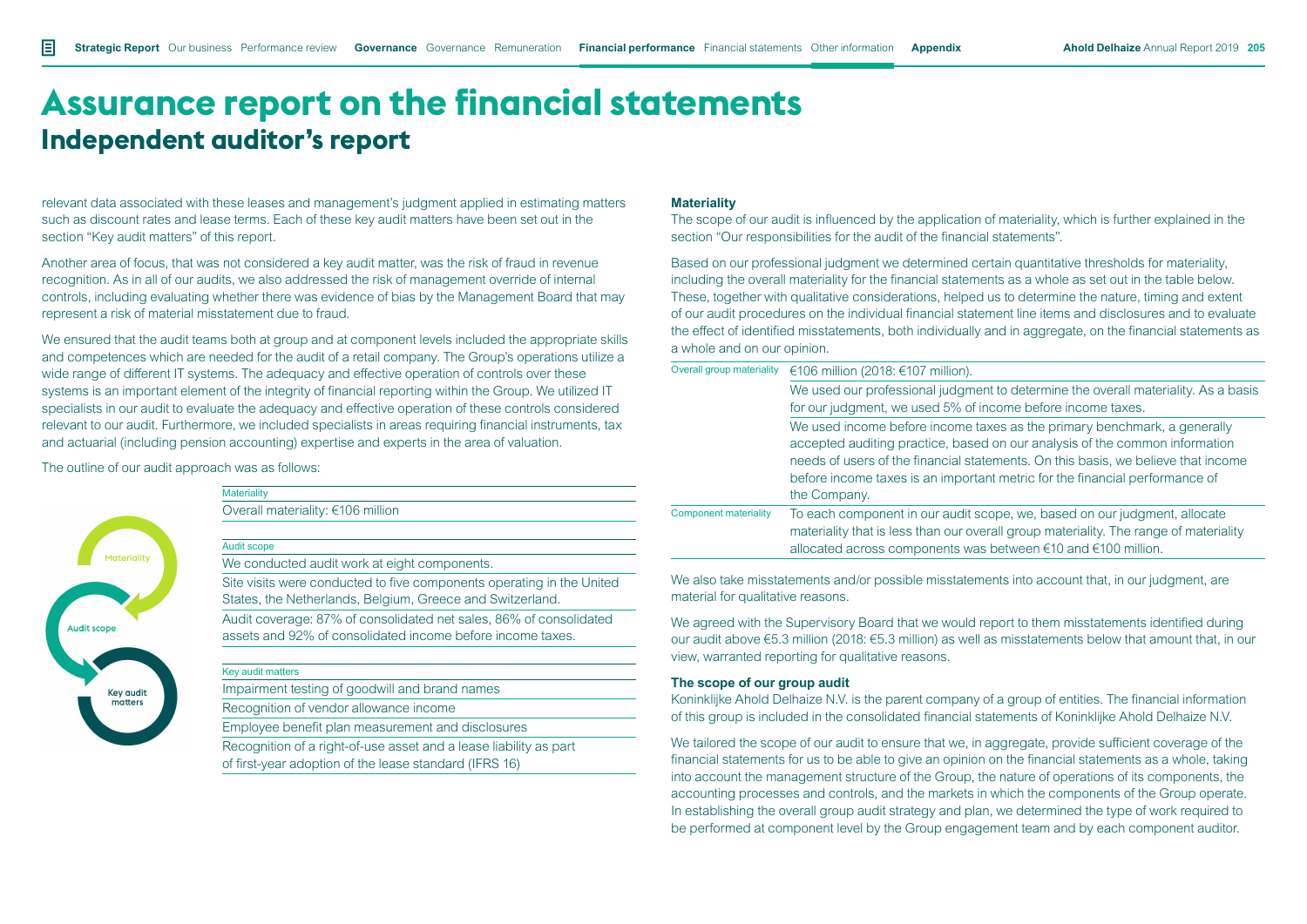relevant data associated with these leases and management's judgment applied in estimating matters such as discount rates and lease terms. Each of these key audit matters have been set out in the section "Key audit matters" of this report.

Another area of focus, that was not considered a key audit matter, was the risk of fraud in revenue recognition. As in all of our audits, we also addressed the risk of management override of internal controls, including evaluating whether there was evidence of bias by the Management Board that may represent a risk of material misstatement due to fraud.

We ensured that the audit teams both at group and at component levels included the appropriate skills and competences which are needed for the audit of a retail company. The Group's operations utilize a wide range of different IT systems. The adequacy and effective operation of controls over these systems is an important element of the integrity of financial reporting within the Group. We utilized IT specialists in our audit to evaluate the adequacy and effective operation of these controls considered relevant to our audit. Furthermore, we included specialists in areas requiring financial instruments, tax and actuarial (including pension accounting) expertise and experts in the area of valuation.

The outline of our audit approach was as follows:

**Materiality** 

Audit scope



| Overall materiality: €106 million |
|-----------------------------------|

We conducted audit work at eight components.

Site visits were conducted to five components operating in the United States, the Netherlands, Belgium, Greece and Switzerland. Audit coverage: 87% of consolidated net sales, 86% of consolidated

assets and 92% of consolidated income before income taxes.

Key audit matters

Impairment testing of goodwill and brand names

Recognition of vendor allowance income

Employee benefit plan measurement and disclosures

Recognition of a right-of-use asset and a lease liability as part of first-year adoption of the lease standard (IFRS 16)

#### **Materiality**

The scope of our audit is influenced by the application of materiality, which is further explained in the section "Our responsibilities for the audit of the financial statements".

Based on our professional judgment we determined certain quantitative thresholds for materiality, including the overall materiality for the financial statements as a whole as set out in the table below. These, together with qualitative considerations, helped us to determine the nature, timing and extent of our audit procedures on the individual financial statement line items and disclosures and to evaluate the effect of identified misstatements, both individually and in aggregate, on the financial statements as a whole and on our opinion.

| Overall group materiality    | €106 million (2018: €107 million).                                                                                                                                                                                                                                                                                                          |  |
|------------------------------|---------------------------------------------------------------------------------------------------------------------------------------------------------------------------------------------------------------------------------------------------------------------------------------------------------------------------------------------|--|
|                              | We used our professional judgment to determine the overall materiality. As a basis                                                                                                                                                                                                                                                          |  |
|                              | for our judgment, we used 5% of income before income taxes.                                                                                                                                                                                                                                                                                 |  |
|                              | We used income before income taxes as the primary benchmark, a generally<br>accepted auditing practice, based on our analysis of the common information<br>needs of users of the financial statements. On this basis, we believe that income<br>before income taxes is an important metric for the financial performance of<br>the Company. |  |
| <b>Component materiality</b> | To each component in our audit scope, we, based on our judgment, allocate<br>materiality that is less than our overall group materiality. The range of materiality<br>allocated across components was between $\epsilon$ 10 and $\epsilon$ 100 million.                                                                                     |  |

We also take misstatements and/or possible misstatements into account that, in our judgment, are material for qualitative reasons.

We agreed with the Supervisory Board that we would report to them misstatements identified during our audit above €5.3 million (2018: €5.3 million) as well as misstatements below that amount that, in our view, warranted reporting for qualitative reasons.

#### **The scope of our group audit**

Koninklijke Ahold Delhaize N.V. is the parent company of a group of entities. The financial information of this group is included in the consolidated financial statements of Koninklijke Ahold Delhaize N.V.

We tailored the scope of our audit to ensure that we, in aggregate, provide sufficient coverage of the financial statements for us to be able to give an opinion on the financial statements as a whole, taking into account the management structure of the Group, the nature of operations of its components, the accounting processes and controls, and the markets in which the components of the Group operate. In establishing the overall group audit strategy and plan, we determined the type of work required to be performed at component level by the Group engagement team and by each component auditor.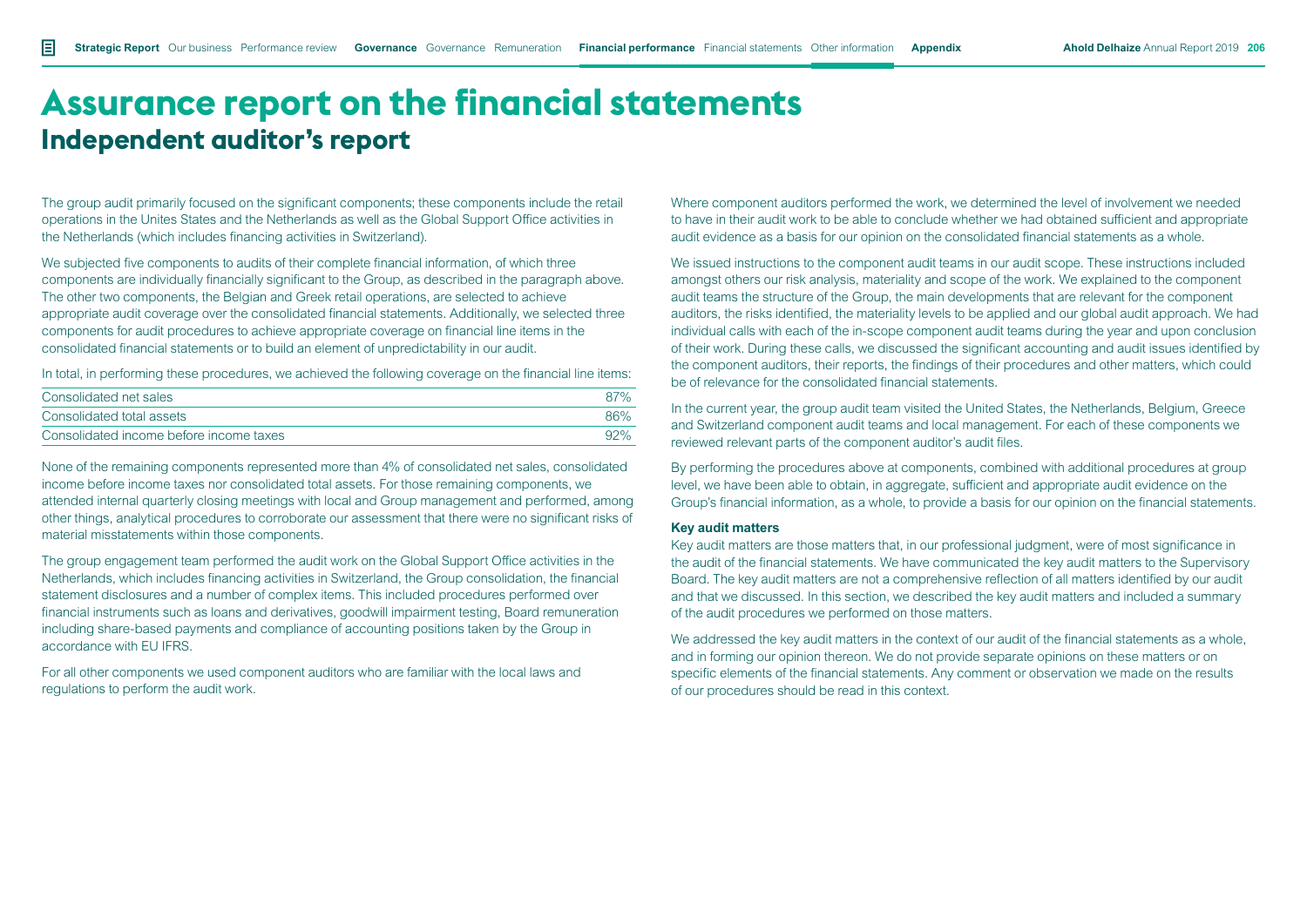The group audit primarily focused on the significant components; these components include the retail operations in the Unites States and the Netherlands as well as the Global Support Office activities in the Netherlands (which includes financing activities in Switzerland).

We subjected five components to audits of their complete financial information, of which three components are individually financially significant to the Group, as described in the paragraph above. The other two components, the Belgian and Greek retail operations, are selected to achieve appropriate audit coverage over the consolidated financial statements. Additionally, we selected three components for audit procedures to achieve appropriate coverage on financial line items in the consolidated financial statements or to build an element of unpredictability in our audit.

In total, in performing these procedures, we achieved the following coverage on the financial line items:

| Consolidated net sales                  | $87\%$ |
|-----------------------------------------|--------|
| Consolidated total assets               | 86%    |
| Consolidated income before income taxes | $92\%$ |

None of the remaining components represented more than 4% of consolidated net sales, consolidated income before income taxes nor consolidated total assets. For those remaining components, we attended internal quarterly closing meetings with local and Group management and performed, among other things, analytical procedures to corroborate our assessment that there were no significant risks of material misstatements within those components.

The group engagement team performed the audit work on the Global Support Office activities in the Netherlands, which includes financing activities in Switzerland, the Group consolidation, the financial statement disclosures and a number of complex items. This included procedures performed over financial instruments such as loans and derivatives, goodwill impairment testing, Board remuneration including share-based payments and compliance of accounting positions taken by the Group in accordance with EU IFRS.

For all other components we used component auditors who are familiar with the local laws and regulations to perform the audit work.

Where component auditors performed the work, we determined the level of involvement we needed to have in their audit work to be able to conclude whether we had obtained sufficient and appropriate audit evidence as a basis for our opinion on the consolidated financial statements as a whole.

We issued instructions to the component audit teams in our audit scope. These instructions included amongst others our risk analysis, materiality and scope of the work. We explained to the component audit teams the structure of the Group, the main developments that are relevant for the component auditors, the risks identified, the materiality levels to be applied and our global audit approach. We had individual calls with each of the in-scope component audit teams during the year and upon conclusion of their work. During these calls, we discussed the significant accounting and audit issues identified by the component auditors, their reports, the findings of their procedures and other matters, which could be of relevance for the consolidated financial statements.

In the current year, the group audit team visited the United States, the Netherlands, Belgium, Greece and Switzerland component audit teams and local management. For each of these components we reviewed relevant parts of the component auditor's audit files.

By performing the procedures above at components, combined with additional procedures at group level, we have been able to obtain, in aggregate, sufficient and appropriate audit evidence on the Group's financial information, as a whole, to provide a basis for our opinion on the financial statements.

#### **Key audit matters**

Key audit matters are those matters that, in our professional judgment, were of most significance in the audit of the financial statements. We have communicated the key audit matters to the Supervisory Board. The key audit matters are not a comprehensive reflection of all matters identified by our audit and that we discussed. In this section, we described the key audit matters and included a summary of the audit procedures we performed on those matters.

We addressed the key audit matters in the context of our audit of the financial statements as a whole, and in forming our opinion thereon. We do not provide separate opinions on these matters or on specific elements of the financial statements. Any comment or observation we made on the results of our procedures should be read in this context.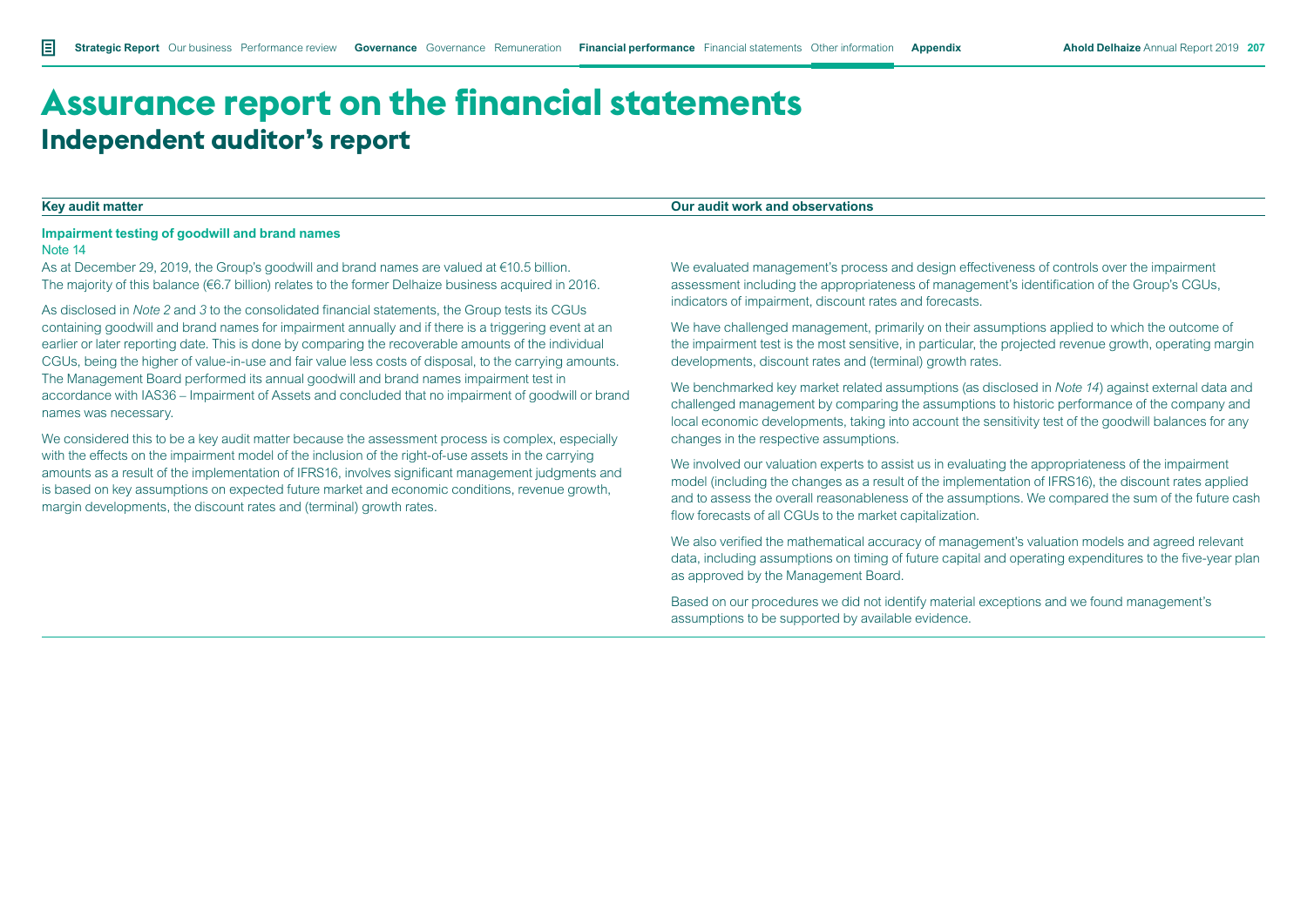### **Key audit matter Our audit work and observations**

#### **Impairment testing of goodwill and brand names**

#### Note 14

As at December 29, 2019, the Group's goodwill and brand names are valued at €10.5 billion. The majority of this balance (€6.7 billion) relates to the former Delhaize business acquired in 2016.

As disclosed in *Note 2* and *3* to the consolidated financial statements, the Group tests its CGUs containing goodwill and brand names for impairment annually and if there is a triggering event at an earlier or later reporting date. This is done by comparing the recoverable amounts of the individual CGUs, being the higher of value-in-use and fair value less costs of disposal, to the carrying amounts. The Management Board performed its annual goodwill and brand names impairment test in accordance with IAS36 – Impairment of Assets and concluded that no impairment of goodwill or brand names was necessary.

We considered this to be a key audit matter because the assessment process is complex, especially with the effects on the impairment model of the inclusion of the right-of-use assets in the carrying amounts as a result of the implementation of IFRS16, involves significant management judgments and is based on key assumptions on expected future market and economic conditions, revenue growth, margin developments, the discount rates and (terminal) growth rates.

We evaluated management's process and design effectiveness of controls over the impairment assessment including the appropriateness of management's identification of the Group's CGUs, indicators of impairment, discount rates and forecasts.

We have challenged management, primarily on their assumptions applied to which the outcome of the impairment test is the most sensitive, in particular, the projected revenue growth, operating margin developments, discount rates and (terminal) growth rates.

We benchmarked key market related assumptions (as disclosed in *Note 14*) against external data and challenged management by comparing the assumptions to historic performance of the company and local economic developments, taking into account the sensitivity test of the goodwill balances for any changes in the respective assumptions.

We involved our valuation experts to assist us in evaluating the appropriateness of the impairment model (including the changes as a result of the implementation of IFRS16), the discount rates applied and to assess the overall reasonableness of the assumptions. We compared the sum of the future cash flow forecasts of all CGUs to the market capitalization.

We also verified the mathematical accuracy of management's valuation models and agreed relevant data, including assumptions on timing of future capital and operating expenditures to the five-year plan as approved by the Management Board.

Based on our procedures we did not identify material exceptions and we found management's assumptions to be supported by available evidence.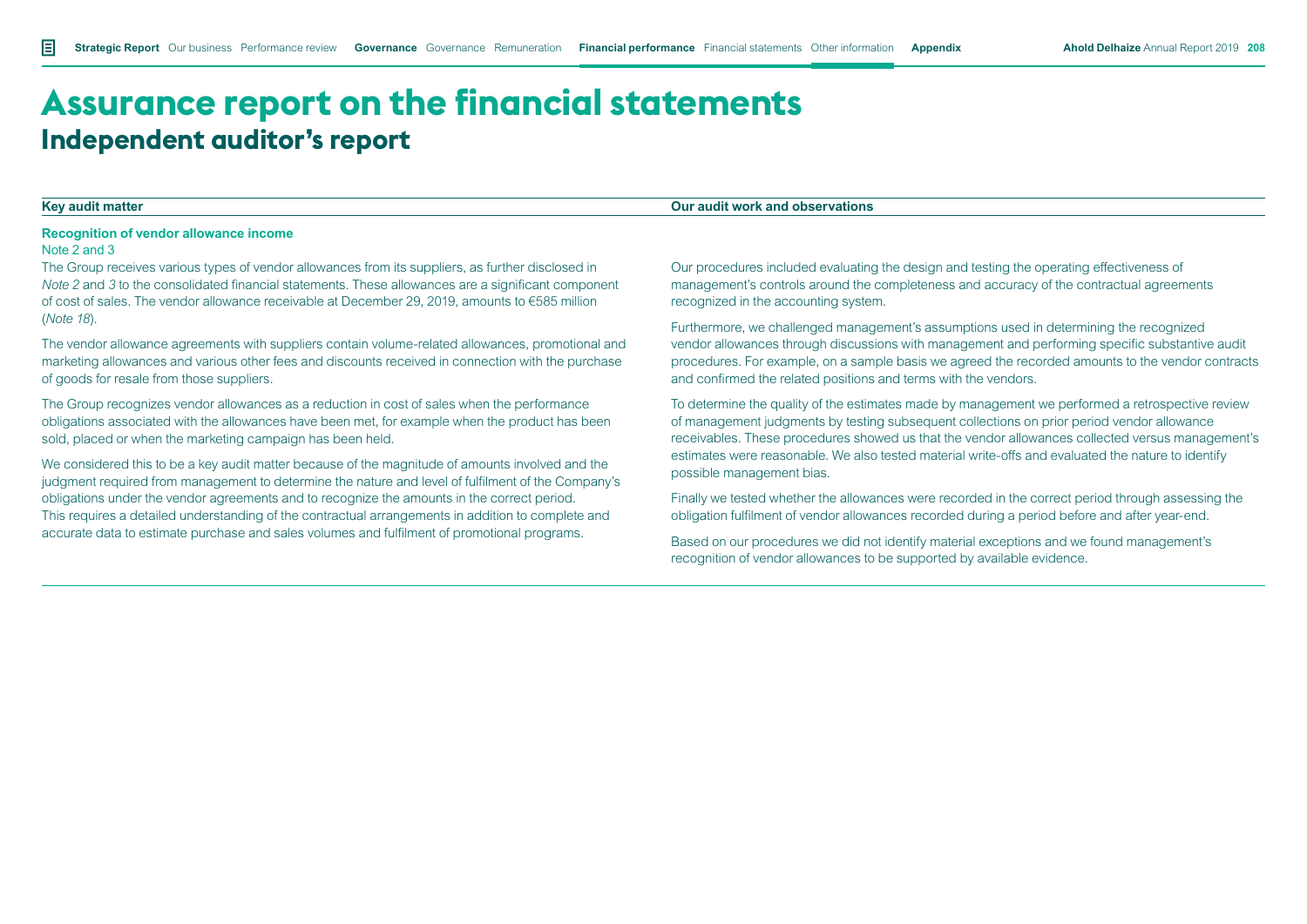#### **Recognition of vendor allowance income**

#### Note 2 and 3

The Group receives various types of vendor allowances from its suppliers, as further disclosed in *Note 2* and *3* to the consolidated financial statements. These allowances are a significant component of cost of sales. The vendor allowance receivable at December 29, 2019, amounts to €585 million (*Note 18*).

The vendor allowance agreements with suppliers contain volume-related allowances, promotional and marketing allowances and various other fees and discounts received in connection with the purchase of goods for resale from those suppliers.

The Group recognizes vendor allowances as a reduction in cost of sales when the performance obligations associated with the allowances have been met, for example when the product has been sold, placed or when the marketing campaign has been held.

We considered this to be a key audit matter because of the magnitude of amounts involved and the judgment required from management to determine the nature and level of fulfilment of the Company's obligations under the vendor agreements and to recognize the amounts in the correct period. This requires a detailed understanding of the contractual arrangements in addition to complete and accurate data to estimate purchase and sales volumes and fulfilment of promotional programs.

**Key audit matter Our audit work and observations**

Our procedures included evaluating the design and testing the operating effectiveness of management's controls around the completeness and accuracy of the contractual agreements recognized in the accounting system.

Furthermore, we challenged management's assumptions used in determining the recognized vendor allowances through discussions with management and performing specific substantive audit procedures. For example, on a sample basis we agreed the recorded amounts to the vendor contracts and confirmed the related positions and terms with the vendors.

To determine the quality of the estimates made by management we performed a retrospective review of management judgments by testing subsequent collections on prior period vendor allowance receivables. These procedures showed us that the vendor allowances collected versus management's estimates were reasonable. We also tested material write-offs and evaluated the nature to identify possible management bias.

Finally we tested whether the allowances were recorded in the correct period through assessing the obligation fulfilment of vendor allowances recorded during a period before and after year-end.

Based on our procedures we did not identify material exceptions and we found management's recognition of vendor allowances to be supported by available evidence.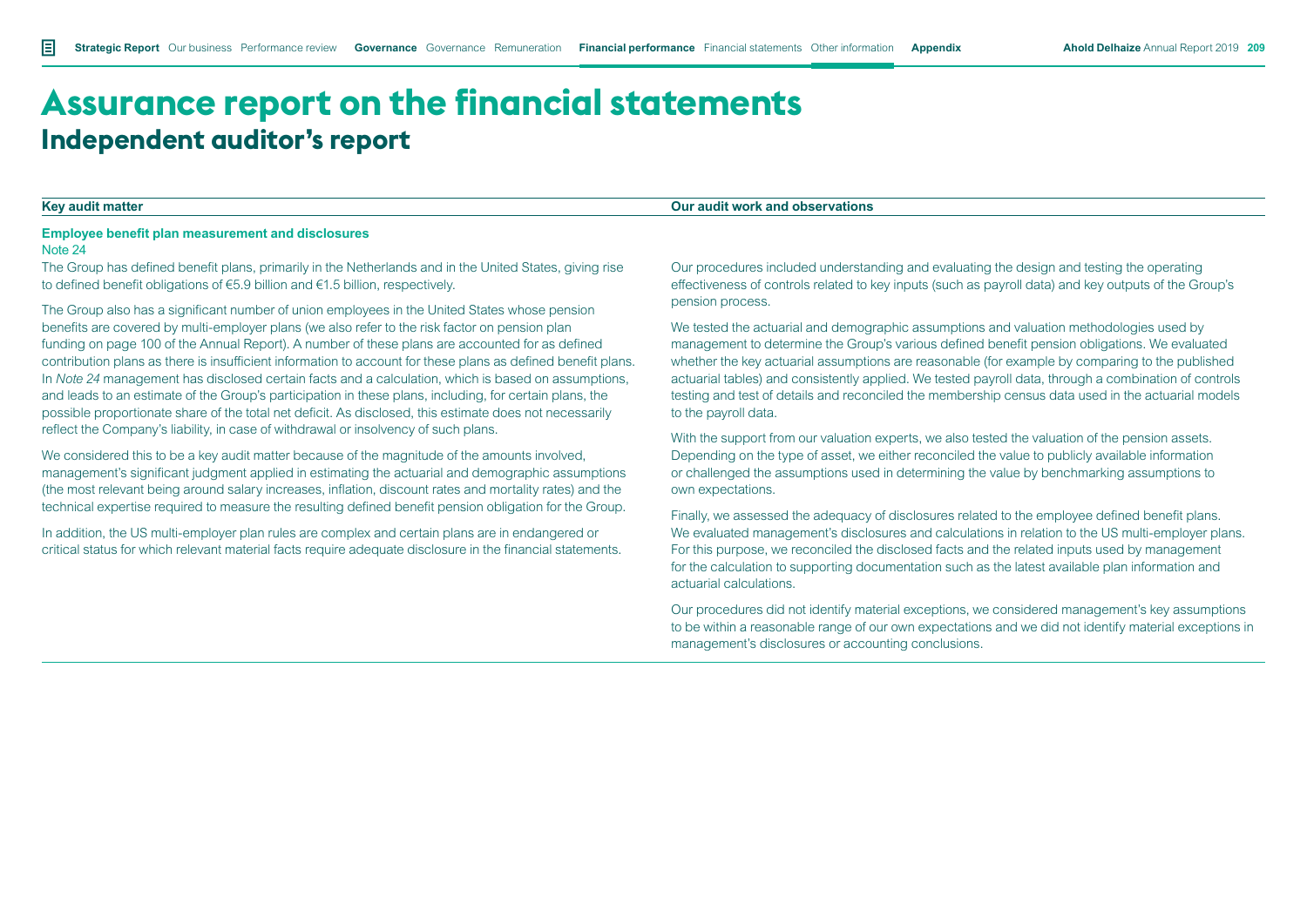#### **Key audit matter Our audit work and observations**

# **Employee benefit plan measurement and disclosures**

#### Note 24

The Group has defined benefit plans, primarily in the Netherlands and in the United States, giving rise to defined benefit obligations of €5.9 billion and €1.5 billion, respectively.

The Group also has a significant number of union employees in the United States whose pension benefits are covered by multi-employer plans (we also refer to the risk factor on pension plan funding on page 100 of the Annual Report). A number of these plans are accounted for as defined contribution plans as there is insufficient information to account for these plans as defined benefit plans. In *Note 24* management has disclosed certain facts and a calculation, which is based on assumptions, and leads to an estimate of the Group's participation in these plans, including, for certain plans, the possible proportionate share of the total net deficit. As disclosed, this estimate does not necessarily reflect the Company's liability, in case of withdrawal or insolvency of such plans.

We considered this to be a key audit matter because of the magnitude of the amounts involved, management's significant judgment applied in estimating the actuarial and demographic assumptions (the most relevant being around salary increases, inflation, discount rates and mortality rates) and the technical expertise required to measure the resulting defined benefit pension obligation for the Group.

In addition, the US multi-employer plan rules are complex and certain plans are in endangered or critical status for which relevant material facts require adequate disclosure in the financial statements. Our procedures included understanding and evaluating the design and testing the operating effectiveness of controls related to key inputs (such as payroll data) and key outputs of the Group's pension process.

We tested the actuarial and demographic assumptions and valuation methodologies used by management to determine the Group's various defined benefit pension obligations. We evaluated whether the key actuarial assumptions are reasonable (for example by comparing to the published actuarial tables) and consistently applied. We tested payroll data, through a combination of controls testing and test of details and reconciled the membership census data used in the actuarial models to the payroll data.

With the support from our valuation experts, we also tested the valuation of the pension assets. Depending on the type of asset, we either reconciled the value to publicly available information or challenged the assumptions used in determining the value by benchmarking assumptions to own expectations.

Finally, we assessed the adequacy of disclosures related to the employee defined benefit plans. We evaluated management's disclosures and calculations in relation to the US multi-employer plans. For this purpose, we reconciled the disclosed facts and the related inputs used by management for the calculation to supporting documentation such as the latest available plan information and actuarial calculations.

Our procedures did not identify material exceptions, we considered management's key assumptions to be within a reasonable range of our own expectations and we did not identify material exceptions in management's disclosures or accounting conclusions.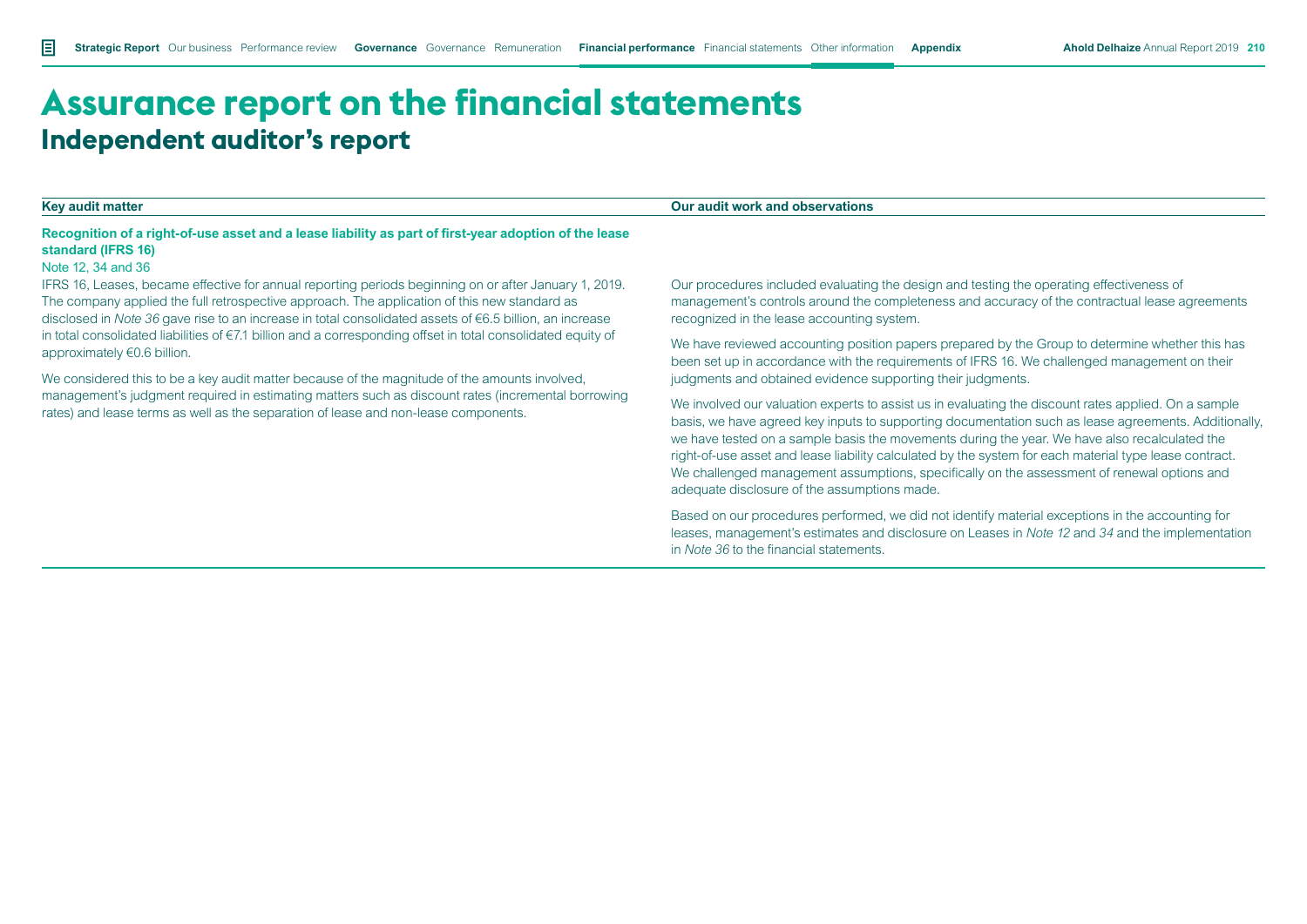#### **Key audit matter Our audit work and observations**

### **Recognition of a right-of-use asset and a lease liability as part of first-year adoption of the lease standard (IFRS 16)**

#### Note 12, 34 and 36

IFRS 16, Leases, became effective for annual reporting periods beginning on or after January 1, 2019. The company applied the full retrospective approach. The application of this new standard as disclosed in *Note 36* gave rise to an increase in total consolidated assets of €6.5 billion, an increase in total consolidated liabilities of €7.1 billion and a corresponding offset in total consolidated equity of approximately €0.6 billion.

We considered this to be a key audit matter because of the magnitude of the amounts involved. management's judgment required in estimating matters such as discount rates (incremental borrowing rates) and lease terms as well as the separation of lease and non-lease components.

Our procedures included evaluating the design and testing the operating effectiveness of management's controls around the completeness and accuracy of the contractual lease agreements recognized in the lease accounting system.

We have reviewed accounting position papers prepared by the Group to determine whether this has been set up in accordance with the requirements of IFRS 16. We challenged management on their judgments and obtained evidence supporting their judgments.

We involved our valuation experts to assist us in evaluating the discount rates applied. On a sample basis, we have agreed key inputs to supporting documentation such as lease agreements. Additionally, we have tested on a sample basis the movements during the year. We have also recalculated the right-of-use asset and lease liability calculated by the system for each material type lease contract. We challenged management assumptions, specifically on the assessment of renewal options and adequate disclosure of the assumptions made.

Based on our procedures performed, we did not identify material exceptions in the accounting for leases, management's estimates and disclosure on Leases in *Note 12* and *34* and the implementation in *Note 36* to the financial statements.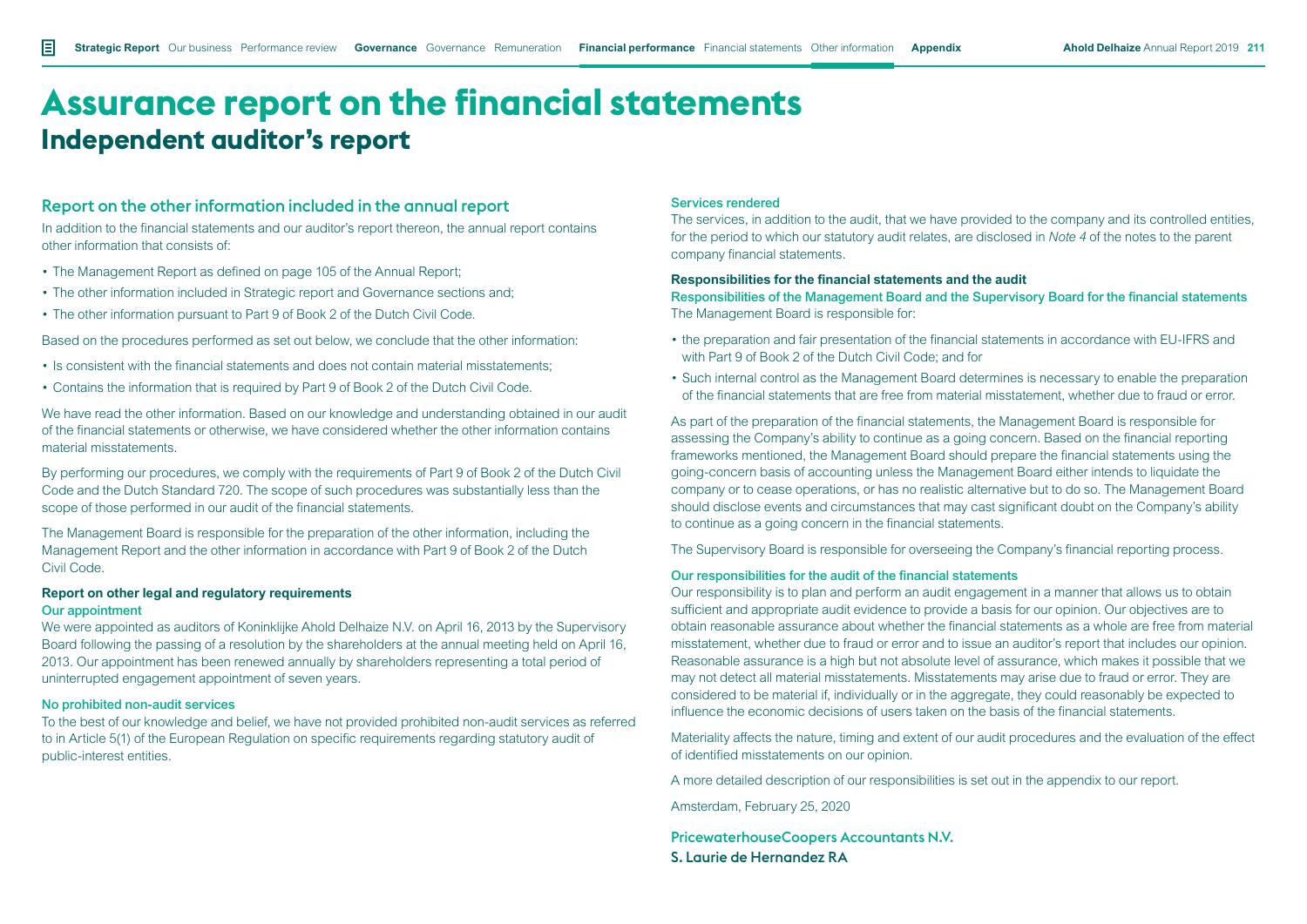### Report on the other information included in the annual report

In addition to the financial statements and our auditor's report thereon, the annual report contains other information that consists of:

- The Management Report as defined on page 105 of the Annual Report:
- The other information included in Strategic report and Governance sections and;
- The other information pursuant to Part 9 of Book 2 of the Dutch Civil Code.

Based on the procedures performed as set out below, we conclude that the other information:

- Is consistent with the financial statements and does not contain material misstatements;
- Contains the information that is required by Part 9 of Book 2 of the Dutch Civil Code.

We have read the other information. Based on our knowledge and understanding obtained in our audit of the financial statements or otherwise, we have considered whether the other information contains material misstatements.

By performing our procedures, we comply with the requirements of Part 9 of Book 2 of the Dutch Civil Code and the Dutch Standard 720. The scope of such procedures was substantially less than the scope of those performed in our audit of the financial statements.

The Management Board is responsible for the preparation of the other information, including the Management Report and the other information in accordance with Part 9 of Book 2 of the Dutch Civil Code.

#### **Report on other legal and regulatory requirements** Our appointment

We were appointed as auditors of Koninklijke Ahold Delhaize N.V. on April 16, 2013 by the Supervisory Board following the passing of a resolution by the shareholders at the annual meeting held on April 16, 2013. Our appointment has been renewed annually by shareholders representing a total period of uninterrupted engagement appointment of seven years.

#### No prohibited non-audit services

To the best of our knowledge and belief, we have not provided prohibited non-audit services as referred to in Article 5(1) of the European Regulation on specific requirements regarding statutory audit of public-interest entities.

#### Services rendered

The services, in addition to the audit, that we have provided to the company and its controlled entities, for the period to which our statutory audit relates, are disclosed in *Note 4* of the notes to the parent company financial statements.

#### **Responsibilities for the financial statements and the audit**

Responsibilities of the Management Board and the Supervisory Board for the financial statements The Management Board is responsible for:

- the preparation and fair presentation of the financial statements in accordance with EU-IFRS and with Part 9 of Book 2 of the Dutch Civil Code; and for
- Such internal control as the Management Board determines is necessary to enable the preparation of the financial statements that are free from material misstatement, whether due to fraud or error.

As part of the preparation of the financial statements, the Management Board is responsible for assessing the Company's ability to continue as a going concern. Based on the financial reporting frameworks mentioned, the Management Board should prepare the financial statements using the going-concern basis of accounting unless the Management Board either intends to liquidate the company or to cease operations, or has no realistic alternative but to do so. The Management Board should disclose events and circumstances that may cast significant doubt on the Company's ability to continue as a going concern in the financial statements.

The Supervisory Board is responsible for overseeing the Company's financial reporting process.

#### Our responsibilities for the audit of the financial statements

Our responsibility is to plan and perform an audit engagement in a manner that allows us to obtain sufficient and appropriate audit evidence to provide a basis for our opinion. Our objectives are to obtain reasonable assurance about whether the financial statements as a whole are free from material misstatement, whether due to fraud or error and to issue an auditor's report that includes our opinion. Reasonable assurance is a high but not absolute level of assurance, which makes it possible that we may not detect all material misstatements. Misstatements may arise due to fraud or error. They are considered to be material if, individually or in the aggregate, they could reasonably be expected to influence the economic decisions of users taken on the basis of the financial statements.

Materiality affects the nature, timing and extent of our audit procedures and the evaluation of the effect of identified misstatements on our opinion.

A more detailed description of our responsibilities is set out in the appendix to our report.

Amsterdam, February 25, 2020

PricewaterhouseCoopers Accountants N.V. S. Laurie de Hernandez RA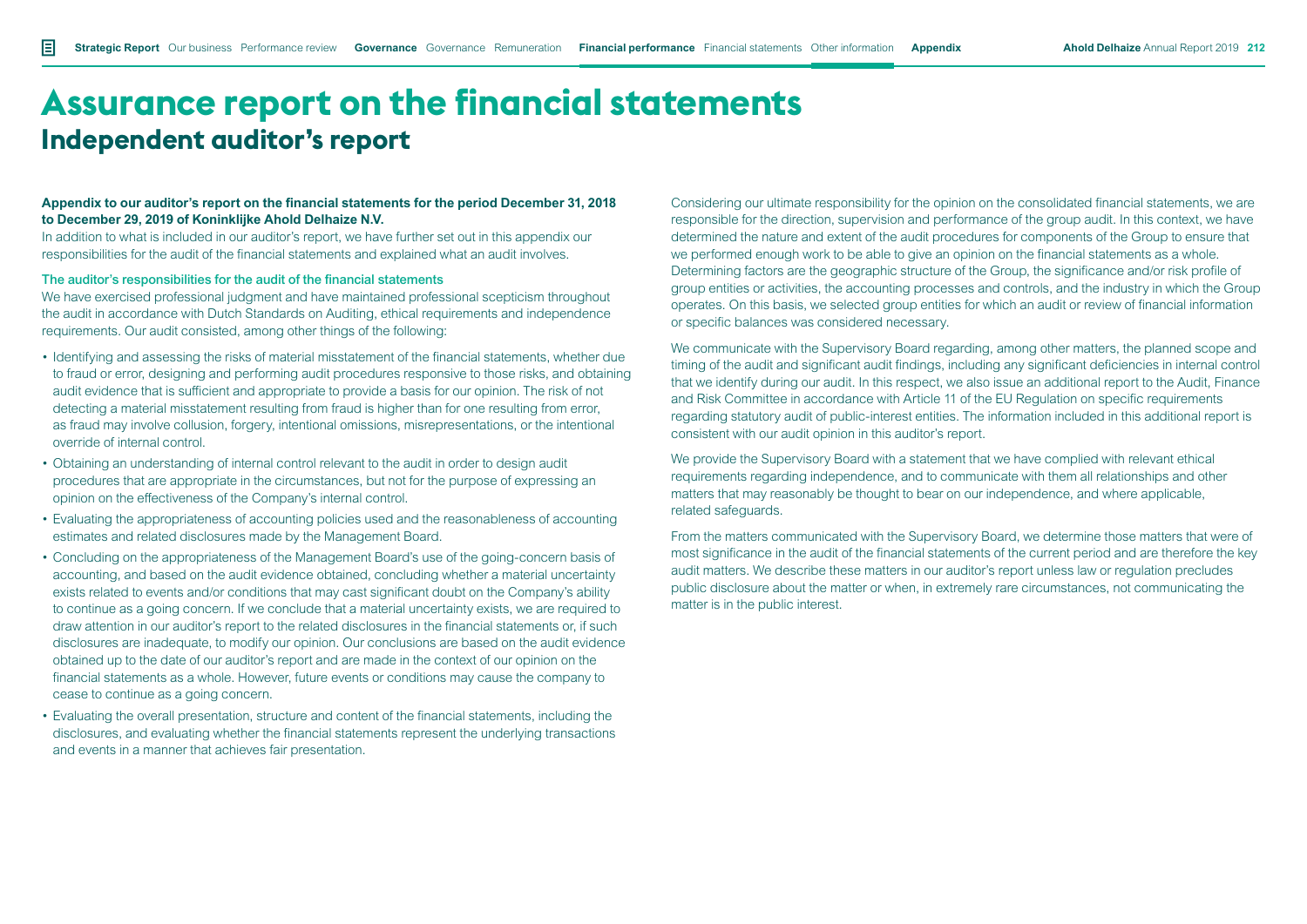#### **Appendix to our auditor's report on the financial statements for the period December 31, 2018 to December 29, 2019 of Koninklijke Ahold Delhaize N.V.**

In addition to what is included in our auditor's report, we have further set out in this appendix our responsibilities for the audit of the financial statements and explained what an audit involves.

#### The auditor's responsibilities for the audit of the financial statements

We have exercised professional judgment and have maintained professional scepticism throughout the audit in accordance with Dutch Standards on Auditing, ethical requirements and independence requirements. Our audit consisted, among other things of the following:

- Identifying and assessing the risks of material misstatement of the financial statements, whether due to fraud or error, designing and performing audit procedures responsive to those risks, and obtaining audit evidence that is sufficient and appropriate to provide a basis for our opinion. The risk of not detecting a material misstatement resulting from fraud is higher than for one resulting from error, as fraud may involve collusion, forgery, intentional omissions, misrepresentations, or the intentional override of internal control.
- Obtaining an understanding of internal control relevant to the audit in order to design audit procedures that are appropriate in the circumstances, but not for the purpose of expressing an opinion on the effectiveness of the Company's internal control.
- Evaluating the appropriateness of accounting policies used and the reasonableness of accounting estimates and related disclosures made by the Management Board.
- Concluding on the appropriateness of the Management Board's use of the going-concern basis of accounting, and based on the audit evidence obtained, concluding whether a material uncertainty exists related to events and/or conditions that may cast significant doubt on the Company's ability to continue as a going concern. If we conclude that a material uncertainty exists, we are required to draw attention in our auditor's report to the related disclosures in the financial statements or, if such disclosures are inadequate, to modify our opinion. Our conclusions are based on the audit evidence obtained up to the date of our auditor's report and are made in the context of our opinion on the financial statements as a whole. However, future events or conditions may cause the company to cease to continue as a going concern.
- Evaluating the overall presentation, structure and content of the financial statements, including the disclosures, and evaluating whether the financial statements represent the underlying transactions and events in a manner that achieves fair presentation.

Considering our ultimate responsibility for the opinion on the consolidated financial statements, we are responsible for the direction, supervision and performance of the group audit. In this context, we have determined the nature and extent of the audit procedures for components of the Group to ensure that we performed enough work to be able to give an opinion on the financial statements as a whole. Determining factors are the geographic structure of the Group, the significance and/or risk profile of group entities or activities, the accounting processes and controls, and the industry in which the Group operates. On this basis, we selected group entities for which an audit or review of financial information or specific balances was considered necessary.

We communicate with the Supervisory Board regarding, among other matters, the planned scope and timing of the audit and significant audit findings, including any significant deficiencies in internal control that we identify during our audit. In this respect, we also issue an additional report to the Audit, Finance and Risk Committee in accordance with Article 11 of the EU Regulation on specific requirements regarding statutory audit of public-interest entities. The information included in this additional report is consistent with our audit opinion in this auditor's report.

We provide the Supervisory Board with a statement that we have complied with relevant ethical requirements regarding independence, and to communicate with them all relationships and other matters that may reasonably be thought to bear on our independence, and where applicable, related safeguards.

From the matters communicated with the Supervisory Board, we determine those matters that were of most significance in the audit of the financial statements of the current period and are therefore the key audit matters. We describe these matters in our auditor's report unless law or regulation precludes public disclosure about the matter or when, in extremely rare circumstances, not communicating the matter is in the public interest.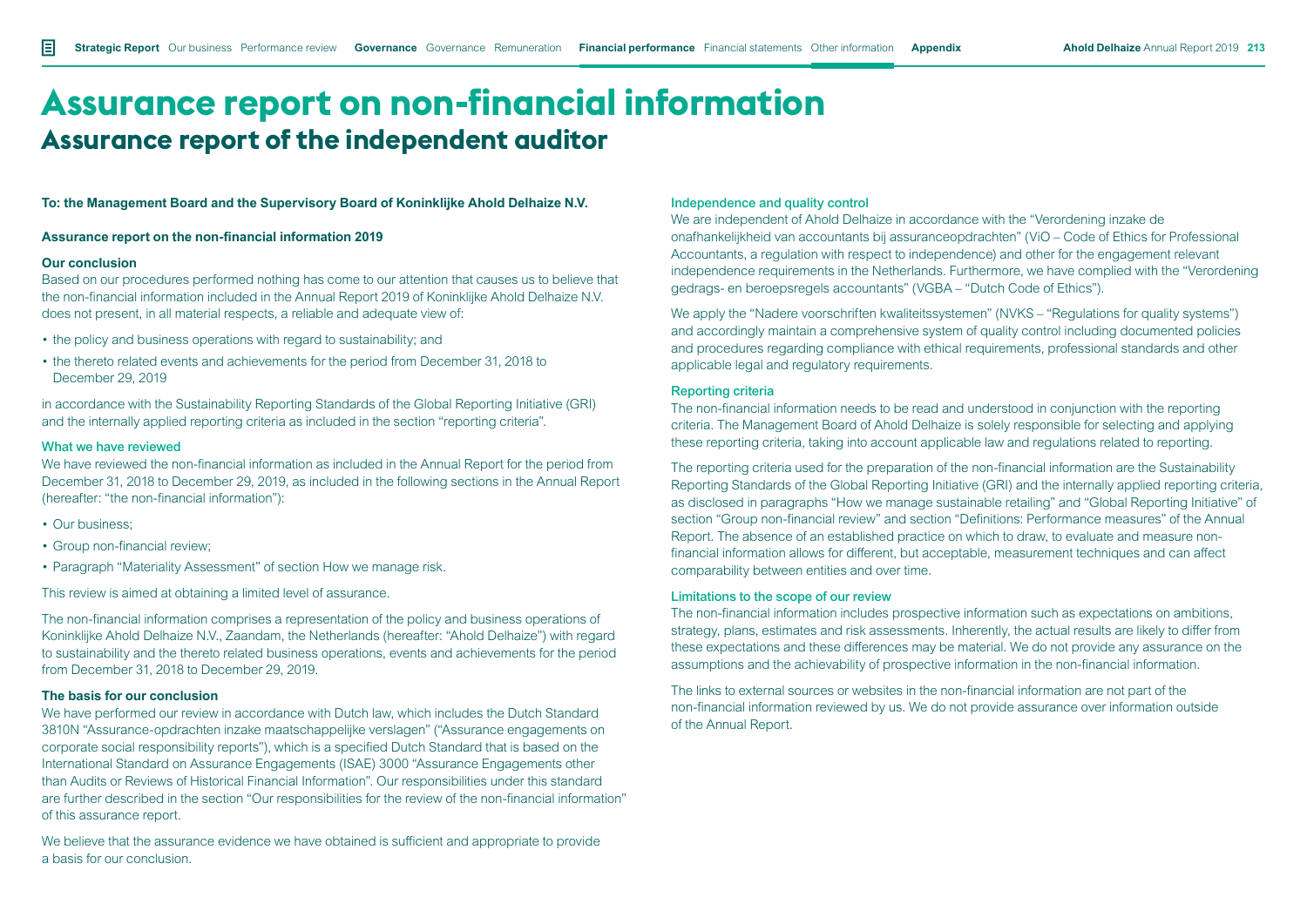# **Assurance report on non-financial information Assurance report of the independent auditor**

**To: the Management Board and the Supervisory Board of Koninklijke Ahold Delhaize N.V.**

#### **Assurance report on the non-financial information 2019**

#### **Our conclusion**

Based on our procedures performed nothing has come to our attention that causes us to believe that the non-financial information included in the Annual Report 2019 of Koninklijke Ahold Delhaize N.V. does not present, in all material respects, a reliable and adequate view of:

- the policy and business operations with regard to sustainability; and
- the thereto related events and achievements for the period from December 31, 2018 to December 29, 2019

in accordance with the Sustainability Reporting Standards of the Global Reporting Initiative (GRI) and the internally applied reporting criteria as included in the section "reporting criteria".

#### What we have reviewed

We have reviewed the non-financial information as included in the Annual Report for the period from December 31, 2018 to December 29, 2019, as included in the following sections in the Annual Report (hereafter: "the non-financial information"):

- Our business:
- Group non-financial review;
- Paragraph "Materiality Assessment" of section How we manage risk.

This review is aimed at obtaining a limited level of assurance.

The non-financial information comprises a representation of the policy and business operations of Koninklijke Ahold Delhaize N.V., Zaandam, the Netherlands (hereafter: "Ahold Delhaize") with regard to sustainability and the thereto related business operations, events and achievements for the period from December 31, 2018 to December 29, 2019.

### **The basis for our conclusion**

We have performed our review in accordance with Dutch law, which includes the Dutch Standard 3810N "Assurance-opdrachten inzake maatschappelijke verslagen" ("Assurance engagements on corporate social responsibility reports"), which is a specified Dutch Standard that is based on the International Standard on Assurance Engagements (ISAE) 3000 "Assurance Engagements other than Audits or Reviews of Historical Financial Information". Our responsibilities under this standard are further described in the section "Our responsibilities for the review of the non-financial information" of this assurance report.

We believe that the assurance evidence we have obtained is sufficient and appropriate to provide a basis for our conclusion.

#### Independence and quality control

We are independent of Ahold Delhaize in accordance with the "Verordening inzake de onafhankelijkheid van accountants bij assuranceopdrachten" (ViO – Code of Ethics for Professional Accountants, a regulation with respect to independence) and other for the engagement relevant independence requirements in the Netherlands. Furthermore, we have complied with the "Verordening gedrags- en beroepsregels accountants" (VGBA – "Dutch Code of Ethics").

We apply the "Nadere voorschriften kwaliteitssystemen" (NVKS – "Regulations for quality systems") and accordingly maintain a comprehensive system of quality control including documented policies and procedures regarding compliance with ethical requirements, professional standards and other applicable legal and regulatory requirements.

#### Reporting criteria

The non-financial information needs to be read and understood in conjunction with the reporting criteria. The Management Board of Ahold Delhaize is solely responsible for selecting and applying these reporting criteria, taking into account applicable law and regulations related to reporting.

The reporting criteria used for the preparation of the non-financial information are the Sustainability Reporting Standards of the Global Reporting Initiative (GRI) and the internally applied reporting criteria, as disclosed in paragraphs "How we manage sustainable retailing" and "Global Reporting Initiative" of section "Group non-financial review" and section "Definitions: Performance measures" of the Annual Report. The absence of an established practice on which to draw, to evaluate and measure nonfinancial information allows for different, but acceptable, measurement techniques and can affect comparability between entities and over time.

#### Limitations to the scope of our review

The non-financial information includes prospective information such as expectations on ambitions, strategy, plans, estimates and risk assessments. Inherently, the actual results are likely to differ from these expectations and these differences may be material. We do not provide any assurance on the assumptions and the achievability of prospective information in the non-financial information.

The links to external sources or websites in the non-financial information are not part of the non-financial information reviewed by us. We do not provide assurance over information outside of the Annual Report.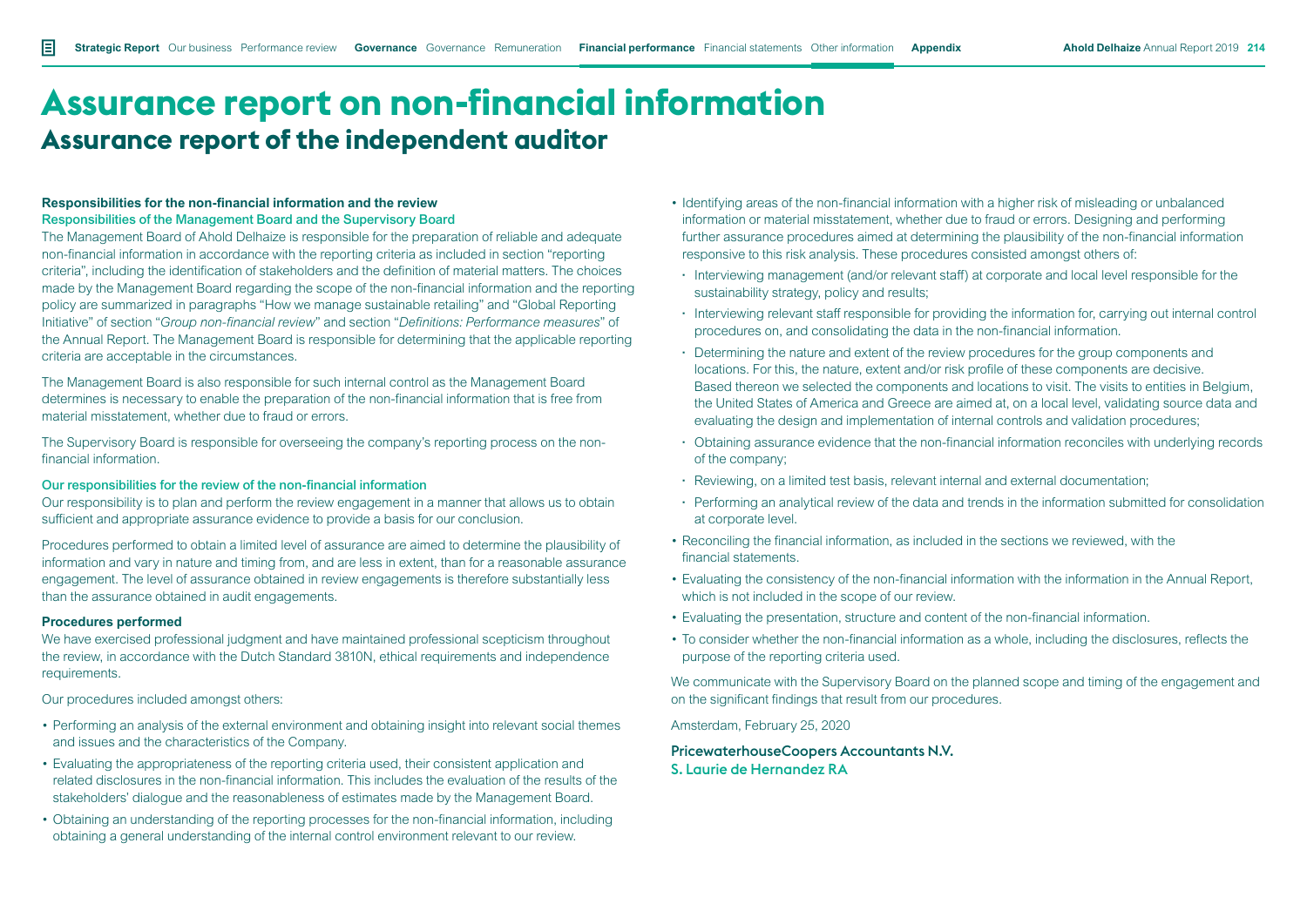# **Assurance report on non-financial information Assurance report of the independent auditor**

#### **Responsibilities for the non-financial information and the review** Responsibilities of the Management Board and the Supervisory Board

The Management Board of Ahold Delhaize is responsible for the preparation of reliable and adequate non-financial information in accordance with the reporting criteria as included in section "reporting criteria", including the identification of stakeholders and the definition of material matters. The choices made by the Management Board regarding the scope of the non-financial information and the reporting policy are summarized in paragraphs "How we manage sustainable retailing" and "Global Reporting Initiative" of section "*Group non-financial review*" and section "*Definitions: Performance measures*" of the Annual Report. The Management Board is responsible for determining that the applicable reporting criteria are acceptable in the circumstances.

The Management Board is also responsible for such internal control as the Management Board determines is necessary to enable the preparation of the non-financial information that is free from material misstatement, whether due to fraud or errors.

The Supervisory Board is responsible for overseeing the company's reporting process on the nonfinancial information.

#### Our responsibilities for the review of the non-financial information

Our responsibility is to plan and perform the review engagement in a manner that allows us to obtain sufficient and appropriate assurance evidence to provide a basis for our conclusion.

Procedures performed to obtain a limited level of assurance are aimed to determine the plausibility of information and vary in nature and timing from, and are less in extent, than for a reasonable assurance engagement. The level of assurance obtained in review engagements is therefore substantially less than the assurance obtained in audit engagements.

#### **Procedures performed**

We have exercised professional judgment and have maintained professional scepticism throughout the review, in accordance with the Dutch Standard 3810N, ethical requirements and independence requirements.

Our procedures included amongst others:

- Performing an analysis of the external environment and obtaining insight into relevant social themes and issues and the characteristics of the Company.
- Evaluating the appropriateness of the reporting criteria used, their consistent application and related disclosures in the non-financial information. This includes the evaluation of the results of the stakeholders' dialogue and the reasonableness of estimates made by the Management Board.
- Obtaining an understanding of the reporting processes for the non-financial information, including obtaining a general understanding of the internal control environment relevant to our review.
- Identifying areas of the non-financial information with a higher risk of misleading or unbalanced information or material misstatement, whether due to fraud or errors. Designing and performing further assurance procedures aimed at determining the plausibility of the non-financial information responsive to this risk analysis. These procedures consisted amongst others of:
- **·** Interviewing management (and/or relevant staff) at corporate and local level responsible for the sustainability strategy, policy and results;
- **·** Interviewing relevant staff responsible for providing the information for, carrying out internal control procedures on, and consolidating the data in the non-financial information.
- **·** Determining the nature and extent of the review procedures for the group components and locations. For this, the nature, extent and/or risk profile of these components are decisive. Based thereon we selected the components and locations to visit. The visits to entities in Belgium, the United States of America and Greece are aimed at, on a local level, validating source data and evaluating the design and implementation of internal controls and validation procedures;
- **·** Obtaining assurance evidence that the non-financial information reconciles with underlying records of the company;
- **·** Reviewing, on a limited test basis, relevant internal and external documentation;
- **·** Performing an analytical review of the data and trends in the information submitted for consolidation at corporate level.
- Reconciling the financial information, as included in the sections we reviewed, with the financial statements.
- Evaluating the consistency of the non-financial information with the information in the Annual Report, which is not included in the scope of our review.
- Evaluating the presentation, structure and content of the non-financial information.
- To consider whether the non-financial information as a whole, including the disclosures, reflects the purpose of the reporting criteria used.

We communicate with the Supervisory Board on the planned scope and timing of the engagement and on the significant findings that result from our procedures.

Amsterdam, February 25, 2020

PricewaterhouseCoopers Accountants N.V. S. Laurie de Hernandez RA